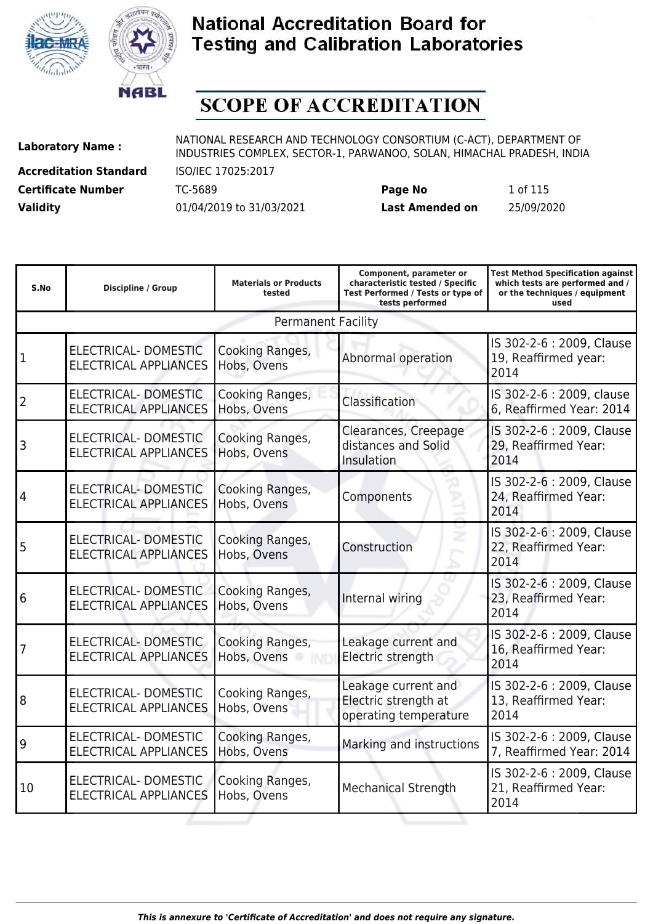



# **SCOPE OF ACCREDITATION**

**Accreditation Standard** ISO/IEC 17025:2017

**Laboratory Name :** NATIONAL RESEARCH AND TECHNOLOGY CONSORTIUM (C-ACT), DEPARTMENT OF **Laboratory Name :** NIDI INDUSTRIES COMPLEX, SECTOR-1, PARWANOO, SOLAN, HIMACHAL PRADESH, INDIA

**Certificate Number** TC-5689 **Page No** 1 of 115 **Validity** 01/04/2019 to 31/03/2021 **Last Amended on** 25/09/2020

| S.No           | <b>Discipline / Group</b>                                   | <b>Materials or Products</b><br>tested | Component, parameter or<br>characteristic tested / Specific<br>Test Performed / Tests or type of<br>tests performed | <b>Test Method Specification against</b><br>which tests are performed and /<br>or the techniques / equipment<br>used |
|----------------|-------------------------------------------------------------|----------------------------------------|---------------------------------------------------------------------------------------------------------------------|----------------------------------------------------------------------------------------------------------------------|
|                |                                                             | <b>Permanent Facility</b>              |                                                                                                                     |                                                                                                                      |
| 1              | <b>ELECTRICAL- DOMESTIC</b><br><b>ELECTRICAL APPLIANCES</b> | Cooking Ranges,<br>Hobs, Ovens         | Abnormal operation                                                                                                  | IS 302-2-6 : 2009, Clause<br>19, Reaffirmed year:<br>2014                                                            |
| $\overline{2}$ | ELECTRICAL-DOMESTIC<br><b>ELECTRICAL APPLIANCES</b>         | Cooking Ranges,<br>Hobs, Ovens         | Classification                                                                                                      | IS 302-2-6 : 2009, clause<br>6, Reaffirmed Year: 2014                                                                |
| 3              | ELECTRICAL- DOMESTIC<br><b>ELECTRICAL APPLIANCES</b>        | Cooking Ranges,<br>Hobs, Ovens         | Clearances, Creepage<br>distances and Solid<br>Insulation                                                           | IS 302-2-6 : 2009, Clause<br>29, Reaffirmed Year:<br>2014                                                            |
| 4              | <b>ELECTRICAL- DOMESTIC</b><br><b>ELECTRICAL APPLIANCES</b> | Cooking Ranges,<br>Hobs, Ovens         | Components                                                                                                          | IS 302-2-6 : 2009, Clause<br>24, Reaffirmed Year:<br>2014                                                            |
| 5              | ELECTRICAL- DOMESTIC<br><b>ELECTRICAL APPLIANCES</b>        | Cooking Ranges,<br>Hobs, Ovens         | Construction                                                                                                        | IS 302-2-6 : 2009, Clause<br>22, Reaffirmed Year:<br>2014                                                            |
| 6              | ELECTRICAL- DOMESTIC<br><b>ELECTRICAL APPLIANCES</b>        | Cooking Ranges,<br>Hobs, Ovens         | Internal wiring                                                                                                     | IS 302-2-6 : 2009, Clause<br>23, Reaffirmed Year:<br>2014                                                            |
| 7              | ELECTRICAL- DOMESTIC<br><b>ELECTRICAL APPLIANCES</b>        | Cooking Ranges,<br>Hobs, Ovens         | Leakage current and<br>Electric strength                                                                            | IS 302-2-6 : 2009, Clause<br>16, Reaffirmed Year:<br>2014                                                            |
| 8              | ELECTRICAL-DOMESTIC<br><b>ELECTRICAL APPLIANCES</b>         | Cooking Ranges,<br>Hobs, Ovens         | Leakage current and<br>Electric strength at<br>operating temperature                                                | IS 302-2-6 : 2009, Clause<br>13, Reaffirmed Year:<br>2014                                                            |
| 9              | ELECTRICAL-DOMESTIC<br><b>ELECTRICAL APPLIANCES</b>         | Cooking Ranges,<br>Hobs, Ovens         | Marking and instructions                                                                                            | IS 302-2-6 : 2009, Clause<br>7, Reaffirmed Year: 2014                                                                |
| 10             | ELECTRICAL- DOMESTIC<br><b>ELECTRICAL APPLIANCES</b>        | Cooking Ranges,<br>Hobs, Ovens         | <b>Mechanical Strength</b>                                                                                          | IS 302-2-6 : 2009, Clause<br>21, Reaffirmed Year:<br>2014                                                            |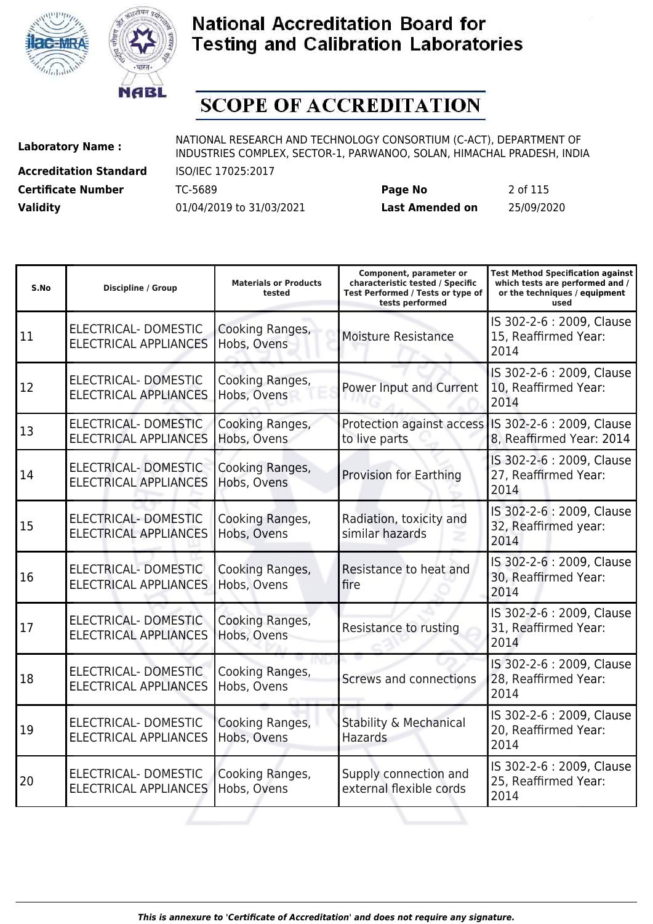



# **SCOPE OF ACCREDITATION**

**Accreditation Standard** ISO/IEC 17025:2017

**Laboratory Name :** NATIONAL RESEARCH AND TECHNOLOGY CONSORTIUM (C-ACT), DEPARTMENT OF **Laboratory Name :** NIDI INDUSTRIES COMPLEX, SECTOR-1, PARWANOO, SOLAN, HIMACHAL PRADESH, INDIA

**Certificate Number** TC-5689 **Page No** 2 of 115 **Validity** 01/04/2019 to 31/03/2021 **Last Amended on** 25/09/2020

| S.No | <b>Discipline / Group</b>                                   | <b>Materials or Products</b><br>tested | Component, parameter or<br>characteristic tested / Specific<br>Test Performed / Tests or type of<br>tests performed | <b>Test Method Specification against</b><br>which tests are performed and /<br>or the techniques / equipment<br>used |
|------|-------------------------------------------------------------|----------------------------------------|---------------------------------------------------------------------------------------------------------------------|----------------------------------------------------------------------------------------------------------------------|
| 11   | ELECTRICAL-DOMESTIC<br><b>ELECTRICAL APPLIANCES</b>         | Cooking Ranges,<br>Hobs, Ovens         | <b>Moisture Resistance</b>                                                                                          | IS 302-2-6 : 2009, Clause<br>15, Reaffirmed Year:<br>2014                                                            |
| 12   | ELECTRICAL- DOMESTIC<br><b>ELECTRICAL APPLIANCES</b>        | Cooking Ranges,<br>Hobs, Ovens         | Power Input and Current                                                                                             | IS 302-2-6 : 2009, Clause<br>10, Reaffirmed Year:<br>2014                                                            |
| 13   | ELECTRICAL-DOMESTIC<br><b>ELECTRICAL APPLIANCES</b>         | Cooking Ranges,<br>Hobs, Ovens         | Protection against access<br>to live parts                                                                          | IS 302-2-6 : 2009, Clause<br>8, Reaffirmed Year: 2014                                                                |
| 14   | <b>ELECTRICAL- DOMESTIC</b><br><b>ELECTRICAL APPLIANCES</b> | Cooking Ranges,<br>Hobs, Ovens         | <b>Provision for Earthing</b>                                                                                       | IS 302-2-6 : 2009, Clause<br>27, Reaffirmed Year:<br>2014                                                            |
| 15   | ELECTRICAL- DOMESTIC<br><b>ELECTRICAL APPLIANCES</b>        | Cooking Ranges,<br>Hobs, Ovens         | Radiation, toxicity and<br>similar hazards                                                                          | IS 302-2-6: 2009, Clause<br>32, Reaffirmed year:<br>2014                                                             |
| 16   | ELECTRICAL- DOMESTIC<br><b>ELECTRICAL APPLIANCES</b>        | Cooking Ranges,<br>Hobs, Ovens         | Resistance to heat and<br>fire                                                                                      | IS 302-2-6 : 2009, Clause<br>30, Reaffirmed Year:<br>2014                                                            |
| 17   | ELECTRICAL- DOMESTIC<br><b>ELECTRICAL APPLIANCES</b>        | Cooking Ranges,<br>Hobs, Ovens         | Resistance to rusting                                                                                               | IS 302-2-6 : 2009, Clause<br>31, Reaffirmed Year:<br>2014                                                            |
| 18   | ELECTRICAL-DOMESTIC<br><b>ELECTRICAL APPLIANCES</b>         | Cooking Ranges,<br>Hobs, Ovens         | Screws and connections                                                                                              | IS 302-2-6 : 2009, Clause<br>28, Reaffirmed Year:<br>2014                                                            |
| 19   | <b>ELECTRICAL- DOMESTIC</b><br><b>ELECTRICAL APPLIANCES</b> | Cooking Ranges,<br>Hobs, Ovens         | <b>Stability &amp; Mechanical</b><br><b>Hazards</b>                                                                 | IS 302-2-6 : 2009, Clause<br>20, Reaffirmed Year:<br>2014                                                            |
| 20   | <b>ELECTRICAL- DOMESTIC</b><br><b>ELECTRICAL APPLIANCES</b> | Cooking Ranges,<br>Hobs, Ovens         | Supply connection and<br>external flexible cords                                                                    | IS 302-2-6 : 2009, Clause<br>25, Reaffirmed Year:<br>2014                                                            |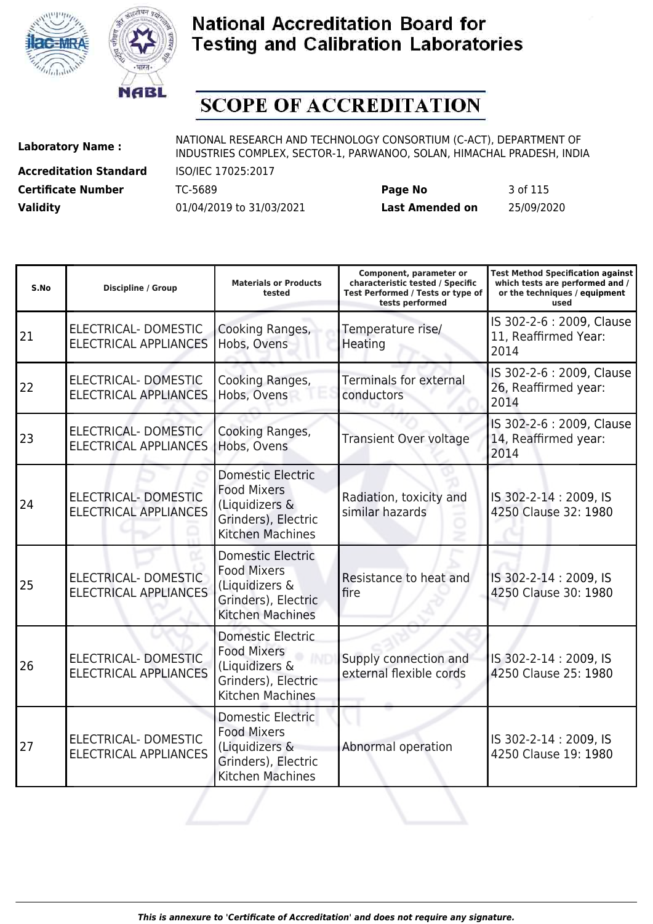



# **SCOPE OF ACCREDITATION**

**Accreditation Standard** ISO/IEC 17025:2017

**Laboratory Name :** NATIONAL RESEARCH AND TECHNOLOGY CONSORTIUM (C-ACT), DEPARTMENT OF **Laboratory Name :** NIDI INDUSTRIES COMPLEX, SECTOR-1, PARWANOO, SOLAN, HIMACHAL PRADESH, INDIA

**Certificate Number** TC-5689 **Page No** 3 of 115 **Validity** 01/04/2019 to 31/03/2021 **Last Amended on** 25/09/2020

| S.No | Discipline / Group                                          | <b>Materials or Products</b><br>tested                                                                             | Component, parameter or<br>characteristic tested / Specific<br>Test Performed / Tests or type of<br>tests performed | <b>Test Method Specification against</b><br>which tests are performed and /<br>or the techniques / equipment<br>used |
|------|-------------------------------------------------------------|--------------------------------------------------------------------------------------------------------------------|---------------------------------------------------------------------------------------------------------------------|----------------------------------------------------------------------------------------------------------------------|
| 21   | ELECTRICAL-DOMESTIC<br><b>ELECTRICAL APPLIANCES</b>         | Cooking Ranges,<br>Hobs, Ovens                                                                                     | Temperature rise/<br>Heating                                                                                        | IS 302-2-6 : 2009, Clause<br>11, Reaffirmed Year:<br>2014                                                            |
| 22   | ELECTRICAL-DOMESTIC<br><b>ELECTRICAL APPLIANCES</b>         | Cooking Ranges,<br>Hobs, Ovens                                                                                     | <b>Terminals for external</b><br>conductors                                                                         | IS 302-2-6 : 2009, Clause<br>26, Reaffirmed year:<br>2014                                                            |
| 23   | ELECTRICAL-DOMESTIC<br><b>ELECTRICAL APPLIANCES</b>         | Cooking Ranges,<br>Hobs, Ovens                                                                                     | <b>Transient Over voltage</b>                                                                                       | IS 302-2-6 : 2009, Clause<br>14, Reaffirmed year:<br>2014                                                            |
| 24   | <b>ELECTRICAL- DOMESTIC</b><br><b>ELECTRICAL APPLIANCES</b> | <b>Domestic Electric</b><br><b>Food Mixers</b><br>(Liquidizers &<br>Grinders), Electric<br><b>Kitchen Machines</b> | Radiation, toxicity and<br>similar hazards                                                                          | IS 302-2-14: 2009, IS<br>4250 Clause 32: 1980                                                                        |
| 25   | ELECTRICAL-DOMESTIC<br><b>ELECTRICAL APPLIANCES</b>         | <b>Domestic Electric</b><br><b>Food Mixers</b><br>(Liquidizers &<br>Grinders), Electric<br><b>Kitchen Machines</b> | Resistance to heat and<br>fire                                                                                      | IS 302-2-14 : 2009, IS<br>4250 Clause 30: 1980                                                                       |
| 26   | <b>ELECTRICAL- DOMESTIC</b><br><b>ELECTRICAL APPLIANCES</b> | <b>Domestic Electric</b><br><b>Food Mixers</b><br>(Liquidizers &<br>Grinders), Electric<br>Kitchen Machines        | Supply connection and<br>external flexible cords                                                                    | IS 302-2-14: 2009, IS<br>4250 Clause 25: 1980                                                                        |
| 27   | <b>ELECTRICAL- DOMESTIC</b><br><b>ELECTRICAL APPLIANCES</b> | <b>Domestic Electric</b><br><b>Food Mixers</b><br>(Liquidizers &<br>Grinders), Electric<br><b>Kitchen Machines</b> | Abnormal operation                                                                                                  | IS 302-2-14 : 2009, IS<br>4250 Clause 19: 1980                                                                       |
|      |                                                             |                                                                                                                    |                                                                                                                     |                                                                                                                      |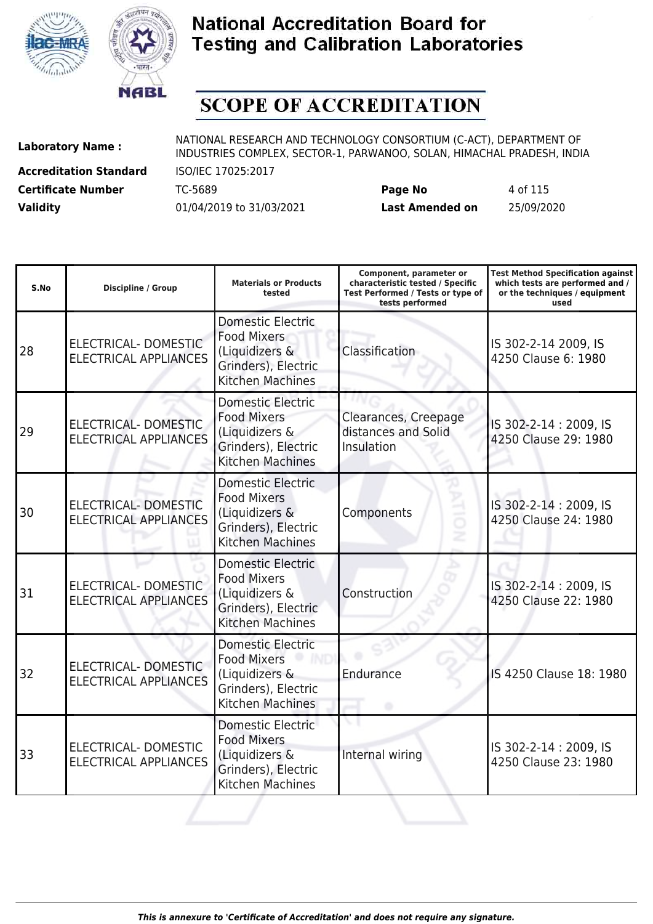



# **SCOPE OF ACCREDITATION**

**Accreditation Standard** ISO/IEC 17025:2017

| <b>Certificate Number</b> | TC-5689                  | Page No         | 4 of 115   |
|---------------------------|--------------------------|-----------------|------------|
| <b>Validity</b>           | 01/04/2019 to 31/03/2021 | Last Amended on | 25/09/2020 |

| S.No | <b>Discipline / Group</b>                                   | <b>Materials or Products</b><br>tested                                                                             | Component, parameter or<br>characteristic tested / Specific<br>Test Performed / Tests or type of<br>tests performed | <b>Test Method Specification against</b><br>which tests are performed and /<br>or the techniques / equipment<br>used |
|------|-------------------------------------------------------------|--------------------------------------------------------------------------------------------------------------------|---------------------------------------------------------------------------------------------------------------------|----------------------------------------------------------------------------------------------------------------------|
| 28   | ELECTRICAL- DOMESTIC<br><b>ELECTRICAL APPLIANCES</b>        | <b>Domestic Electric</b><br><b>Food Mixers</b><br>(Liquidizers &<br>Grinders), Electric<br><b>Kitchen Machines</b> | Classification                                                                                                      | IS 302-2-14 2009, IS<br>4250 Clause 6: 1980                                                                          |
| 29   | ELECTRICAL- DOMESTIC<br><b>ELECTRICAL APPLIANCES</b>        | <b>Domestic Electric</b><br><b>Food Mixers</b><br>(Liquidizers &<br>Grinders), Electric<br><b>Kitchen Machines</b> | Clearances, Creepage<br>distances and Solid<br>Insulation                                                           | IS 302-2-14: 2009, IS<br>4250 Clause 29: 1980                                                                        |
| 30   | <b>ELECTRICAL- DOMESTIC</b><br><b>ELECTRICAL APPLIANCES</b> | <b>Domestic Electric</b><br><b>Food Mixers</b><br>(Liquidizers &<br>Grinders), Electric<br>Kitchen Machines        | Components                                                                                                          | IS 302-2-14: 2009, IS<br>4250 Clause 24: 1980                                                                        |
| 31   | ELECTRICAL- DOMESTIC<br><b>ELECTRICAL APPLIANCES</b>        | Domestic Electric<br><b>Food Mixers</b><br>(Liquidizers &<br>Grinders), Electric<br><b>Kitchen Machines</b>        | Construction                                                                                                        | IS 302-2-14: 2009, IS<br>4250 Clause 22: 1980                                                                        |
| 32   | <b>ELECTRICAL- DOMESTIC</b><br><b>ELECTRICAL APPLIANCES</b> | <b>Domestic Electric</b><br><b>Food Mixers</b><br>(Liquidizers &<br>Grinders), Electric<br>Kitchen Machines        | Endurance                                                                                                           | IS 4250 Clause 18: 1980                                                                                              |
| 33   | ELECTRICAL- DOMESTIC<br><b>ELECTRICAL APPLIANCES</b>        | Domestic Electric<br><b>Food Mixers</b><br>(Liquidizers &<br>Grinders), Electric<br>Kitchen Machines               | Internal wiring                                                                                                     | IS 302-2-14: 2009, IS<br>4250 Clause 23: 1980                                                                        |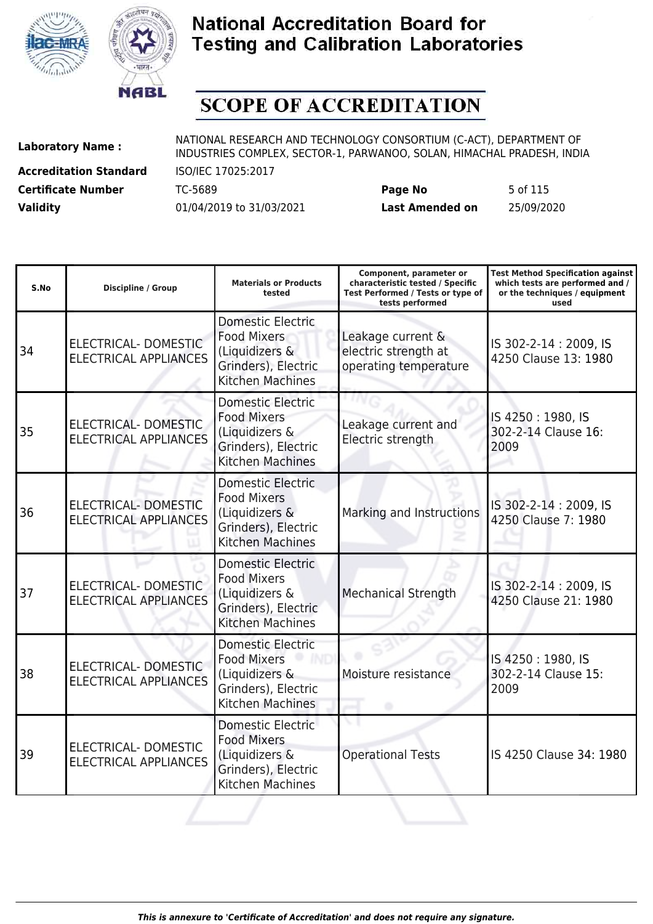



# **SCOPE OF ACCREDITATION**

**Accreditation Standard** ISO/IEC 17025:2017

| <b>Certificate Number</b> | TC-5689                  | Page No         | 5 of 115   |
|---------------------------|--------------------------|-----------------|------------|
| <b>Validity</b>           | 01/04/2019 to 31/03/2021 | Last Amended on | 25/09/2020 |

| S.No | <b>Discipline / Group</b>                                   | <b>Materials or Products</b><br>tested                                                                             | Component, parameter or<br>characteristic tested / Specific<br>Test Performed / Tests or type of<br>tests performed | <b>Test Method Specification against</b><br>which tests are performed and /<br>or the techniques / equipment<br>used |
|------|-------------------------------------------------------------|--------------------------------------------------------------------------------------------------------------------|---------------------------------------------------------------------------------------------------------------------|----------------------------------------------------------------------------------------------------------------------|
| 34   | ELECTRICAL- DOMESTIC<br><b>ELECTRICAL APPLIANCES</b>        | Domestic Electric<br><b>Food Mixers</b><br>(Liquidizers &<br>Grinders), Electric<br><b>Kitchen Machines</b>        | Leakage current &<br>electric strength at<br>operating temperature                                                  | IS 302-2-14: 2009, IS<br>4250 Clause 13: 1980                                                                        |
| 35   | <b>ELECTRICAL- DOMESTIC</b><br><b>ELECTRICAL APPLIANCES</b> | <b>Domestic Electric</b><br><b>Food Mixers</b><br>(Liquidizers &<br>Grinders), Electric<br><b>Kitchen Machines</b> | Leakage current and<br>Electric strength                                                                            | IS 4250: 1980, IS<br>302-2-14 Clause 16:<br>2009                                                                     |
| 36   | <b>ELECTRICAL- DOMESTIC</b><br><b>ELECTRICAL APPLIANCES</b> | <b>Domestic Electric</b><br><b>Food Mixers</b><br>(Liquidizers &<br>Grinders), Electric<br><b>Kitchen Machines</b> | Marking and Instructions                                                                                            | IS 302-2-14: 2009, IS<br>4250 Clause 7: 1980                                                                         |
| 37   | <b>ELECTRICAL- DOMESTIC</b><br><b>ELECTRICAL APPLIANCES</b> | <b>Domestic Electric</b><br><b>Food Mixers</b><br>(Liquidizers &<br>Grinders), Electric<br><b>Kitchen Machines</b> | <b>Mechanical Strength</b>                                                                                          | IS 302-2-14: 2009, IS<br>4250 Clause 21: 1980                                                                        |
| 38   | ELECTRICAL- DOMESTIC<br><b>ELECTRICAL APPLIANCES</b>        | <b>Domestic Electric</b><br><b>Food Mixers</b><br>(Liquidizers &<br>Grinders), Electric<br><b>Kitchen Machines</b> | Moisture resistance                                                                                                 | IS 4250: 1980, IS<br>302-2-14 Clause 15:<br>2009                                                                     |
| 39   | ELECTRICAL- DOMESTIC<br><b>ELECTRICAL APPLIANCES</b>        | Domestic Electric<br><b>Food Mixers</b><br>(Liquidizers &<br>Grinders), Electric<br>Kitchen Machines               | <b>Operational Tests</b>                                                                                            | IS 4250 Clause 34: 1980                                                                                              |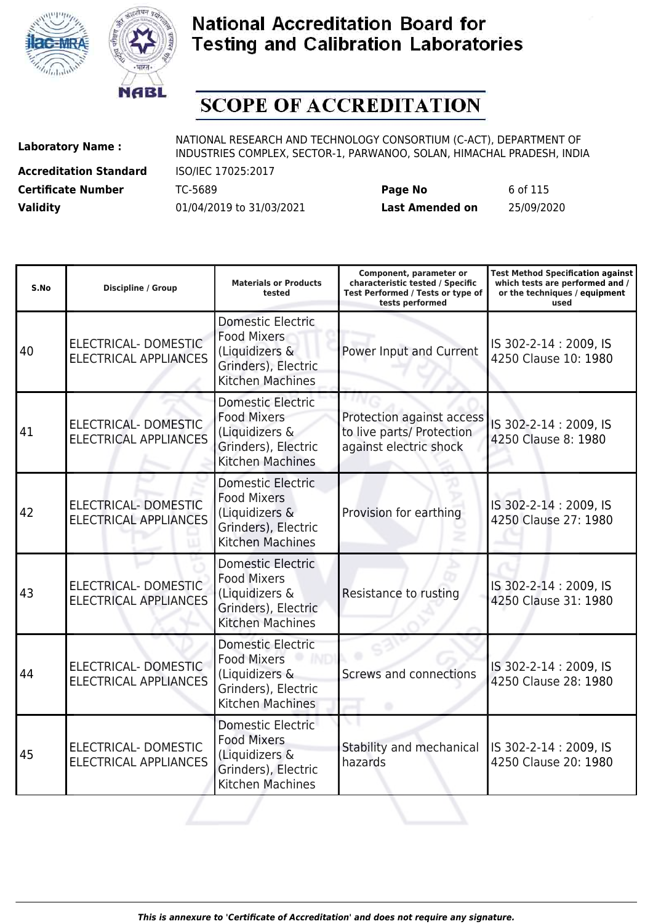



# **SCOPE OF ACCREDITATION**

**Accreditation Standard** ISO/IEC 17025:2017

| <b>Certificate Number</b> | TC-5689                  | Page No         | 6 of 115   |
|---------------------------|--------------------------|-----------------|------------|
| <b>Validity</b>           | 01/04/2019 to 31/03/2021 | Last Amended on | 25/09/2020 |

| S.No | <b>Discipline / Group</b>                                   | <b>Materials or Products</b><br>tested                                                                             | Component, parameter or<br>characteristic tested / Specific<br>Test Performed / Tests or type of<br>tests performed | <b>Test Method Specification against</b><br>which tests are performed and /<br>or the techniques / equipment<br>used |
|------|-------------------------------------------------------------|--------------------------------------------------------------------------------------------------------------------|---------------------------------------------------------------------------------------------------------------------|----------------------------------------------------------------------------------------------------------------------|
| 40   | ELECTRICAL- DOMESTIC<br><b>ELECTRICAL APPLIANCES</b>        | <b>Domestic Electric</b><br><b>Food Mixers</b><br>(Liquidizers &<br>Grinders), Electric<br><b>Kitchen Machines</b> | Power Input and Current                                                                                             | IS 302-2-14: 2009, IS<br>4250 Clause 10: 1980                                                                        |
| 41   | ELECTRICAL- DOMESTIC<br><b>ELECTRICAL APPLIANCES</b>        | <b>Domestic Electric</b><br><b>Food Mixers</b><br>(Liquidizers &<br>Grinders), Electric<br><b>Kitchen Machines</b> | Protection against access<br>to live parts/ Protection<br>against electric shock                                    | IS 302-2-14: 2009, IS<br>4250 Clause 8: 1980                                                                         |
| 42   | <b>ELECTRICAL- DOMESTIC</b><br><b>ELECTRICAL APPLIANCES</b> | <b>Domestic Electric</b><br><b>Food Mixers</b><br>(Liquidizers &<br>Grinders), Electric<br>Kitchen Machines        | Provision for earthing                                                                                              | IS 302-2-14: 2009, IS<br>4250 Clause 27: 1980                                                                        |
| 43   | <b>ELECTRICAL- DOMESTIC</b><br><b>ELECTRICAL APPLIANCES</b> | Domestic Electric<br><b>Food Mixers</b><br>(Liquidizers &<br>Grinders), Electric<br><b>Kitchen Machines</b>        | Resistance to rusting                                                                                               | IS 302-2-14 : 2009, IS<br>4250 Clause 31: 1980                                                                       |
| 44   | ELECTRICAL- DOMESTIC<br><b>ELECTRICAL APPLIANCES</b>        | <b>Domestic Electric</b><br><b>Food Mixers</b><br>(Liquidizers &<br>Grinders), Electric<br>Kitchen Machines        | <b>Screws and connections</b>                                                                                       | IS 302-2-14: 2009, IS<br>4250 Clause 28: 1980                                                                        |
| 45   | ELECTRICAL- DOMESTIC<br><b>ELECTRICAL APPLIANCES</b>        | Domestic Electric<br><b>Food Mixers</b><br>(Liquidizers &<br>Grinders), Electric<br>Kitchen Machines               | Stability and mechanical<br>hazards                                                                                 | IS 302-2-14: 2009, IS<br>4250 Clause 20: 1980                                                                        |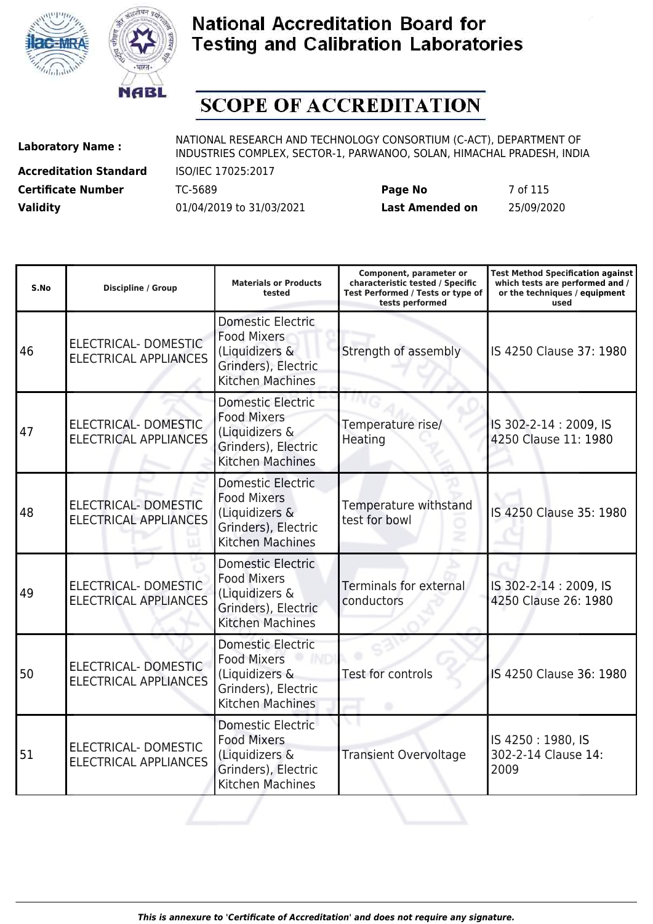



# **SCOPE OF ACCREDITATION**

**Accreditation Standard** ISO/IEC 17025:2017

| <b>Certificate Number</b> | TC-5689                  | Page No         | 7 of 115   |
|---------------------------|--------------------------|-----------------|------------|
| <b>Validity</b>           | 01/04/2019 to 31/03/2021 | Last Amended on | 25/09/2020 |

| S.No | <b>Discipline / Group</b>                                   | <b>Materials or Products</b><br>tested                                                                             | Component, parameter or<br>characteristic tested / Specific<br>Test Performed / Tests or type of<br>tests performed | <b>Test Method Specification against</b><br>which tests are performed and /<br>or the techniques / equipment<br>used |
|------|-------------------------------------------------------------|--------------------------------------------------------------------------------------------------------------------|---------------------------------------------------------------------------------------------------------------------|----------------------------------------------------------------------------------------------------------------------|
| 46   | ELECTRICAL- DOMESTIC<br><b>ELECTRICAL APPLIANCES</b>        | Domestic Electric<br><b>Food Mixers</b><br>(Liquidizers &<br>Grinders), Electric<br><b>Kitchen Machines</b>        | Strength of assembly                                                                                                | IS 4250 Clause 37: 1980                                                                                              |
| 47   | <b>ELECTRICAL- DOMESTIC</b><br><b>ELECTRICAL APPLIANCES</b> | <b>Domestic Electric</b><br><b>Food Mixers</b><br>(Liquidizers &<br>Grinders), Electric<br><b>Kitchen Machines</b> | Temperature rise/<br>Heating                                                                                        | IS 302-2-14: 2009, IS<br>4250 Clause 11: 1980                                                                        |
| 48   | <b>ELECTRICAL- DOMESTIC</b><br><b>ELECTRICAL APPLIANCES</b> | <b>Domestic Electric</b><br><b>Food Mixers</b><br>(Liquidizers &<br>Grinders), Electric<br>Kitchen Machines        | Temperature withstand<br>test for bowl                                                                              | IS 4250 Clause 35: 1980                                                                                              |
| 49   | <b>ELECTRICAL- DOMESTIC</b><br><b>ELECTRICAL APPLIANCES</b> | Domestic Electric<br><b>Food Mixers</b><br>(Liquidizers &<br>Grinders), Electric<br><b>Kitchen Machines</b>        | <b>Terminals for external</b><br>conductors                                                                         | IS 302-2-14 : 2009, IS<br>4250 Clause 26: 1980                                                                       |
| 50   | <b>ELECTRICAL- DOMESTIC</b><br><b>ELECTRICAL APPLIANCES</b> | <b>Domestic Electric</b><br><b>Food Mixers</b><br>(Liquidizers &<br>Grinders), Electric<br>Kitchen Machines        | Test for controls                                                                                                   | IS 4250 Clause 36: 1980                                                                                              |
| 51   | ELECTRICAL- DOMESTIC<br><b>ELECTRICAL APPLIANCES</b>        | <b>Domestic Electric</b><br><b>Food Mixers</b><br>(Liquidizers &<br>Grinders), Electric<br>Kitchen Machines        | <b>Transient Overvoltage</b>                                                                                        | IS 4250: 1980, IS<br>302-2-14 Clause 14:<br>2009                                                                     |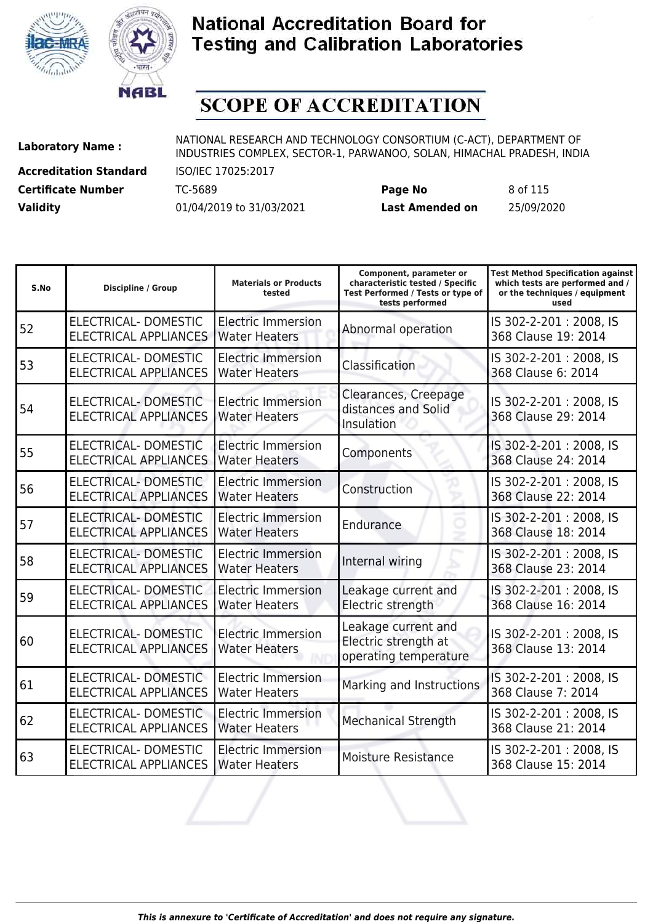



# **SCOPE OF ACCREDITATION**

**Accreditation Standard** ISO/IEC 17025:2017

**Laboratory Name :** NATIONAL RESEARCH AND TECHNOLOGY CONSORTIUM (C-ACT), DEPARTMENT OF INDUSTRIES COMPLEX, SECTOR-1, PARWANOO, SOLAN, HIMACHAL PRADESH, INDIA

**Certificate Number** TC-5689 **Page No** 8 of 115 **Validity** 01/04/2019 to 31/03/2021 **Last Amended on** 25/09/2020

| S.No | <b>Discipline / Group</b>                                   | <b>Materials or Products</b><br>tested            | Component, parameter or<br>characteristic tested / Specific<br>Test Performed / Tests or type of<br>tests performed | <b>Test Method Specification against</b><br>which tests are performed and /<br>or the techniques / equipment<br>used |
|------|-------------------------------------------------------------|---------------------------------------------------|---------------------------------------------------------------------------------------------------------------------|----------------------------------------------------------------------------------------------------------------------|
| 52   | <b>ELECTRICAL- DOMESTIC</b><br><b>ELECTRICAL APPLIANCES</b> | <b>Electric Immersion</b><br><b>Water Heaters</b> | Abnormal operation                                                                                                  | IS 302-2-201: 2008, IS<br>368 Clause 19: 2014                                                                        |
| 53   | ELECTRICAL-DOMESTIC<br><b>ELECTRICAL APPLIANCES</b>         | <b>Electric Immersion</b><br><b>Water Heaters</b> | Classification                                                                                                      | IS 302-2-201: 2008, IS<br>368 Clause 6: 2014                                                                         |
| 54   | <b>ELECTRICAL- DOMESTIC</b><br><b>ELECTRICAL APPLIANCES</b> | <b>Electric Immersion</b><br><b>Water Heaters</b> | Clearances, Creepage<br>distances and Solid<br>Insulation                                                           | IS 302-2-201: 2008, IS<br>368 Clause 29: 2014                                                                        |
| 55   | ELECTRICAL-DOMESTIC<br><b>ELECTRICAL APPLIANCES</b>         | <b>Electric Immersion</b><br><b>Water Heaters</b> | Components                                                                                                          | IS 302-2-201: 2008, IS<br>368 Clause 24: 2014                                                                        |
| 56   | ELECTRICAL- DOMESTIC<br><b>ELECTRICAL APPLIANCES</b>        | <b>Electric Immersion</b><br><b>Water Heaters</b> | Construction                                                                                                        | IS 302-2-201: 2008, IS<br>368 Clause 22: 2014                                                                        |
| 57   | ELECTRICAL- DOMESTIC<br><b>ELECTRICAL APPLIANCES</b>        | <b>Electric Immersion</b><br><b>Water Heaters</b> | Endurance                                                                                                           | IS 302-2-201: 2008, IS<br>368 Clause 18: 2014                                                                        |
| 58   | ELECTRICAL-DOMESTIC<br><b>ELECTRICAL APPLIANCES</b>         | <b>Electric Immersion</b><br><b>Water Heaters</b> | Internal wiring                                                                                                     | IS 302-2-201: 2008, IS<br>368 Clause 23: 2014                                                                        |
| 59   | ELECTRICAL-DOMESTIC<br><b>ELECTRICAL APPLIANCES</b>         | <b>Electric Immersion</b><br><b>Water Heaters</b> | Leakage current and<br>Electric strength                                                                            | IS 302-2-201: 2008, IS<br>368 Clause 16: 2014                                                                        |
| 60   | <b>ELECTRICAL- DOMESTIC</b><br><b>ELECTRICAL APPLIANCES</b> | <b>Electric Immersion</b><br><b>Water Heaters</b> | Leakage current and<br>Electric strength at<br>operating temperature                                                | IS 302-2-201: 2008, IS<br>368 Clause 13: 2014                                                                        |
| 61   | ELECTRICAL-DOMESTIC<br><b>ELECTRICAL APPLIANCES</b>         | <b>Electric Immersion</b><br><b>Water Heaters</b> | Marking and Instructions                                                                                            | IS 302-2-201: 2008, IS<br>368 Clause 7: 2014                                                                         |
| 62   | ELECTRICAL-DOMESTIC<br><b>ELECTRICAL APPLIANCES</b>         | <b>Electric Immersion</b><br><b>Water Heaters</b> | <b>Mechanical Strength</b>                                                                                          | IS 302-2-201: 2008, IS<br>368 Clause 21: 2014                                                                        |
| 63   | ELECTRICAL- DOMESTIC<br><b>ELECTRICAL APPLIANCES</b>        | <b>Electric Immersion</b><br><b>Water Heaters</b> | Moisture Resistance                                                                                                 | IS 302-2-201: 2008, IS<br>368 Clause 15: 2014                                                                        |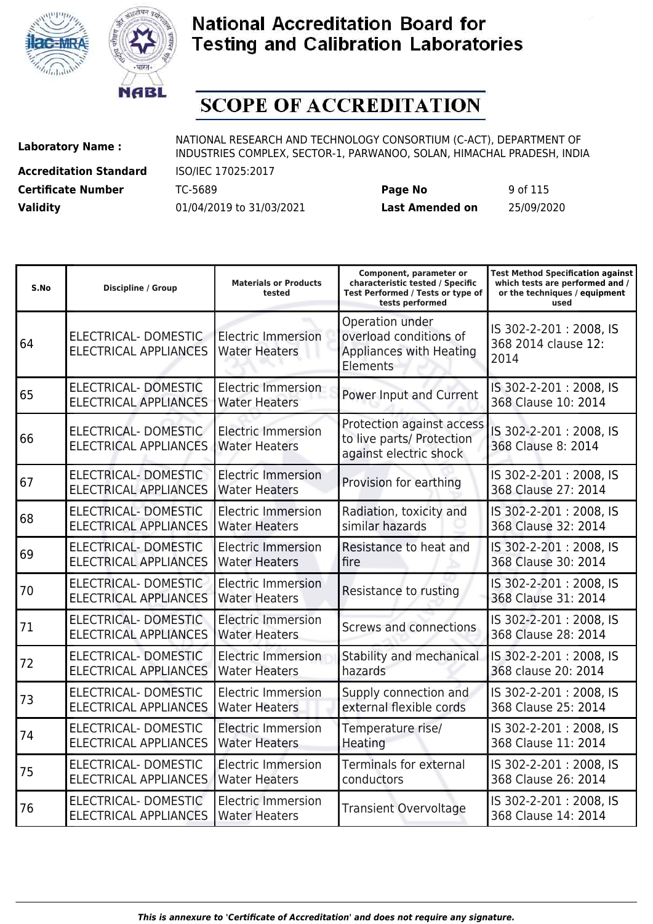



# **SCOPE OF ACCREDITATION**

**Accreditation Standard** ISO/IEC 17025:2017 **Certificate Number** TC-5689 **Page No** 9 of 115

**Laboratory Name :** NATIONAL RESEARCH AND TECHNOLOGY CONSORTIUM (C-ACT), DEPARTMENT OF INDUSTRIES COMPLEX, SECTOR-1, PARWANOO, SOLAN, HIMACHAL PRADESH, INDIA

| S.No | <b>Discipline / Group</b>                                   | <b>Materials or Products</b><br>tested            | Component, parameter or<br>characteristic tested / Specific<br>Test Performed / Tests or type of<br>tests performed | <b>Test Method Specification against</b><br>which tests are performed and /<br>or the techniques / equipment<br>used |
|------|-------------------------------------------------------------|---------------------------------------------------|---------------------------------------------------------------------------------------------------------------------|----------------------------------------------------------------------------------------------------------------------|
| 64   | ELECTRICAL-DOMESTIC<br><b>ELECTRICAL APPLIANCES</b>         | <b>Electric Immersion</b><br><b>Water Heaters</b> | Operation under<br>overload conditions of<br>Appliances with Heating<br>Elements                                    | IS 302-2-201: 2008, IS<br>368 2014 clause 12:<br>2014                                                                |
| 65   | <b>ELECTRICAL- DOMESTIC</b><br><b>ELECTRICAL APPLIANCES</b> | Electric Immersion<br><b>Water Heaters</b>        | Power Input and Current                                                                                             | IS 302-2-201: 2008, IS<br>368 Clause 10: 2014                                                                        |
| 66   | ELECTRICAL-DOMESTIC<br><b>ELECTRICAL APPLIANCES</b>         | <b>Electric Immersion</b><br><b>Water Heaters</b> | Protection against access<br>to live parts/ Protection<br>against electric shock                                    | IS 302-2-201: 2008, IS<br>368 Clause 8: 2014                                                                         |
| 67   | <b>ELECTRICAL- DOMESTIC</b><br><b>ELECTRICAL APPLIANCES</b> | <b>Electric Immersion</b><br><b>Water Heaters</b> | Provision for earthing                                                                                              | IS 302-2-201: 2008, IS<br>368 Clause 27: 2014                                                                        |
| 68   | ELECTRICAL- DOMESTIC<br><b>ELECTRICAL APPLIANCES</b>        | <b>Electric Immersion</b><br><b>Water Heaters</b> | Radiation, toxicity and<br>similar hazards                                                                          | IS 302-2-201: 2008, IS<br>368 Clause 32: 2014                                                                        |
| 69   | <b>ELECTRICAL- DOMESTIC</b><br><b>ELECTRICAL APPLIANCES</b> | <b>Electric Immersion</b><br><b>Water Heaters</b> | Resistance to heat and<br>fire                                                                                      | IS 302-2-201: 2008, IS<br>368 Clause 30: 2014                                                                        |
| 70   | ELECTRICAL-DOMESTIC<br><b>ELECTRICAL APPLIANCES</b>         | <b>Electric Immersion</b><br><b>Water Heaters</b> | Resistance to rusting                                                                                               | IS 302-2-201: 2008, IS<br>368 Clause 31: 2014                                                                        |
| 71   | ELECTRICAL- DOMESTIC<br><b>ELECTRICAL APPLIANCES</b>        | <b>Electric Immersion</b><br><b>Water Heaters</b> | Screws and connections                                                                                              | IS 302-2-201: 2008, IS<br>368 Clause 28: 2014                                                                        |
| 72   | <b>ELECTRICAL- DOMESTIC</b><br><b>ELECTRICAL APPLIANCES</b> | <b>Electric Immersion</b><br><b>Water Heaters</b> | Stability and mechanical<br>hazards                                                                                 | IS 302-2-201: 2008, IS<br>368 clause 20: 2014                                                                        |
| 73   | ELECTRICAL- DOMESTIC<br><b>ELECTRICAL APPLIANCES</b>        | <b>Electric Immersion</b><br><b>Water Heaters</b> | Supply connection and<br>external flexible cords                                                                    | IS 302-2-201: 2008, IS<br>368 Clause 25: 2014                                                                        |
| 74   | ELECTRICAL- DOMESTIC<br><b>ELECTRICAL APPLIANCES</b>        | Electric Immersion<br><b>Water Heaters</b>        | Temperature rise/<br>Heating                                                                                        | IS 302-2-201: 2008, IS<br>368 Clause 11: 2014                                                                        |
| 75   | <b>ELECTRICAL- DOMESTIC</b><br><b>ELECTRICAL APPLIANCES</b> | Electric Immersion<br><b>Water Heaters</b>        | <b>Terminals for external</b><br>conductors                                                                         | IS 302-2-201: 2008, IS<br>368 Clause 26: 2014                                                                        |
| 76   | ELECTRICAL-DOMESTIC<br><b>ELECTRICAL APPLIANCES</b>         | <b>Electric Immersion</b><br><b>Water Heaters</b> | <b>Transient Overvoltage</b>                                                                                        | IS 302-2-201: 2008, IS<br>368 Clause 14: 2014                                                                        |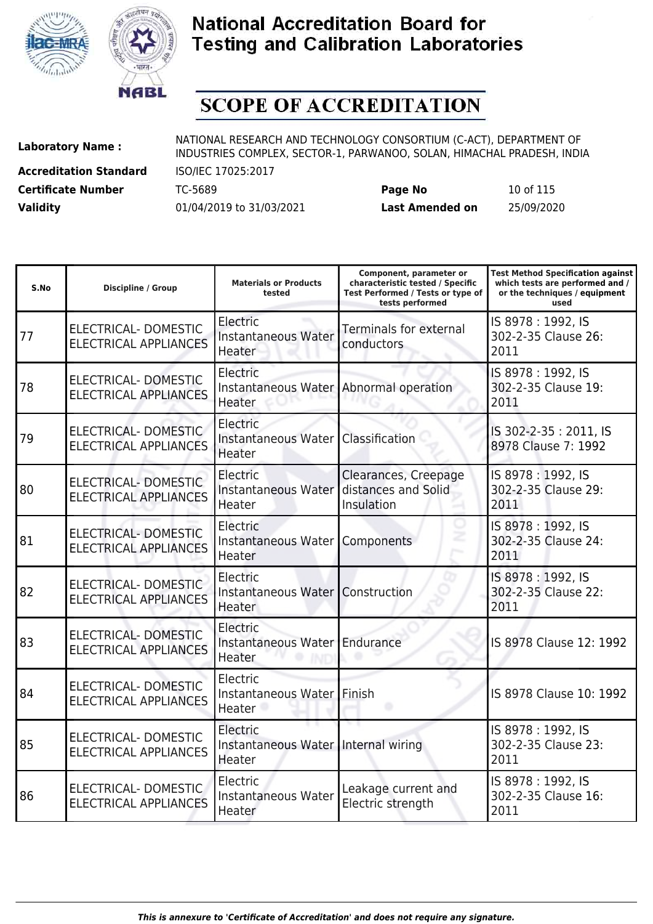



# **SCOPE OF ACCREDITATION**

**Accreditation Standard** ISO/IEC 17025:2017 **Certificate Number** TC-5689 **Page No** 10 of 115

| <b>Certificate Number</b> | TC-5689                  | Page No                | 10 of 115  |
|---------------------------|--------------------------|------------------------|------------|
| <b>Validity</b>           | 01/04/2019 to 31/03/2021 | <b>Last Amended on</b> | 25/09/2020 |

| S.No | <b>Discipline / Group</b>                                   | <b>Materials or Products</b><br>tested                     | Component, parameter or<br>characteristic tested / Specific<br>Test Performed / Tests or type of<br>tests performed | <b>Test Method Specification against</b><br>which tests are performed and /<br>or the techniques / equipment<br>used |
|------|-------------------------------------------------------------|------------------------------------------------------------|---------------------------------------------------------------------------------------------------------------------|----------------------------------------------------------------------------------------------------------------------|
| 77   | ELECTRICAL- DOMESTIC<br><b>ELECTRICAL APPLIANCES</b>        | Electric<br>Instantaneous Water<br>Heater                  | <b>Terminals for external</b><br>conductors                                                                         | IS 8978: 1992, IS<br>302-2-35 Clause 26:<br>2011                                                                     |
| 78   | ELECTRICAL-DOMESTIC<br><b>ELECTRICAL APPLIANCES</b>         | Electric<br>Instantaneous Water<br>Heater                  | Abnormal operation                                                                                                  | IS 8978: 1992, IS<br>302-2-35 Clause 19:<br>2011                                                                     |
| 79   | ELECTRICAL-DOMESTIC<br><b>ELECTRICAL APPLIANCES</b>         | Electric<br>Instantaneous Water   Classification<br>Heater |                                                                                                                     | IS 302-2-35: 2011, IS<br>8978 Clause 7: 1992                                                                         |
| 80   | ELECTRICAL-DOMESTIC<br><b>ELECTRICAL APPLIANCES</b>         | Electric<br>Instantaneous Water<br>Heater                  | Clearances, Creepage<br>distances and Solid<br>Insulation                                                           | IS 8978: 1992, IS<br>302-2-35 Clause 29:<br>2011                                                                     |
| 81   | <b>ELECTRICAL- DOMESTIC</b><br><b>ELECTRICAL APPLIANCES</b> | Electric<br>Instantaneous Water<br>Heater                  | Components                                                                                                          | IS 8978: 1992, IS<br>302-2-35 Clause 24:<br>2011                                                                     |
| 82   | <b>ELECTRICAL- DOMESTIC</b><br><b>ELECTRICAL APPLIANCES</b> | Electric<br>Instantaneous Water Construction<br>Heater     |                                                                                                                     | IS 8978: 1992, IS<br>302-2-35 Clause 22:<br>2011                                                                     |
| 83   | <b>ELECTRICAL- DOMESTIC</b><br><b>ELECTRICAL APPLIANCES</b> | Electric<br>Instantaneous Water Endurance<br>Heater        |                                                                                                                     | IS 8978 Clause 12: 1992                                                                                              |
| 84   | ELECTRICAL- DOMESTIC<br><b>ELECTRICAL APPLIANCES</b>        | Electric<br>Instantaneous Water Finish<br>Heater           |                                                                                                                     | IS 8978 Clause 10: 1992                                                                                              |
| 85   | ELECTRICAL-DOMESTIC<br><b>ELECTRICAL APPLIANCES</b>         | Electric<br>Instantaneous Water Internal wiring<br>Heater  |                                                                                                                     | IS 8978: 1992, IS<br>302-2-35 Clause 23:<br>2011                                                                     |
| 86   | ELECTRICAL-DOMESTIC<br><b>ELECTRICAL APPLIANCES</b>         | Electric<br>Instantaneous Water<br>Heater                  | Leakage current and<br>Electric strength                                                                            | IS 8978: 1992, IS<br>302-2-35 Clause 16:<br>2011                                                                     |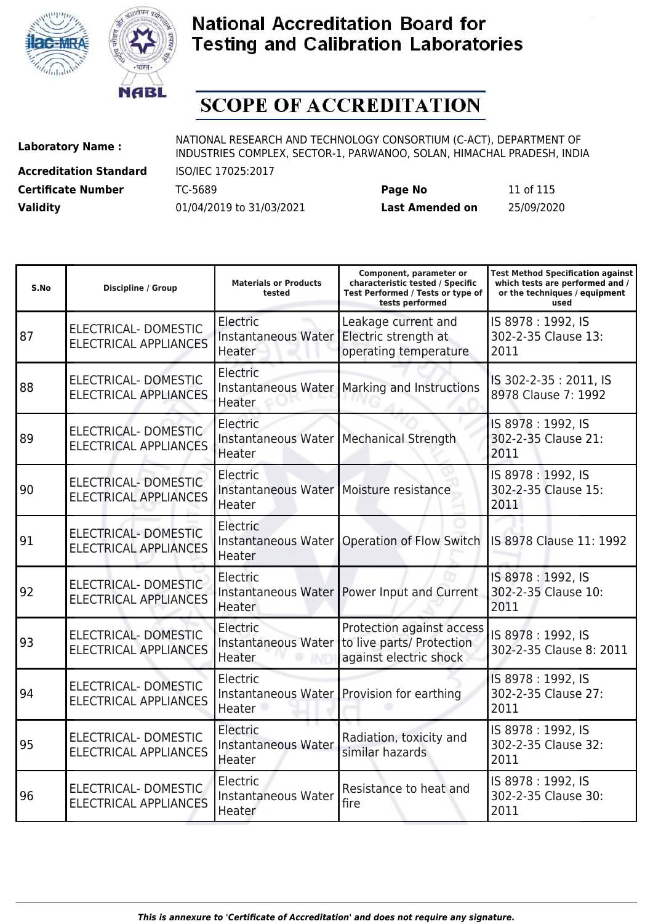



# **SCOPE OF ACCREDITATION**

**Accreditation Standard** ISO/IEC 17025:2017

**Laboratory Name :** NATIONAL RESEARCH AND TECHNOLOGY CONSORTIUM (C-ACT), DEPARTMENT OF **Laboratory Name :** NIDI INDUSTRIES COMPLEX, SECTOR-1, PARWANOO, SOLAN, HIMACHAL PRADESH, INDIA

**Certificate Number** TC-5689 **Page No** 11 of 115 **Validity** 01/04/2019 to 31/03/2021 **Last Amended on** 25/09/2020

| S.No | <b>Discipline / Group</b>                                   | <b>Materials or Products</b><br>tested                          | Component, parameter or<br>characteristic tested / Specific<br>Test Performed / Tests or type of<br>tests performed | <b>Test Method Specification against</b><br>which tests are performed and /<br>or the techniques / equipment<br>used |
|------|-------------------------------------------------------------|-----------------------------------------------------------------|---------------------------------------------------------------------------------------------------------------------|----------------------------------------------------------------------------------------------------------------------|
| 87   | ELECTRICAL- DOMESTIC<br><b>ELECTRICAL APPLIANCES</b>        | Electric<br>Instantaneous Water Electric strength at<br>Heater  | Leakage current and<br>operating temperature                                                                        | IS 8978: 1992, IS<br>302-2-35 Clause 13:<br>2011                                                                     |
| 88   | ELECTRICAL- DOMESTIC<br><b>ELECTRICAL APPLIANCES</b>        | Electric<br>Heater                                              | Instantaneous Water   Marking and Instructions                                                                      | IS 302-2-35: 2011, IS<br>8978 Clause 7: 1992                                                                         |
| 89   | ELECTRICAL- DOMESTIC<br><b>ELECTRICAL APPLIANCES</b>        | Electric<br>Instantaneous Water   Mechanical Strength<br>Heater |                                                                                                                     | IS 8978: 1992, IS<br>302-2-35 Clause 21:<br>2011                                                                     |
| 90   | ELECTRICAL- DOMESTIC<br><b>ELECTRICAL APPLIANCES</b>        | Electric<br>Instantaneous Water   Moisture resistance<br>Heater |                                                                                                                     | IS 8978: 1992, IS<br>302-2-35 Clause 15:<br>2011                                                                     |
| 91   | ELECTRICAL- DOMESTIC<br><b>ELECTRICAL APPLIANCES</b>        | Electric<br>Instantaneous Water<br>Heater                       | Operation of Flow Switch   IS 8978 Clause 11: 1992                                                                  |                                                                                                                      |
| 92   | ELECTRICAL- DOMESTIC<br><b>ELECTRICAL APPLIANCES</b>        | Electric<br>Heater                                              | Instantaneous Water   Power Input and Current                                                                       | IS 8978: 1992, IS<br>302-2-35 Clause 10:<br>2011                                                                     |
| 93   | <b>ELECTRICAL- DOMESTIC</b><br><b>ELECTRICAL APPLIANCES</b> | Electric<br>Heater                                              | Protection against access<br>Instantaneous Water to live parts/ Protection<br>against electric shock                | IS 8978: 1992, IS<br>302-2-35 Clause 8: 2011                                                                         |
| 94   | ELECTRICAL-DOMESTIC<br><b>ELECTRICAL APPLIANCES</b>         | Electric<br>Heater                                              | Instantaneous Water   Provision for earthing                                                                        | IS 8978: 1992, IS<br>302-2-35 Clause 27:<br>2011                                                                     |
| 95   | ELECTRICAL-DOMESTIC<br><b>ELECTRICAL APPLIANCES</b>         | Electric<br>Instantaneous Water<br>Heater                       | Radiation, toxicity and<br>similar hazards                                                                          | IS 8978: 1992, IS<br>302-2-35 Clause 32:<br>2011                                                                     |
| 96   | ELECTRICAL- DOMESTIC<br><b>ELECTRICAL APPLIANCES</b>        | Electric<br>Instantaneous Water<br>Heater                       | Resistance to heat and<br>fire                                                                                      | IS 8978: 1992, IS<br>302-2-35 Clause 30:<br>2011                                                                     |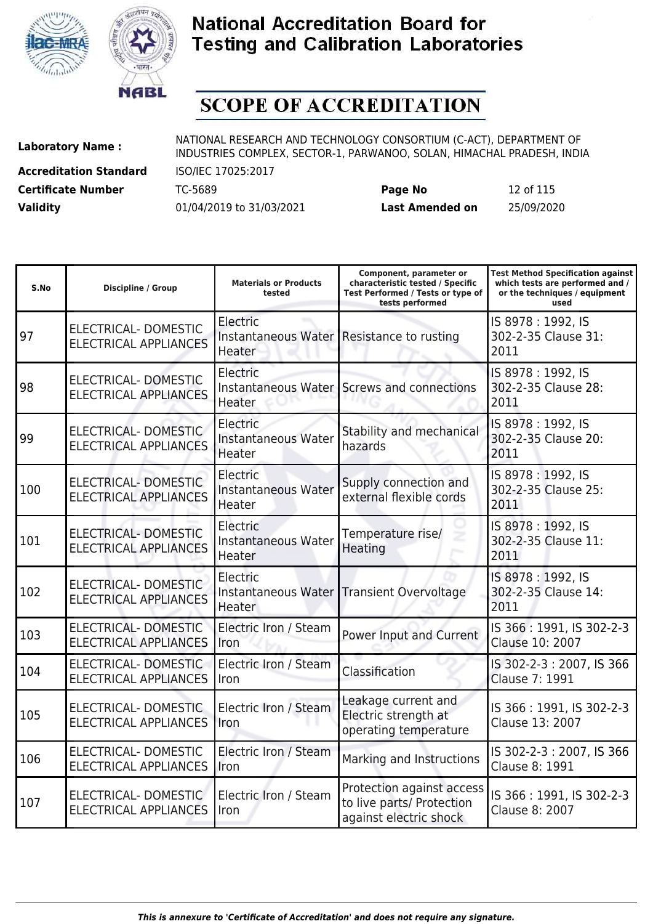



# **SCOPE OF ACCREDITATION**

**Accreditation Standard** ISO/IEC 17025:2017

**Laboratory Name :** NATIONAL RESEARCH AND TECHNOLOGY CONSORTIUM (C-ACT), DEPARTMENT OF INDUSTRIES COMPLEX, SECTOR-1, PARWANOO, SOLAN, HIMACHAL PRADESH, INDIA

**Certificate Number** TC-5689 **Page No** 12 of 115 **Validity** 01/04/2019 to 31/03/2021 **Last Amended on** 25/09/2020

| S.No | <b>Discipline / Group</b>                                   | <b>Materials or Products</b><br>tested    | Component, parameter or<br>characteristic tested / Specific<br>Test Performed / Tests or type of<br>tests performed | Test Method Specification against<br>which tests are performed and /<br>or the techniques / equipment<br>used |
|------|-------------------------------------------------------------|-------------------------------------------|---------------------------------------------------------------------------------------------------------------------|---------------------------------------------------------------------------------------------------------------|
| 97   | ELECTRICAL-DOMESTIC<br><b>ELECTRICAL APPLIANCES</b>         | Electric<br>Heater                        | Instantaneous Water Resistance to rusting                                                                           | IS 8978: 1992, IS<br>302-2-35 Clause 31:<br>2011                                                              |
| 98   | ELECTRICAL-DOMESTIC<br><b>ELECTRICAL APPLIANCES</b>         | Electric<br>Heater                        | Instantaneous Water Screws and connections                                                                          | IS 8978: 1992, IS<br>302-2-35 Clause 28:<br>2011                                                              |
| 99   | ELECTRICAL- DOMESTIC<br><b>ELECTRICAL APPLIANCES</b>        | Electric<br>Instantaneous Water<br>Heater | Stability and mechanical<br>hazards                                                                                 | IS 8978: 1992, IS<br>302-2-35 Clause 20:<br>2011                                                              |
| 100  | <b>ELECTRICAL- DOMESTIC</b><br><b>ELECTRICAL APPLIANCES</b> | Electric<br>Instantaneous Water<br>Heater | Supply connection and<br>external flexible cords                                                                    | IS 8978: 1992, IS<br>302-2-35 Clause 25:<br>2011                                                              |
| 101  | ELECTRICAL- DOMESTIC<br><b>ELECTRICAL APPLIANCES</b>        | Electric<br>Instantaneous Water<br>Heater | Temperature rise/<br>Heating                                                                                        | IS 8978: 1992, IS<br>302-2-35 Clause 11:<br>2011                                                              |
| 102  | ELECTRICAL- DOMESTIC<br><b>ELECTRICAL APPLIANCES</b>        | Electric<br>Heater                        | Instantaneous Water Transient Overvoltage                                                                           | IS 8978: 1992, IS<br>302-2-35 Clause 14:<br>2011                                                              |
| 103  | ELECTRICAL-DOMESTIC<br><b>ELECTRICAL APPLIANCES</b>         | Electric Iron / Steam<br>Iron             | Power Input and Current                                                                                             | IS 366: 1991, IS 302-2-3<br>Clause 10: 2007                                                                   |
| 104  | ELECTRICAL-DOMESTIC<br><b>ELECTRICAL APPLIANCES</b>         | Electric Iron / Steam<br>Iron             | Classification                                                                                                      | IS 302-2-3: 2007, IS 366<br>Clause 7: 1991                                                                    |
| 105  | ELECTRICAL- DOMESTIC<br><b>ELECTRICAL APPLIANCES</b>        | Electric Iron / Steam<br>Iron             | Leakage current and<br>Electric strength at<br>operating temperature                                                | IS 366: 1991, IS 302-2-3<br>Clause 13: 2007                                                                   |
| 106  | ELECTRICAL-DOMESTIC<br><b>ELECTRICAL APPLIANCES</b>         | Electric Iron / Steam<br>Iron             | Marking and Instructions                                                                                            | IS 302-2-3: 2007, IS 366<br>Clause 8: 1991                                                                    |
| 107  | ELECTRICAL-DOMESTIC<br><b>ELECTRICAL APPLIANCES</b>         | Electric Iron / Steam<br>Iron             | Protection against access<br>to live parts/ Protection<br>الملموام وإسامه الملامورا ويوا                            | IS 366: 1991, IS 302-2-3<br>Clause 8: 2007                                                                    |

against electric shock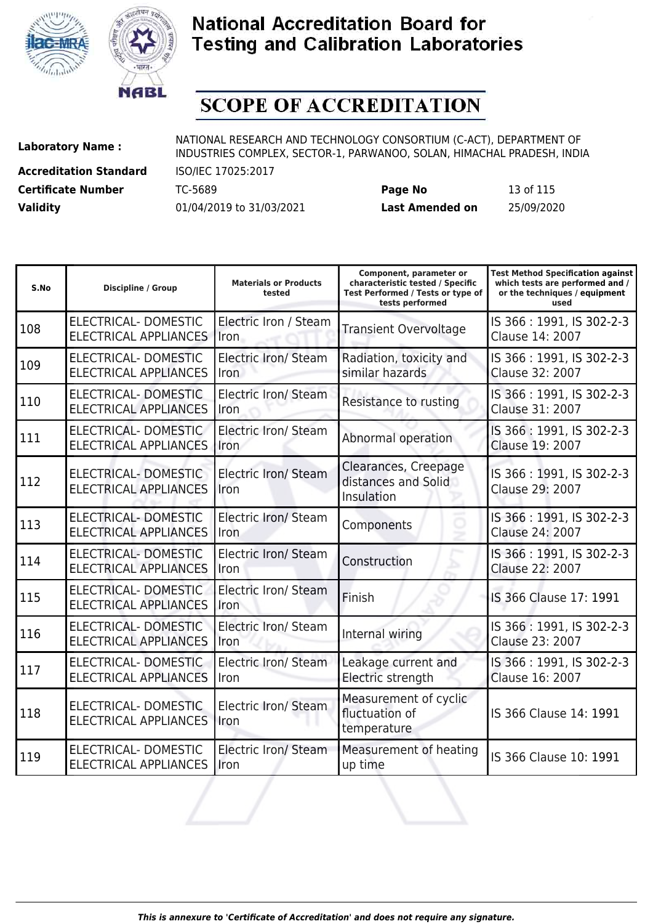



# **SCOPE OF ACCREDITATION**

**Accreditation Standard** ISO/IEC 17025:2017

**Laboratory Name :** NATIONAL RESEARCH AND TECHNOLOGY CONSORTIUM (C-ACT), DEPARTMENT OF **Laboratory Name :** NIDI INDUSTRIES COMPLEX, SECTOR-1, PARWANOO, SOLAN, HIMACHAL PRADESH, INDIA

**Certificate Number** TC-5689 **Page No** 13 of 115 **Validity** 01/04/2019 to 31/03/2021 **Last Amended on** 25/09/2020

| S.No | <b>Discipline / Group</b>                                   | <b>Materials or Products</b><br>tested | Component, parameter or<br>characteristic tested / Specific<br>Test Performed / Tests or type of<br>tests performed | <b>Test Method Specification against</b><br>which tests are performed and /<br>or the techniques / equipment<br>used |
|------|-------------------------------------------------------------|----------------------------------------|---------------------------------------------------------------------------------------------------------------------|----------------------------------------------------------------------------------------------------------------------|
| 108  | ELECTRICAL- DOMESTIC<br><b>ELECTRICAL APPLIANCES</b>        | Electric Iron / Steam<br>Iron          | <b>Transient Overvoltage</b>                                                                                        | IS 366: 1991, IS 302-2-3<br>Clause 14: 2007                                                                          |
| 109  | ELECTRICAL-DOMESTIC<br><b>ELECTRICAL APPLIANCES</b>         | Electric Iron/ Steam<br>Iron           | Radiation, toxicity and<br>similar hazards                                                                          | IS 366: 1991, IS 302-2-3<br>Clause 32: 2007                                                                          |
| 110  | ELECTRICAL-DOMESTIC<br><b>ELECTRICAL APPLIANCES</b>         | <b>Electric Iron/ Steam</b><br>Iron    | Resistance to rusting                                                                                               | IS 366: 1991, IS 302-2-3<br>Clause 31: 2007                                                                          |
| 111  | ELECTRICAL-DOMESTIC<br><b>ELECTRICAL APPLIANCES</b>         | <b>Electric Iron/ Steam</b><br>Iron    | Abnormal operation                                                                                                  | IS 366: 1991, IS 302-2-3<br>Clause 19: 2007                                                                          |
| 112  | <b>ELECTRICAL- DOMESTIC</b><br><b>ELECTRICAL APPLIANCES</b> | <b>Electric Iron/ Steam</b><br>Iron    | Clearances, Creepage<br>distances and Solid<br>Insulation                                                           | IS 366: 1991, IS 302-2-3<br>Clause 29: 2007                                                                          |
| 113  | <b>ELECTRICAL- DOMESTIC</b><br><b>ELECTRICAL APPLIANCES</b> | <b>Electric Iron/ Steam</b><br>Iron    | Components                                                                                                          | IS 366: 1991, IS 302-2-3<br>Clause 24: 2007                                                                          |
| 114  | ELECTRICAL-DOMESTIC<br><b>ELECTRICAL APPLIANCES</b>         | Electric Iron/ Steam<br>Iron           | Construction                                                                                                        | IS 366: 1991, IS 302-2-3<br>Clause 22: 2007                                                                          |
| 115  | ELECTRICAL-DOMESTIC<br><b>ELECTRICAL APPLIANCES</b>         | Electric Iron/ Steam<br>Iron           | Finish                                                                                                              | IS 366 Clause 17: 1991                                                                                               |
| 116  | ELECTRICAL-DOMESTIC<br><b>ELECTRICAL APPLIANCES</b>         | Electric Iron/ Steam<br>Iron           | Internal wiring                                                                                                     | IS 366: 1991, IS 302-2-3<br>Clause 23: 2007                                                                          |
| 117  | ELECTRICAL-DOMESTIC<br><b>ELECTRICAL APPLIANCES</b>         | Electric Iron/ Steam<br>Iron           | Leakage current and<br>Electric strength                                                                            | IS 366: 1991, IS 302-2-3<br>Clause 16: 2007                                                                          |
| 118  | <b>ELECTRICAL- DOMESTIC</b><br><b>ELECTRICAL APPLIANCES</b> | <b>Electric Iron/ Steam</b><br>Iron    | Measurement of cyclic<br>fluctuation of<br>temperature                                                              | IS 366 Clause 14: 1991                                                                                               |
| 119  | ELECTRICAL- DOMESTIC<br><b>ELECTRICAL APPLIANCES</b>        | <b>Electric Iron/ Steam</b><br>Iron    | Measurement of heating<br>up time                                                                                   | IS 366 Clause 10: 1991                                                                                               |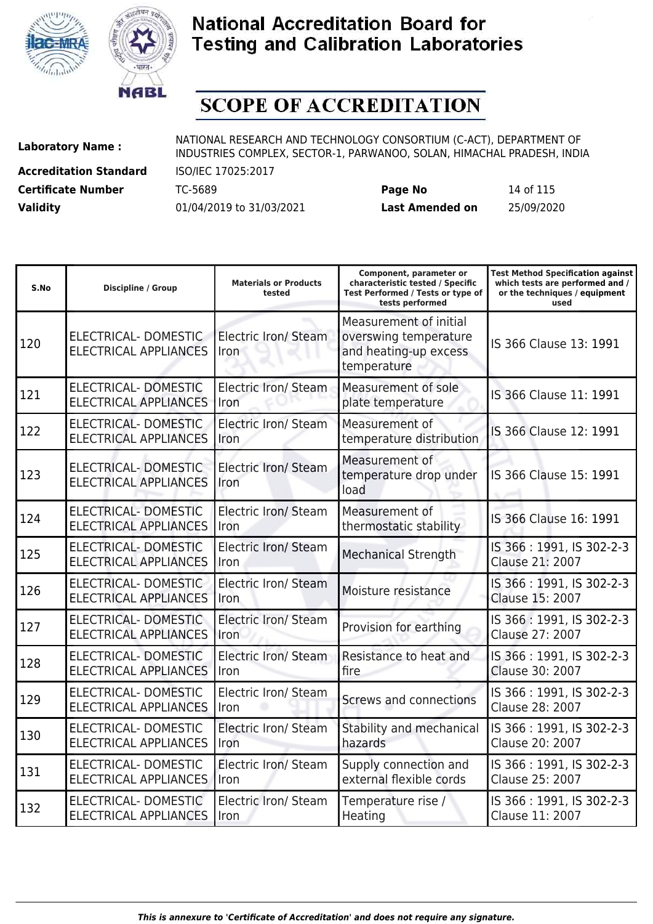



# **SCOPE OF ACCREDITATION**

**Accreditation Standard** ISO/IEC 17025:2017

**Laboratory Name :** NATIONAL RESEARCH AND TECHNOLOGY CONSORTIUM (C-ACT), DEPARTMENT OF INDUSTRIES COMPLEX, SECTOR-1, PARWANOO, SOLAN, HIMACHAL PRADESH, INDIA

**Certificate Number** TC-5689 **Page No** 14 of 115 **Validity** 01/04/2019 to 31/03/2021 **Last Amended on** 25/09/2020

| S.No | <b>Discipline / Group</b>                                   | <b>Materials or Products</b><br>tested | Component, parameter or<br>characteristic tested / Specific<br>Test Performed / Tests or type of<br>tests performed | <b>Test Method Specification against</b><br>which tests are performed and /<br>or the techniques / equipment<br>used |
|------|-------------------------------------------------------------|----------------------------------------|---------------------------------------------------------------------------------------------------------------------|----------------------------------------------------------------------------------------------------------------------|
| 120  | ELECTRICAL-DOMESTIC<br><b>ELECTRICAL APPLIANCES</b>         | Electric Iron/ Steam<br>Iron           | Measurement of initial<br>overswing temperature<br>and heating-up excess<br>temperature                             | IS 366 Clause 13: 1991                                                                                               |
| 121  | <b>ELECTRICAL- DOMESTIC</b><br><b>ELECTRICAL APPLIANCES</b> | <b>Electric Iron/ Steam</b><br>Iron    | Measurement of sole<br>plate temperature                                                                            | IS 366 Clause 11: 1991                                                                                               |
| 122  | ELECTRICAL-DOMESTIC<br><b>ELECTRICAL APPLIANCES</b>         | Electric Iron/ Steam<br>Iron           | Measurement of<br>temperature distribution                                                                          | IS 366 Clause 12: 1991                                                                                               |
| 123  | <b>ELECTRICAL- DOMESTIC</b><br><b>ELECTRICAL APPLIANCES</b> | <b>Electric Iron/ Steam</b><br>Iron    | Measurement of<br>temperature drop under<br>load                                                                    | IS 366 Clause 15: 1991                                                                                               |
| 124  | <b>ELECTRICAL- DOMESTIC</b><br><b>ELECTRICAL APPLIANCES</b> | Electric Iron/ Steam<br>Iron           | Measurement of<br>thermostatic stability                                                                            | IS 366 Clause 16: 1991                                                                                               |
| 125  | <b>ELECTRICAL- DOMESTIC</b><br><b>ELECTRICAL APPLIANCES</b> | Electric Iron/ Steam<br>Iron           | <b>Mechanical Strength</b>                                                                                          | IS 366: 1991, IS 302-2-3<br>Clause 21: 2007                                                                          |
| 126  | ELECTRICAL-DOMESTIC<br><b>ELECTRICAL APPLIANCES</b>         | Electric Iron/ Steam<br>Iron           | Moisture resistance                                                                                                 | IS 366: 1991, IS 302-2-3<br>Clause 15: 2007                                                                          |
| 127  | ELECTRICAL- DOMESTIC<br><b>ELECTRICAL APPLIANCES</b>        | <b>Electric Iron/ Steam</b><br>Iron    | Provision for earthing                                                                                              | IS 366: 1991, IS 302-2-3<br>Clause 27: 2007                                                                          |
| 128  | <b>ELECTRICAL- DOMESTIC</b><br><b>ELECTRICAL APPLIANCES</b> | Electric Iron/ Steam<br>Iron           | Resistance to heat and<br>fire                                                                                      | IS 366: 1991, IS 302-2-3<br>Clause 30: 2007                                                                          |
| 129  | ELECTRICAL- DOMESTIC<br><b>ELECTRICAL APPLIANCES</b>        | Electric Iron/ Steam<br>Iron           | Screws and connections                                                                                              | IS 366: 1991, IS 302-2-3<br>Clause 28: 2007                                                                          |
| 130  | <b>ELECTRICAL- DOMESTIC</b><br><b>ELECTRICAL APPLIANCES</b> | Electric Iron/ Steam<br>Iron           | Stability and mechanical<br>hazards                                                                                 | IS 366: 1991, IS 302-2-3<br>Clause 20: 2007                                                                          |
| 131  | ELECTRICAL- DOMESTIC<br><b>ELECTRICAL APPLIANCES</b>        | Electric Iron/ Steam<br>Iron           | Supply connection and<br>external flexible cords                                                                    | IS 366: 1991, IS 302-2-3<br>Clause 25: 2007                                                                          |
| 132  | ELECTRICAL- DOMESTIC<br><b>ELECTRICAL APPLIANCES</b>        | Electric Iron/ Steam<br>Iron           | Temperature rise /<br>Heating                                                                                       | IS 366: 1991, IS 302-2-3<br>Clause 11: 2007                                                                          |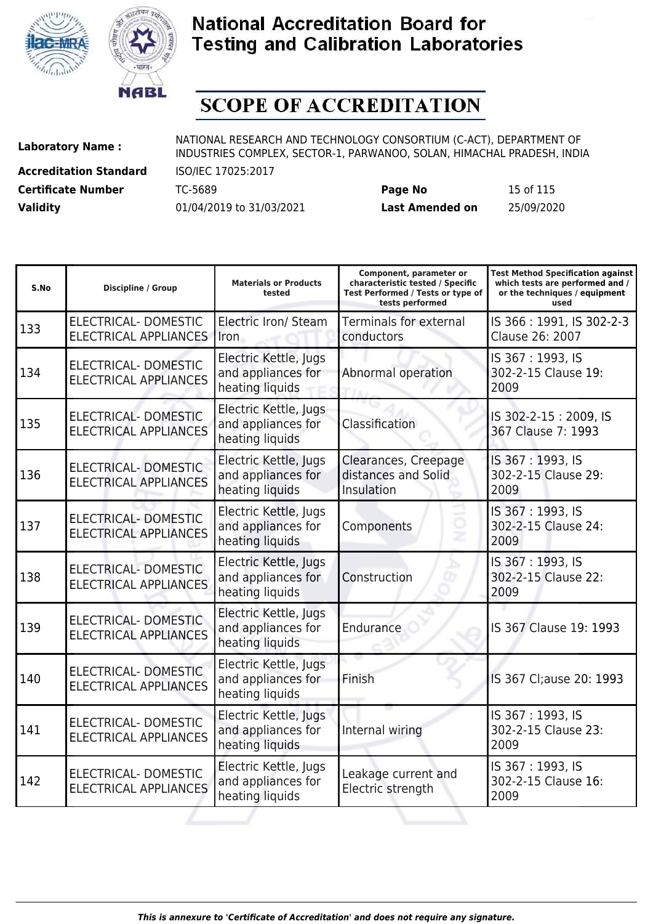



# **SCOPE OF ACCREDITATION**

**Accreditation Standard** ISO/IEC 17025:2017

**Laboratory Name :** NATIONAL RESEARCH AND TECHNOLOGY CONSORTIUM (C-ACT), DEPARTMENT OF **Laboratory Name :** NIDI INDUSTRIES COMPLEX, SECTOR-1, PARWANOO, SOLAN, HIMACHAL PRADESH, INDIA

**Certificate Number** TC-5689 **Page No** 15 of 115 **Validity** 01/04/2019 to 31/03/2021 **Last Amended on** 25/09/2020

| S.No | <b>Discipline / Group</b>                                   | <b>Materials or Products</b><br>tested                         | Component, parameter or<br>characteristic tested / Specific<br>Test Performed / Tests or type of<br>tests performed | <b>Test Method Specification against</b><br>which tests are performed and /<br>or the techniques / equipment<br>used |
|------|-------------------------------------------------------------|----------------------------------------------------------------|---------------------------------------------------------------------------------------------------------------------|----------------------------------------------------------------------------------------------------------------------|
| 133  | <b>ELECTRICAL- DOMESTIC</b><br><b>ELECTRICAL APPLIANCES</b> | Electric Iron/ Steam<br>Iron                                   | Terminals for external<br>conductors                                                                                | IS 366: 1991, IS 302-2-3<br>Clause 26: 2007                                                                          |
| 134  | ELECTRICAL- DOMESTIC<br><b>ELECTRICAL APPLIANCES</b>        | Electric Kettle, Jugs<br>and appliances for<br>heating liquids | Abnormal operation                                                                                                  | IS 367: 1993, IS<br>302-2-15 Clause 19:<br>2009                                                                      |
| 135  | <b>ELECTRICAL- DOMESTIC</b><br><b>ELECTRICAL APPLIANCES</b> | Electric Kettle, Jugs<br>and appliances for<br>heating liquids | Classification                                                                                                      | IS 302-2-15: 2009, IS<br>367 Clause 7: 1993                                                                          |
| 136  | <b>ELECTRICAL- DOMESTIC</b><br><b>ELECTRICAL APPLIANCES</b> | Electric Kettle, Jugs<br>and appliances for<br>heating liquids | Clearances, Creepage<br>distances and Solid<br>Insulation                                                           | IS 367: 1993, IS<br>302-2-15 Clause 29:<br>2009                                                                      |
| 137  | ELECTRICAL- DOMESTIC<br><b>ELECTRICAL APPLIANCES</b>        | Electric Kettle, Jugs<br>and appliances for<br>heating liquids | Components                                                                                                          | IS 367: 1993, IS<br>302-2-15 Clause 24:<br>2009                                                                      |
| 138  | <b>ELECTRICAL- DOMESTIC</b><br><b>ELECTRICAL APPLIANCES</b> | Electric Kettle, Jugs<br>and appliances for<br>heating liquids | Construction                                                                                                        | IS 367: 1993, IS<br>302-2-15 Clause 22:<br>2009                                                                      |
| 139  | ELECTRICAL-DOMESTIC<br><b>ELECTRICAL APPLIANCES</b>         | Electric Kettle, Jugs<br>and appliances for<br>heating liquids | Endurance                                                                                                           | IS 367 Clause 19: 1993                                                                                               |
| 140  | <b>ELECTRICAL- DOMESTIC</b><br><b>ELECTRICAL APPLIANCES</b> | Electric Kettle, Jugs<br>and appliances for<br>heating liquids | Finish                                                                                                              | IS 367 Cl;ause 20: 1993                                                                                              |
| 141  | <b>ELECTRICAL- DOMESTIC</b><br><b>ELECTRICAL APPLIANCES</b> | Electric Kettle, Jugs<br>and appliances for<br>heating liquids | Internal wiring                                                                                                     | IS 367: 1993, IS<br>302-2-15 Clause 23:<br>2009                                                                      |
| 142  | ELECTRICAL- DOMESTIC<br><b>ELECTRICAL APPLIANCES</b>        | Electric Kettle, Jugs<br>and appliances for<br>heating liquids | Leakage current and<br>Electric strength                                                                            | IS 367: 1993, IS<br>302-2-15 Clause 16:<br>2009                                                                      |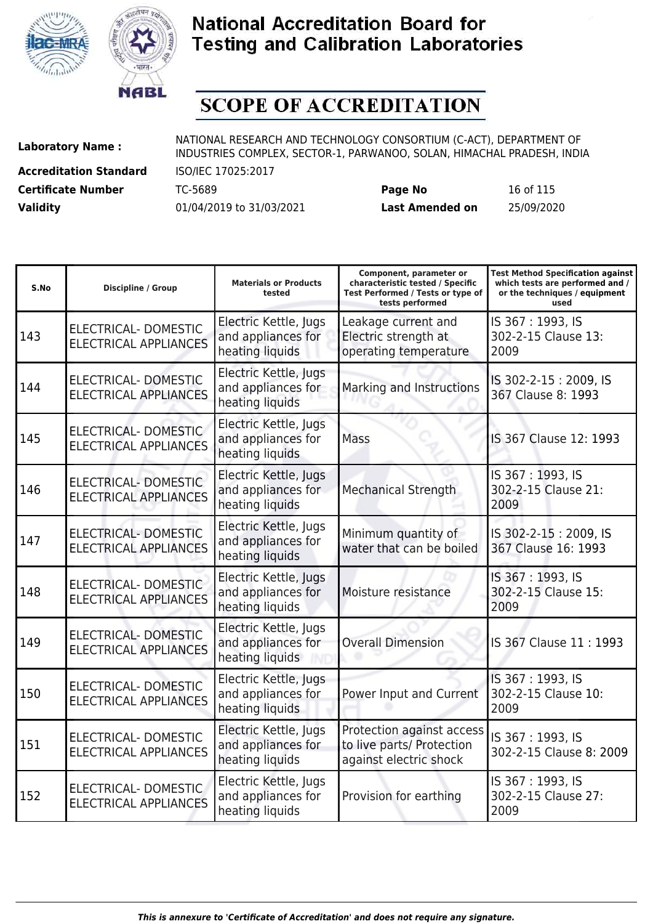



# **SCOPE OF ACCREDITATION**

**Accreditation Standard** ISO/IEC 17025:2017 **Certificate Number** TC-5689 **Page No** 16 of 115

| Certificate Number | TC-5689                  | Page No                | 16 of 115  |
|--------------------|--------------------------|------------------------|------------|
| <b>Validity</b>    | 01/04/2019 to 31/03/2021 | <b>Last Amended on</b> | 25/09/2020 |

| S.No | <b>Discipline / Group</b>                                   | <b>Materials or Products</b><br>tested                         | Component, parameter or<br>characteristic tested / Specific<br>Test Performed / Tests or type of<br>tests performed | <b>Test Method Specification against</b><br>which tests are performed and /<br>or the techniques / equipment<br>used |
|------|-------------------------------------------------------------|----------------------------------------------------------------|---------------------------------------------------------------------------------------------------------------------|----------------------------------------------------------------------------------------------------------------------|
| 143  | ELECTRICAL- DOMESTIC<br><b>ELECTRICAL APPLIANCES</b>        | Electric Kettle, Jugs<br>and appliances for<br>heating liquids | Leakage current and<br>Electric strength at<br>operating temperature                                                | IS 367: 1993, IS<br>302-2-15 Clause 13:<br>2009                                                                      |
| 144  | <b>ELECTRICAL- DOMESTIC</b><br><b>ELECTRICAL APPLIANCES</b> | Electric Kettle, Jugs<br>and appliances for<br>heating liquids | Marking and Instructions                                                                                            | IS 302-2-15: 2009, IS<br>367 Clause 8: 1993                                                                          |
| 145  | ELECTRICAL-DOMESTIC<br><b>ELECTRICAL APPLIANCES</b>         | Electric Kettle, Jugs<br>and appliances for<br>heating liquids | Mass                                                                                                                | IS 367 Clause 12: 1993                                                                                               |
| 146  | <b>ELECTRICAL- DOMESTIC</b><br><b>ELECTRICAL APPLIANCES</b> | Electric Kettle, Jugs<br>and appliances for<br>heating liquids | <b>Mechanical Strength</b>                                                                                          | IS 367: 1993, IS<br>302-2-15 Clause 21:<br>2009                                                                      |
| 147  | <b>ELECTRICAL- DOMESTIC</b><br><b>ELECTRICAL APPLIANCES</b> | Electric Kettle, Jugs<br>and appliances for<br>heating liquids | Minimum quantity of<br>water that can be boiled                                                                     | IS 302-2-15: 2009, IS<br>367 Clause 16: 1993                                                                         |
| 148  | <b>ELECTRICAL- DOMESTIC</b><br><b>ELECTRICAL APPLIANCES</b> | Electric Kettle, Jugs<br>and appliances for<br>heating liquids | Moisture resistance                                                                                                 | IS 367: 1993, IS<br>302-2-15 Clause 15:<br>2009                                                                      |
| 149  | <b>ELECTRICAL- DOMESTIC</b><br><b>ELECTRICAL APPLIANCES</b> | Electric Kettle, Jugs<br>and appliances for<br>heating liquids | <b>Overall Dimension</b>                                                                                            | IS 367 Clause 11: 1993                                                                                               |
| 150  | <b>ELECTRICAL- DOMESTIC</b><br><b>ELECTRICAL APPLIANCES</b> | Electric Kettle, Jugs<br>and appliances for<br>heating liquids | Power Input and Current                                                                                             | IS 367: 1993, IS<br>302-2-15 Clause 10:<br>2009                                                                      |
| 151  | ELECTRICAL- DOMESTIC<br><b>ELECTRICAL APPLIANCES</b>        | Electric Kettle, Jugs<br>and appliances for<br>heating liquids | Protection against access<br>to live parts/ Protection<br>against electric shock                                    | IS 367: 1993, IS<br>302-2-15 Clause 8: 2009                                                                          |
| 152  | ELECTRICAL- DOMESTIC<br><b>ELECTRICAL APPLIANCES</b>        | Electric Kettle, Jugs<br>and appliances for<br>heating liquids | Provision for earthing                                                                                              | IS 367: 1993, IS<br>302-2-15 Clause 27:<br>2009                                                                      |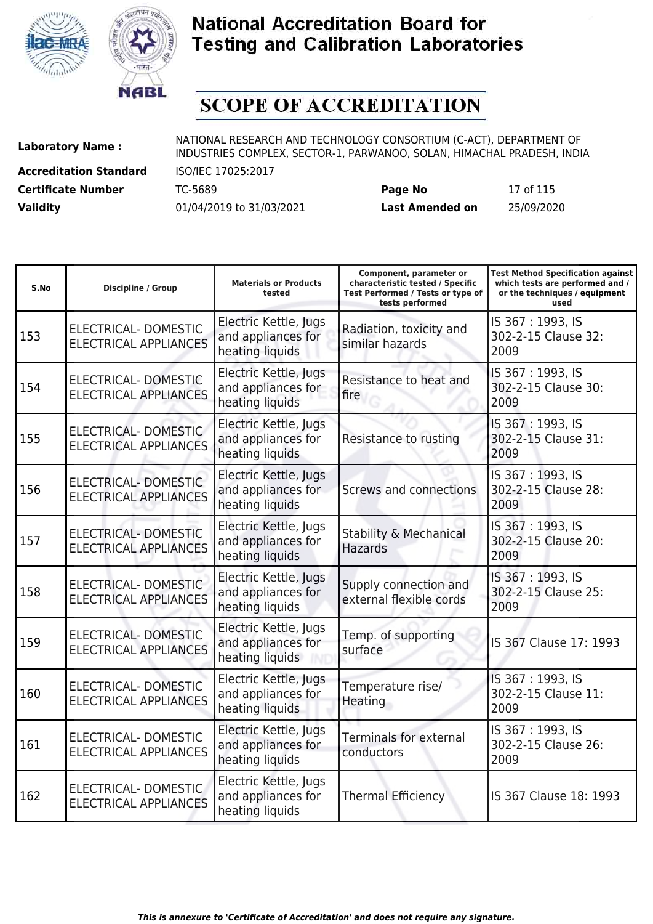



# **SCOPE OF ACCREDITATION**

**Accreditation Standard** ISO/IEC 17025:2017

| <b>Certificate Number</b> | TC-5689                  | Page No                | 17 of 115  |
|---------------------------|--------------------------|------------------------|------------|
| <b>Validity</b>           | 01/04/2019 to 31/03/2021 | <b>Last Amended on</b> | 25/09/2020 |

| S.No | <b>Discipline / Group</b>                                   | <b>Materials or Products</b><br>tested                         | Component, parameter or<br>characteristic tested / Specific<br>Test Performed / Tests or type of<br>tests performed | <b>Test Method Specification against</b><br>which tests are performed and /<br>or the techniques / equipment<br>used |
|------|-------------------------------------------------------------|----------------------------------------------------------------|---------------------------------------------------------------------------------------------------------------------|----------------------------------------------------------------------------------------------------------------------|
| 153  | <b>ELECTRICAL- DOMESTIC</b><br><b>ELECTRICAL APPLIANCES</b> | Electric Kettle, Jugs<br>and appliances for<br>heating liquids | Radiation, toxicity and<br>similar hazards                                                                          | IS 367: 1993, IS<br>302-2-15 Clause 32:<br>2009                                                                      |
| 154  | <b>ELECTRICAL- DOMESTIC</b><br><b>ELECTRICAL APPLIANCES</b> | Electric Kettle, Jugs<br>and appliances for<br>heating liquids | Resistance to heat and<br>fire                                                                                      | IS 367: 1993, IS<br>302-2-15 Clause 30:<br>2009                                                                      |
| 155  | ELECTRICAL-DOMESTIC<br><b>ELECTRICAL APPLIANCES</b>         | Electric Kettle, Jugs<br>and appliances for<br>heating liquids | Resistance to rusting                                                                                               | IS 367: 1993, IS<br>302-2-15 Clause 31:<br>2009                                                                      |
| 156  | ELECTRICAL-DOMESTIC<br><b>ELECTRICAL APPLIANCES</b>         | Electric Kettle, Jugs<br>and appliances for<br>heating liquids | Screws and connections                                                                                              | IS 367: 1993, IS<br>302-2-15 Clause 28:<br>2009                                                                      |
| 157  | <b>ELECTRICAL- DOMESTIC</b><br><b>ELECTRICAL APPLIANCES</b> | Electric Kettle, Jugs<br>and appliances for<br>heating liquids | Stability & Mechanical<br><b>Hazards</b>                                                                            | IS 367: 1993, IS<br>302-2-15 Clause 20:<br>2009                                                                      |
| 158  | <b>ELECTRICAL- DOMESTIC</b><br><b>ELECTRICAL APPLIANCES</b> | Electric Kettle, Jugs<br>and appliances for<br>heating liquids | Supply connection and<br>external flexible cords                                                                    | IS 367: 1993, IS<br>302-2-15 Clause 25:<br>2009                                                                      |
| 159  | <b>ELECTRICAL- DOMESTIC</b><br><b>ELECTRICAL APPLIANCES</b> | Electric Kettle, Jugs<br>and appliances for<br>heating liquids | Temp. of supporting<br>surface                                                                                      | IS 367 Clause 17: 1993                                                                                               |
| 160  | <b>ELECTRICAL- DOMESTIC</b><br><b>ELECTRICAL APPLIANCES</b> | Electric Kettle, Jugs<br>and appliances for<br>heating liquids | Temperature rise/<br>Heating                                                                                        | IS 367: 1993, IS<br>302-2-15 Clause 11:<br>2009                                                                      |
| 161  | ELECTRICAL- DOMESTIC<br><b>ELECTRICAL APPLIANCES</b>        | Electric Kettle, Jugs<br>and appliances for<br>heating liquids | <b>Terminals for external</b><br>conductors                                                                         | IS 367: 1993, IS<br>302-2-15 Clause 26:<br>2009                                                                      |
| 162  | ELECTRICAL- DOMESTIC<br><b>ELECTRICAL APPLIANCES</b>        | Electric Kettle, Jugs<br>and appliances for<br>heating liquids | <b>Thermal Efficiency</b>                                                                                           | IS 367 Clause 18: 1993                                                                                               |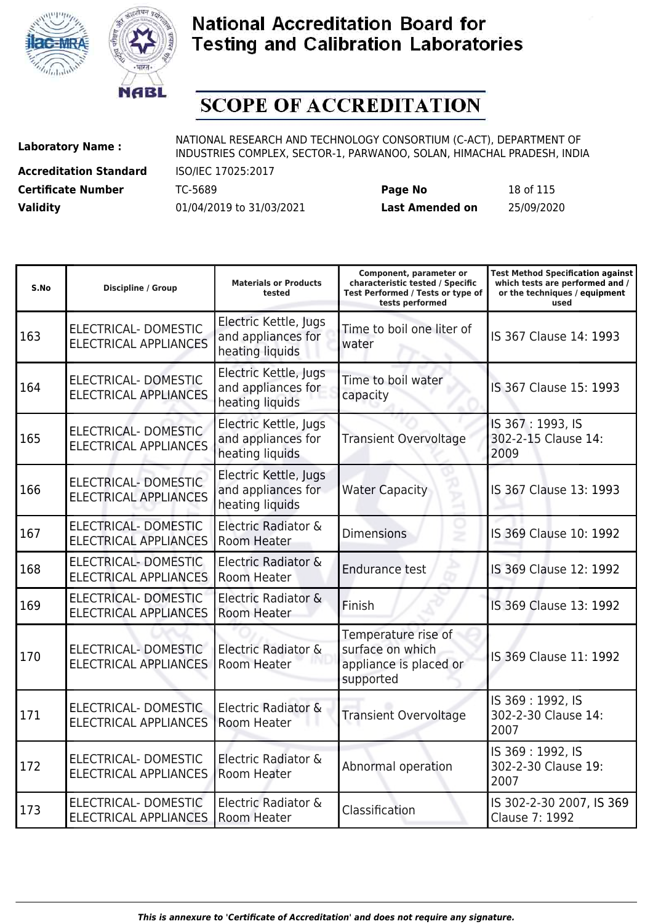



# **SCOPE OF ACCREDITATION**

**Accreditation Standard** ISO/IEC 17025:2017

**Laboratory Name :** NATIONAL RESEARCH AND TECHNOLOGY CONSORTIUM (C-ACT), DEPARTMENT OF INDUSTRIES COMPLEX, SECTOR-1, PARWANOO, SOLAN, HIMACHAL PRADESH, INDIA

**Certificate Number** TC-5689 **Page No** 18 of 115 **Validity** 01/04/2019 to 31/03/2021 **Last Amended on** 25/09/2020

| S.No | <b>Discipline / Group</b>                                   | <b>Materials or Products</b><br>tested                         | Component, parameter or<br>characteristic tested / Specific<br>Test Performed / Tests or type of<br>tests performed | <b>Test Method Specification against</b><br>which tests are performed and /<br>or the techniques / equipment<br>used |
|------|-------------------------------------------------------------|----------------------------------------------------------------|---------------------------------------------------------------------------------------------------------------------|----------------------------------------------------------------------------------------------------------------------|
| 163  | <b>ELECTRICAL- DOMESTIC</b><br><b>ELECTRICAL APPLIANCES</b> | Electric Kettle, Jugs<br>and appliances for<br>heating liquids | Time to boil one liter of<br>water                                                                                  | IS 367 Clause 14: 1993                                                                                               |
| 164  | ELECTRICAL- DOMESTIC<br><b>ELECTRICAL APPLIANCES</b>        | Electric Kettle, Jugs<br>and appliances for<br>heating liquids | Time to boil water<br>capacity                                                                                      | IS 367 Clause 15: 1993                                                                                               |
| 165  | ELECTRICAL- DOMESTIC<br><b>ELECTRICAL APPLIANCES</b>        | Electric Kettle, Jugs<br>and appliances for<br>heating liquids | <b>Transient Overvoltage</b>                                                                                        | IS 367: 1993, IS<br>302-2-15 Clause 14:<br>2009                                                                      |
| 166  | <b>ELECTRICAL- DOMESTIC</b><br><b>ELECTRICAL APPLIANCES</b> | Electric Kettle, Jugs<br>and appliances for<br>heating liquids | <b>Water Capacity</b>                                                                                               | IS 367 Clause 13: 1993                                                                                               |
| 167  | <b>ELECTRICAL- DOMESTIC</b><br><b>ELECTRICAL APPLIANCES</b> | Electric Radiator &<br>Room Heater                             | <b>Dimensions</b>                                                                                                   | IS 369 Clause 10: 1992                                                                                               |
| 168  | <b>ELECTRICAL-DOMESTIC</b><br><b>ELECTRICAL APPLIANCES</b>  | Electric Radiator &<br>Room Heater                             | <b>Endurance test</b>                                                                                               | IS 369 Clause 12: 1992                                                                                               |
| 169  | ELECTRICAL- DOMESTIC<br><b>ELECTRICAL APPLIANCES</b>        | Electric Radiator &<br><b>Room Heater</b>                      | Finish                                                                                                              | IS 369 Clause 13: 1992                                                                                               |
| 170  | ELECTRICAL- DOMESTIC<br><b>ELECTRICAL APPLIANCES</b>        | Electric Radiator &<br>Room Heater                             | Temperature rise of<br>surface on which<br>appliance is placed or<br>supported                                      | IS 369 Clause 11: 1992                                                                                               |
| 171  | <b>ELECTRICAL- DOMESTIC</b><br><b>ELECTRICAL APPLIANCES</b> | Electric Radiator &<br>Room Heater                             | <b>Transient Overvoltage</b>                                                                                        | IS 369: 1992, IS<br>302-2-30 Clause 14:<br>2007                                                                      |
| 172  | ELECTRICAL- DOMESTIC<br><b>ELECTRICAL APPLIANCES</b>        | Electric Radiator &<br>Room Heater                             | Abnormal operation                                                                                                  | IS 369: 1992, IS<br>302-2-30 Clause 19:<br>2007                                                                      |
| 173  | ELECTRICAL-DOMESTIC<br><b>ELECTRICAL APPLIANCES</b>         | Electric Radiator &<br>Room Heater                             | Classification                                                                                                      | IS 302-2-30 2007, IS 369<br>Clause 7: 1992                                                                           |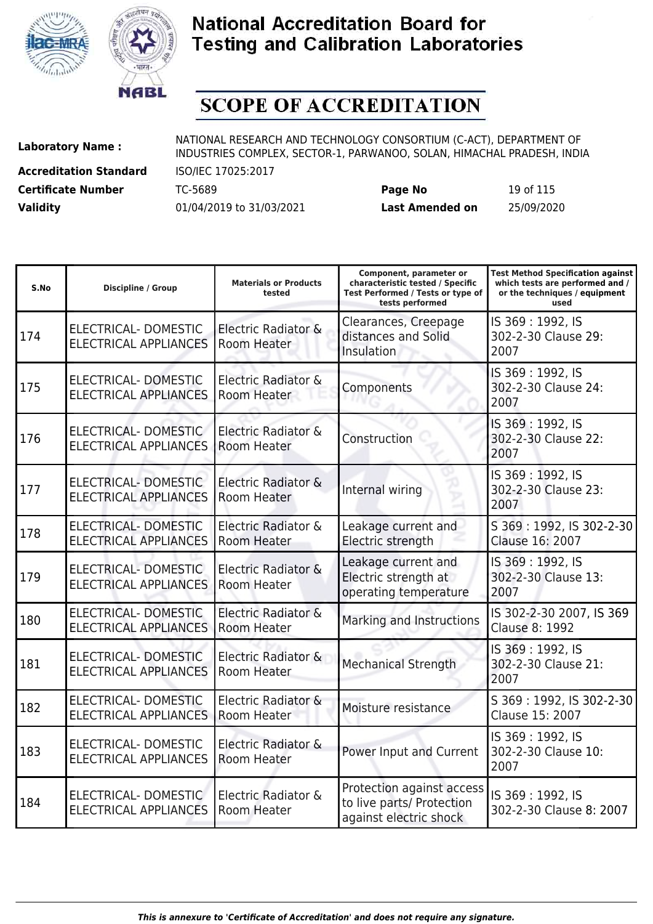



# **SCOPE OF ACCREDITATION**

**Accreditation Standard** ISO/IEC 17025:2017

**Laboratory Name :** NATIONAL RESEARCH AND TECHNOLOGY CONSORTIUM (C-ACT), DEPARTMENT OF INDUSTRIES COMPLEX, SECTOR-1, PARWANOO, SOLAN, HIMACHAL PRADESH, INDIA

**Certificate Number** TC-5689 **Page No** 19 of 115 **Validity** 01/04/2019 to 31/03/2021 **Last Amended on** 25/09/2020

| S.No | <b>Discipline / Group</b>                                   | <b>Materials or Products</b><br>tested | Component, parameter or<br>characteristic tested / Specific<br>Test Performed / Tests or type of<br>tests performed | <b>Test Method Specification against</b><br>which tests are performed and /<br>or the techniques / equipment<br>used |
|------|-------------------------------------------------------------|----------------------------------------|---------------------------------------------------------------------------------------------------------------------|----------------------------------------------------------------------------------------------------------------------|
| 174  | <b>ELECTRICAL- DOMESTIC</b><br><b>ELECTRICAL APPLIANCES</b> | Electric Radiator &<br>Room Heater     | Clearances, Creepage<br>distances and Solid<br><b>Insulation</b>                                                    | IS 369: 1992, IS<br>302-2-30 Clause 29:<br>2007                                                                      |
| 175  | <b>ELECTRICAL- DOMESTIC</b><br><b>ELECTRICAL APPLIANCES</b> | Electric Radiator &<br>Room Heater     | Components                                                                                                          | IS 369: 1992, IS<br>302-2-30 Clause 24:<br>2007                                                                      |
| 176  | ELECTRICAL-DOMESTIC<br><b>ELECTRICAL APPLIANCES</b>         | Electric Radiator &<br>Room Heater     | Construction                                                                                                        | IS 369: 1992, IS<br>302-2-30 Clause 22:<br>2007                                                                      |
| 177  | <b>ELECTRICAL- DOMESTIC</b><br><b>ELECTRICAL APPLIANCES</b> | Electric Radiator &<br>Room Heater     | Internal wiring                                                                                                     | IS 369: 1992, IS<br>302-2-30 Clause 23:<br>2007                                                                      |
| 178  | ELECTRICAL- DOMESTIC<br><b>ELECTRICAL APPLIANCES</b>        | Electric Radiator &<br>Room Heater     | Leakage current and<br>Electric strength                                                                            | S 369: 1992, IS 302-2-30<br>Clause 16: 2007                                                                          |
| 179  | ELECTRICAL-DOMESTIC<br><b>ELECTRICAL APPLIANCES</b>         | Electric Radiator &<br>Room Heater     | Leakage current and<br>Electric strength at<br>operating temperature                                                | IS 369: 1992, IS<br>302-2-30 Clause 13:<br>2007                                                                      |
| 180  | ELECTRICAL- DOMESTIC<br><b>ELECTRICAL APPLIANCES</b>        | Electric Radiator &<br>Room Heater     | Marking and Instructions                                                                                            | IS 302-2-30 2007, IS 369<br>Clause 8: 1992                                                                           |
| 181  | <b>ELECTRICAL- DOMESTIC</b><br><b>ELECTRICAL APPLIANCES</b> | Electric Radiator &<br>Room Heater     | <b>Mechanical Strength</b>                                                                                          | IS 369: 1992, IS<br>302-2-30 Clause 21:<br>2007                                                                      |
| 182  | ELECTRICAL- DOMESTIC<br><b>ELECTRICAL APPLIANCES</b>        | Electric Radiator &<br>Room Heater     | Moisture resistance                                                                                                 | S 369: 1992, IS 302-2-30<br>Clause 15: 2007                                                                          |
| 183  | ELECTRICAL- DOMESTIC<br><b>ELECTRICAL APPLIANCES</b>        | Electric Radiator &<br>Room Heater     | Power Input and Current                                                                                             | IS 369: 1992, IS<br>302-2-30 Clause 10:<br>2007                                                                      |
| 184  | <b>ELECTRICAL- DOMESTIC</b><br><b>ELECTRICAL APPLIANCES</b> | Electric Radiator &<br>Room Heater     | Protection against access<br>to live parts/ Protection<br>against electric shock                                    | IS 369: 1992, IS<br>302-2-30 Clause 8: 2007                                                                          |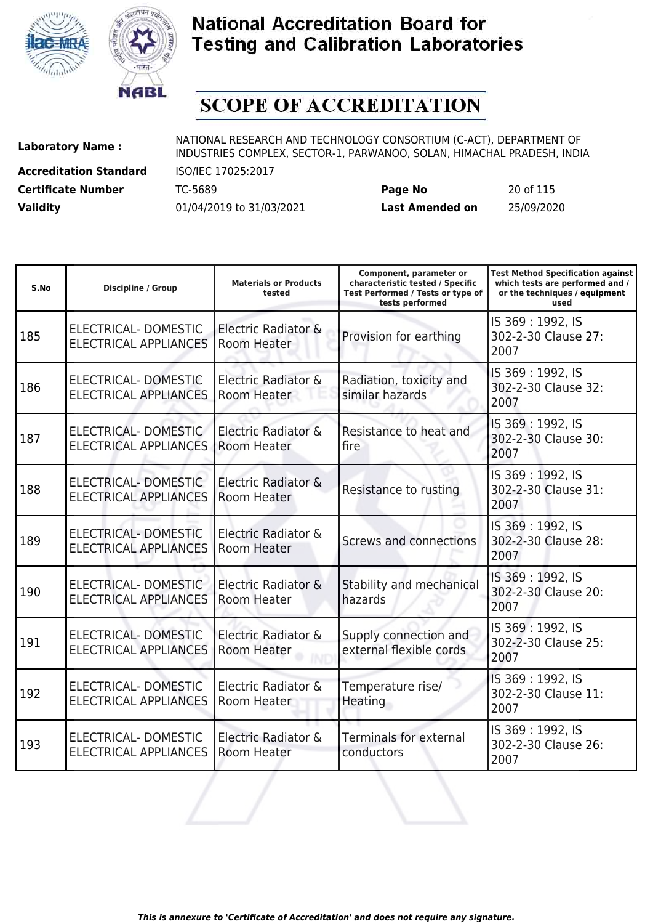



# **SCOPE OF ACCREDITATION**

**Accreditation Standard** ISO/IEC 17025:2017

**Laboratory Name :** NATIONAL RESEARCH AND TECHNOLOGY CONSORTIUM (C-ACT), DEPARTMENT OF **Laboratory Name :** NIDI INDUSTRIES COMPLEX, SECTOR-1, PARWANOO, SOLAN, HIMACHAL PRADESH, INDIA

**Certificate Number** TC-5689 **Page No** 20 of 115 **Validity** 01/04/2019 to 31/03/2021 **Last Amended on** 25/09/2020

| S.No | <b>Discipline / Group</b>                            | <b>Materials or Products</b><br>tested    | Component, parameter or<br>characteristic tested / Specific<br>Test Performed / Tests or type of<br>tests performed | <b>Test Method Specification against</b><br>which tests are performed and /<br>or the techniques / equipment<br>used |
|------|------------------------------------------------------|-------------------------------------------|---------------------------------------------------------------------------------------------------------------------|----------------------------------------------------------------------------------------------------------------------|
| 185  | ELECTRICAL-DOMESTIC<br><b>ELECTRICAL APPLIANCES</b>  | Electric Radiator &<br><b>Room Heater</b> | Provision for earthing                                                                                              | IS 369: 1992, IS<br>302-2-30 Clause 27:<br>2007                                                                      |
| 186  | ELECTRICAL-DOMESTIC<br><b>ELECTRICAL APPLIANCES</b>  | Electric Radiator &<br>Room Heater        | Radiation, toxicity and<br>similar hazards                                                                          | IS 369: 1992, IS<br>302-2-30 Clause 32:<br>2007                                                                      |
| 187  | ELECTRICAL-DOMESTIC<br><b>ELECTRICAL APPLIANCES</b>  | Electric Radiator &<br>Room Heater        | Resistance to heat and<br>fire                                                                                      | IS 369: 1992, IS<br>302-2-30 Clause 30:<br>2007                                                                      |
| 188  | ELECTRICAL-DOMESTIC<br><b>ELECTRICAL APPLIANCES</b>  | Electric Radiator &<br>Room Heater        | Resistance to rusting                                                                                               | IS 369: 1992, IS<br>302-2-30 Clause 31:<br>2007                                                                      |
| 189  | ELECTRICAL-DOMESTIC<br><b>ELECTRICAL APPLIANCES</b>  | Electric Radiator &<br>Room Heater        | <b>Screws and connections</b>                                                                                       | IS 369: 1992, IS<br>302-2-30 Clause 28:<br>2007                                                                      |
| 190  | ELECTRICAL- DOMESTIC<br><b>ELECTRICAL APPLIANCES</b> | Electric Radiator &<br>Room Heater        | Stability and mechanical<br>hazards                                                                                 | IS 369: 1992, IS<br>302-2-30 Clause 20:<br>2007                                                                      |
| 191  | ELECTRICAL- DOMESTIC<br><b>ELECTRICAL APPLIANCES</b> | Electric Radiator &<br>Room Heater        | Supply connection and<br>external flexible cords                                                                    | IS 369: 1992, IS<br>302-2-30 Clause 25:<br>2007                                                                      |
| 192  | ELECTRICAL-DOMESTIC<br><b>ELECTRICAL APPLIANCES</b>  | Electric Radiator &<br>Room Heater        | Temperature rise/<br>Heating                                                                                        | IS 369: 1992, IS<br>302-2-30 Clause 11:<br>2007                                                                      |
| 193  | ELECTRICAL-DOMESTIC<br><b>ELECTRICAL APPLIANCES</b>  | Electric Radiator &<br>Room Heater        | <b>Terminals for external</b><br>conductors                                                                         | IS 369: 1992, IS<br>302-2-30 Clause 26:<br>2007                                                                      |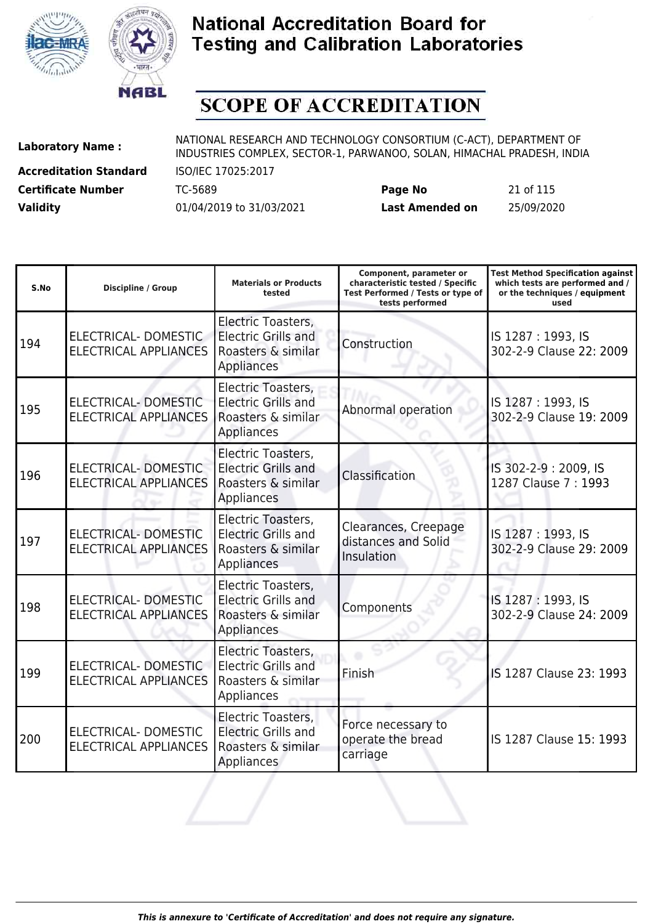



# **SCOPE OF ACCREDITATION**

**Accreditation Standard** ISO/IEC 17025:2017

| <b>Certificate Number</b> | TC-5689                  | Page No         | 21 of 115  |
|---------------------------|--------------------------|-----------------|------------|
| <b>Validity</b>           | 01/04/2019 to 31/03/2021 | Last Amended on | 25/09/2020 |

| S.No | <b>Discipline / Group</b>                            | <b>Materials or Products</b><br>tested                                                      | Component, parameter or<br>characteristic tested / Specific<br>Test Performed / Tests or type of<br>tests performed | <b>Test Method Specification against</b><br>which tests are performed and /<br>or the techniques / equipment<br>used |
|------|------------------------------------------------------|---------------------------------------------------------------------------------------------|---------------------------------------------------------------------------------------------------------------------|----------------------------------------------------------------------------------------------------------------------|
| 194  | ELECTRICAL- DOMESTIC<br><b>ELECTRICAL APPLIANCES</b> | Electric Toasters,<br><b>Electric Grills and</b><br>Roasters & similar<br>Appliances        | Construction                                                                                                        | IS 1287: 1993, IS<br>302-2-9 Clause 22: 2009                                                                         |
| 195  | ELECTRICAL-DOMESTIC<br><b>ELECTRICAL APPLIANCES</b>  | Electric Toasters,<br><b>Electric Grills and</b><br>Roasters & similar<br>Appliances        | Abnormal operation                                                                                                  | IS 1287: 1993, IS<br>302-2-9 Clause 19: 2009                                                                         |
| 196  | ELECTRICAL- DOMESTIC<br><b>ELECTRICAL APPLIANCES</b> | Electric Toasters,<br><b>Electric Grills and</b><br>Roasters & similar<br>Appliances        | Classification                                                                                                      | IS 302-2-9: 2009, IS<br>1287 Clause 7: 1993                                                                          |
| 197  | ELECTRICAL- DOMESTIC<br><b>ELECTRICAL APPLIANCES</b> | Electric Toasters,<br><b>Electric Grills and</b><br>Roasters & similar<br>Appliances        | Clearances, Creepage<br>distances and Solid<br>Insulation                                                           | IS 1287: 1993, IS<br>302-2-9 Clause 29: 2009                                                                         |
| 198  | ELECTRICAL- DOMESTIC<br><b>ELECTRICAL APPLIANCES</b> | Electric Toasters,<br><b>Electric Grills and</b><br>Roasters & similar<br>Appliances        | Components                                                                                                          | IS 1287: 1993, IS<br>302-2-9 Clause 24: 2009                                                                         |
| 199  | ELECTRICAL- DOMESTIC<br><b>ELECTRICAL APPLIANCES</b> | Electric Toasters,<br><b>Electric Grills and</b><br>Roasters & similar<br>Appliances        | Finish                                                                                                              | IS 1287 Clause 23: 1993                                                                                              |
| 200  | ELECTRICAL- DOMESTIC<br><b>ELECTRICAL APPLIANCES</b> | Electric Toasters,<br><b>Electric Grills and</b><br>Roasters & similar<br><b>Appliances</b> | Force necessary to<br>operate the bread<br>carriage                                                                 | IS 1287 Clause 15: 1993                                                                                              |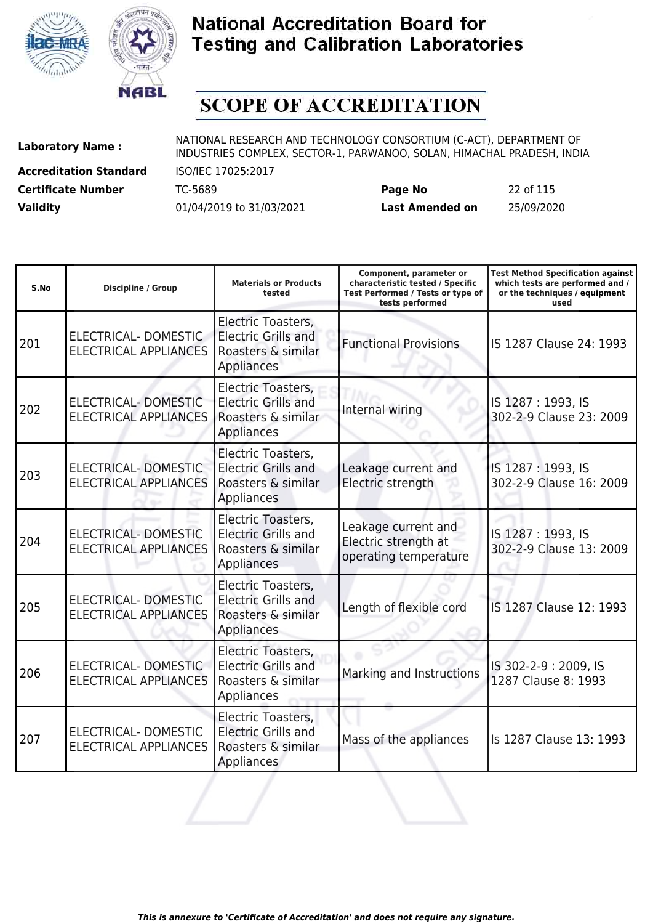



# **SCOPE OF ACCREDITATION**

**Accreditation Standard** ISO/IEC 17025:2017

| <b>Certificate Number</b> | TC-5689                  | Page No         | 22 of 115  |
|---------------------------|--------------------------|-----------------|------------|
| <b>Validity</b>           | 01/04/2019 to 31/03/2021 | Last Amended on | 25/09/2020 |

| S.No | <b>Discipline / Group</b>                            | <b>Materials or Products</b><br>tested                                                      | Component, parameter or<br>characteristic tested / Specific<br>Test Performed / Tests or type of<br>tests performed | <b>Test Method Specification against</b><br>which tests are performed and /<br>or the techniques / equipment<br>used |
|------|------------------------------------------------------|---------------------------------------------------------------------------------------------|---------------------------------------------------------------------------------------------------------------------|----------------------------------------------------------------------------------------------------------------------|
| 201  | ELECTRICAL- DOMESTIC<br>ELECTRICAL APPLIANCES        | Electric Toasters,<br><b>Electric Grills and</b><br>Roasters & similar<br>Appliances        | <b>Functional Provisions</b>                                                                                        | IS 1287 Clause 24: 1993                                                                                              |
| 202  | ELECTRICAL-DOMESTIC<br><b>ELECTRICAL APPLIANCES</b>  | Electric Toasters,<br><b>Electric Grills and</b><br>Roasters & similar<br>Appliances        | Internal wiring                                                                                                     | IS 1287: 1993, IS<br>302-2-9 Clause 23: 2009                                                                         |
| 203  | ELECTRICAL- DOMESTIC<br><b>ELECTRICAL APPLIANCES</b> | Electric Toasters,<br><b>Electric Grills and</b><br>Roasters & similar<br>Appliances        | Leakage current and<br>Electric strength                                                                            | IS 1287: 1993, IS<br>302-2-9 Clause 16: 2009                                                                         |
| 204  | ELECTRICAL- DOMESTIC<br><b>ELECTRICAL APPLIANCES</b> | Electric Toasters,<br><b>Electric Grills and</b><br>Roasters & similar<br>Appliances        | Leakage current and<br>Electric strength at<br>operating temperature                                                | IS 1287: 1993, IS<br>302-2-9 Clause 13: 2009                                                                         |
| 205  | ELECTRICAL- DOMESTIC<br><b>ELECTRICAL APPLIANCES</b> | Electric Toasters,<br><b>Electric Grills and</b><br>Roasters & similar<br>Appliances        | Length of flexible cord                                                                                             | IS 1287 Clause 12: 1993                                                                                              |
| 206  | ELECTRICAL-DOMESTIC<br><b>ELECTRICAL APPLIANCES</b>  | Electric Toasters,<br><b>Electric Grills and</b><br>Roasters & similar<br>Appliances        | Marking and Instructions                                                                                            | IS 302-2-9: 2009, IS<br>1287 Clause 8: 1993                                                                          |
| 207  | ELECTRICAL- DOMESTIC<br><b>ELECTRICAL APPLIANCES</b> | Electric Toasters,<br><b>Electric Grills and</b><br>Roasters & similar<br><b>Appliances</b> | Mass of the appliances                                                                                              | Is 1287 Clause 13: 1993                                                                                              |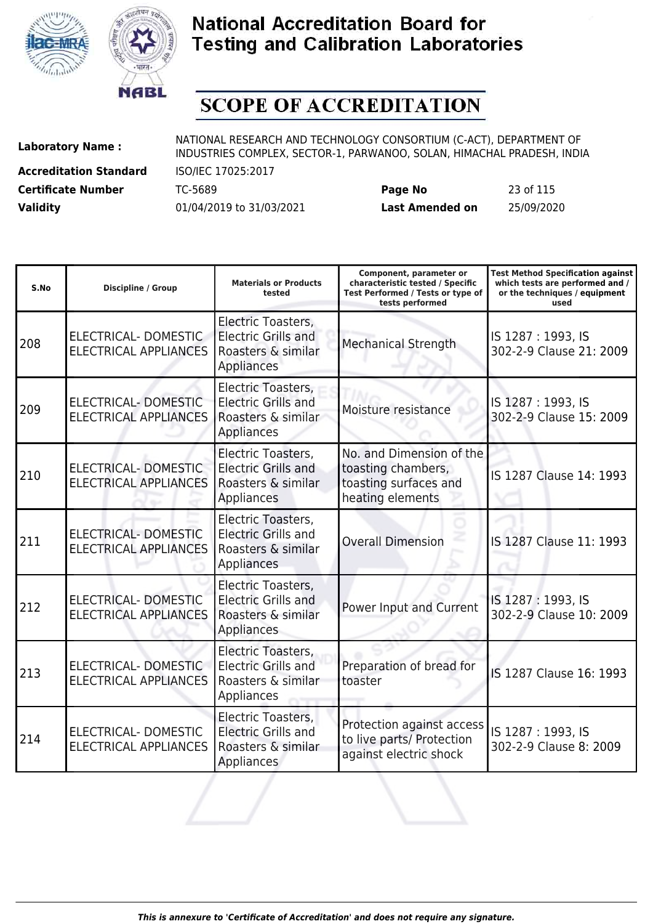



# **SCOPE OF ACCREDITATION**

**Accreditation Standard** ISO/IEC 17025:2017

| <b>Certificate Number</b> | TC-5689                  | Page No         | 23 of 115  |
|---------------------------|--------------------------|-----------------|------------|
| <b>Validity</b>           | 01/04/2019 to 31/03/2021 | Last Amended on | 25/09/2020 |

| S.No | <b>Discipline / Group</b>                            | <b>Materials or Products</b><br>tested                                                      | Component, parameter or<br>characteristic tested / Specific<br>Test Performed / Tests or type of<br>tests performed | <b>Test Method Specification against</b><br>which tests are performed and /<br>or the techniques / equipment<br>used |
|------|------------------------------------------------------|---------------------------------------------------------------------------------------------|---------------------------------------------------------------------------------------------------------------------|----------------------------------------------------------------------------------------------------------------------|
| 208  | ELECTRICAL- DOMESTIC<br><b>ELECTRICAL APPLIANCES</b> | Electric Toasters,<br><b>Electric Grills and</b><br>Roasters & similar<br>Appliances        | <b>Mechanical Strength</b>                                                                                          | IS 1287: 1993, IS<br>302-2-9 Clause 21: 2009                                                                         |
| 209  | ELECTRICAL- DOMESTIC<br><b>ELECTRICAL APPLIANCES</b> | Electric Toasters,<br><b>Electric Grills and</b><br>Roasters & similar<br>Appliances        | Moisture resistance                                                                                                 | IS 1287: 1993, IS<br>302-2-9 Clause 15: 2009                                                                         |
| 210  | ELECTRICAL- DOMESTIC<br><b>ELECTRICAL APPLIANCES</b> | Electric Toasters,<br><b>Electric Grills and</b><br>Roasters & similar<br><b>Appliances</b> | No. and Dimension of the<br>toasting chambers,<br>toasting surfaces and<br>heating elements                         | IS 1287 Clause 14: 1993                                                                                              |
| 211  | ELECTRICAL- DOMESTIC<br><b>ELECTRICAL APPLIANCES</b> | Electric Toasters,<br><b>Electric Grills and</b><br>Roasters & similar<br>Appliances        | <b>Overall Dimension</b>                                                                                            | IS 1287 Clause 11: 1993                                                                                              |
| 212  | ELECTRICAL- DOMESTIC<br><b>ELECTRICAL APPLIANCES</b> | Electric Toasters,<br><b>Electric Grills and</b><br>Roasters & similar<br>Appliances        | Power Input and Current                                                                                             | IS 1287: 1993, IS<br>302-2-9 Clause 10: 2009                                                                         |
| 213  | ELECTRICAL- DOMESTIC<br><b>ELECTRICAL APPLIANCES</b> | Electric Toasters,<br><b>Electric Grills and</b><br>Roasters & similar<br>Appliances        | Preparation of bread for<br>toaster                                                                                 | IS 1287 Clause 16: 1993                                                                                              |
| 214  | ELECTRICAL-DOMESTIC<br><b>ELECTRICAL APPLIANCES</b>  | Electric Toasters,<br><b>Electric Grills and</b><br>Roasters & similar<br><b>Appliances</b> | Protection against access<br>to live parts/ Protection<br>against electric shock                                    | IS 1287: 1993, IS<br>302-2-9 Clause 8: 2009                                                                          |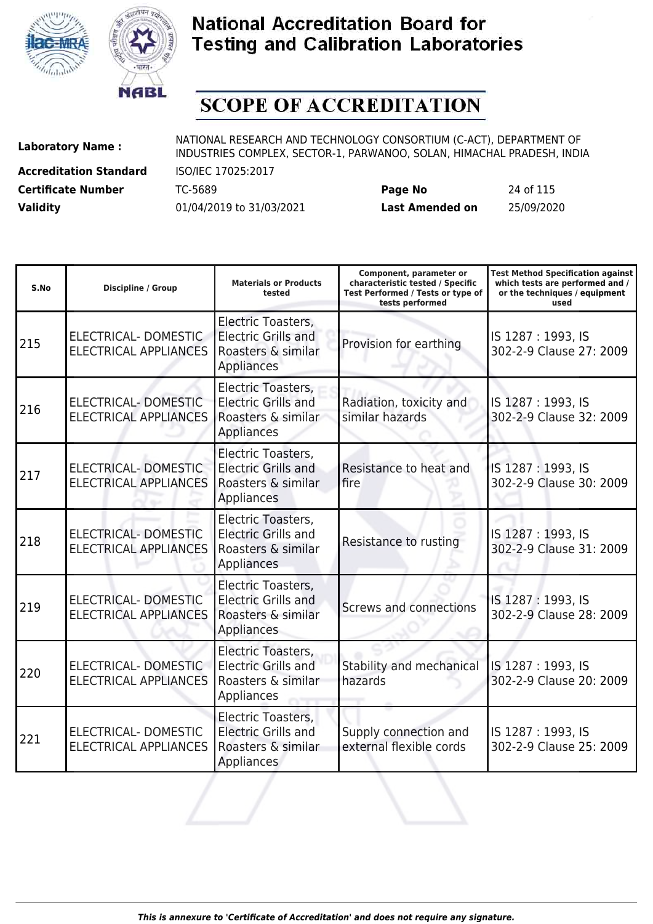



# **SCOPE OF ACCREDITATION**

**Accreditation Standard** ISO/IEC 17025:2017

**Laboratory Name :** NATIONAL RESEARCH AND TECHNOLOGY CONSORTIUM (C-ACT), DEPARTMENT OF **Laboratory Name :** NIDI INDUSTRIES COMPLEX, SECTOR-1, PARWANOO, SOLAN, HIMACHAL PRADESH, INDIA

**Certificate Number** TC-5689 **Page No** 24 of 115 **Validity** 01/04/2019 to 31/03/2021 **Last Amended on** 25/09/2020

| S.No | <b>Discipline / Group</b>                            | <b>Materials or Products</b><br>tested                                                      | Component, parameter or<br>characteristic tested / Specific<br>Test Performed / Tests or type of<br>tests performed | <b>Test Method Specification against</b><br>which tests are performed and /<br>or the techniques / equipment<br>used |
|------|------------------------------------------------------|---------------------------------------------------------------------------------------------|---------------------------------------------------------------------------------------------------------------------|----------------------------------------------------------------------------------------------------------------------|
| 215  | ELECTRICAL- DOMESTIC<br><b>ELECTRICAL APPLIANCES</b> | Electric Toasters,<br><b>Electric Grills and</b><br>Roasters & similar<br>Appliances        | Provision for earthing                                                                                              | IS 1287: 1993, IS<br>302-2-9 Clause 27: 2009                                                                         |
| 216  | ELECTRICAL- DOMESTIC<br><b>ELECTRICAL APPLIANCES</b> | Electric Toasters,<br><b>Electric Grills and</b><br>Roasters & similar<br>Appliances        | Radiation, toxicity and<br>similar hazards                                                                          | IS 1287: 1993, IS<br>302-2-9 Clause 32: 2009                                                                         |
| 217  | ELECTRICAL- DOMESTIC<br><b>ELECTRICAL APPLIANCES</b> | Electric Toasters,<br><b>Electric Grills and</b><br>Roasters & similar<br>Appliances        | Resistance to heat and<br>fire                                                                                      | IS 1287: 1993, IS<br>302-2-9 Clause 30: 2009                                                                         |
| 218  | ELECTRICAL- DOMESTIC<br><b>ELECTRICAL APPLIANCES</b> | Electric Toasters,<br><b>Electric Grills and</b><br>Roasters & similar<br>Appliances        | Resistance to rusting                                                                                               | IS 1287: 1993, IS<br>302-2-9 Clause 31: 2009                                                                         |
| 219  | ELECTRICAL- DOMESTIC<br><b>ELECTRICAL APPLIANCES</b> | Electric Toasters,<br><b>Electric Grills and</b><br>Roasters & similar<br>Appliances        | Screws and connections                                                                                              | IS 1287: 1993, IS<br>302-2-9 Clause 28: 2009                                                                         |
| 220  | ELECTRICAL- DOMESTIC<br><b>ELECTRICAL APPLIANCES</b> | Electric Toasters,<br><b>Electric Grills and</b><br>Roasters & similar<br>Appliances        | Stability and mechanical<br>hazards                                                                                 | IS 1287: 1993, IS<br>302-2-9 Clause 20: 2009                                                                         |
| 221  | ELECTRICAL- DOMESTIC<br><b>ELECTRICAL APPLIANCES</b> | Electric Toasters,<br><b>Electric Grills and</b><br>Roasters & similar<br><b>Appliances</b> | Supply connection and<br>external flexible cords                                                                    | IS 1287: 1993, IS<br>302-2-9 Clause 25: 2009                                                                         |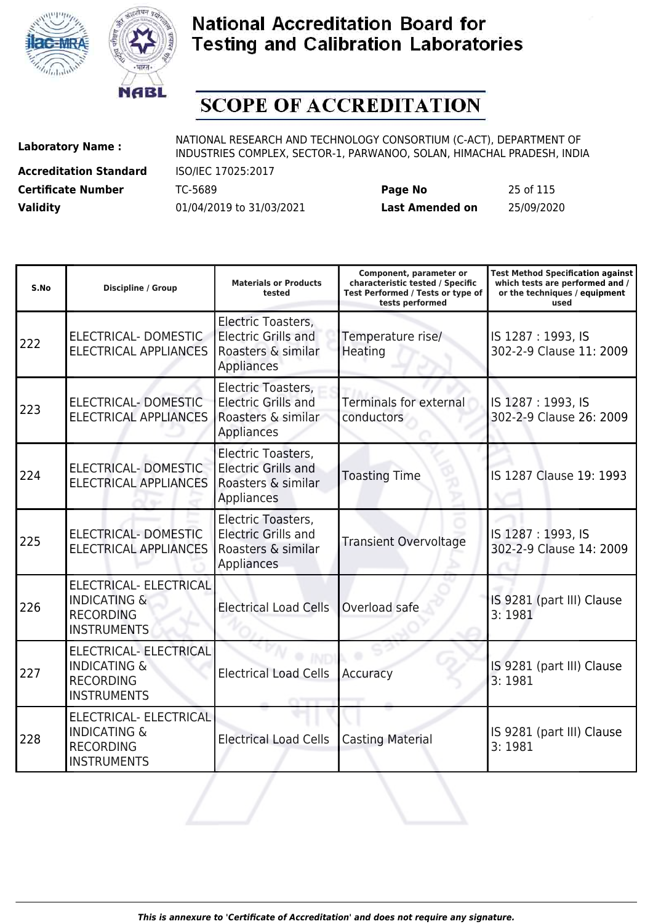



# **SCOPE OF ACCREDITATION**

**Accreditation Standard** ISO/IEC 17025:2017

| <b>Certificate Number</b> | TC-5689                  | Page No                | 25 of 115  |
|---------------------------|--------------------------|------------------------|------------|
| <b>Validity</b>           | 01/04/2019 to 31/03/2021 | <b>Last Amended on</b> | 25/09/2020 |

| S.No | <b>Discipline / Group</b>                                                                          | <b>Materials or Products</b><br>tested                                               | Component, parameter or<br>characteristic tested / Specific<br>Test Performed / Tests or type of<br>tests performed | <b>Test Method Specification against</b><br>which tests are performed and /<br>or the techniques / equipment<br>used |
|------|----------------------------------------------------------------------------------------------------|--------------------------------------------------------------------------------------|---------------------------------------------------------------------------------------------------------------------|----------------------------------------------------------------------------------------------------------------------|
| 222  | ELECTRICAL-DOMESTIC<br><b>ELECTRICAL APPLIANCES</b>                                                | Electric Toasters,<br><b>Electric Grills and</b><br>Roasters & similar<br>Appliances | Temperature rise/<br>Heating                                                                                        | IS 1287: 1993, IS<br>302-2-9 Clause 11: 2009                                                                         |
| 223  | ELECTRICAL- DOMESTIC<br><b>ELECTRICAL APPLIANCES</b>                                               | Electric Toasters,<br><b>Electric Grills and</b><br>Roasters & similar<br>Appliances | <b>Terminals for external</b><br>conductors                                                                         | IS 1287: 1993, IS<br>302-2-9 Clause 26: 2009                                                                         |
| 224  | <b>ELECTRICAL- DOMESTIC</b><br><b>ELECTRICAL APPLIANCES</b>                                        | Electric Toasters,<br><b>Electric Grills and</b><br>Roasters & similar<br>Appliances | <b>Toasting Time</b>                                                                                                | IS 1287 Clause 19: 1993                                                                                              |
| 225  | <b>ELECTRICAL- DOMESTIC</b><br><b>ELECTRICAL APPLIANCES</b>                                        | Electric Toasters,<br><b>Electric Grills and</b><br>Roasters & similar<br>Appliances | <b>Transient Overvoltage</b>                                                                                        | IS 1287: 1993, IS<br>302-2-9 Clause 14: 2009                                                                         |
| 226  | <b>ELECTRICAL- ELECTRICAL</b><br><b>INDICATING &amp;</b><br><b>RECORDING</b><br><b>INSTRUMENTS</b> | <b>Electrical Load Cells</b>                                                         | Overload safe                                                                                                       | IS 9281 (part III) Clause<br>3:1981                                                                                  |
| 227  | <b>ELECTRICAL- ELECTRICAL</b><br><b>INDICATING &amp;</b><br><b>RECORDING</b><br><b>INSTRUMENTS</b> | <b>Electrical Load Cells</b>                                                         | Accuracy                                                                                                            | IS 9281 (part III) Clause<br>3:1981                                                                                  |
| 228  | <b>ELECTRICAL- ELECTRICAL</b><br><b>INDICATING &amp;</b><br><b>RECORDING</b><br><b>INSTRUMENTS</b> | <b>Electrical Load Cells</b>                                                         | <b>Casting Material</b>                                                                                             | IS 9281 (part III) Clause<br>3:1981                                                                                  |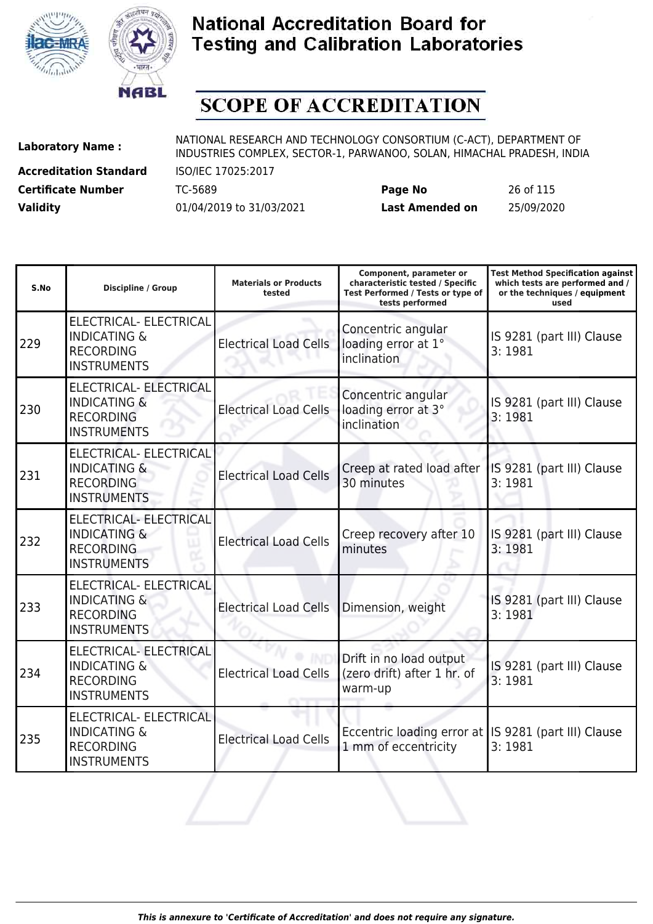



# **SCOPE OF ACCREDITATION**

**Accreditation Standard** ISO/IEC 17025:2017 **Certificate Number** TC-5689 **Page No** 26 of 115

| <b>Certificate Number</b> | TC-5689                  | Page No                | 26 of 115  |
|---------------------------|--------------------------|------------------------|------------|
| <b>Validity</b>           | 01/04/2019 to 31/03/2021 | <b>Last Amended on</b> | 25/09/2020 |

| S.No | <b>Discipline / Group</b>                                                                          | <b>Materials or Products</b><br>tested | Component, parameter or<br>characteristic tested / Specific<br>Test Performed / Tests or type of<br>tests performed | <b>Test Method Specification against</b><br>which tests are performed and /<br>or the techniques / equipment<br>used |
|------|----------------------------------------------------------------------------------------------------|----------------------------------------|---------------------------------------------------------------------------------------------------------------------|----------------------------------------------------------------------------------------------------------------------|
| 229  | ELECTRICAL- ELECTRICAL<br><b>INDICATING &amp;</b><br><b>RECORDING</b><br><b>INSTRUMENTS</b>        | <b>Electrical Load Cells</b>           | Concentric angular<br>loading error at 1°<br>inclination                                                            | IS 9281 (part III) Clause<br>3:1981                                                                                  |
| 230  | <b>ELECTRICAL- ELECTRICAL</b><br><b>INDICATING &amp;</b><br><b>RECORDING</b><br><b>INSTRUMENTS</b> | <b>Electrical Load Cells</b>           | Concentric angular<br>loading error at 3°<br>inclination                                                            | IS 9281 (part III) Clause<br>3:1981                                                                                  |
| 231  | ELECTRICAL- ELECTRICAL<br><b>INDICATING &amp;</b><br><b>RECORDING</b><br><b>INSTRUMENTS</b>        | <b>Electrical Load Cells</b>           | Creep at rated load after<br>30 minutes                                                                             | IS 9281 (part III) Clause<br>3:1981                                                                                  |
| 232  | ELECTRICAL- ELECTRICAL<br><b>INDICATING &amp;</b><br><b>RECORDING</b><br><b>INSTRUMENTS</b>        | <b>Electrical Load Cells</b>           | Creep recovery after 10<br>minutes                                                                                  | IS 9281 (part III) Clause<br>3:1981                                                                                  |
| 233  | ELECTRICAL- ELECTRICAL<br><b>INDICATING &amp;</b><br><b>RECORDING</b><br><b>INSTRUMENTS</b>        | <b>Electrical Load Cells</b>           | Dimension, weight                                                                                                   | IS 9281 (part III) Clause<br>3:1981                                                                                  |
| 234  | ELECTRICAL- ELECTRICAL<br><b>INDICATING &amp;</b><br><b>RECORDING</b><br><b>INSTRUMENTS</b>        | <b>Electrical Load Cells</b>           | Drift in no load output<br>(zero drift) after 1 hr. of<br>warm-up                                                   | IS 9281 (part III) Clause<br>3:1981                                                                                  |
| 235  | ELECTRICAL- ELECTRICAL<br><b>INDICATING &amp;</b><br><b>RECORDING</b><br><b>INSTRUMENTS</b>        | <b>Electrical Load Cells</b>           | Eccentric loading error at IS 9281 (part III) Clause<br>1 mm of eccentricity                                        | 3:1981                                                                                                               |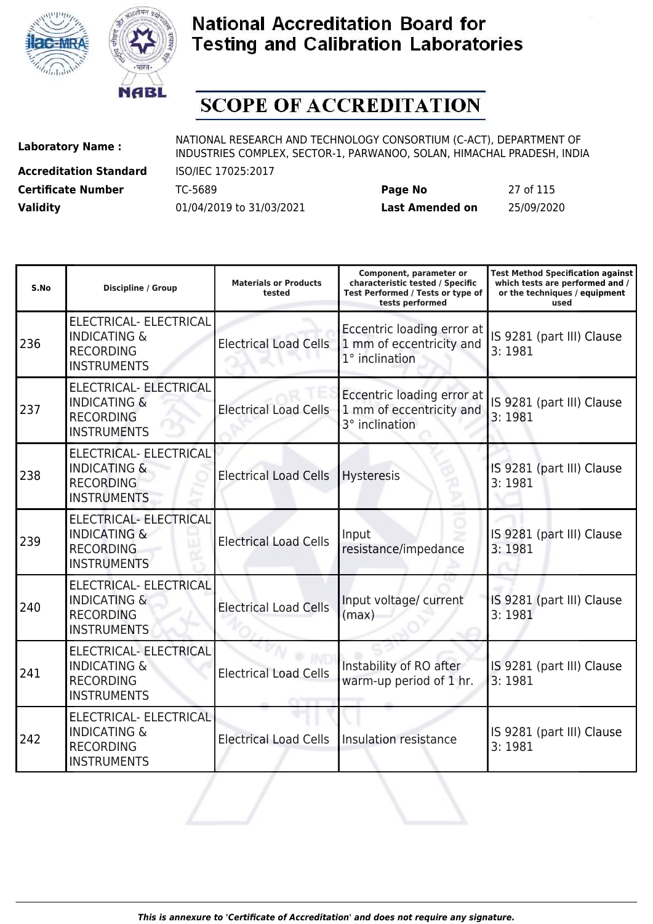



# **SCOPE OF ACCREDITATION**

**Accreditation Standard** ISO/IEC 17025:2017

| <b>Certificate Number</b> | TC-5689                  | Page No         | 27 of 115  |
|---------------------------|--------------------------|-----------------|------------|
| <b>Validity</b>           | 01/04/2019 to 31/03/2021 | Last Amended on | 25/09/2020 |

| S.No | <b>Discipline / Group</b>                                                                          | <b>Materials or Products</b><br>tested | Component, parameter or<br>characteristic tested / Specific<br>Test Performed / Tests or type of<br>tests performed | <b>Test Method Specification against</b><br>which tests are performed and /<br>or the techniques / equipment<br>used |
|------|----------------------------------------------------------------------------------------------------|----------------------------------------|---------------------------------------------------------------------------------------------------------------------|----------------------------------------------------------------------------------------------------------------------|
| 236  | ELECTRICAL- ELECTRICAL<br><b>INDICATING &amp;</b><br><b>RECORDING</b><br><b>INSTRUMENTS</b>        | <b>Electrical Load Cells</b>           | Eccentric loading error at<br>1 mm of eccentricity and<br>$1°$ inclination                                          | IS 9281 (part III) Clause<br>3:1981                                                                                  |
| 237  | <b>ELECTRICAL- ELECTRICAL</b><br><b>INDICATING &amp;</b><br><b>RECORDING</b><br><b>INSTRUMENTS</b> | <b>Electrical Load Cells</b>           | Eccentric loading error at<br>1 mm of eccentricity and<br>3° inclination                                            | IS 9281 (part III) Clause<br>3:1981                                                                                  |
| 238  | ELECTRICAL- ELECTRICAL<br><b>INDICATING &amp;</b><br><b>RECORDING</b><br><b>INSTRUMENTS</b>        | <b>Electrical Load Cells</b>           | <b>Hysteresis</b>                                                                                                   | IS 9281 (part III) Clause<br>3:1981                                                                                  |
| 239  | ELECTRICAL- ELECTRICAL<br><b>INDICATING &amp;</b><br><b>RECORDING</b><br><b>INSTRUMENTS</b>        | <b>Electrical Load Cells</b>           | Input<br>resistance/impedance                                                                                       | IS 9281 (part III) Clause<br>3:1981                                                                                  |
| 240  | ELECTRICAL- ELECTRICAL<br><b>INDICATING &amp;</b><br><b>RECORDING</b><br><b>INSTRUMENTS</b>        | <b>Electrical Load Cells</b>           | Input voltage/ current<br>(max)                                                                                     | IS 9281 (part III) Clause<br>3:1981                                                                                  |
| 241  | <b>ELECTRICAL- ELECTRICAL</b><br><b>INDICATING &amp;</b><br><b>RECORDING</b><br><b>INSTRUMENTS</b> | <b>Electrical Load Cells</b>           | Instability of RO after<br>warm-up period of 1 hr.                                                                  | IS 9281 (part III) Clause<br>3:1981                                                                                  |
| 242  | ELECTRICAL- ELECTRICAL<br><b>INDICATING &amp;</b><br><b>RECORDING</b><br><b>INSTRUMENTS</b>        | <b>Electrical Load Cells</b>           | Insulation resistance                                                                                               | IS 9281 (part III) Clause<br>3:1981                                                                                  |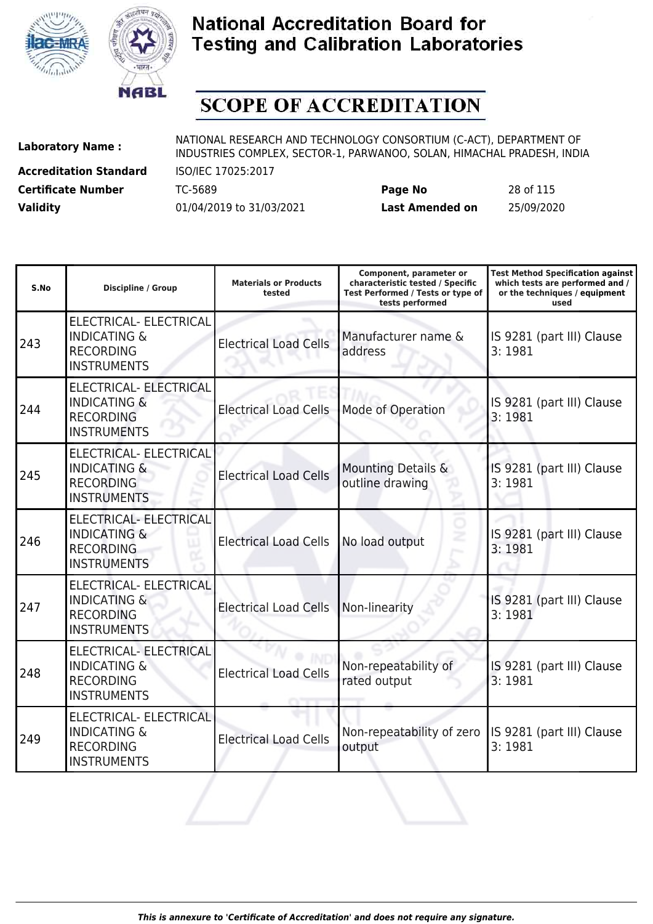



# **SCOPE OF ACCREDITATION**

**Accreditation Standard** ISO/IEC 17025:2017 **Certificate Number** TC-5689 **Page No** 28 of 115

**Laboratory Name :** NATIONAL RESEARCH AND TECHNOLOGY CONSORTIUM (C-ACT), DEPARTMENT OF **Laboratory Name :** NIDI INDUSTRIES COMPLEX, SECTOR-1, PARWANOO, SOLAN, HIMACHAL PRADESH, INDIA

| S.No | <b>Discipline / Group</b>                                                                          | <b>Materials or Products</b><br>tested | Component, parameter or<br>characteristic tested / Specific<br>Test Performed / Tests or type of<br>tests performed | <b>Test Method Specification against</b><br>which tests are performed and /<br>or the techniques / equipment<br>used |
|------|----------------------------------------------------------------------------------------------------|----------------------------------------|---------------------------------------------------------------------------------------------------------------------|----------------------------------------------------------------------------------------------------------------------|
| 243  | ELECTRICAL- ELECTRICAL<br><b>INDICATING &amp;</b><br><b>RECORDING</b><br><b>INSTRUMENTS</b>        | <b>Electrical Load Cells</b>           | Manufacturer name &<br>address                                                                                      | IS 9281 (part III) Clause<br>3:1981                                                                                  |
| 244  | <b>ELECTRICAL- ELECTRICAL</b><br><b>INDICATING &amp;</b><br><b>RECORDING</b><br><b>INSTRUMENTS</b> | <b>Electrical Load Cells</b>           | Mode of Operation                                                                                                   | IS 9281 (part III) Clause<br>3:1981                                                                                  |
| 245  | <b>ELECTRICAL- ELECTRICAL</b><br><b>INDICATING &amp;</b><br><b>RECORDING</b><br><b>INSTRUMENTS</b> | <b>Electrical Load Cells</b>           | Mounting Details &<br>outline drawing                                                                               | IS 9281 (part III) Clause<br>3:1981                                                                                  |
| 246  | ELECTRICAL- ELECTRICAL<br><b>INDICATING &amp;</b><br><b>RECORDING</b><br><b>INSTRUMENTS</b>        | <b>Electrical Load Cells</b>           | No load output                                                                                                      | IS 9281 (part III) Clause<br>3:1981                                                                                  |
| 247  | <b>ELECTRICAL- ELECTRICAL</b><br><b>INDICATING &amp;</b><br><b>RECORDING</b><br><b>INSTRUMENTS</b> | <b>Electrical Load Cells</b>           | Non-linearity                                                                                                       | IS 9281 (part III) Clause<br>3:1981                                                                                  |
| 248  | <b>ELECTRICAL- ELECTRICAL</b><br><b>INDICATING &amp;</b><br><b>RECORDING</b><br><b>INSTRUMENTS</b> | <b>Electrical Load Cells</b>           | Non-repeatability of<br>rated output                                                                                | IS 9281 (part III) Clause<br>3:1981                                                                                  |
| 249  | ELECTRICAL- ELECTRICAL<br><b>INDICATING &amp;</b><br><b>RECORDING</b><br><b>INSTRUMENTS</b>        | <b>Electrical Load Cells</b>           | Non-repeatability of zero<br>output                                                                                 | IS 9281 (part III) Clause<br>3:1981                                                                                  |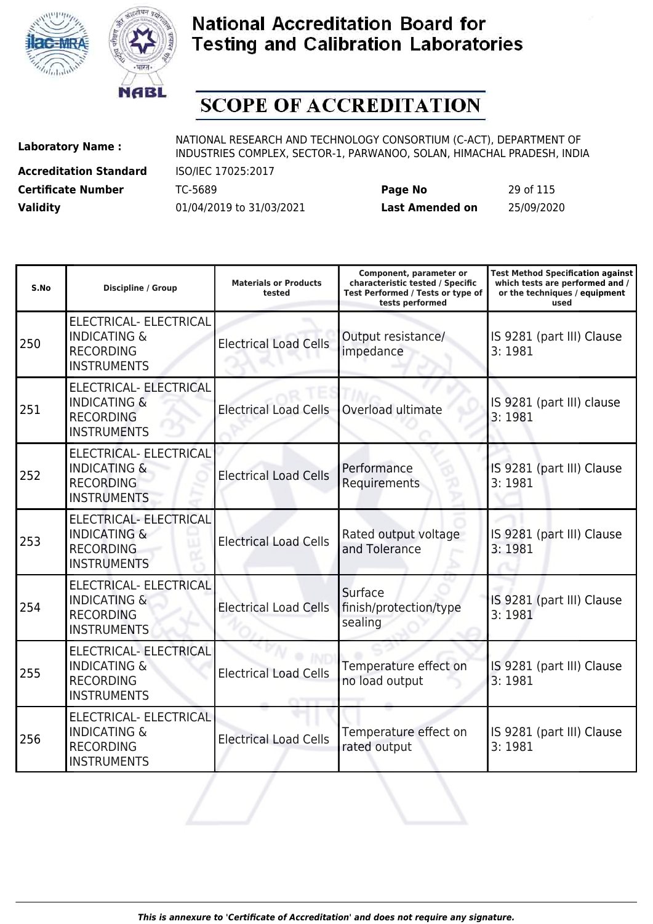



# **SCOPE OF ACCREDITATION**

**Accreditation Standard** ISO/IEC 17025:2017 **Certificate Number** TC-5689 **Page No** 29 of 115 **Validity** 01/04/2019 to 31/03/2021

| Last Amended on | 25/09/2020 |  |
|-----------------|------------|--|
|                 |            |  |

| S.No | <b>Discipline / Group</b>                                                                          | <b>Materials or Products</b><br>tested | Component, parameter or<br>characteristic tested / Specific<br>Test Performed / Tests or type of<br>tests performed | <b>Test Method Specification against</b><br>which tests are performed and /<br>or the techniques / equipment<br>used |
|------|----------------------------------------------------------------------------------------------------|----------------------------------------|---------------------------------------------------------------------------------------------------------------------|----------------------------------------------------------------------------------------------------------------------|
| 250  | ELECTRICAL- ELECTRICAL<br><b>INDICATING &amp;</b><br><b>RECORDING</b><br><b>INSTRUMENTS</b>        | <b>Electrical Load Cells</b>           | Output resistance/<br>impedance                                                                                     | IS 9281 (part III) Clause<br>3:1981                                                                                  |
| 251  | ELECTRICAL- ELECTRICAL<br><b>INDICATING &amp;</b><br><b>RECORDING</b><br><b>INSTRUMENTS</b>        | <b>Electrical Load Cells</b>           | Overload ultimate                                                                                                   | IS 9281 (part III) clause<br>3:1981                                                                                  |
| 252  | ELECTRICAL- ELECTRICAL<br><b>INDICATING &amp;</b><br><b>RECORDING</b><br><b>INSTRUMENTS</b>        | <b>Electrical Load Cells</b>           | Performance<br>Requirements                                                                                         | IS 9281 (part III) Clause<br>3:1981                                                                                  |
| 253  | ELECTRICAL- ELECTRICAL<br><b>INDICATING &amp;</b><br><b>RECORDING</b><br><b>INSTRUMENTS</b>        | <b>Electrical Load Cells</b>           | Rated output voltage<br>and Tolerance                                                                               | IS 9281 (part III) Clause<br>3:1981                                                                                  |
| 254  | ELECTRICAL- ELECTRICAL<br><b>INDICATING &amp;</b><br><b>RECORDING</b><br><b>INSTRUMENTS</b>        | <b>Electrical Load Cells</b>           | Surface<br>finish/protection/type<br>sealing                                                                        | IS 9281 (part III) Clause<br>3:1981                                                                                  |
| 255  | <b>ELECTRICAL- ELECTRICAL</b><br><b>INDICATING &amp;</b><br><b>RECORDING</b><br><b>INSTRUMENTS</b> | <b>Electrical Load Cells</b>           | Temperature effect on<br>no load output                                                                             | IS 9281 (part III) Clause<br>3:1981                                                                                  |
| 256  | <b>ELECTRICAL- ELECTRICAL</b><br><b>INDICATING &amp;</b><br><b>RECORDING</b><br><b>INSTRUMENTS</b> | <b>Electrical Load Cells</b>           | Temperature effect on<br>rated output                                                                               | IS 9281 (part III) Clause<br>3:1981                                                                                  |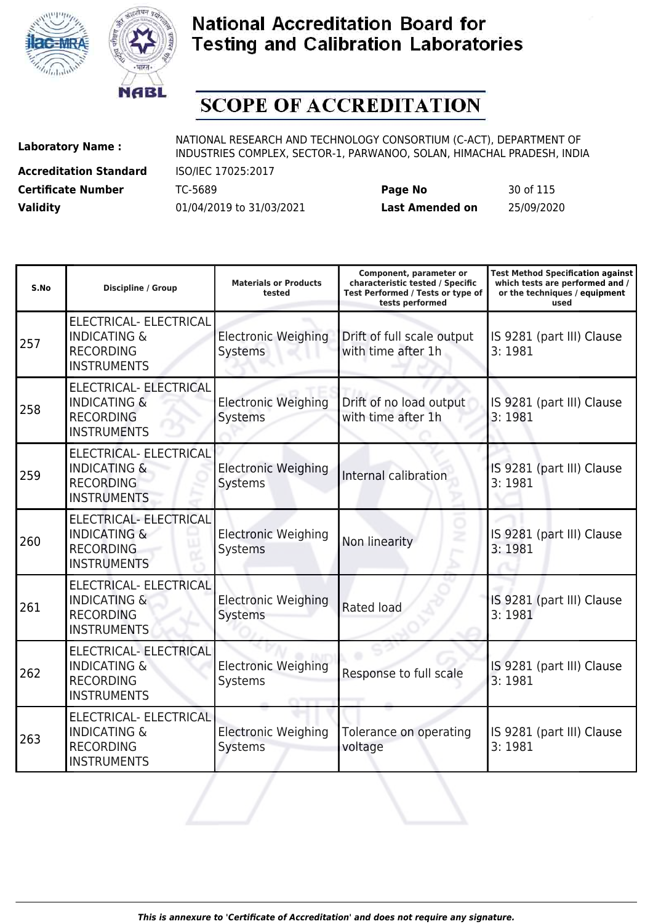



# **SCOPE OF ACCREDITATION**

**Accreditation Standard** ISO/IEC 17025:2017 **Certificate Number** TC-5689 **Page No** 30 of 115 **Validity** 01/04/2019 to 31/03/2021 **Last Amended on** 

|    | 50 OF 115  |
|----|------------|
| on | 25/09/2020 |

| S.No | <b>Discipline / Group</b>                                                                          | <b>Materials or Products</b><br>tested       | Component, parameter or<br>characteristic tested / Specific<br>Test Performed / Tests or type of<br>tests performed | <b>Test Method Specification against</b><br>which tests are performed and /<br>or the techniques / equipment<br>used |
|------|----------------------------------------------------------------------------------------------------|----------------------------------------------|---------------------------------------------------------------------------------------------------------------------|----------------------------------------------------------------------------------------------------------------------|
| 257  | ELECTRICAL- ELECTRICAL<br><b>INDICATING &amp;</b><br><b>RECORDING</b><br><b>INSTRUMENTS</b>        | <b>Electronic Weighing</b><br>Systems        | Drift of full scale output<br>with time after 1h                                                                    | IS 9281 (part III) Clause<br>3:1981                                                                                  |
| 258  | <b>ELECTRICAL- ELECTRICAL</b><br><b>INDICATING &amp;</b><br><b>RECORDING</b><br><b>INSTRUMENTS</b> | <b>Electronic Weighing</b><br>Systems        | Drift of no load output<br>with time after 1h                                                                       | IS 9281 (part III) Clause<br>3:1981                                                                                  |
| 259  | ELECTRICAL- ELECTRICAL<br><b>INDICATING &amp;</b><br><b>RECORDING</b><br><b>INSTRUMENTS</b>        | <b>Electronic Weighing</b><br><b>Systems</b> | <b>Internal calibration</b>                                                                                         | IS 9281 (part III) Clause<br>3:1981                                                                                  |
| 260  | ELECTRICAL- ELECTRICAL<br><b>INDICATING &amp;</b><br><b>RECORDING</b><br><b>INSTRUMENTS</b>        | <b>Electronic Weighing</b><br>Systems        | ż<br>Non linearity                                                                                                  | IS 9281 (part III) Clause<br>3:1981                                                                                  |
| 261  | ELECTRICAL- ELECTRICAL<br><b>INDICATING &amp;</b><br><b>RECORDING</b><br><b>INSTRUMENTS</b>        | <b>Electronic Weighing</b><br>Systems        | Rated load                                                                                                          | IS 9281 (part III) Clause<br>3:1981                                                                                  |
| 262  | <b>ELECTRICAL- ELECTRICAL</b><br><b>INDICATING &amp;</b><br><b>RECORDING</b><br><b>INSTRUMENTS</b> | <b>Electronic Weighing</b><br>Systems        | Response to full scale                                                                                              | IS 9281 (part III) Clause<br>3:1981                                                                                  |
| 263  | ELECTRICAL- ELECTRICAL<br><b>INDICATING &amp;</b><br><b>RECORDING</b><br><b>INSTRUMENTS</b>        | <b>Electronic Weighing</b><br>Systems        | Tolerance on operating<br>voltage                                                                                   | IS 9281 (part III) Clause<br>3:1981                                                                                  |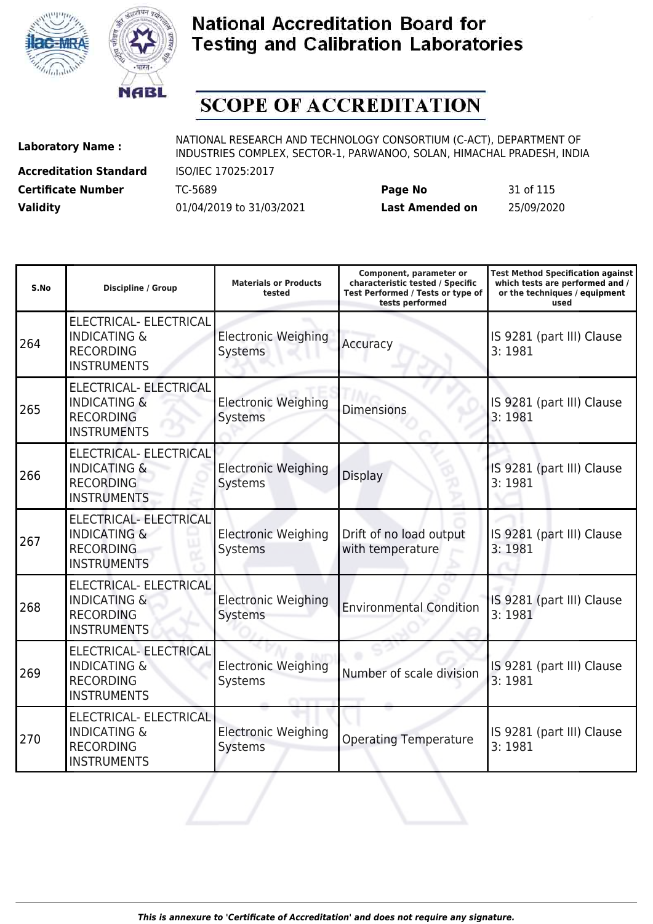



# **SCOPE OF ACCREDITATION**

**Accreditation Standard** ISO/IEC 17025:2017

| <b>Certificate Number</b> | TC-5689                  | Page No         | 31 of 115  |
|---------------------------|--------------------------|-----------------|------------|
| <b>Validity</b>           | 01/04/2019 to 31/03/2021 | Last Amended on | 25/09/2020 |

| S.No | <b>Discipline / Group</b>                                                                          | <b>Materials or Products</b><br>tested       | Component, parameter or<br>characteristic tested / Specific<br>Test Performed / Tests or type of<br>tests performed | <b>Test Method Specification against</b><br>which tests are performed and /<br>or the techniques / equipment<br>used |
|------|----------------------------------------------------------------------------------------------------|----------------------------------------------|---------------------------------------------------------------------------------------------------------------------|----------------------------------------------------------------------------------------------------------------------|
| 264  | ELECTRICAL- ELECTRICAL<br><b>INDICATING &amp;</b><br><b>RECORDING</b><br><b>INSTRUMENTS</b>        | <b>Electronic Weighing</b><br>Systems        | Accuracy                                                                                                            | IS 9281 (part III) Clause<br>3:1981                                                                                  |
| 265  | <b>ELECTRICAL- ELECTRICAL</b><br><b>INDICATING &amp;</b><br><b>RECORDING</b><br><b>INSTRUMENTS</b> | <b>Electronic Weighing</b><br>Systems        | <b>Dimensions</b>                                                                                                   | IS 9281 (part III) Clause<br>3:1981                                                                                  |
| 266  | ELECTRICAL- ELECTRICAL<br><b>INDICATING &amp;</b><br><b>RECORDING</b><br><b>INSTRUMENTS</b>        | <b>Electronic Weighing</b><br><b>Systems</b> | <b>Display</b>                                                                                                      | IS 9281 (part III) Clause<br>3:1981                                                                                  |
| 267  | ELECTRICAL- ELECTRICAL<br><b>INDICATING &amp;</b><br><b>RECORDING</b><br><b>INSTRUMENTS</b>        | <b>Electronic Weighing</b><br>Systems        | Drift of no load output<br>with temperature                                                                         | IS 9281 (part III) Clause<br>3:1981                                                                                  |
| 268  | ELECTRICAL- ELECTRICAL<br><b>INDICATING &amp;</b><br><b>RECORDING</b><br><b>INSTRUMENTS</b>        | <b>Electronic Weighing</b><br><b>Systems</b> | <b>Environmental Condition</b>                                                                                      | IS 9281 (part III) Clause<br>3:1981                                                                                  |
| 269  | ELECTRICAL- ELECTRICAL<br><b>INDICATING &amp;</b><br><b>RECORDING</b><br><b>INSTRUMENTS</b>        | <b>Electronic Weighing</b><br>Systems        | Number of scale division                                                                                            | IS 9281 (part III) Clause<br>3:1981                                                                                  |
| 270  | ELECTRICAL- ELECTRICAL<br><b>INDICATING &amp;</b><br><b>RECORDING</b><br><b>INSTRUMENTS</b>        | <b>Electronic Weighing</b><br>Systems        | <b>Operating Temperature</b>                                                                                        | IS 9281 (part III) Clause<br>3:1981                                                                                  |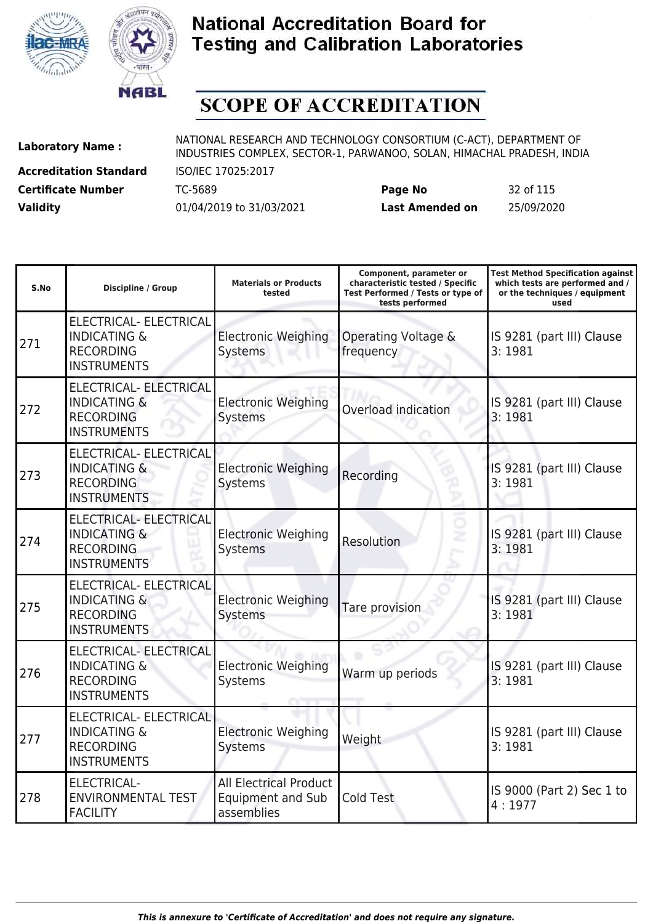



# **SCOPE OF ACCREDITATION**

**Accreditation Standard** ISO/IEC 17025:2017 **Certificate Number** TC-5689 **Page No** 32 of 115

**Laboratory Name :** NATIONAL RESEARCH AND TECHNOLOGY CONSORTIUM (C-ACT), DEPARTMENT OF INDUSTRIES COMPLEX, SECTOR-1, PARWANOO, SOLAN, HIMACHAL PRADESH, INDIA

| S.No | <b>Discipline / Group</b>                                                                          | <b>Materials or Products</b><br>tested                                  | Component, parameter or<br>characteristic tested / Specific<br>Test Performed / Tests or type of<br>tests performed | <b>Test Method Specification against</b><br>which tests are performed and /<br>or the techniques / equipment<br>used |
|------|----------------------------------------------------------------------------------------------------|-------------------------------------------------------------------------|---------------------------------------------------------------------------------------------------------------------|----------------------------------------------------------------------------------------------------------------------|
| 271  | ELECTRICAL- ELECTRICAL<br><b>INDICATING &amp;</b><br><b>RECORDING</b><br><b>INSTRUMENTS</b>        | <b>Electronic Weighing</b><br>Systems                                   | Operating Voltage &<br>frequency                                                                                    | IS 9281 (part III) Clause<br>3:1981                                                                                  |
| 272  | <b>ELECTRICAL- ELECTRICAL</b><br><b>INDICATING &amp;</b><br><b>RECORDING</b><br><b>INSTRUMENTS</b> | <b>Electronic Weighing</b><br>Systems                                   | Overload indication                                                                                                 | IS 9281 (part III) Clause<br>3:1981                                                                                  |
| 273  | ELECTRICAL- ELECTRICAL<br><b>INDICATING &amp;</b><br><b>RECORDING</b><br><b>INSTRUMENTS</b>        | <b>Electronic Weighing</b><br>Systems                                   | Recording                                                                                                           | IS 9281 (part III) Clause<br>3:1981                                                                                  |
| 274  | <b>ELECTRICAL- ELECTRICAL</b><br><b>INDICATING &amp;</b><br><b>RECORDING</b><br><b>INSTRUMENTS</b> | <b>Electronic Weighing</b><br>Systems                                   | ż<br>Resolution                                                                                                     | IS 9281 (part III) Clause<br>3:1981                                                                                  |
| 275  | ELECTRICAL- ELECTRICAL<br><b>INDICATING &amp;</b><br><b>RECORDING</b><br><b>INSTRUMENTS</b>        | <b>Electronic Weighing</b><br>Systems                                   | Tare provision                                                                                                      | IS 9281 (part III) Clause<br>3:1981                                                                                  |
| 276  | <b>ELECTRICAL- ELECTRICAL</b><br><b>INDICATING &amp;</b><br><b>RECORDING</b><br><b>INSTRUMENTS</b> | <b>Electronic Weighing</b><br>Systems                                   | Warm up periods                                                                                                     | IS 9281 (part III) Clause<br>3:1981                                                                                  |
| 277  | ELECTRICAL- ELECTRICAL<br><b>INDICATING &amp;</b><br><b>RECORDING</b><br><b>INSTRUMENTS</b>        | <b>Electronic Weighing</b><br><b>Systems</b>                            | Weight                                                                                                              | IS 9281 (part III) Clause<br>3:1981                                                                                  |
| 278  | <b>ELECTRICAL-</b><br><b>ENVIRONMENTAL TEST</b><br><b>FACILITY</b>                                 | <b>All Electrical Product</b><br><b>Equipment and Sub</b><br>assemblies | Cold Test                                                                                                           | IS 9000 (Part 2) Sec 1 to<br>4:1977                                                                                  |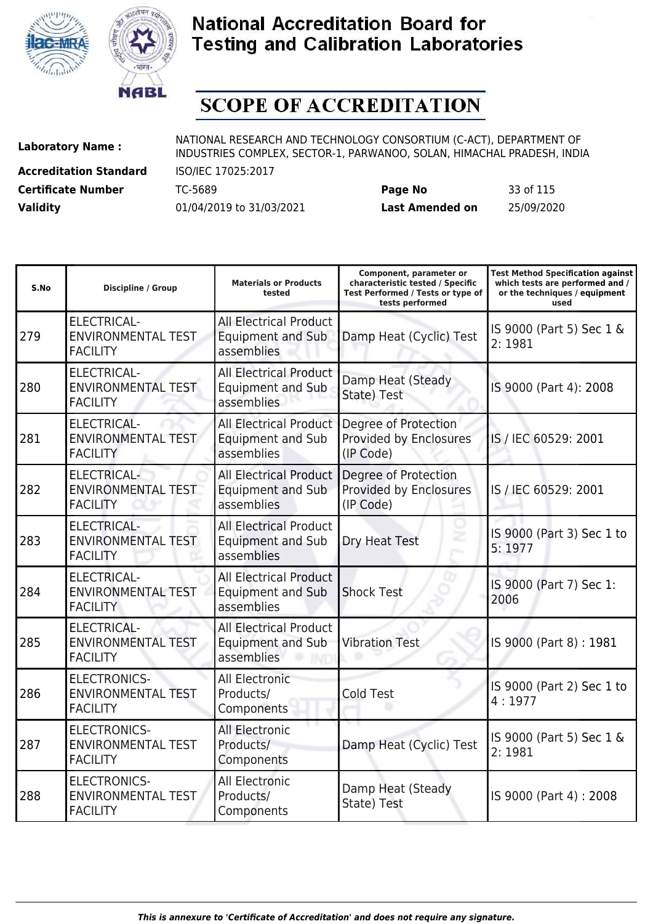



# **SCOPE OF ACCREDITATION**

**Accreditation Standard** ISO/IEC 17025:2017 **Certificate Number** TC-5689 **Page No** 33 of 115

**Laboratory Name :** NATIONAL RESEARCH AND TECHNOLOGY CONSORTIUM (C-ACT), DEPARTMENT OF INDUSTRIES COMPLEX, SECTOR-1, PARWANOO, SOLAN, HIMACHAL PRADESH, INDIA

| S.No | <b>Discipline / Group</b>                                           | <b>Materials or Products</b><br>tested                                  | Component, parameter or<br>characteristic tested / Specific<br>Test Performed / Tests or type of<br>tests performed | <b>Test Method Specification against</b><br>which tests are performed and /<br>or the techniques / equipment<br>used |
|------|---------------------------------------------------------------------|-------------------------------------------------------------------------|---------------------------------------------------------------------------------------------------------------------|----------------------------------------------------------------------------------------------------------------------|
| 279  | ELECTRICAL-<br><b>ENVIRONMENTAL TEST</b><br><b>FACILITY</b>         | <b>All Electrical Product</b><br><b>Equipment and Sub</b><br>assemblies | Damp Heat (Cyclic) Test                                                                                             | IS 9000 (Part 5) Sec 1 &<br>2:1981                                                                                   |
| 280  | <b>ELECTRICAL-</b><br><b>ENVIRONMENTAL TEST</b><br><b>FACILITY</b>  | <b>All Electrical Product</b><br><b>Equipment and Sub</b><br>assemblies | Damp Heat (Steady<br>State) Test                                                                                    | IS 9000 (Part 4): 2008                                                                                               |
| 281  | <b>ELECTRICAL-</b><br><b>ENVIRONMENTAL TEST</b><br><b>FACILITY</b>  | <b>All Electrical Product</b><br><b>Equipment and Sub</b><br>assemblies | Degree of Protection<br>Provided by Enclosures<br>(IP Code)                                                         | IS / IEC 60529: 2001                                                                                                 |
| 282  | <b>ELECTRICAL-</b><br><b>ENVIRONMENTAL TEST</b><br><b>FACILITY</b>  | <b>All Electrical Product</b><br><b>Equipment and Sub</b><br>assemblies | Degree of Protection<br>Provided by Enclosures<br>(IP Code)                                                         | IS / IEC 60529: 2001                                                                                                 |
| 283  | <b>ELECTRICAL-</b><br><b>ENVIRONMENTAL TEST</b><br><b>FACILITY</b>  | <b>All Electrical Product</b><br><b>Equipment and Sub</b><br>assemblies | Dry Heat Test                                                                                                       | IS 9000 (Part 3) Sec 1 to<br>5:1977                                                                                  |
| 284  | <b>ELECTRICAL-</b><br><b>ENVIRONMENTAL TEST</b><br><b>FACILITY</b>  | <b>All Electrical Product</b><br><b>Equipment and Sub</b><br>assemblies | <b>Shock Test</b>                                                                                                   | IS 9000 (Part 7) Sec 1:<br>2006                                                                                      |
| 285  | <b>ELECTRICAL-</b><br><b>ENVIRONMENTAL TEST</b><br><b>FACILITY</b>  | <b>All Electrical Product</b><br><b>Equipment and Sub</b><br>assemblies | <b>Vibration Test</b>                                                                                               | IS 9000 (Part 8): 1981                                                                                               |
| 286  | <b>ELECTRONICS-</b><br><b>ENVIRONMENTAL TEST</b><br><b>FACILITY</b> | All Electronic<br>Products/<br>Components                               | <b>Cold Test</b>                                                                                                    | IS 9000 (Part 2) Sec 1 to<br>4:1977                                                                                  |
| 287  | <b>ELECTRONICS-</b><br><b>ENVIRONMENTAL TEST</b><br><b>FACILITY</b> | <b>All Electronic</b><br>Products/<br>Components                        | Damp Heat (Cyclic) Test                                                                                             | IS 9000 (Part 5) Sec 1 &<br>2:1981                                                                                   |
| 288  | <b>ELECTRONICS-</b><br><b>ENVIRONMENTAL TEST</b><br><b>FACILITY</b> | <b>All Electronic</b><br>Products/<br>Components                        | Damp Heat (Steady<br>State) Test                                                                                    | IS 9000 (Part 4): 2008                                                                                               |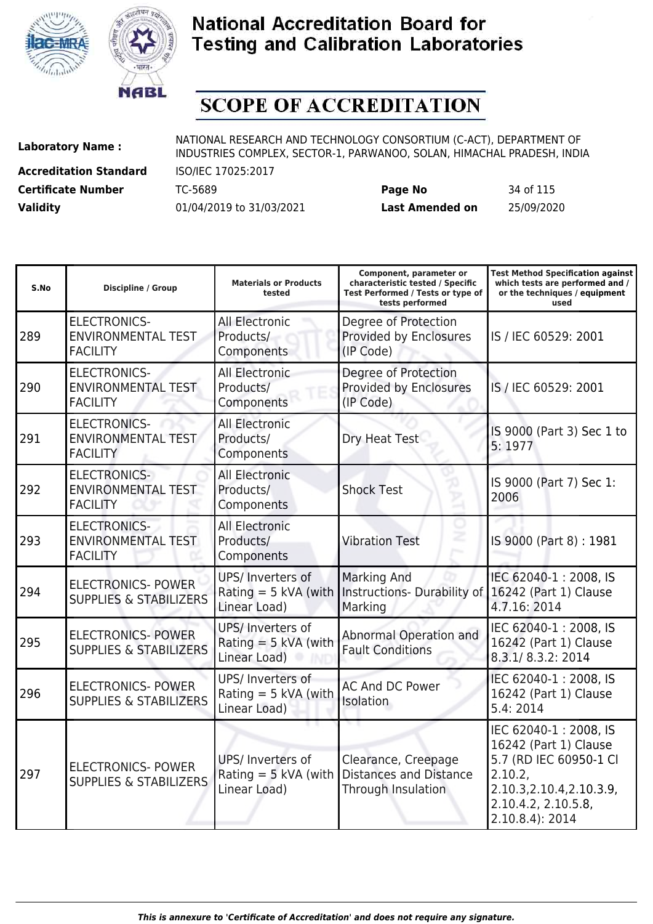



# **SCOPE OF ACCREDITATION**

**Accreditation Standard** ISO/IEC 17025:2017 **Certificate Number** TC-5689 **Page No** 34 of 115

**Laboratory Name :** NATIONAL RESEARCH AND TECHNOLOGY CONSORTIUM (C-ACT), DEPARTMENT OF INDUSTRIES COMPLEX, SECTOR-1, PARWANOO, SOLAN, HIMACHAL PRADESH, INDIA

| S.No | <b>Discipline / Group</b>                                           | <b>Materials or Products</b><br>tested                      | Component, parameter or<br>characteristic tested / Specific<br>Test Performed / Tests or type of<br>tests performed | <b>Test Method Specification against</b><br>which tests are performed and /<br>or the techniques / equipment<br>used                                       |
|------|---------------------------------------------------------------------|-------------------------------------------------------------|---------------------------------------------------------------------------------------------------------------------|------------------------------------------------------------------------------------------------------------------------------------------------------------|
| 289  | <b>ELECTRONICS-</b><br><b>ENVIRONMENTAL TEST</b><br><b>FACILITY</b> | All Electronic<br>Products/<br>Components                   | Degree of Protection<br>Provided by Enclosures<br>(IP Code)                                                         | IS / IEC 60529: 2001                                                                                                                                       |
| 290  | <b>ELECTRONICS-</b><br><b>ENVIRONMENTAL TEST</b><br><b>FACILITY</b> | <b>All Electronic</b><br>Products/<br>Components            | Degree of Protection<br>Provided by Enclosures<br>(IP Code)                                                         | IS / IEC 60529: 2001                                                                                                                                       |
| 291  | <b>ELECTRONICS-</b><br><b>ENVIRONMENTAL TEST</b><br><b>FACILITY</b> | <b>All Electronic</b><br>Products/<br>Components            | Dry Heat Test                                                                                                       | IS 9000 (Part 3) Sec 1 to<br>5:1977                                                                                                                        |
| 292  | <b>ELECTRONICS-</b><br>ENVIRONMENTAL TEST<br><b>FACILITY</b>        | <b>All Electronic</b><br>Products/<br>Components            | <b>Shock Test</b>                                                                                                   | IS 9000 (Part 7) Sec 1:<br>2006                                                                                                                            |
| 293  | <b>ELECTRONICS-</b><br><b>ENVIRONMENTAL TEST</b><br><b>FACILITY</b> | <b>All Electronic</b><br>Products/<br>Components            | <b>Vibration Test</b>                                                                                               | IS 9000 (Part 8): 1981                                                                                                                                     |
| 294  | <b>ELECTRONICS- POWER</b><br><b>SUPPLIES &amp; STABILIZERS</b>      | UPS/ Inverters of<br>Rating $=$ 5 kVA (with<br>Linear Load) | <b>Marking And</b><br>Instructions- Durability of<br>Marking                                                        | IEC 62040-1: 2008, IS<br>16242 (Part 1) Clause<br>4.7.16: 2014                                                                                             |
| 295  | <b>ELECTRONICS- POWER</b><br><b>SUPPLIES &amp; STABILIZERS</b>      | UPS/ Inverters of<br>Rating $=$ 5 kVA (with<br>Linear Load) | Abnormal Operation and<br><b>Fault Conditions</b>                                                                   | IEC 62040-1: 2008, IS<br>16242 (Part 1) Clause<br>8.3.1/8.3.2:2014                                                                                         |
| 296  | <b>ELECTRONICS- POWER</b><br><b>SUPPLIES &amp; STABILIZERS</b>      | UPS/ Inverters of<br>Rating $=$ 5 kVA (with<br>Linear Load) | <b>AC And DC Power</b><br>Isolation                                                                                 | IEC 62040-1:2008, IS<br>16242 (Part 1) Clause<br>5.4:2014                                                                                                  |
| 297  | <b>ELECTRONICS- POWER</b><br><b>SUPPLIES &amp; STABILIZERS</b>      | UPS/ Inverters of<br>Rating $=$ 5 kVA (with<br>Linear Load) | Clearance, Creepage<br><b>Distances and Distance</b><br>Through Insulation                                          | IEC 62040-1:2008, IS<br>16242 (Part 1) Clause<br>5.7 (RD IEC 60950-1 Cl<br>2.10.2<br>2.10.3, 2.10.4, 2.10.3.9,<br>2.10.4.2, 2.10.5.8,<br>$2.10.8.4$ : 2014 |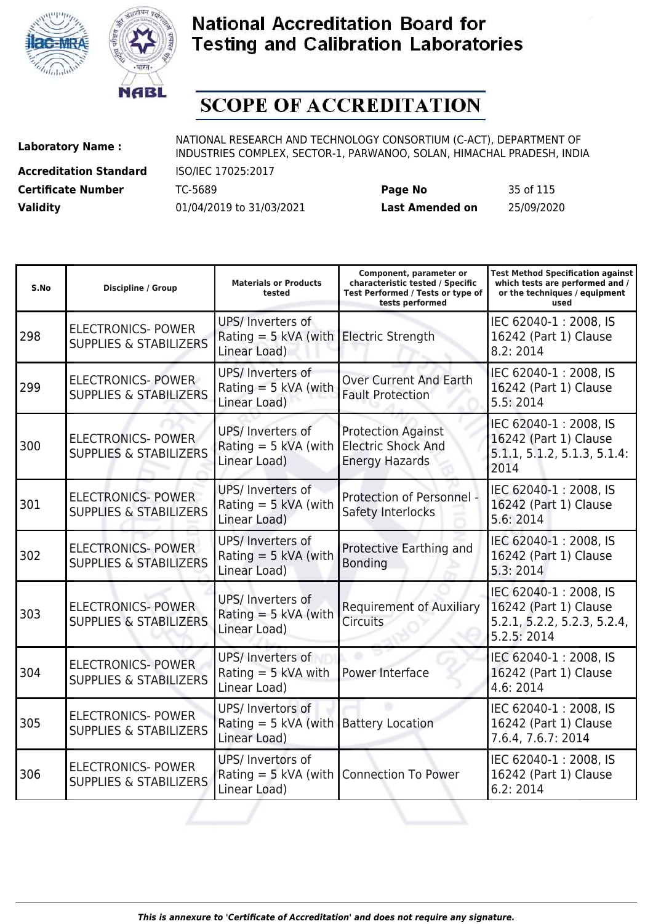



# **SCOPE OF ACCREDITATION**

**Accreditation Standard** ISO/IEC 17025:2017

**Laboratory Name :** NATIONAL RESEARCH AND TECHNOLOGY CONSORTIUM (C-ACT), DEPARTMENT OF **Laboratory Name :** NIDI INDUSTRIES COMPLEX, SECTOR-1, PARWANOO, SOLAN, HIMACHAL PRADESH, INDIA

**Certificate Number** TC-5689 **Page No** 35 of 115 **Validity** 01/04/2019 to 31/03/2021 **Last Amended on** 25/09/2020

| S.No | <b>Discipline / Group</b>                                      | <b>Materials or Products</b><br>tested                                        | Component, parameter or<br>characteristic tested / Specific<br>Test Performed / Tests or type of<br>tests performed | <b>Test Method Specification against</b><br>which tests are performed and /<br>or the techniques / equipment<br>used |
|------|----------------------------------------------------------------|-------------------------------------------------------------------------------|---------------------------------------------------------------------------------------------------------------------|----------------------------------------------------------------------------------------------------------------------|
| 298  | <b>ELECTRONICS- POWER</b><br><b>SUPPLIES &amp; STABILIZERS</b> | UPS/ Inverters of<br>Rating = $5$ kVA (with Electric Strength<br>Linear Load) |                                                                                                                     | IEC 62040-1:2008, IS<br>16242 (Part 1) Clause<br>8.2:2014                                                            |
| 299  | <b>ELECTRONICS- POWER</b><br><b>SUPPLIES &amp; STABILIZERS</b> | UPS/ Inverters of<br>Rating $=$ 5 kVA (with<br>Linear Load)                   | <b>Over Current And Earth</b><br><b>Fault Protection</b>                                                            | IEC 62040-1: 2008, IS<br>16242 (Part 1) Clause<br>5.5:2014                                                           |
| 300  | <b>ELECTRONICS- POWER</b><br><b>SUPPLIES &amp; STABILIZERS</b> | UPS/ Inverters of<br>Rating = $5$ kVA (with  <br>Linear Load)                 | <b>Protection Against</b><br><b>Electric Shock And</b><br><b>Energy Hazards</b>                                     | IEC 62040-1:2008, IS<br>16242 (Part 1) Clause<br>5.1.1, 5.1.2, 5.1.3, 5.1.4:<br>2014                                 |
| 301  | <b>ELECTRONICS- POWER</b><br><b>SUPPLIES &amp; STABILIZERS</b> | UPS/ Inverters of<br>Rating $=$ 5 kVA (with<br>Linear Load)                   | Protection of Personnel -<br>Safety Interlocks                                                                      | IEC 62040-1: 2008, IS<br>16242 (Part 1) Clause<br>5.6: 2014                                                          |
| 302  | <b>ELECTRONICS-POWER</b><br><b>SUPPLIES &amp; STABILIZERS</b>  | UPS/ Inverters of<br>Rating $=$ 5 kVA (with<br>Linear Load)                   | Protective Earthing and<br><b>Bonding</b>                                                                           | IEC 62040-1:2008, IS<br>16242 (Part 1) Clause<br>5.3:2014                                                            |
| 303  | <b>ELECTRONICS- POWER</b><br><b>SUPPLIES &amp; STABILIZERS</b> | UPS/ Inverters of<br>Rating $=$ 5 kVA (with<br>Linear Load)                   | <b>Requirement of Auxiliary</b><br><b>Circuits</b>                                                                  | IEC 62040-1:2008, IS<br>16242 (Part 1) Clause<br>5.2.1, 5.2.2, 5.2.3, 5.2.4,<br>5.2.5: 2014                          |
| 304  | <b>ELECTRONICS- POWER</b><br><b>SUPPLIES &amp; STABILIZERS</b> | UPS/ Inverters of<br>Rating $=$ 5 kVA with<br>Linear Load)                    | Power Interface                                                                                                     | IEC 62040-1:2008, IS<br>16242 (Part 1) Clause<br>4.6: 2014                                                           |
| 305  | <b>ELECTRONICS- POWER</b><br><b>SUPPLIES &amp; STABILIZERS</b> | UPS/ Invertors of<br>Rating = 5 kVA (with Battery Location<br>Linear Load)    |                                                                                                                     | IEC 62040-1:2008, IS<br>16242 (Part 1) Clause<br>7.6.4, 7.6.7: 2014                                                  |
| 306  | <b>ELECTRONICS- POWER</b><br><b>SUPPLIES &amp; STABILIZERS</b> | UPS/ Invertors of<br>Rating = $5$ kVA (with<br>Linear Load)                   | <b>Connection To Power</b>                                                                                          | IEC 62040-1: 2008, IS<br>16242 (Part 1) Clause<br>6.2:2014                                                           |
|      |                                                                |                                                                               |                                                                                                                     |                                                                                                                      |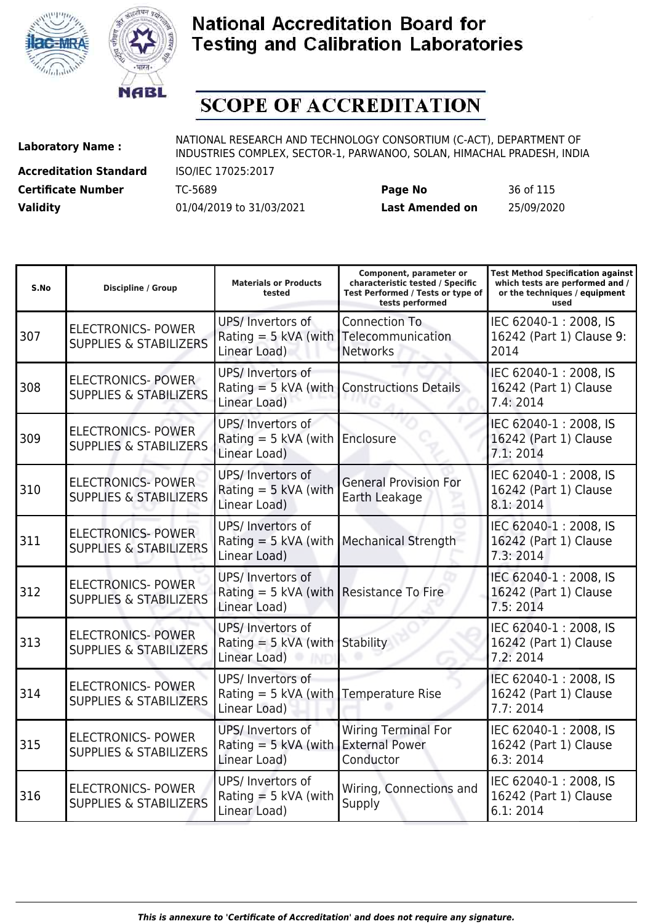



# **SCOPE OF ACCREDITATION**

**Accreditation Standard** ISO/IEC 17025:2017 **Certificate Number** TC-5689 **Page No** 36 of 115

**Laboratory Name :** NATIONAL RESEARCH AND TECHNOLOGY CONSORTIUM (C-ACT), DEPARTMENT OF INDUSTRIES COMPLEX, SECTOR-1, PARWANOO, SOLAN, HIMACHAL PRADESH, INDIA

| S.No | <b>Discipline / Group</b>                                      | <b>Materials or Products</b><br>tested                                        | Component, parameter or<br>characteristic tested / Specific<br>Test Performed / Tests or type of<br>tests performed | <b>Test Method Specification against</b><br>which tests are performed and /<br>or the techniques / equipment<br>used |
|------|----------------------------------------------------------------|-------------------------------------------------------------------------------|---------------------------------------------------------------------------------------------------------------------|----------------------------------------------------------------------------------------------------------------------|
| 307  | <b>ELECTRONICS- POWER</b><br><b>SUPPLIES &amp; STABILIZERS</b> | UPS/ Invertors of<br>Rating $=$ 5 kVA (with Telecommunication<br>Linear Load) | <b>Connection To</b><br><b>Networks</b>                                                                             | IEC 62040-1:2008, IS<br>16242 (Part 1) Clause 9:<br>2014                                                             |
| 308  | <b>ELECTRONICS- POWER</b><br><b>SUPPLIES &amp; STABILIZERS</b> | UPS/ Invertors of<br>Rating $=$ 5 kVA (with<br>Linear Load)                   | <b>Constructions Details</b>                                                                                        | IEC 62040-1:2008, IS<br>16242 (Part 1) Clause<br>7.4:2014                                                            |
| 309  | <b>ELECTRONICS- POWER</b><br><b>SUPPLIES &amp; STABILIZERS</b> | UPS/ Invertors of<br>Rating $=$ 5 kVA (with<br>Linear Load)                   | Enclosure                                                                                                           | IEC 62040-1:2008, IS<br>16242 (Part 1) Clause<br>7.1:2014                                                            |
| 310  | <b>ELECTRONICS- POWER</b><br><b>SUPPLIES &amp; STABILIZERS</b> | UPS/ Invertors of<br>Rating $=$ 5 kVA (with<br>Linear Load)                   | <b>General Provision For</b><br>Earth Leakage                                                                       | IEC 62040-1:2008, IS<br>16242 (Part 1) Clause<br>8.1:2014                                                            |
| 311  | <b>ELECTRONICS- POWER</b><br><b>SUPPLIES &amp; STABILIZERS</b> | UPS/ Invertors of<br>Rating $=$ 5 kVA (with<br>Linear Load)                   | <b>Mechanical Strength</b>                                                                                          | IEC 62040-1: 2008, IS<br>16242 (Part 1) Clause<br>7.3:2014                                                           |
| 312  | <b>ELECTRONICS- POWER</b><br><b>SUPPLIES &amp; STABILIZERS</b> | UPS/ Invertors of<br>Rating = 5 kVA (with Resistance To Fire<br>Linear Load)  |                                                                                                                     | IEC 62040-1:2008, IS<br>16242 (Part 1) Clause<br>7.5:2014                                                            |
| 313  | <b>ELECTRONICS- POWER</b><br><b>SUPPLIES &amp; STABILIZERS</b> | UPS/ Invertors of<br>Rating $=$ 5 kVA (with<br>Linear Load)                   | Stability                                                                                                           | IEC 62040-1:2008, IS<br>16242 (Part 1) Clause<br>7.2:2014                                                            |
| 314  | <b>ELECTRONICS- POWER</b><br><b>SUPPLIES &amp; STABILIZERS</b> | UPS/ Invertors of<br>Rating $=$ 5 kVA (with<br>Linear Load)                   | <b>Temperature Rise</b>                                                                                             | IEC 62040-1:2008, IS<br>16242 (Part 1) Clause<br>7.7:2014                                                            |
| 315  | <b>ELECTRONICS- POWER</b><br><b>SUPPLIES &amp; STABILIZERS</b> | UPS/ Invertors of<br>Rating $=$ 5 kVA (with<br>Linear Load)                   | <b>Wiring Terminal For</b><br><b>External Power</b><br>Conductor                                                    | IEC 62040-1: 2008, IS<br>16242 (Part 1) Clause<br>6.3:2014                                                           |
| 316  | <b>ELECTRONICS- POWER</b><br><b>SUPPLIES &amp; STABILIZERS</b> | UPS/ Invertors of<br>Rating $=$ 5 kVA (with<br>Linear Load)                   | Wiring, Connections and<br>Supply                                                                                   | IEC 62040-1:2008, IS<br>16242 (Part 1) Clause<br>6.1:2014                                                            |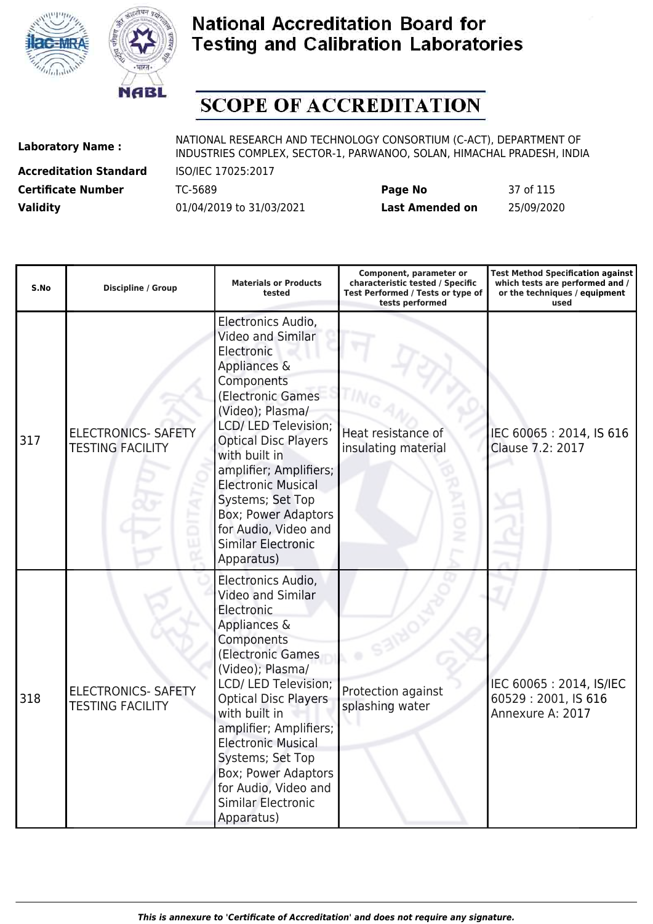



# **SCOPE OF ACCREDITATION**

**Accreditation Standard** ISO/IEC 17025:2017

| <b>Certificate Number</b> | TC-5689                  | Page No                | 37 of 115  |
|---------------------------|--------------------------|------------------------|------------|
| <b>Validity</b>           | 01/04/2019 to 31/03/2021 | <b>Last Amended on</b> | 25/09/2020 |

| S.No | <b>Discipline / Group</b>                             | <b>Materials or Products</b><br>tested                                                                                                                                                                                                                                                                                                                                           | Component, parameter or<br>characteristic tested / Specific<br>Test Performed / Tests or type of<br>tests performed | <b>Test Method Specification against</b><br>which tests are performed and /<br>or the techniques / equipment<br>used |
|------|-------------------------------------------------------|----------------------------------------------------------------------------------------------------------------------------------------------------------------------------------------------------------------------------------------------------------------------------------------------------------------------------------------------------------------------------------|---------------------------------------------------------------------------------------------------------------------|----------------------------------------------------------------------------------------------------------------------|
| 317  | <b>ELECTRONICS- SAFETY</b><br><b>TESTING FACILITY</b> | Electronics Audio,<br>Video and Similar<br>Electronic<br>Appliances &<br>Components<br>(Electronic Games<br>(Video); Plasma/<br>LCD/ LED Television;<br><b>Optical Disc Players</b><br>with built in<br>amplifier; Amplifiers;<br><b>Electronic Musical</b><br>Systems; Set Top<br><b>Box; Power Adaptors</b><br>for Audio, Video and<br><b>Similar Electronic</b><br>Apparatus) | Heat resistance of<br>insulating material                                                                           | IEC 60065: 2014, IS 616<br>Clause 7.2: 2017                                                                          |
| 318  | <b>ELECTRONICS- SAFETY</b><br><b>TESTING FACILITY</b> | Electronics Audio,<br>Video and Similar<br>Electronic<br>Appliances &<br>Components<br>(Electronic Games<br>(Video); Plasma/<br>LCD/ LED Television;<br><b>Optical Disc Players</b><br>with built in<br>amplifier; Amplifiers;<br><b>Electronic Musical</b><br>Systems; Set Top<br>Box; Power Adaptors<br>for Audio, Video and<br><b>Similar Electronic</b><br>Apparatus)        | Protection against<br>splashing water                                                                               | IEC 60065: 2014, IS/IEC<br>60529:2001, IS 616<br>Annexure A: 2017                                                    |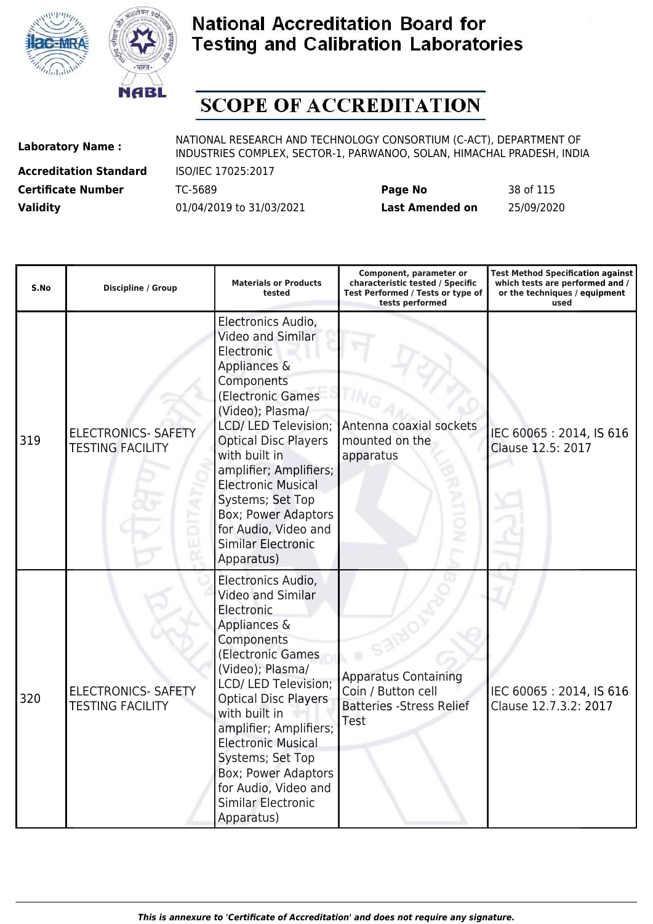



# **SCOPE OF ACCREDITATION**

**Accreditation Standard** ISO/IEC 17025:2017

| <b>Certificate Number</b> | TC-5689                  | Page No                | 38 of 115  |
|---------------------------|--------------------------|------------------------|------------|
| <b>Validity</b>           | 01/04/2019 to 31/03/2021 | <b>Last Amended on</b> | 25/09/2020 |

| S.No | <b>Discipline / Group</b>                             | <b>Materials or Products</b><br>tested                                                                                                                                                                                                                                                                                                                                           | Component, parameter or<br>characteristic tested / Specific<br>Test Performed / Tests or type of<br>tests performed | <b>Test Method Specification against</b><br>which tests are performed and /<br>or the techniques / equipment<br>used |
|------|-------------------------------------------------------|----------------------------------------------------------------------------------------------------------------------------------------------------------------------------------------------------------------------------------------------------------------------------------------------------------------------------------------------------------------------------------|---------------------------------------------------------------------------------------------------------------------|----------------------------------------------------------------------------------------------------------------------|
| 319  | <b>ELECTRONICS- SAFETY</b><br><b>TESTING FACILITY</b> | Electronics Audio,<br>Video and Similar<br>Electronic<br>Appliances &<br>Components<br>(Electronic Games<br>(Video); Plasma/<br>LCD/ LED Television;<br><b>Optical Disc Players</b><br>with built in<br>amplifier; Amplifiers;<br><b>Electronic Musical</b><br>Systems; Set Top<br><b>Box; Power Adaptors</b><br>for Audio, Video and<br><b>Similar Electronic</b><br>Apparatus) | Antenna coaxial sockets<br>mounted on the<br>apparatus                                                              | IEC 60065: 2014, IS 616<br>Clause 12.5: 2017                                                                         |
| 320  | <b>ELECTRONICS- SAFETY</b><br><b>TESTING FACILITY</b> | Electronics Audio,<br><b>Video and Similar</b><br>Electronic<br>Appliances &<br>Components<br>(Electronic Games<br>(Video); Plasma/<br>LCD/ LED Television;<br><b>Optical Disc Players</b><br>with built in<br>amplifier; Amplifiers;<br><b>Electronic Musical</b><br>Systems; Set Top<br>Box; Power Adaptors<br>for Audio, Video and<br><b>Similar Electronic</b><br>Apparatus) | <b>Apparatus Containing</b><br>Coin / Button cell<br><b>Batteries - Stress Relief</b><br>Test                       | IEC 60065: 2014, IS 616<br>Clause 12.7.3.2: 2017                                                                     |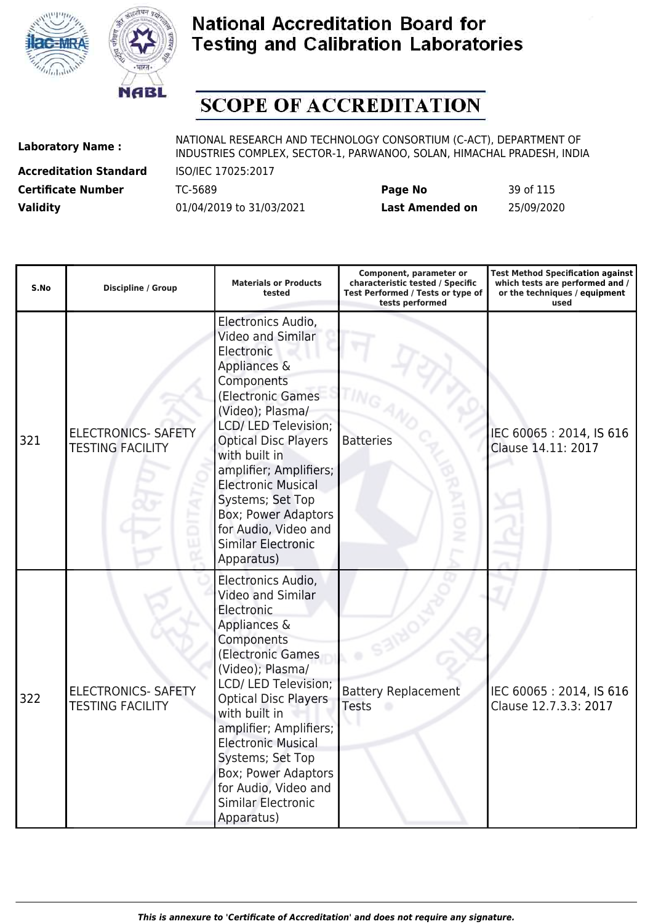



# **SCOPE OF ACCREDITATION**

**Accreditation Standard** ISO/IEC 17025:2017

| <b>Certificate Number</b> | TC-5689                  | Page No         | 39 of 115  |
|---------------------------|--------------------------|-----------------|------------|
| <b>Validity</b>           | 01/04/2019 to 31/03/2021 | Last Amended on | 25/09/2020 |

| S.No | <b>Discipline / Group</b>                             | <b>Materials or Products</b><br>tested                                                                                                                                                                                                                                                                                                                                    | Component, parameter or<br>characteristic tested / Specific<br>Test Performed / Tests or type of<br>tests performed | <b>Test Method Specification against</b><br>which tests are performed and /<br>or the techniques / equipment<br>used |
|------|-------------------------------------------------------|---------------------------------------------------------------------------------------------------------------------------------------------------------------------------------------------------------------------------------------------------------------------------------------------------------------------------------------------------------------------------|---------------------------------------------------------------------------------------------------------------------|----------------------------------------------------------------------------------------------------------------------|
| 321  | <b>ELECTRONICS- SAFETY</b><br><b>TESTING FACILITY</b> | Electronics Audio,<br>Video and Similar<br>Electronic<br>Appliances &<br>Components<br>(Electronic Games<br>(Video); Plasma/<br>LCD/ LED Television;<br><b>Optical Disc Players</b><br>with built in<br>amplifier; Amplifiers;<br><b>Electronic Musical</b><br>Systems; Set Top<br>Box; Power Adaptors<br>for Audio, Video and<br><b>Similar Electronic</b><br>Apparatus) | <b>Batteries</b>                                                                                                    | IEC 60065: 2014, IS 616<br>Clause 14.11: 2017                                                                        |
| 322  | <b>ELECTRONICS- SAFETY</b><br><b>TESTING FACILITY</b> | Electronics Audio,<br>Video and Similar<br>Electronic<br>Appliances &<br>Components<br>(Electronic Games<br>(Video); Plasma/<br>LCD/ LED Television;<br><b>Optical Disc Players</b><br>with built in<br>amplifier; Amplifiers;<br><b>Electronic Musical</b><br>Systems; Set Top<br>Box; Power Adaptors<br>for Audio, Video and<br><b>Similar Electronic</b><br>Apparatus) | <b>Battery Replacement</b><br><b>Tests</b>                                                                          | IEC 60065: 2014, IS 616<br>Clause 12.7.3.3: 2017                                                                     |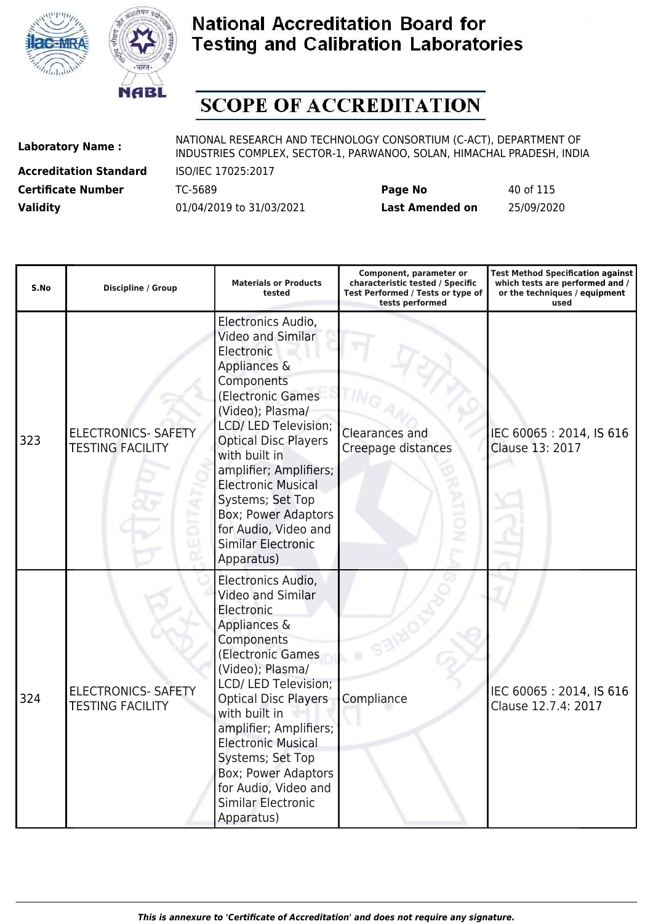



# **SCOPE OF ACCREDITATION**

**Accreditation Standard** ISO/IEC 17025:2017

| <b>Certificate Number</b> | TC-5689                  | Page No         | 40 of 115  |
|---------------------------|--------------------------|-----------------|------------|
| <b>Validity</b>           | 01/04/2019 to 31/03/2021 | Last Amended on | 25/09/2020 |

| S.No | <b>Discipline / Group</b>                             | <b>Materials or Products</b><br>tested                                                                                                                                                                                                                                                                                                                                           | Component, parameter or<br>characteristic tested / Specific<br>Test Performed / Tests or type of<br>tests performed | <b>Test Method Specification against</b><br>which tests are performed and /<br>or the techniques / equipment<br>used |
|------|-------------------------------------------------------|----------------------------------------------------------------------------------------------------------------------------------------------------------------------------------------------------------------------------------------------------------------------------------------------------------------------------------------------------------------------------------|---------------------------------------------------------------------------------------------------------------------|----------------------------------------------------------------------------------------------------------------------|
| 323  | <b>ELECTRONICS- SAFETY</b><br><b>TESTING FACILITY</b> | Electronics Audio,<br>Video and Similar<br>Electronic<br>Appliances &<br>Components<br>(Electronic Games<br>(Video); Plasma/<br>LCD/ LED Television;<br><b>Optical Disc Players</b><br>with built in<br>amplifier; Amplifiers;<br><b>Electronic Musical</b><br>Systems; Set Top<br><b>Box; Power Adaptors</b><br>for Audio, Video and<br><b>Similar Electronic</b><br>Apparatus) | Clearances and<br>Creepage distances                                                                                | IEC 60065: 2014, IS 616<br>Clause 13: 2017                                                                           |
| 324  | <b>ELECTRONICS- SAFETY</b><br><b>TESTING FACILITY</b> | Electronics Audio,<br><b>Video and Similar</b><br>Electronic<br>Appliances &<br>Components<br>(Electronic Games<br>(Video); Plasma/<br>LCD/ LED Television;<br><b>Optical Disc Players</b><br>with built in<br>amplifier; Amplifiers;<br><b>Electronic Musical</b><br>Systems; Set Top<br>Box; Power Adaptors<br>for Audio, Video and<br><b>Similar Electronic</b><br>Apparatus) | Compliance                                                                                                          | IEC 60065: 2014, IS 616<br>Clause 12.7.4: 2017                                                                       |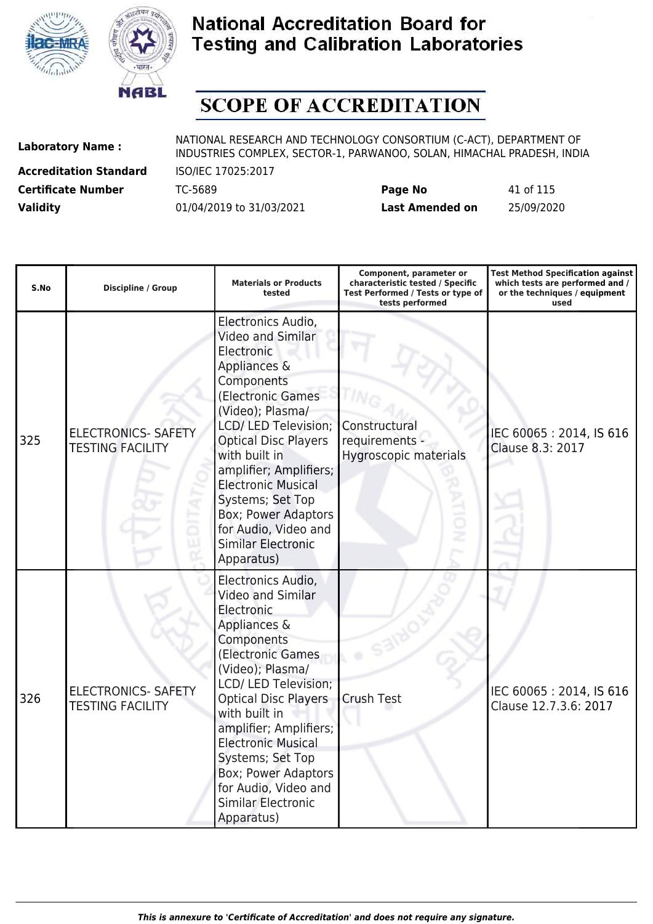



# **SCOPE OF ACCREDITATION**

**Accreditation Standard** ISO/IEC 17025:2017

| <b>Certificate Number</b> | TC-5689                  | Page No         | 41 of 115  |
|---------------------------|--------------------------|-----------------|------------|
| <b>Validity</b>           | 01/04/2019 to 31/03/2021 | Last Amended on | 25/09/2020 |

| S.No | <b>Discipline / Group</b>                             | <b>Materials or Products</b><br>tested                                                                                                                                                                                                                                                                                                                                    | Component, parameter or<br>characteristic tested / Specific<br>Test Performed / Tests or type of<br>tests performed | <b>Test Method Specification against</b><br>which tests are performed and /<br>or the techniques / equipment<br>used |
|------|-------------------------------------------------------|---------------------------------------------------------------------------------------------------------------------------------------------------------------------------------------------------------------------------------------------------------------------------------------------------------------------------------------------------------------------------|---------------------------------------------------------------------------------------------------------------------|----------------------------------------------------------------------------------------------------------------------|
| 325  | <b>ELECTRONICS- SAFETY</b><br><b>TESTING FACILITY</b> | Electronics Audio,<br>Video and Similar<br>Electronic<br>Appliances &<br>Components<br>(Electronic Games<br>(Video); Plasma/<br>LCD/ LED Television;<br><b>Optical Disc Players</b><br>with built in<br>amplifier; Amplifiers;<br><b>Electronic Musical</b><br>Systems; Set Top<br>Box; Power Adaptors<br>for Audio, Video and<br><b>Similar Electronic</b><br>Apparatus) | Constructural<br>requirements -<br>Hygroscopic materials                                                            | IEC 60065: 2014, IS 616<br>Clause 8.3: 2017                                                                          |
| 326  | <b>ELECTRONICS- SAFETY</b><br><b>TESTING FACILITY</b> | Electronics Audio,<br>Video and Similar<br>Electronic<br>Appliances &<br>Components<br>(Electronic Games<br>(Video); Plasma/<br>LCD/ LED Television;<br><b>Optical Disc Players</b><br>with built in<br>amplifier; Amplifiers;<br><b>Electronic Musical</b><br>Systems; Set Top<br>Box; Power Adaptors<br>for Audio, Video and<br><b>Similar Electronic</b><br>Apparatus) | Crush Test                                                                                                          | IEC 60065: 2014, IS 616<br>Clause 12.7.3.6: 2017                                                                     |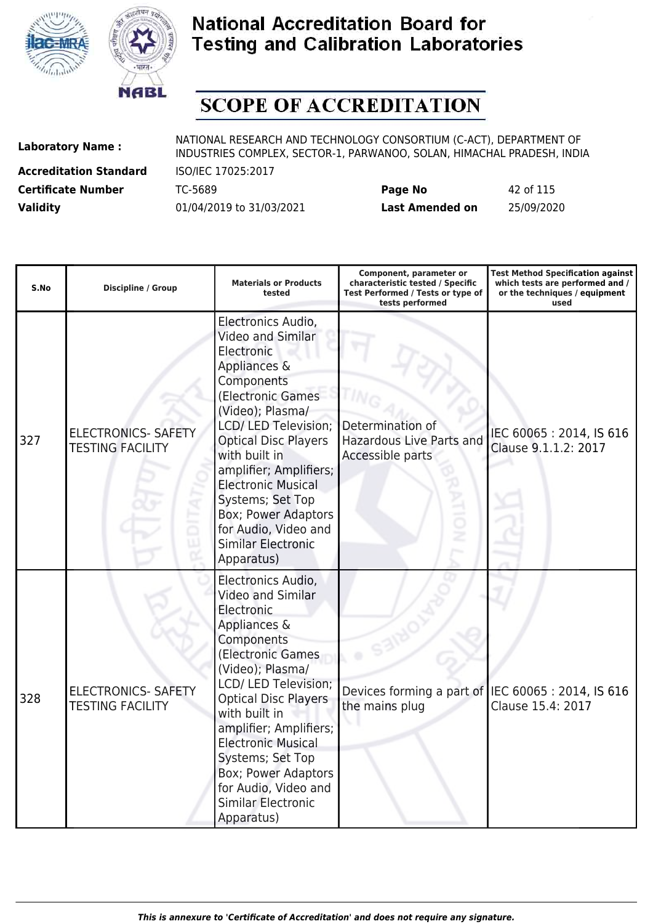



# **SCOPE OF ACCREDITATION**

**Accreditation Standard** ISO/IEC 17025:2017

| <b>Certificate Number</b> | TC-5689                  | Page No         | 42 of 115  |
|---------------------------|--------------------------|-----------------|------------|
| <b>Validity</b>           | 01/04/2019 to 31/03/2021 | Last Amended on | 25/09/2020 |

| S.No | <b>Discipline / Group</b>                             | <b>Materials or Products</b><br>tested                                                                                                                                                                                                                                                                                                                                    | Component, parameter or<br>characteristic tested / Specific<br>Test Performed / Tests or type of<br>tests performed | <b>Test Method Specification against</b><br>which tests are performed and /<br>or the techniques / equipment<br>used |
|------|-------------------------------------------------------|---------------------------------------------------------------------------------------------------------------------------------------------------------------------------------------------------------------------------------------------------------------------------------------------------------------------------------------------------------------------------|---------------------------------------------------------------------------------------------------------------------|----------------------------------------------------------------------------------------------------------------------|
| 327  | <b>ELECTRONICS- SAFETY</b><br><b>TESTING FACILITY</b> | Electronics Audio,<br>Video and Similar<br>Electronic<br>Appliances &<br>Components<br>(Electronic Games<br>(Video); Plasma/<br>LCD/ LED Television;<br><b>Optical Disc Players</b><br>with built in<br>amplifier; Amplifiers;<br><b>Electronic Musical</b><br>Systems; Set Top<br>Box; Power Adaptors<br>for Audio, Video and<br><b>Similar Electronic</b><br>Apparatus) | Determination of<br><b>Hazardous Live Parts and</b><br>Accessible parts                                             | IEC 60065: 2014, IS 616<br>Clause 9.1.1.2: 2017                                                                      |
| 328  | <b>ELECTRONICS- SAFETY</b><br><b>TESTING FACILITY</b> | Electronics Audio,<br>Video and Similar<br>Electronic<br>Appliances &<br>Components<br>(Electronic Games<br>(Video); Plasma/<br>LCD/ LED Television;<br><b>Optical Disc Players</b><br>with built in<br>amplifier; Amplifiers;<br><b>Electronic Musical</b><br>Systems; Set Top<br>Box; Power Adaptors<br>for Audio, Video and<br><b>Similar Electronic</b><br>Apparatus) | Devices forming a part of IEC 60065 : 2014, IS 616<br>the mains plug                                                | Clause 15.4: 2017                                                                                                    |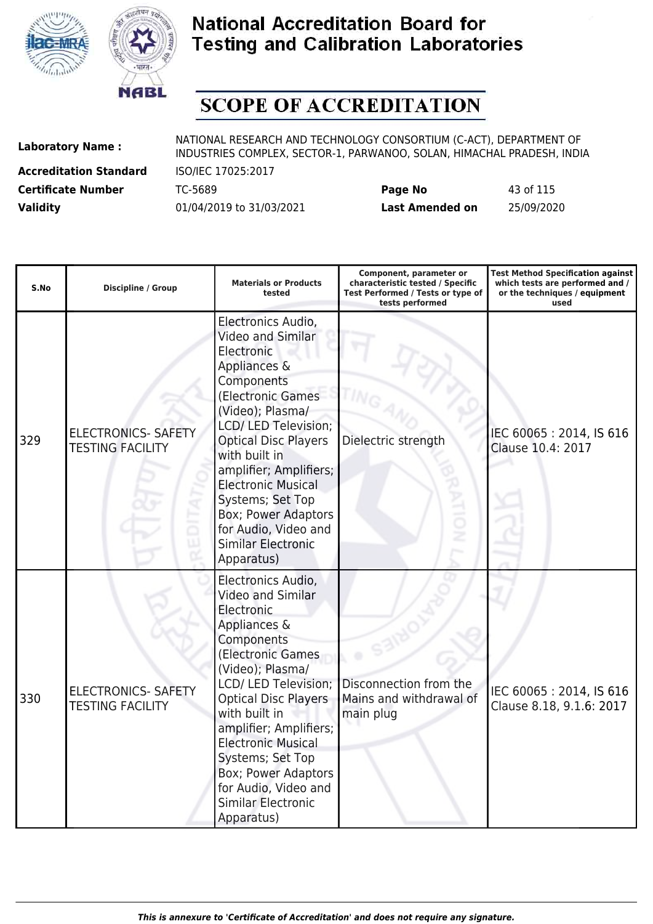



# **SCOPE OF ACCREDITATION**

**Accreditation Standard** ISO/IEC 17025:2017

| <b>Certificate Number</b> | TC-5689                  | Page No         | 43 of 115  |
|---------------------------|--------------------------|-----------------|------------|
| <b>Validity</b>           | 01/04/2019 to 31/03/2021 | Last Amended on | 25/09/2020 |

| S.No | <b>Discipline / Group</b>                             | <b>Materials or Products</b><br>tested                                                                                                                                                                                                                                                                                                                                    | Component, parameter or<br>characteristic tested / Specific<br>Test Performed / Tests or type of<br>tests performed | <b>Test Method Specification against</b><br>which tests are performed and /<br>or the techniques / equipment<br>used |
|------|-------------------------------------------------------|---------------------------------------------------------------------------------------------------------------------------------------------------------------------------------------------------------------------------------------------------------------------------------------------------------------------------------------------------------------------------|---------------------------------------------------------------------------------------------------------------------|----------------------------------------------------------------------------------------------------------------------|
| 329  | <b>ELECTRONICS- SAFETY</b><br><b>TESTING FACILITY</b> | Electronics Audio,<br>Video and Similar<br>Electronic<br>Appliances &<br>Components<br>(Electronic Games<br>(Video); Plasma/<br>LCD/ LED Television;<br><b>Optical Disc Players</b><br>with built in<br>amplifier; Amplifiers;<br><b>Electronic Musical</b><br>Systems; Set Top<br>Box; Power Adaptors<br>for Audio, Video and<br><b>Similar Electronic</b><br>Apparatus) | Dielectric strength                                                                                                 | IEC 60065: 2014, IS 616<br>Clause 10.4: 2017                                                                         |
| 330  | <b>ELECTRONICS- SAFETY</b><br><b>TESTING FACILITY</b> | Electronics Audio,<br>Video and Similar<br>Electronic<br>Appliances &<br>Components<br>(Electronic Games<br>(Video); Plasma/<br>LCD/ LED Television;<br><b>Optical Disc Players</b><br>with built in<br>amplifier; Amplifiers;<br><b>Electronic Musical</b><br>Systems; Set Top<br>Box; Power Adaptors<br>for Audio, Video and<br><b>Similar Electronic</b><br>Apparatus) | Disconnection from the<br>Mains and withdrawal of<br>main plug                                                      | IEC 60065: 2014, IS 616<br>Clause 8.18, 9.1.6: 2017                                                                  |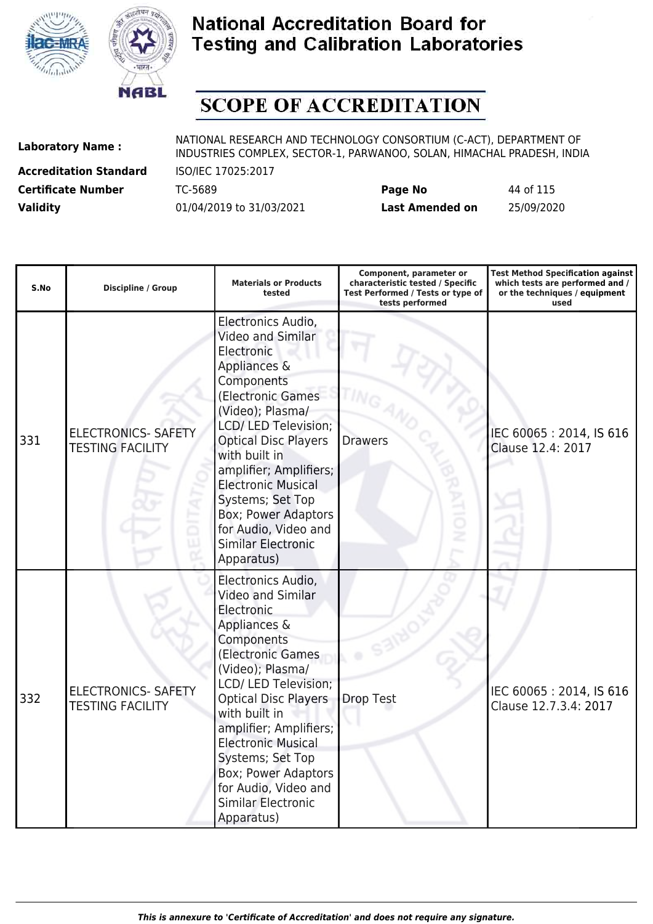



# **SCOPE OF ACCREDITATION**

**Accreditation Standard** ISO/IEC 17025:2017

| <b>Certificate Number</b> | TC-5689                  | Page No         | 44 of 115  |
|---------------------------|--------------------------|-----------------|------------|
| <b>Validity</b>           | 01/04/2019 to 31/03/2021 | Last Amended on | 25/09/2020 |

| S.No | <b>Discipline / Group</b>                             | <b>Materials or Products</b><br>tested                                                                                                                                                                                                                                                                                                                                           | Component, parameter or<br>characteristic tested / Specific<br>Test Performed / Tests or type of<br>tests performed | <b>Test Method Specification against</b><br>which tests are performed and /<br>or the techniques / equipment<br>used |
|------|-------------------------------------------------------|----------------------------------------------------------------------------------------------------------------------------------------------------------------------------------------------------------------------------------------------------------------------------------------------------------------------------------------------------------------------------------|---------------------------------------------------------------------------------------------------------------------|----------------------------------------------------------------------------------------------------------------------|
| 331  | <b>ELECTRONICS- SAFETY</b><br><b>TESTING FACILITY</b> | Electronics Audio,<br>Video and Similar<br>Electronic<br>Appliances &<br>Components<br>(Electronic Games<br>(Video); Plasma/<br>LCD/ LED Television;<br><b>Optical Disc Players</b><br>with built in<br>amplifier; Amplifiers;<br><b>Electronic Musical</b><br>Systems; Set Top<br><b>Box; Power Adaptors</b><br>for Audio, Video and<br><b>Similar Electronic</b><br>Apparatus) | <b>Drawers</b>                                                                                                      | IEC 60065: 2014, IS 616<br>Clause 12.4: 2017                                                                         |
| 332  | <b>ELECTRONICS- SAFETY</b><br><b>TESTING FACILITY</b> | Electronics Audio,<br>Video and Similar<br>Electronic<br>Appliances &<br>Components<br>(Electronic Games<br>(Video); Plasma/<br>LCD/ LED Television;<br><b>Optical Disc Players</b><br>with built in<br>amplifier; Amplifiers;<br><b>Electronic Musical</b><br>Systems; Set Top<br>Box; Power Adaptors<br>for Audio, Video and<br><b>Similar Electronic</b><br>Apparatus)        | Drop Test                                                                                                           | IEC 60065: 2014, IS 616<br>Clause 12.7.3.4: 2017                                                                     |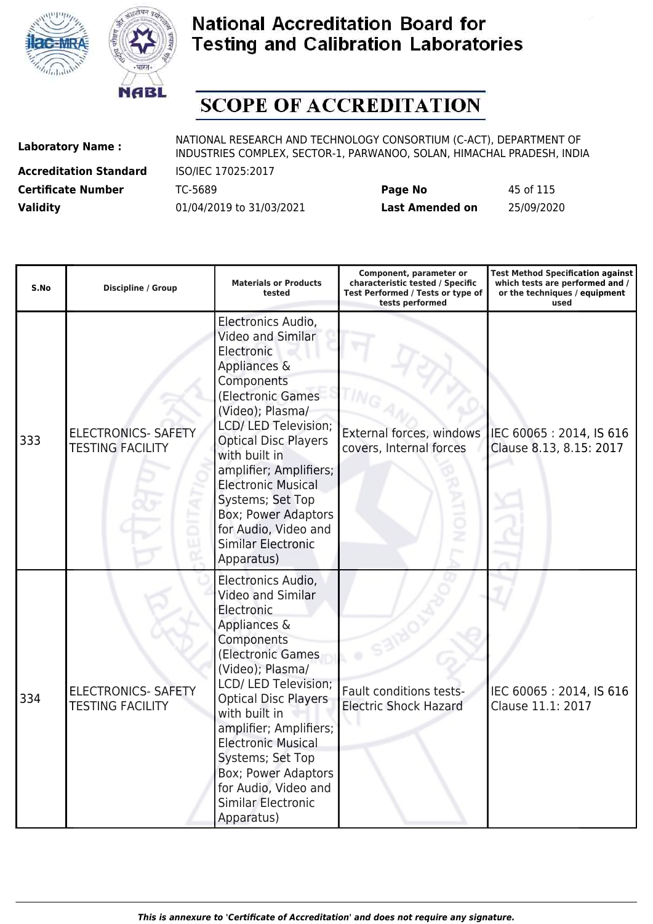



# **SCOPE OF ACCREDITATION**

**Accreditation Standard** ISO/IEC 17025:2017

| <b>Certificate Number</b> | TC-5689                  | Page No         | 45 of 115  |
|---------------------------|--------------------------|-----------------|------------|
| <b>Validity</b>           | 01/04/2019 to 31/03/2021 | Last Amended on | 25/09/2020 |

| S.No | <b>Discipline / Group</b>                             | <b>Materials or Products</b><br>tested                                                                                                                                                                                                                                                                                                                                           | Component, parameter or<br>characteristic tested / Specific<br>Test Performed / Tests or type of<br>tests performed | <b>Test Method Specification against</b><br>which tests are performed and /<br>or the techniques / equipment<br>used |
|------|-------------------------------------------------------|----------------------------------------------------------------------------------------------------------------------------------------------------------------------------------------------------------------------------------------------------------------------------------------------------------------------------------------------------------------------------------|---------------------------------------------------------------------------------------------------------------------|----------------------------------------------------------------------------------------------------------------------|
| 333  | <b>ELECTRONICS- SAFETY</b><br><b>TESTING FACILITY</b> | Electronics Audio,<br>Video and Similar<br>Electronic<br>Appliances &<br>Components<br>(Electronic Games<br>(Video); Plasma/<br>LCD/ LED Television;<br><b>Optical Disc Players</b><br>with built in<br>amplifier; Amplifiers;<br><b>Electronic Musical</b><br>Systems; Set Top<br><b>Box; Power Adaptors</b><br>for Audio, Video and<br><b>Similar Electronic</b><br>Apparatus) | External forces, windows<br>covers, Internal forces                                                                 | IEC 60065: 2014, IS 616<br>Clause 8.13, 8.15: 2017                                                                   |
| 334  | <b>ELECTRONICS- SAFETY</b><br><b>TESTING FACILITY</b> | Electronics Audio,<br>Video and Similar<br>Electronic<br>Appliances &<br>Components<br>(Electronic Games<br>(Video); Plasma/<br>LCD/ LED Television;<br><b>Optical Disc Players</b><br>with built in<br>amplifier; Amplifiers;<br><b>Electronic Musical</b><br>Systems; Set Top<br>Box; Power Adaptors<br>for Audio, Video and<br><b>Similar Electronic</b><br>Apparatus)        | Fault conditions tests-<br><b>Electric Shock Hazard</b>                                                             | IEC 60065: 2014, IS 616<br>Clause 11.1: 2017                                                                         |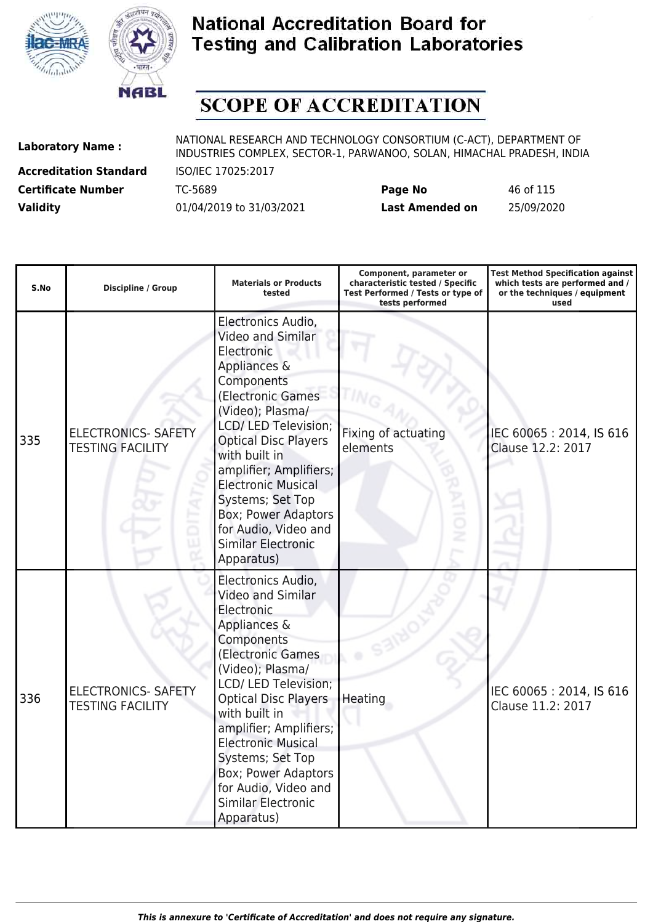



# **SCOPE OF ACCREDITATION**

**Accreditation Standard** ISO/IEC 17025:2017

| <b>Certificate Number</b> | TC-5689                  | Page No         | 46 of 115  |
|---------------------------|--------------------------|-----------------|------------|
| <b>Validity</b>           | 01/04/2019 to 31/03/2021 | Last Amended on | 25/09/2020 |

| S.No | <b>Discipline / Group</b>                             | <b>Materials or Products</b><br>tested                                                                                                                                                                                                                                                                                                                                    | Component, parameter or<br>characteristic tested / Specific<br>Test Performed / Tests or type of<br>tests performed | <b>Test Method Specification against</b><br>which tests are performed and /<br>or the techniques / equipment<br>used |
|------|-------------------------------------------------------|---------------------------------------------------------------------------------------------------------------------------------------------------------------------------------------------------------------------------------------------------------------------------------------------------------------------------------------------------------------------------|---------------------------------------------------------------------------------------------------------------------|----------------------------------------------------------------------------------------------------------------------|
| 335  | <b>ELECTRONICS- SAFETY</b><br><b>TESTING FACILITY</b> | Electronics Audio,<br>Video and Similar<br>Electronic<br>Appliances &<br>Components<br>(Electronic Games<br>(Video); Plasma/<br>LCD/ LED Television;<br><b>Optical Disc Players</b><br>with built in<br>amplifier; Amplifiers;<br><b>Electronic Musical</b><br>Systems; Set Top<br>Box; Power Adaptors<br>for Audio, Video and<br><b>Similar Electronic</b><br>Apparatus) | Fixing of actuating<br>elements                                                                                     | IEC 60065: 2014, IS 616<br>Clause 12.2: 2017                                                                         |
| 336  | <b>ELECTRONICS- SAFETY</b><br><b>TESTING FACILITY</b> | Electronics Audio,<br>Video and Similar<br>Electronic<br>Appliances &<br>Components<br>(Electronic Games<br>(Video); Plasma/<br>LCD/ LED Television;<br><b>Optical Disc Players</b><br>with built in<br>amplifier; Amplifiers;<br><b>Electronic Musical</b><br>Systems; Set Top<br>Box; Power Adaptors<br>for Audio, Video and<br><b>Similar Electronic</b><br>Apparatus) | Heating                                                                                                             | IEC 60065: 2014, IS 616<br>Clause 11.2: 2017                                                                         |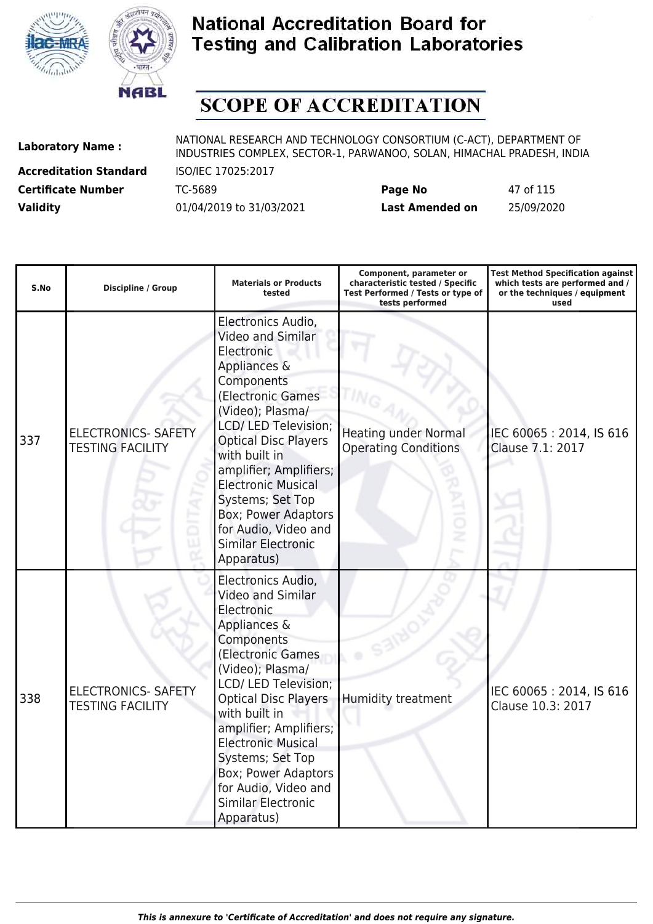



# **SCOPE OF ACCREDITATION**

**Accreditation Standard** ISO/IEC 17025:2017

| <b>Certificate Number</b> | TC-5689                  | Page No                | 47 of 115  |
|---------------------------|--------------------------|------------------------|------------|
| <b>Validity</b>           | 01/04/2019 to 31/03/2021 | <b>Last Amended on</b> | 25/09/2020 |

| S.No | <b>Discipline / Group</b>                             | <b>Materials or Products</b><br>tested                                                                                                                                                                                                                                                                                                                                           | Component, parameter or<br>characteristic tested / Specific<br>Test Performed / Tests or type of<br>tests performed | <b>Test Method Specification against</b><br>which tests are performed and /<br>or the techniques / equipment<br>used |
|------|-------------------------------------------------------|----------------------------------------------------------------------------------------------------------------------------------------------------------------------------------------------------------------------------------------------------------------------------------------------------------------------------------------------------------------------------------|---------------------------------------------------------------------------------------------------------------------|----------------------------------------------------------------------------------------------------------------------|
| 337  | <b>ELECTRONICS- SAFETY</b><br><b>TESTING FACILITY</b> | Electronics Audio,<br>Video and Similar<br>Electronic<br>Appliances &<br>Components<br>(Electronic Games<br>(Video); Plasma/<br>LCD/ LED Television;<br><b>Optical Disc Players</b><br>with built in<br>amplifier; Amplifiers;<br><b>Electronic Musical</b><br>Systems; Set Top<br><b>Box; Power Adaptors</b><br>for Audio, Video and<br><b>Similar Electronic</b><br>Apparatus) | <b>Heating under Normal</b><br><b>Operating Conditions</b><br>ż                                                     | IEC 60065: 2014, IS 616<br>Clause 7.1: 2017                                                                          |
| 338  | <b>ELECTRONICS- SAFETY</b><br><b>TESTING FACILITY</b> | Electronics Audio,<br><b>Video and Similar</b><br>Electronic<br>Appliances &<br>Components<br>(Electronic Games<br>(Video); Plasma/<br>LCD/ LED Television;<br><b>Optical Disc Players</b><br>with built in<br>amplifier; Amplifiers;<br><b>Electronic Musical</b><br>Systems; Set Top<br>Box; Power Adaptors<br>for Audio, Video and<br><b>Similar Electronic</b><br>Apparatus) | <b>Humidity treatment</b>                                                                                           | IEC 60065: 2014, IS 616<br>Clause 10.3: 2017                                                                         |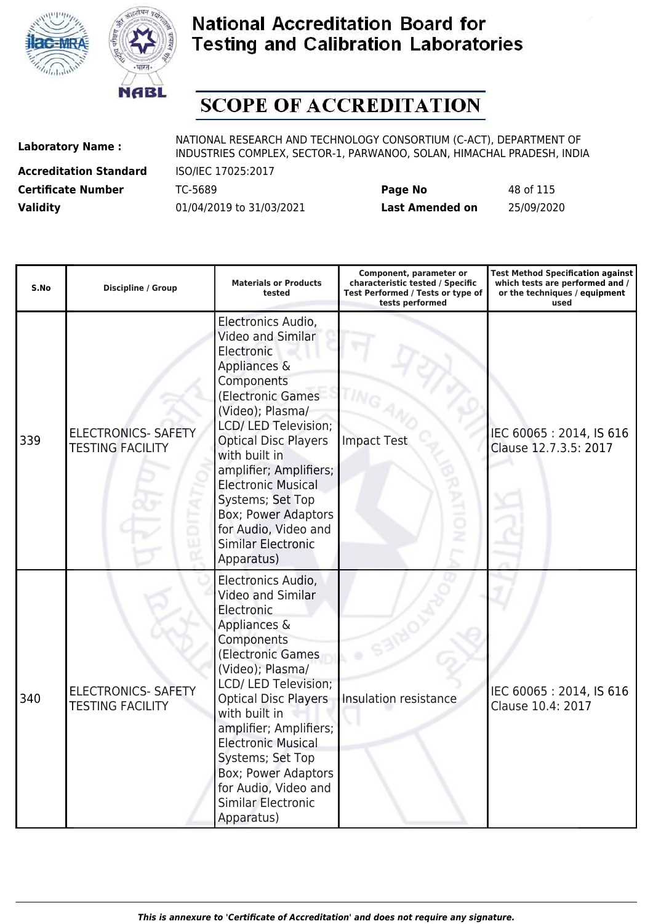



# **SCOPE OF ACCREDITATION**

**Accreditation Standard** ISO/IEC 17025:2017

| <b>Certificate Number</b> | TC-5689                  | Page No         | 48 of 115  |
|---------------------------|--------------------------|-----------------|------------|
| <b>Validity</b>           | 01/04/2019 to 31/03/2021 | Last Amended on | 25/09/2020 |

| S.No | <b>Discipline / Group</b>                             | <b>Materials or Products</b><br>tested                                                                                                                                                                                                                                                                                                                                           | Component, parameter or<br>characteristic tested / Specific<br>Test Performed / Tests or type of<br>tests performed | <b>Test Method Specification against</b><br>which tests are performed and /<br>or the techniques / equipment<br>used |
|------|-------------------------------------------------------|----------------------------------------------------------------------------------------------------------------------------------------------------------------------------------------------------------------------------------------------------------------------------------------------------------------------------------------------------------------------------------|---------------------------------------------------------------------------------------------------------------------|----------------------------------------------------------------------------------------------------------------------|
| 339  | <b>ELECTRONICS- SAFETY</b><br><b>TESTING FACILITY</b> | Electronics Audio,<br>Video and Similar<br>Electronic<br>Appliances &<br>Components<br>(Electronic Games<br>(Video); Plasma/<br>LCD/ LED Television;<br><b>Optical Disc Players</b><br>with built in<br>amplifier; Amplifiers;<br><b>Electronic Musical</b><br>Systems; Set Top<br><b>Box; Power Adaptors</b><br>for Audio, Video and<br><b>Similar Electronic</b><br>Apparatus) | <b>Impact Test</b>                                                                                                  | IEC 60065: 2014, IS 616<br>Clause 12.7.3.5: 2017                                                                     |
| 340  | <b>ELECTRONICS- SAFETY</b><br><b>TESTING FACILITY</b> | Electronics Audio,<br>Video and Similar<br>Electronic<br>Appliances &<br>Components<br>(Electronic Games<br>(Video); Plasma/<br>LCD/ LED Television;<br><b>Optical Disc Players</b><br>with built in<br>amplifier; Amplifiers;<br><b>Electronic Musical</b><br>Systems; Set Top<br>Box; Power Adaptors<br>for Audio, Video and<br><b>Similar Electronic</b><br>Apparatus)        | Insulation resistance                                                                                               | IEC 60065: 2014, IS 616<br>Clause 10.4: 2017                                                                         |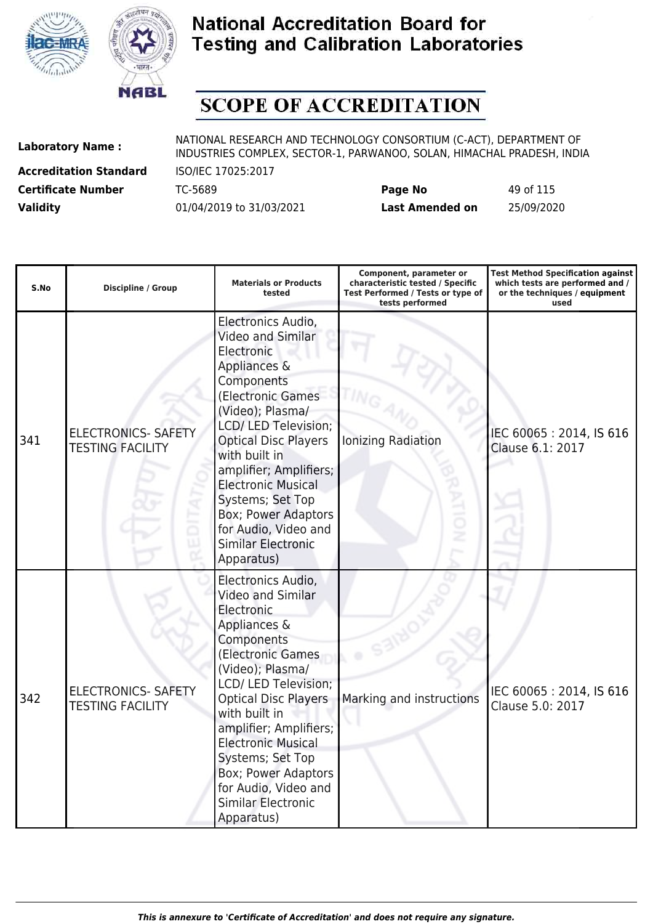



# **SCOPE OF ACCREDITATION**

**Accreditation Standard** ISO/IEC 17025:2017

| <b>Certificate Number</b> | TC-5689                  | Page No         | 49 of 115  |
|---------------------------|--------------------------|-----------------|------------|
| <b>Validity</b>           | 01/04/2019 to 31/03/2021 | Last Amended on | 25/09/2020 |

| S.No | <b>Discipline / Group</b>                             | <b>Materials or Products</b><br>tested                                                                                                                                                                                                                                                                                                                                            | Component, parameter or<br>characteristic tested / Specific<br>Test Performed / Tests or type of<br>tests performed | <b>Test Method Specification against</b><br>which tests are performed and /<br>or the techniques / equipment<br>used |
|------|-------------------------------------------------------|-----------------------------------------------------------------------------------------------------------------------------------------------------------------------------------------------------------------------------------------------------------------------------------------------------------------------------------------------------------------------------------|---------------------------------------------------------------------------------------------------------------------|----------------------------------------------------------------------------------------------------------------------|
| 341  | <b>ELECTRONICS- SAFETY</b><br><b>TESTING FACILITY</b> | Electronics Audio,<br>Video and Similar<br>Electronic<br>Appliances &<br>Components<br>(Electronic Games)<br>(Video); Plasma/<br>LCD/ LED Television;<br><b>Optical Disc Players</b><br>with built in<br>amplifier; Amplifiers;<br><b>Electronic Musical</b><br>Systems; Set Top<br><b>Box; Power Adaptors</b><br>for Audio, Video and<br><b>Similar Electronic</b><br>Apparatus) | Ionizing Radiation                                                                                                  | IEC 60065: 2014, IS 616<br>Clause 6.1: 2017                                                                          |
| 342  | <b>ELECTRONICS- SAFETY</b><br><b>TESTING FACILITY</b> | Electronics Audio,<br>Video and Similar<br>Electronic<br>Appliances &<br>Components<br>(Electronic Games<br>(Video); Plasma/<br>LCD/ LED Television;<br><b>Optical Disc Players</b><br>with built in<br>amplifier; Amplifiers;<br><b>Electronic Musical</b><br>Systems; Set Top<br>Box; Power Adaptors<br>for Audio, Video and<br><b>Similar Electronic</b><br>Apparatus)         | Marking and instructions                                                                                            | IEC 60065: 2014, IS 616<br>Clause 5.0: 2017                                                                          |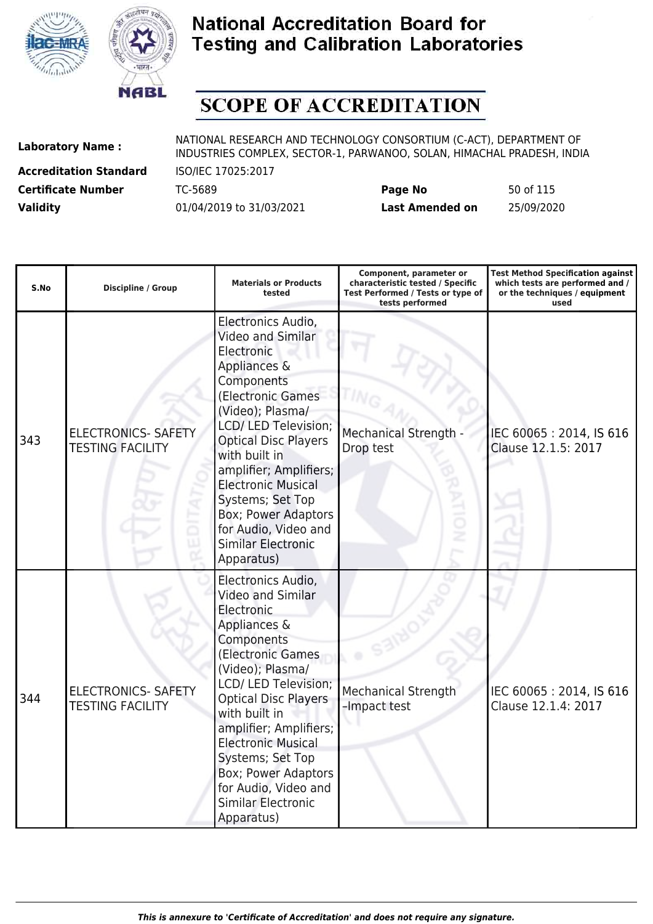



# **SCOPE OF ACCREDITATION**

**Accreditation Standard** ISO/IEC 17025:2017

| <b>Certificate Number</b> | TC-5689                  | Page No         | 50 of 115  |
|---------------------------|--------------------------|-----------------|------------|
| <b>Validity</b>           | 01/04/2019 to 31/03/2021 | Last Amended on | 25/09/2020 |

| S.No | <b>Discipline / Group</b>                             | <b>Materials or Products</b><br>tested                                                                                                                                                                                                                                                                                                                                    | Component, parameter or<br>characteristic tested / Specific<br>Test Performed / Tests or type of<br>tests performed | <b>Test Method Specification against</b><br>which tests are performed and /<br>or the techniques / equipment<br>used |
|------|-------------------------------------------------------|---------------------------------------------------------------------------------------------------------------------------------------------------------------------------------------------------------------------------------------------------------------------------------------------------------------------------------------------------------------------------|---------------------------------------------------------------------------------------------------------------------|----------------------------------------------------------------------------------------------------------------------|
| 343  | <b>ELECTRONICS- SAFETY</b><br><b>TESTING FACILITY</b> | Electronics Audio,<br>Video and Similar<br>Electronic<br>Appliances &<br>Components<br>(Electronic Games<br>(Video); Plasma/<br>LCD/ LED Television;<br><b>Optical Disc Players</b><br>with built in<br>amplifier; Amplifiers;<br><b>Electronic Musical</b><br>Systems; Set Top<br>Box; Power Adaptors<br>for Audio, Video and<br><b>Similar Electronic</b><br>Apparatus) | <b>Mechanical Strength</b><br>Drop test                                                                             | IEC 60065: 2014, IS 616<br>Clause 12.1.5: 2017                                                                       |
| 344  | <b>ELECTRONICS- SAFETY</b><br><b>TESTING FACILITY</b> | Electronics Audio,<br>Video and Similar<br>Electronic<br>Appliances &<br>Components<br>(Electronic Games<br>(Video); Plasma/<br>LCD/ LED Television;<br><b>Optical Disc Players</b><br>with built in<br>amplifier; Amplifiers;<br><b>Electronic Musical</b><br>Systems; Set Top<br>Box; Power Adaptors<br>for Audio, Video and<br><b>Similar Electronic</b><br>Apparatus) | Mechanical Strength<br>-Impact test                                                                                 | IEC 60065: 2014, IS 616<br>Clause 12.1.4: 2017                                                                       |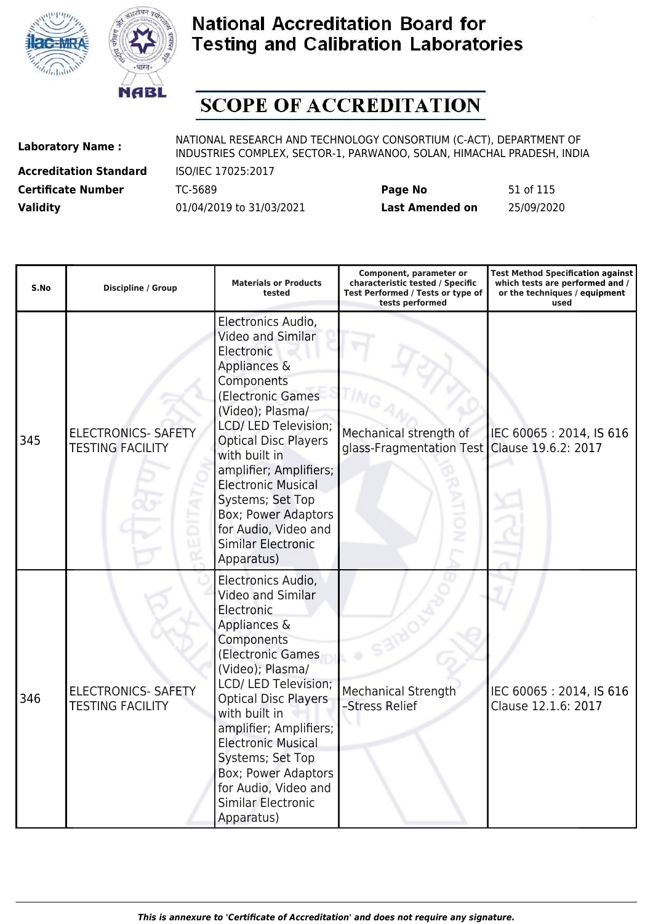



# **SCOPE OF ACCREDITATION**

**Accreditation Standard** ISO/IEC 17025:2017

| <b>Certificate Number</b> | TC-5689                  | Page No         | 51 of 115  |
|---------------------------|--------------------------|-----------------|------------|
| <b>Validity</b>           | 01/04/2019 to 31/03/2021 | Last Amended on | 25/09/2020 |

| S.No | <b>Discipline / Group</b>                             | <b>Materials or Products</b><br>tested                                                                                                                                                                                                                                                                                                                                           | Component, parameter or<br>characteristic tested / Specific<br>Test Performed / Tests or type of<br>tests performed | <b>Test Method Specification against</b><br>which tests are performed and /<br>or the techniques / equipment<br>used |
|------|-------------------------------------------------------|----------------------------------------------------------------------------------------------------------------------------------------------------------------------------------------------------------------------------------------------------------------------------------------------------------------------------------------------------------------------------------|---------------------------------------------------------------------------------------------------------------------|----------------------------------------------------------------------------------------------------------------------|
| 345  | <b>ELECTRONICS- SAFETY</b><br><b>TESTING FACILITY</b> | Electronics Audio,<br>Video and Similar<br>Electronic<br>Appliances &<br>Components<br>(Electronic Games<br>(Video); Plasma/<br>LCD/ LED Television;<br><b>Optical Disc Players</b><br>with built in<br>amplifier; Amplifiers;<br><b>Electronic Musical</b><br>Systems; Set Top<br><b>Box; Power Adaptors</b><br>for Audio, Video and<br><b>Similar Electronic</b><br>Apparatus) | Mechanical strength of<br>glass-Fragmentation Test                                                                  | IEC 60065: 2014, IS 616<br>Clause 19.6.2: 2017                                                                       |
| 346  | <b>ELECTRONICS- SAFETY</b><br><b>TESTING FACILITY</b> | Electronics Audio,<br>Video and Similar<br>Electronic<br>Appliances &<br>Components<br>(Electronic Games<br>(Video); Plasma/<br>LCD/ LED Television;<br><b>Optical Disc Players</b><br>with built in<br>amplifier; Amplifiers;<br><b>Electronic Musical</b><br>Systems; Set Top<br>Box; Power Adaptors<br>for Audio, Video and<br><b>Similar Electronic</b><br>Apparatus)        | Mechanical Strength<br>-Stress Relief                                                                               | IEC 60065: 2014, IS 616<br>Clause 12.1.6: 2017                                                                       |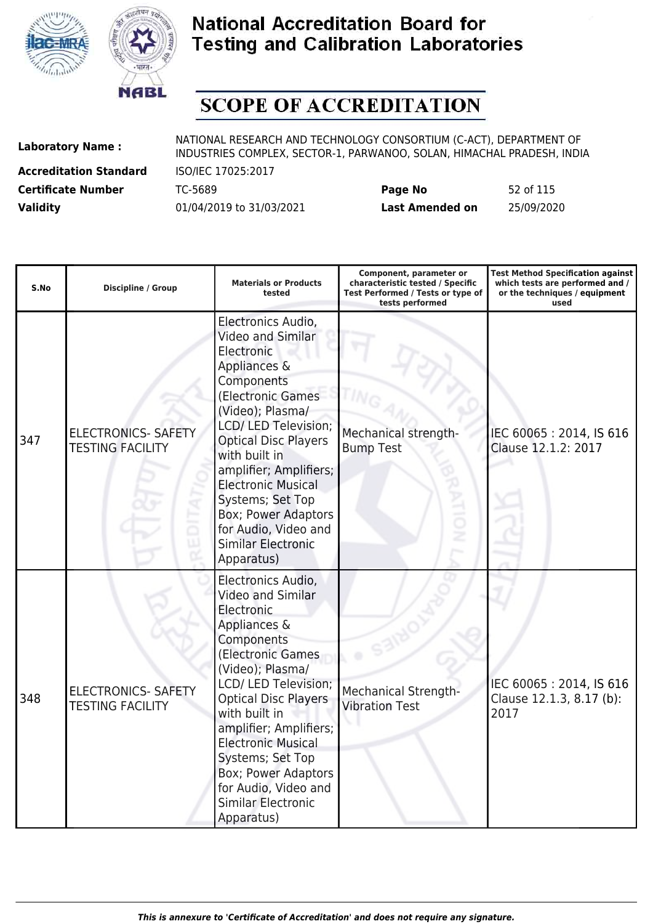



# **SCOPE OF ACCREDITATION**

**Accreditation Standard** ISO/IEC 17025:2017

| <b>Certificate Number</b> | TC-5689                  | Page No         | 52 of 115  |
|---------------------------|--------------------------|-----------------|------------|
| <b>Validity</b>           | 01/04/2019 to 31/03/2021 | Last Amended on | 25/09/2020 |

| S.No | <b>Discipline / Group</b>                             | <b>Materials or Products</b><br>tested                                                                                                                                                                                                                                                                                                                                           | Component, parameter or<br>characteristic tested / Specific<br>Test Performed / Tests or type of<br>tests performed | <b>Test Method Specification against</b><br>which tests are performed and /<br>or the techniques / equipment<br>used |
|------|-------------------------------------------------------|----------------------------------------------------------------------------------------------------------------------------------------------------------------------------------------------------------------------------------------------------------------------------------------------------------------------------------------------------------------------------------|---------------------------------------------------------------------------------------------------------------------|----------------------------------------------------------------------------------------------------------------------|
| 347  | <b>ELECTRONICS- SAFETY</b><br><b>TESTING FACILITY</b> | Electronics Audio,<br>Video and Similar<br>Electronic<br>Appliances &<br>Components<br>(Electronic Games<br>(Video); Plasma/<br>LCD/ LED Television;<br><b>Optical Disc Players</b><br>with built in<br>amplifier; Amplifiers;<br><b>Electronic Musical</b><br>Systems; Set Top<br><b>Box; Power Adaptors</b><br>for Audio, Video and<br><b>Similar Electronic</b><br>Apparatus) | Mechanical strength-<br><b>Bump Test</b>                                                                            | IEC 60065: 2014, IS 616<br>Clause 12.1.2: 2017                                                                       |
| 348  | <b>ELECTRONICS- SAFETY</b><br><b>TESTING FACILITY</b> | Electronics Audio,<br>Video and Similar<br>Electronic<br>Appliances &<br>Components<br>(Electronic Games<br>(Video); Plasma/<br>LCD/ LED Television;<br><b>Optical Disc Players</b><br>with built in<br>amplifier; Amplifiers;<br><b>Electronic Musical</b><br>Systems; Set Top<br>Box; Power Adaptors<br>for Audio, Video and<br><b>Similar Electronic</b><br>Apparatus)        | <b>Mechanical Strength-</b><br><b>Vibration Test</b>                                                                | IEC 60065: 2014, IS 616<br>Clause 12.1.3, 8.17 (b):<br>2017                                                          |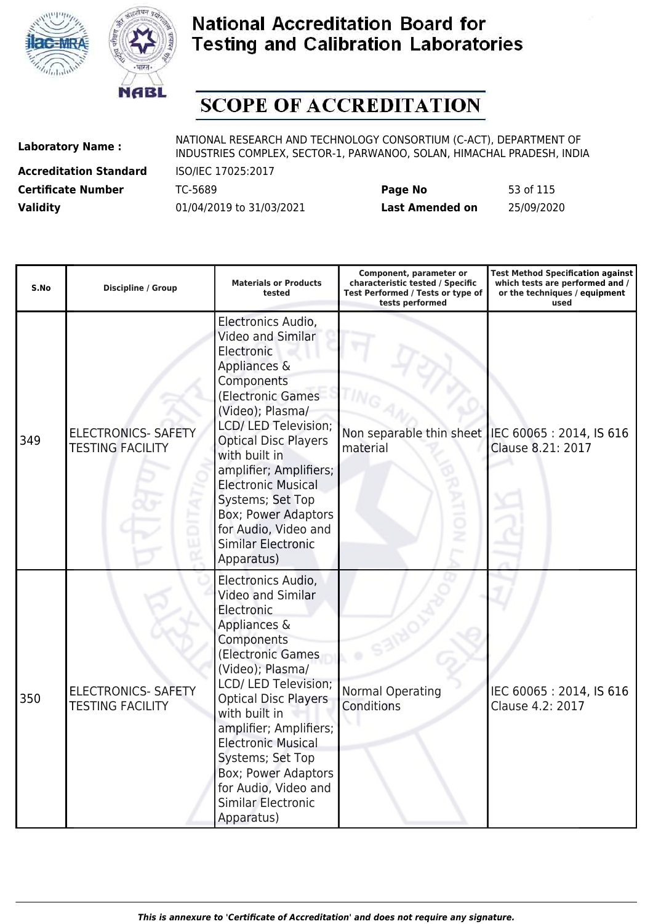



# **SCOPE OF ACCREDITATION**

**Accreditation Standard** ISO/IEC 17025:2017

| <b>Certificate Number</b> | TC-5689                  | Page No                | 53 of 115  |
|---------------------------|--------------------------|------------------------|------------|
| <b>Validity</b>           | 01/04/2019 to 31/03/2021 | <b>Last Amended on</b> | 25/09/2020 |

| S.No | <b>Discipline / Group</b>                             | <b>Materials or Products</b><br>tested                                                                                                                                                                                                                                                                                                                                           | Component, parameter or<br>characteristic tested / Specific<br>Test Performed / Tests or type of<br>tests performed | <b>Test Method Specification against</b><br>which tests are performed and /<br>or the techniques / equipment<br>used |
|------|-------------------------------------------------------|----------------------------------------------------------------------------------------------------------------------------------------------------------------------------------------------------------------------------------------------------------------------------------------------------------------------------------------------------------------------------------|---------------------------------------------------------------------------------------------------------------------|----------------------------------------------------------------------------------------------------------------------|
| 349  | <b>ELECTRONICS- SAFETY</b><br><b>TESTING FACILITY</b> | Electronics Audio,<br>Video and Similar<br>Electronic<br>Appliances &<br>Components<br>(Electronic Games<br>(Video); Plasma/<br>LCD/ LED Television;<br><b>Optical Disc Players</b><br>with built in<br>amplifier; Amplifiers;<br><b>Electronic Musical</b><br>Systems; Set Top<br><b>Box; Power Adaptors</b><br>for Audio, Video and<br><b>Similar Electronic</b><br>Apparatus) | Non separable thin sheet<br>material                                                                                | IEC 60065: 2014, IS 616<br>Clause 8.21: 2017                                                                         |
| 350  | <b>ELECTRONICS- SAFETY</b><br><b>TESTING FACILITY</b> | Electronics Audio,<br>Video and Similar<br>Electronic<br>Appliances &<br>Components<br>(Electronic Games<br>(Video); Plasma/<br>LCD/ LED Television;<br><b>Optical Disc Players</b><br>with built in<br>amplifier; Amplifiers;<br><b>Electronic Musical</b><br>Systems; Set Top<br>Box; Power Adaptors<br>for Audio, Video and<br><b>Similar Electronic</b><br>Apparatus)        | <b>Normal Operating</b><br>Conditions                                                                               | IEC 60065: 2014, IS 616<br>Clause 4.2: 2017                                                                          |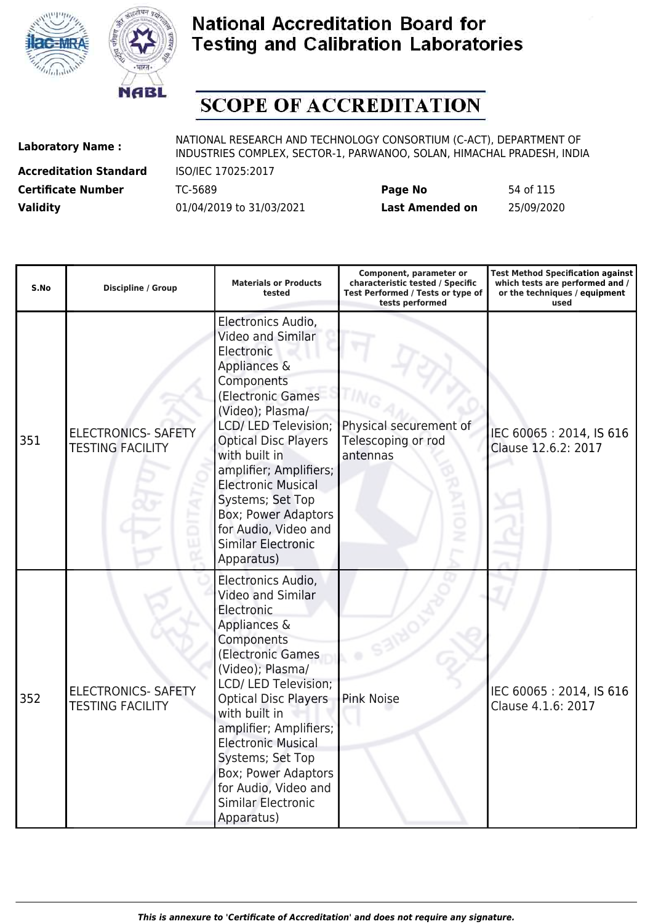



# **SCOPE OF ACCREDITATION**

**Accreditation Standard** ISO/IEC 17025:2017

| <b>Certificate Number</b> | TC-5689                  | Page No         | 54 of 115  |
|---------------------------|--------------------------|-----------------|------------|
| <b>Validity</b>           | 01/04/2019 to 31/03/2021 | Last Amended on | 25/09/2020 |

| S.No | <b>Discipline / Group</b>                             | <b>Materials or Products</b><br>tested                                                                                                                                                                                                                                                                                                                                           | Component, parameter or<br>characteristic tested / Specific<br>Test Performed / Tests or type of<br>tests performed | <b>Test Method Specification against</b><br>which tests are performed and /<br>or the techniques / equipment<br>used |
|------|-------------------------------------------------------|----------------------------------------------------------------------------------------------------------------------------------------------------------------------------------------------------------------------------------------------------------------------------------------------------------------------------------------------------------------------------------|---------------------------------------------------------------------------------------------------------------------|----------------------------------------------------------------------------------------------------------------------|
| 351  | <b>ELECTRONICS- SAFETY</b><br><b>TESTING FACILITY</b> | Electronics Audio,<br>Video and Similar<br>Electronic<br>Appliances &<br>Components<br>(Electronic Games<br>(Video); Plasma/<br>LCD/ LED Television;<br><b>Optical Disc Players</b><br>with built in<br>amplifier; Amplifiers;<br><b>Electronic Musical</b><br>Systems; Set Top<br><b>Box; Power Adaptors</b><br>for Audio, Video and<br><b>Similar Electronic</b><br>Apparatus) | Physical securement of<br>Telescoping or rod<br>antennas<br>ż                                                       | IEC 60065: 2014, IS 616<br>Clause 12.6.2: 2017                                                                       |
| 352  | <b>ELECTRONICS- SAFETY</b><br><b>TESTING FACILITY</b> | Electronics Audio,<br>Video and Similar<br>Electronic<br>Appliances &<br>Components<br>(Electronic Games<br>(Video); Plasma/<br>LCD/ LED Television;<br><b>Optical Disc Players</b><br>with built in<br>amplifier; Amplifiers;<br><b>Electronic Musical</b><br>Systems; Set Top<br>Box; Power Adaptors<br>for Audio, Video and<br><b>Similar Electronic</b><br>Apparatus)        | <b>Pink Noise</b>                                                                                                   | IEC 60065: 2014, IS 616<br>Clause 4.1.6: 2017                                                                        |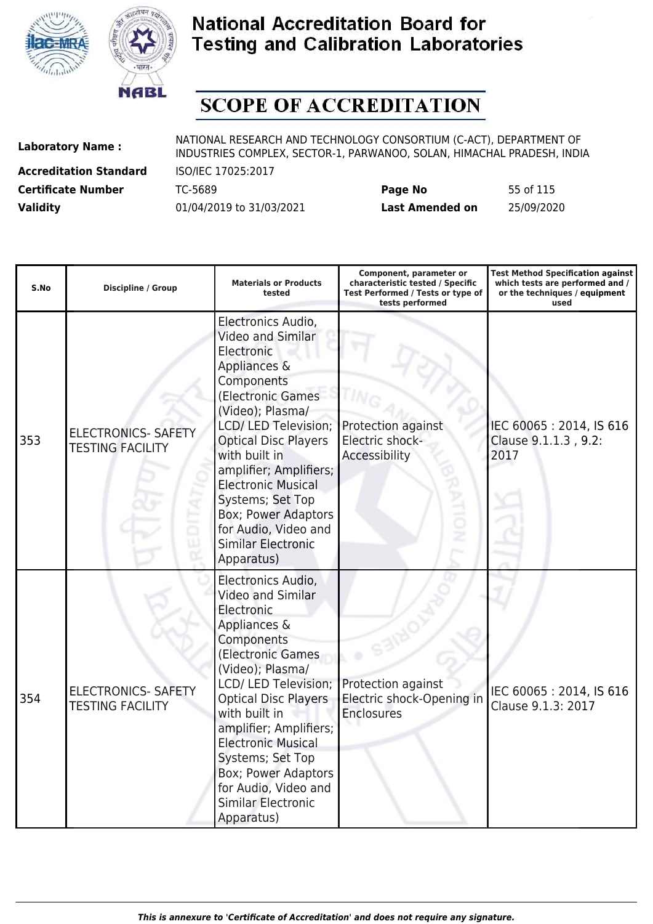



# **SCOPE OF ACCREDITATION**

**Accreditation Standard** ISO/IEC 17025:2017

| <b>Certificate Number</b> | TC-5689                  | Page No         | 55 of 115  |
|---------------------------|--------------------------|-----------------|------------|
| <b>Validity</b>           | 01/04/2019 to 31/03/2021 | Last Amended on | 25/09/2020 |

| S.No | <b>Discipline / Group</b>                             | <b>Materials or Products</b><br>tested                                                                                                                                                                                                                                                                                                                                           | Component, parameter or<br>characteristic tested / Specific<br>Test Performed / Tests or type of<br>tests performed | <b>Test Method Specification against</b><br>which tests are performed and /<br>or the techniques / equipment<br>used |
|------|-------------------------------------------------------|----------------------------------------------------------------------------------------------------------------------------------------------------------------------------------------------------------------------------------------------------------------------------------------------------------------------------------------------------------------------------------|---------------------------------------------------------------------------------------------------------------------|----------------------------------------------------------------------------------------------------------------------|
| 353  | <b>ELECTRONICS- SAFETY</b><br><b>TESTING FACILITY</b> | Electronics Audio,<br>Video and Similar<br>Electronic<br>Appliances &<br>Components<br>(Electronic Games<br>(Video); Plasma/<br>LCD/ LED Television;<br><b>Optical Disc Players</b><br>with built in<br>amplifier; Amplifiers;<br><b>Electronic Musical</b><br>Systems; Set Top<br><b>Box; Power Adaptors</b><br>for Audio, Video and<br><b>Similar Electronic</b><br>Apparatus) | Protection against<br>Electric shock-<br>Accessibility                                                              | IEC 60065: 2014, IS 616<br>Clause 9.1.1.3, 9.2:<br>2017                                                              |
| 354  | <b>ELECTRONICS- SAFETY</b><br><b>TESTING FACILITY</b> | Electronics Audio,<br><b>Video and Similar</b><br>Electronic<br>Appliances &<br>Components<br>(Electronic Games<br>(Video); Plasma/<br>LCD/ LED Television;<br><b>Optical Disc Players</b><br>with built in<br>amplifier; Amplifiers;<br><b>Electronic Musical</b><br>Systems; Set Top<br>Box; Power Adaptors<br>for Audio, Video and<br><b>Similar Electronic</b><br>Apparatus) | Protection against<br>Electric shock-Opening in<br><b>Enclosures</b>                                                | IEC 60065: 2014, IS 616<br>Clause 9.1.3: 2017                                                                        |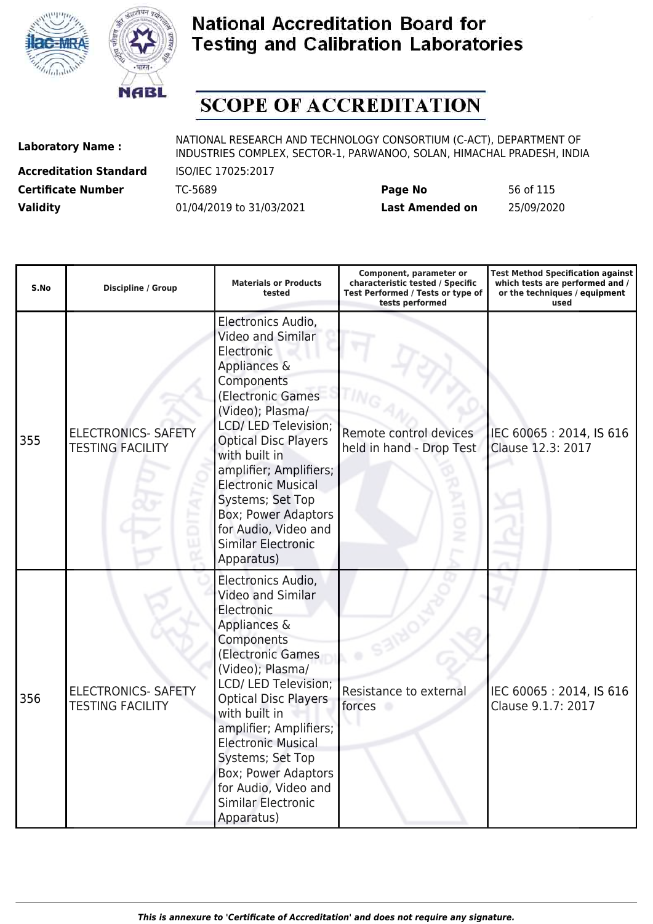



# **SCOPE OF ACCREDITATION**

**Accreditation Standard** ISO/IEC 17025:2017

| <b>Certificate Number</b> | TC-5689                  | Page No         | 56 of 115  |
|---------------------------|--------------------------|-----------------|------------|
| <b>Validity</b>           | 01/04/2019 to 31/03/2021 | Last Amended on | 25/09/2020 |

| S.No | <b>Discipline / Group</b>                             | <b>Materials or Products</b><br>tested                                                                                                                                                                                                                                                                                                                                           | Component, parameter or<br>characteristic tested / Specific<br>Test Performed / Tests or type of<br>tests performed | <b>Test Method Specification against</b><br>which tests are performed and /<br>or the techniques / equipment<br>used |
|------|-------------------------------------------------------|----------------------------------------------------------------------------------------------------------------------------------------------------------------------------------------------------------------------------------------------------------------------------------------------------------------------------------------------------------------------------------|---------------------------------------------------------------------------------------------------------------------|----------------------------------------------------------------------------------------------------------------------|
| 355  | <b>ELECTRONICS- SAFETY</b><br><b>TESTING FACILITY</b> | Electronics Audio,<br>Video and Similar<br>Electronic<br>Appliances &<br>Components<br>(Electronic Games<br>(Video); Plasma/<br>LCD/ LED Television;<br><b>Optical Disc Players</b><br>with built in<br>amplifier; Amplifiers;<br><b>Electronic Musical</b><br>Systems; Set Top<br><b>Box; Power Adaptors</b><br>for Audio, Video and<br><b>Similar Electronic</b><br>Apparatus) | Remote control devices<br>held in hand - Drop Test<br>ż                                                             | IEC 60065: 2014, IS 616<br>Clause 12.3: 2017                                                                         |
| 356  | <b>ELECTRONICS- SAFETY</b><br><b>TESTING FACILITY</b> | Electronics Audio,<br>Video and Similar<br>Electronic<br>Appliances &<br>Components<br>(Electronic Games<br>(Video); Plasma/<br>LCD/ LED Television;<br><b>Optical Disc Players</b><br>with built in<br>amplifier; Amplifiers;<br><b>Electronic Musical</b><br>Systems; Set Top<br>Box; Power Adaptors<br>for Audio, Video and<br><b>Similar Electronic</b><br>Apparatus)        | Resistance to external<br>forces                                                                                    | IEC 60065: 2014, IS 616<br>Clause 9.1.7: 2017                                                                        |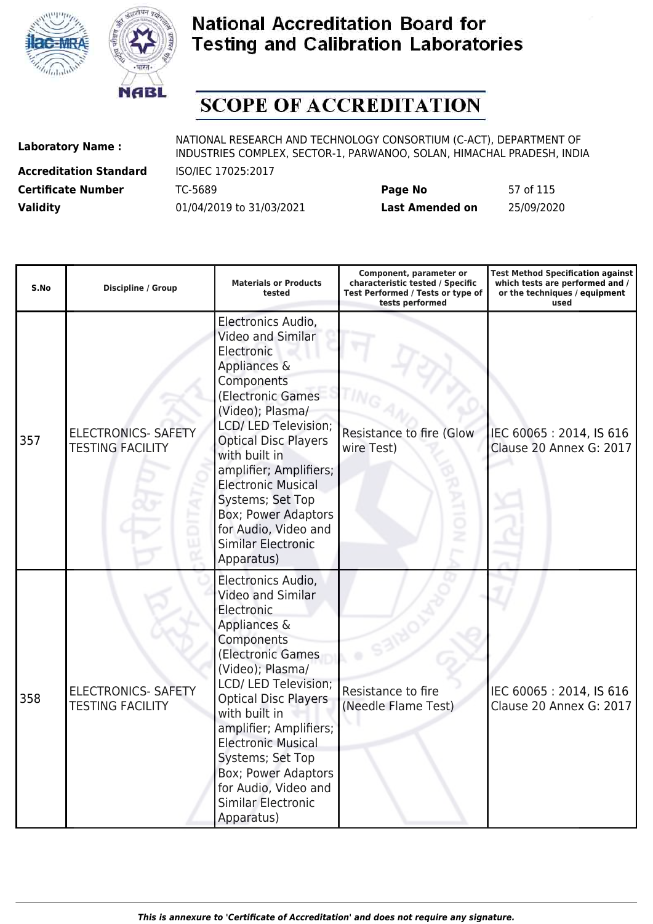



# **SCOPE OF ACCREDITATION**

**Accreditation Standard** ISO/IEC 17025:2017

| <b>Certificate Number</b> | TC-5689                  | Page No                | 57 of 115  |
|---------------------------|--------------------------|------------------------|------------|
| <b>Validity</b>           | 01/04/2019 to 31/03/2021 | <b>Last Amended on</b> | 25/09/2020 |

| S.No | <b>Discipline / Group</b>                             | <b>Materials or Products</b><br>tested                                                                                                                                                                                                                                                                                                                                           | Component, parameter or<br>characteristic tested / Specific<br>Test Performed / Tests or type of<br>tests performed | <b>Test Method Specification against</b><br>which tests are performed and /<br>or the techniques / equipment<br>used |
|------|-------------------------------------------------------|----------------------------------------------------------------------------------------------------------------------------------------------------------------------------------------------------------------------------------------------------------------------------------------------------------------------------------------------------------------------------------|---------------------------------------------------------------------------------------------------------------------|----------------------------------------------------------------------------------------------------------------------|
| 357  | <b>ELECTRONICS- SAFETY</b><br><b>TESTING FACILITY</b> | Electronics Audio,<br>Video and Similar<br>Electronic<br>Appliances &<br>Components<br>(Electronic Games<br>(Video); Plasma/<br>LCD/ LED Television;<br><b>Optical Disc Players</b><br>with built in<br>amplifier; Amplifiers;<br><b>Electronic Musical</b><br>Systems; Set Top<br><b>Box; Power Adaptors</b><br>for Audio, Video and<br><b>Similar Electronic</b><br>Apparatus) | <b>Resistance to fire (Glow</b><br>wire Test)<br>ż                                                                  | IEC 60065: 2014, IS 616<br>Clause 20 Annex G: 2017                                                                   |
| 358  | <b>ELECTRONICS- SAFETY</b><br><b>TESTING FACILITY</b> | Electronics Audio,<br>Video and Similar<br>Electronic<br>Appliances &<br>Components<br>(Electronic Games<br>(Video); Plasma/<br>LCD/ LED Television;<br><b>Optical Disc Players</b><br>with built in<br>amplifier; Amplifiers;<br><b>Electronic Musical</b><br>Systems; Set Top<br>Box; Power Adaptors<br>for Audio, Video and<br><b>Similar Electronic</b><br>Apparatus)        | Resistance to fire<br>(Needle Flame Test)                                                                           | IEC 60065: 2014, IS 616<br>Clause 20 Annex G: 2017                                                                   |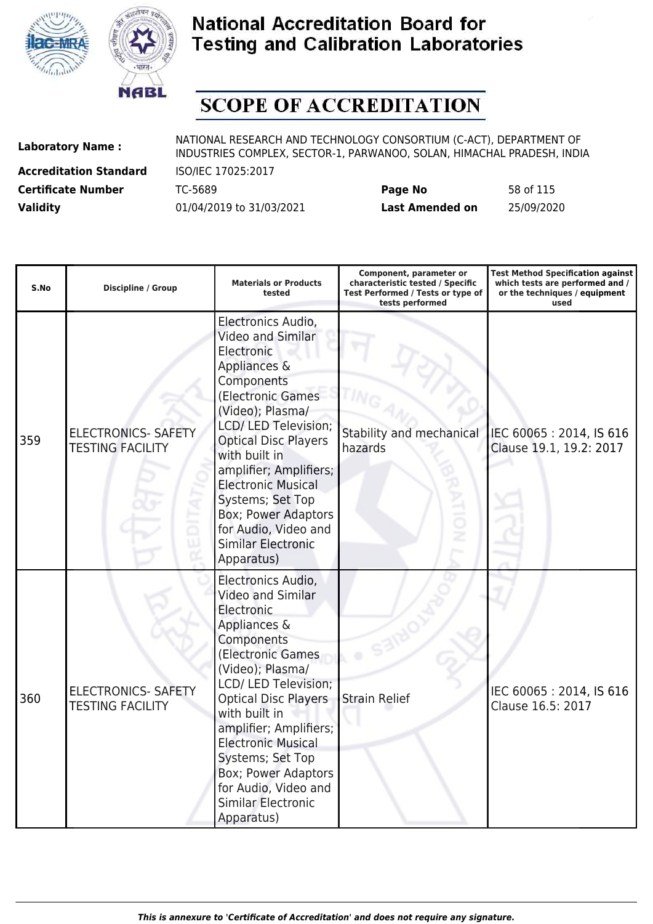



# **SCOPE OF ACCREDITATION**

**Accreditation Standard** ISO/IEC 17025:2017

| <b>Certificate Number</b> | TC-5689                  | Page No         | 58 of 115  |
|---------------------------|--------------------------|-----------------|------------|
| <b>Validity</b>           | 01/04/2019 to 31/03/2021 | Last Amended on | 25/09/2020 |

| S.No | <b>Discipline / Group</b>                             | <b>Materials or Products</b><br>tested                                                                                                                                                                                                                                                                                                                                                 | Component, parameter or<br>characteristic tested / Specific<br>Test Performed / Tests or type of<br>tests performed | <b>Test Method Specification against</b><br>which tests are performed and /<br>or the techniques / equipment<br>used |
|------|-------------------------------------------------------|----------------------------------------------------------------------------------------------------------------------------------------------------------------------------------------------------------------------------------------------------------------------------------------------------------------------------------------------------------------------------------------|---------------------------------------------------------------------------------------------------------------------|----------------------------------------------------------------------------------------------------------------------|
| 359  | <b>ELECTRONICS- SAFETY</b><br><b>TESTING FACILITY</b> | Electronics Audio,<br>Video and Similar<br>Electronic<br>Appliances &<br>Components<br>(Electronic Games<br>(Video); Plasma/<br><b>LCD/LED Television;</b><br><b>Optical Disc Players</b><br>with built in<br>amplifier; Amplifiers;<br><b>Electronic Musical</b><br>Systems; Set Top<br><b>Box; Power Adaptors</b><br>for Audio, Video and<br><b>Similar Electronic</b><br>Apparatus) | Stability and mechanical<br>hazards                                                                                 | IEC 60065: 2014, IS 616<br>Clause 19.1, 19.2: 2017                                                                   |
| 360  | <b>ELECTRONICS- SAFETY</b><br><b>TESTING FACILITY</b> | Electronics Audio,<br>Video and Similar<br>Electronic<br>Appliances &<br>Components<br>(Electronic Games<br>(Video); Plasma/<br>LCD/ LED Television;<br><b>Optical Disc Players</b><br>with built in<br>amplifier; Amplifiers;<br><b>Electronic Musical</b><br>Systems; Set Top<br>Box; Power Adaptors<br>for Audio, Video and<br><b>Similar Electronic</b><br>Apparatus)              | <b>Strain Relief</b>                                                                                                | IEC 60065: 2014, IS 616<br>Clause 16.5: 2017                                                                         |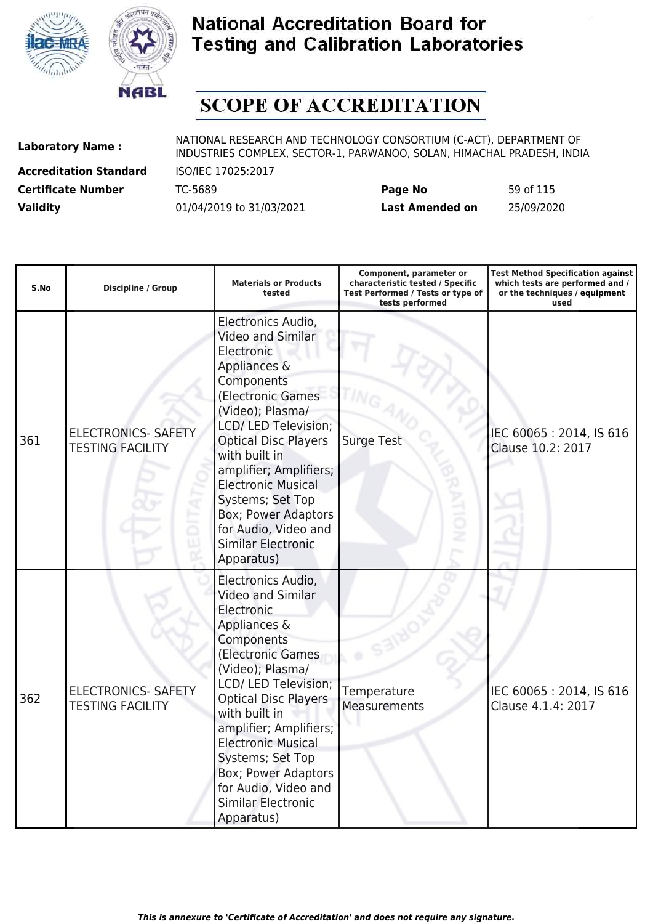



# **SCOPE OF ACCREDITATION**

**Accreditation Standard** ISO/IEC 17025:2017

| <b>Certificate Number</b> | TC-5689                  | Page No         | 59 of 115  |
|---------------------------|--------------------------|-----------------|------------|
| <b>Validity</b>           | 01/04/2019 to 31/03/2021 | Last Amended on | 25/09/2020 |

| S.No | <b>Discipline / Group</b>                             | <b>Materials or Products</b><br>tested                                                                                                                                                                                                                                                                                                                                    | Component, parameter or<br>characteristic tested / Specific<br>Test Performed / Tests or type of<br>tests performed | <b>Test Method Specification against</b><br>which tests are performed and /<br>or the techniques / equipment<br>used |
|------|-------------------------------------------------------|---------------------------------------------------------------------------------------------------------------------------------------------------------------------------------------------------------------------------------------------------------------------------------------------------------------------------------------------------------------------------|---------------------------------------------------------------------------------------------------------------------|----------------------------------------------------------------------------------------------------------------------|
| 361  | <b>ELECTRONICS- SAFETY</b><br><b>TESTING FACILITY</b> | Electronics Audio,<br>Video and Similar<br>Electronic<br>Appliances &<br>Components<br>(Electronic Games<br>(Video); Plasma/<br>LCD/ LED Television;<br><b>Optical Disc Players</b><br>with built in<br>amplifier; Amplifiers;<br><b>Electronic Musical</b><br>Systems; Set Top<br>Box; Power Adaptors<br>for Audio, Video and<br><b>Similar Electronic</b><br>Apparatus) | <b>Surge Test</b>                                                                                                   | IEC 60065: 2014, IS 616<br>Clause 10.2: 2017                                                                         |
| 362  | <b>ELECTRONICS- SAFETY</b><br><b>TESTING FACILITY</b> | Electronics Audio,<br>Video and Similar<br>Electronic<br>Appliances &<br>Components<br>(Electronic Games<br>(Video); Plasma/<br>LCD/ LED Television;<br><b>Optical Disc Players</b><br>with built in<br>amplifier; Amplifiers;<br><b>Electronic Musical</b><br>Systems; Set Top<br>Box; Power Adaptors<br>for Audio, Video and<br><b>Similar Electronic</b><br>Apparatus) | Temperature<br>Measurements                                                                                         | IEC 60065: 2014, IS 616<br>Clause 4.1.4: 2017                                                                        |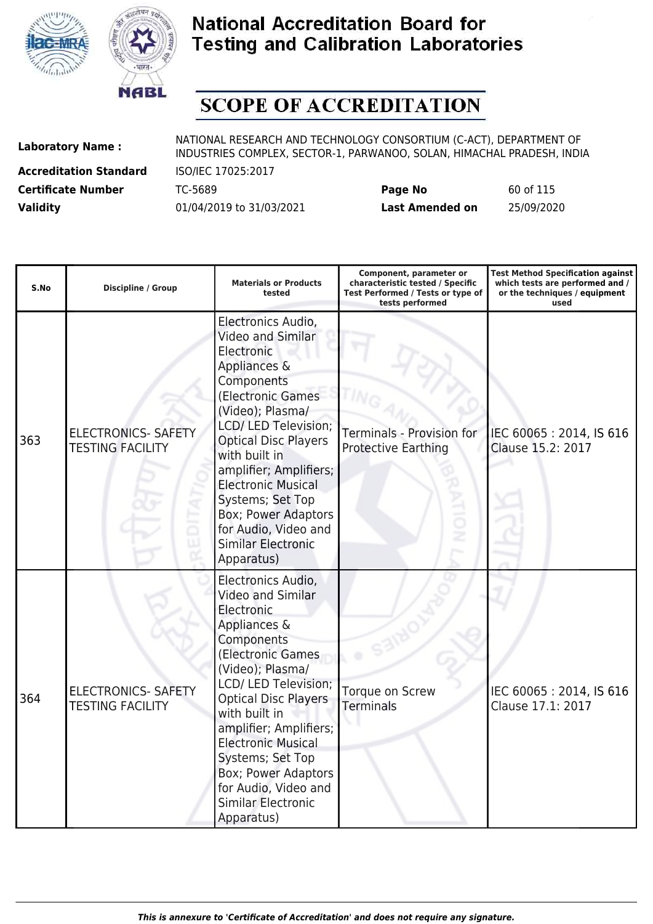



# **SCOPE OF ACCREDITATION**

**Accreditation Standard** ISO/IEC 17025:2017

| <b>Certificate Number</b> | TC-5689                  | Page No         | 60 of 115  |
|---------------------------|--------------------------|-----------------|------------|
| <b>Validity</b>           | 01/04/2019 to 31/03/2021 | Last Amended on | 25/09/2020 |

| S.No | <b>Discipline / Group</b>                             | <b>Materials or Products</b><br>tested                                                                                                                                                                                                                                                                                                                                                 | Component, parameter or<br>characteristic tested / Specific<br>Test Performed / Tests or type of<br>tests performed | <b>Test Method Specification against</b><br>which tests are performed and /<br>or the techniques / equipment<br>used |
|------|-------------------------------------------------------|----------------------------------------------------------------------------------------------------------------------------------------------------------------------------------------------------------------------------------------------------------------------------------------------------------------------------------------------------------------------------------------|---------------------------------------------------------------------------------------------------------------------|----------------------------------------------------------------------------------------------------------------------|
| 363  | <b>ELECTRONICS- SAFETY</b><br><b>TESTING FACILITY</b> | Electronics Audio,<br>Video and Similar<br>Electronic<br>Appliances &<br>Components<br>(Electronic Games<br>(Video); Plasma/<br><b>LCD/LED Television;</b><br><b>Optical Disc Players</b><br>with built in<br>amplifier; Amplifiers;<br><b>Electronic Musical</b><br>Systems; Set Top<br><b>Box; Power Adaptors</b><br>for Audio, Video and<br><b>Similar Electronic</b><br>Apparatus) | <b>Terminals - Provision for</b><br><b>Protective Earthing</b>                                                      | IEC 60065: 2014, IS 616<br>Clause 15.2: 2017                                                                         |
| 364  | <b>ELECTRONICS- SAFETY</b><br><b>TESTING FACILITY</b> | Electronics Audio,<br>Video and Similar<br>Electronic<br>Appliances &<br>Components<br>(Electronic Games<br>(Video); Plasma/<br>LCD/ LED Television;<br><b>Optical Disc Players</b><br>with built in<br>amplifier; Amplifiers;<br><b>Electronic Musical</b><br>Systems; Set Top<br>Box; Power Adaptors<br>for Audio, Video and<br><b>Similar Electronic</b><br>Apparatus)              | Torque on Screw<br><b>Terminals</b>                                                                                 | IEC 60065: 2014, IS 616<br>Clause 17.1: 2017                                                                         |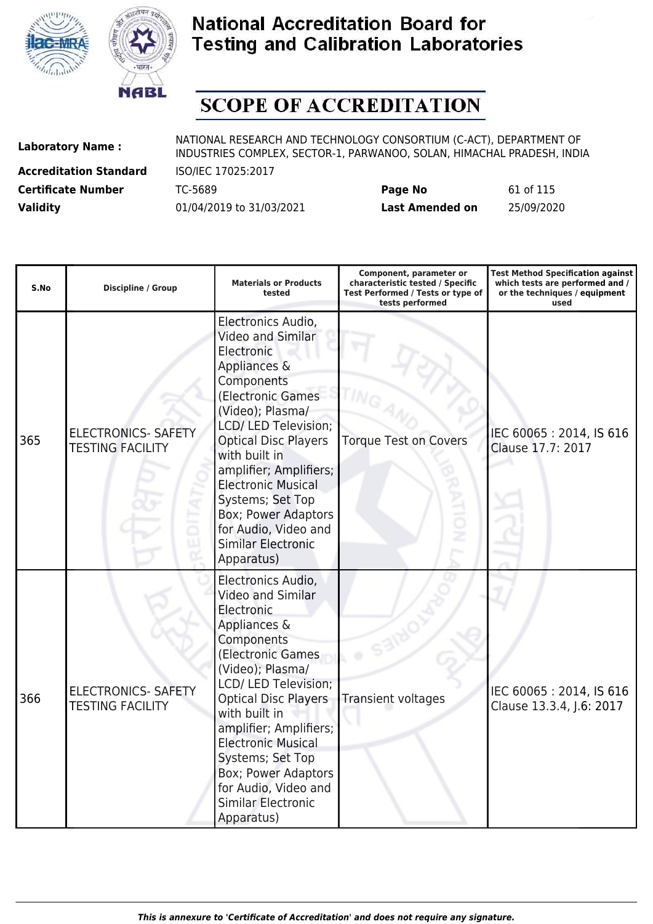



# **SCOPE OF ACCREDITATION**

**Accreditation Standard** ISO/IEC 17025:2017

| <b>Certificate Number</b> | TC-5689                  | Page No         | 61 of 115  |
|---------------------------|--------------------------|-----------------|------------|
| <b>Validity</b>           | 01/04/2019 to 31/03/2021 | Last Amended on | 25/09/2020 |

| S.No | <b>Discipline / Group</b>                             | <b>Materials or Products</b><br>tested                                                                                                                                                                                                                                                                                                                                    | Component, parameter or<br>characteristic tested / Specific<br>Test Performed / Tests or type of<br>tests performed | <b>Test Method Specification against</b><br>which tests are performed and /<br>or the techniques / equipment<br>used |
|------|-------------------------------------------------------|---------------------------------------------------------------------------------------------------------------------------------------------------------------------------------------------------------------------------------------------------------------------------------------------------------------------------------------------------------------------------|---------------------------------------------------------------------------------------------------------------------|----------------------------------------------------------------------------------------------------------------------|
| 365  | <b>ELECTRONICS- SAFETY</b><br><b>TESTING FACILITY</b> | Electronics Audio,<br>Video and Similar<br>Electronic<br>Appliances &<br>Components<br>(Electronic Games<br>(Video); Plasma/<br>LCD/ LED Television;<br><b>Optical Disc Players</b><br>with built in<br>amplifier; Amplifiers;<br><b>Electronic Musical</b><br>Systems; Set Top<br>Box; Power Adaptors<br>for Audio, Video and<br><b>Similar Electronic</b><br>Apparatus) | <b>Torque Test on Covers</b>                                                                                        | IEC 60065: 2014, IS 616<br>Clause 17.7: 2017                                                                         |
| 366  | <b>ELECTRONICS- SAFETY</b><br><b>TESTING FACILITY</b> | Electronics Audio,<br>Video and Similar<br>Electronic<br>Appliances &<br>Components<br>(Electronic Games<br>(Video); Plasma/<br>LCD/ LED Television;<br><b>Optical Disc Players</b><br>with built in<br>amplifier; Amplifiers;<br><b>Electronic Musical</b><br>Systems; Set Top<br>Box; Power Adaptors<br>for Audio, Video and<br><b>Similar Electronic</b><br>Apparatus) | Transient voltages                                                                                                  | IEC 60065: 2014, IS 616<br>Clause 13.3.4, J.6: 2017                                                                  |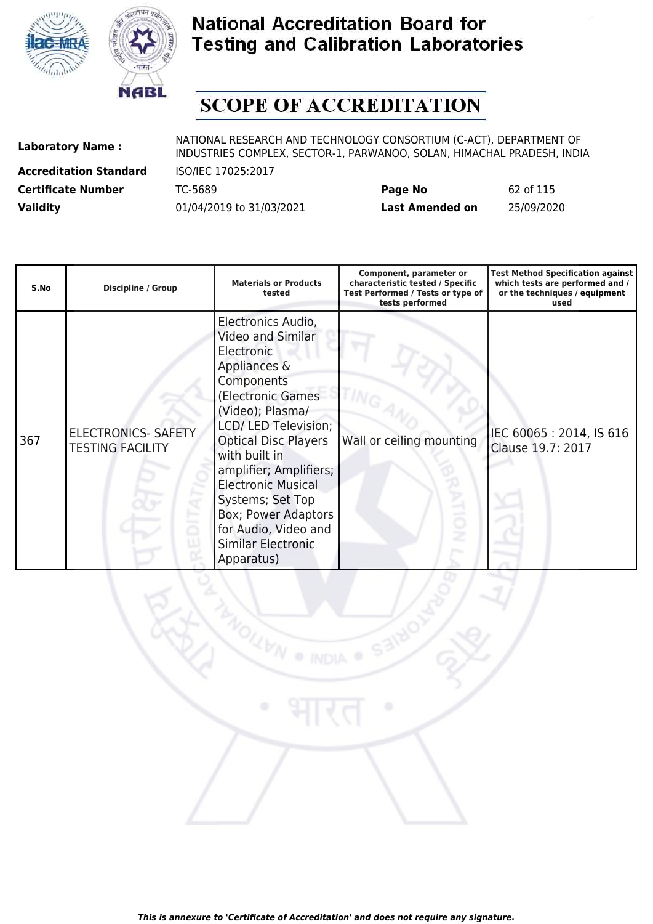



# **SCOPE OF ACCREDITATION**

**Laboratory Name :** NATIONAL RESEARCH AND TECHNOLOGY CONSORTIUM (C-ACT), DEPARTMENT OF **Laboratory Name :** NIDI INDUSTRIES COMPLEX, SECTOR-1, PARWANOO, SOLAN, HIMACHAL PRADESH, INDIA

**Accreditation Standard** ISO/IEC 17025:2017

| <b>Certificate Number</b> | TC-5689                  | Page No         | 62 of 115  |
|---------------------------|--------------------------|-----------------|------------|
| <b>Validity</b>           | 01/04/2019 to 31/03/2021 | Last Amended on | 25/09/2020 |

| S.No | <b>Discipline / Group</b>                             | <b>Materials or Products</b><br>tested                                                                                                                                                                                                                                                                                                                             | Component, parameter or<br>characteristic tested / Specific<br>Test Performed / Tests or type of<br>tests performed | <b>Test Method Specification against</b><br>which tests are performed and /<br>or the techniques / equipment<br>used |
|------|-------------------------------------------------------|--------------------------------------------------------------------------------------------------------------------------------------------------------------------------------------------------------------------------------------------------------------------------------------------------------------------------------------------------------------------|---------------------------------------------------------------------------------------------------------------------|----------------------------------------------------------------------------------------------------------------------|
| 367  | <b>ELECTRONICS- SAFETY</b><br><b>TESTING FACILITY</b> | Electronics Audio,<br>Video and Similar<br>Electronic<br>Appliances &<br>Components<br>(Electronic Games<br>(Video); Plasma/<br>LCD/ LED Television;<br><b>Optical Disc Players</b><br>with built in<br>amplifier; Amplifiers;<br><b>Electronic Musical</b><br>Systems; Set Top<br>Box; Power Adaptors<br>for Audio, Video and<br>Similar Electronic<br>Apparatus) | Wall or ceiling mounting                                                                                            | IEC 60065: 2014, IS 616<br>Clause 19.7: 2017                                                                         |

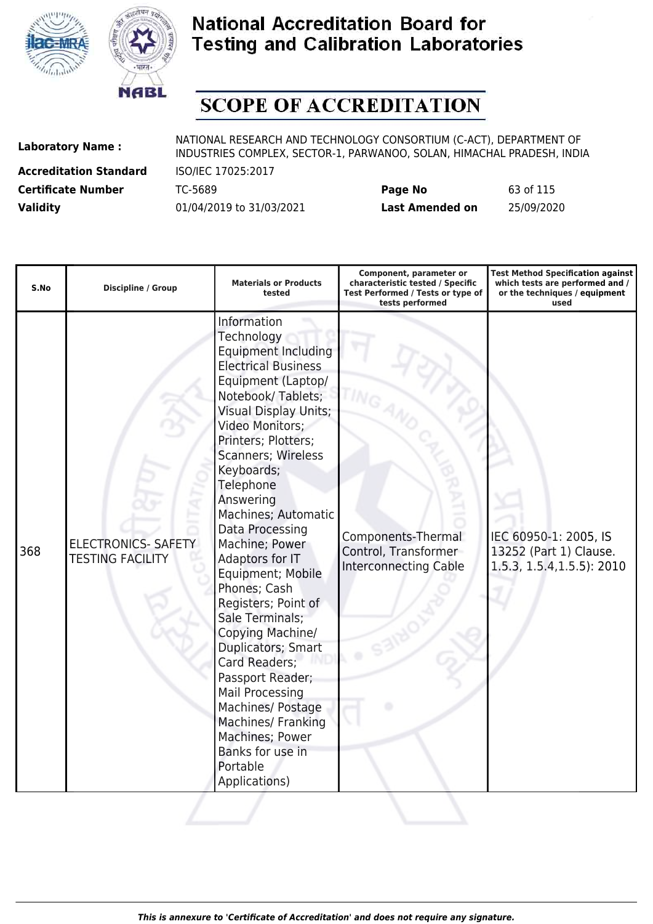



# **SCOPE OF ACCREDITATION**

**Accreditation Standard** ISO/IEC 17025:2017

| <b>Certificate Number</b> | TC-5689                  | Page No         | 63 of 115  |
|---------------------------|--------------------------|-----------------|------------|
| <b>Validity</b>           | 01/04/2019 to 31/03/2021 | Last Amended on | 25/09/2020 |

| S.No | <b>Discipline / Group</b>                             | <b>Materials or Products</b><br>tested                                                                                                                                                                                                                                                                                                                                                                                                                                                                                                                                                                                                                         | Component, parameter or<br>characteristic tested / Specific<br>Test Performed / Tests or type of<br>tests performed | <b>Test Method Specification against</b><br>which tests are performed and /<br>or the techniques / equipment<br>used |
|------|-------------------------------------------------------|----------------------------------------------------------------------------------------------------------------------------------------------------------------------------------------------------------------------------------------------------------------------------------------------------------------------------------------------------------------------------------------------------------------------------------------------------------------------------------------------------------------------------------------------------------------------------------------------------------------------------------------------------------------|---------------------------------------------------------------------------------------------------------------------|----------------------------------------------------------------------------------------------------------------------|
| 368  | <b>ELECTRONICS- SAFETY</b><br><b>TESTING FACILITY</b> | Information<br>Technology<br><b>Equipment Including</b><br><b>Electrical Business</b><br>Equipment (Laptop/<br>Notebook/Tablets;<br><b>Visual Display Units;</b><br>Video Monitors;<br>Printers; Plotters;<br><b>Scanners; Wireless</b><br>Keyboards;<br>Telephone<br>Answering<br>Machines; Automatic<br>Data Processing<br>Machine; Power<br>Adaptors for IT<br>Equipment; Mobile<br>Phones; Cash<br>Registers; Point of<br>Sale Terminals;<br>Copying Machine/<br>Duplicators; Smart<br>Card Readers;<br>Passport Reader;<br>Mail Processing<br>Machines/ Postage<br>Machines/ Franking<br>Machines; Power<br>Banks for use in<br>Portable<br>Applications) | Components-Thermal<br>Control, Transformer<br><b>Interconnecting Cable</b>                                          | IEC 60950-1: 2005, IS<br>13252 (Part 1) Clause.<br>1.5.3, 1.5.4, 1.5.5): 2010                                        |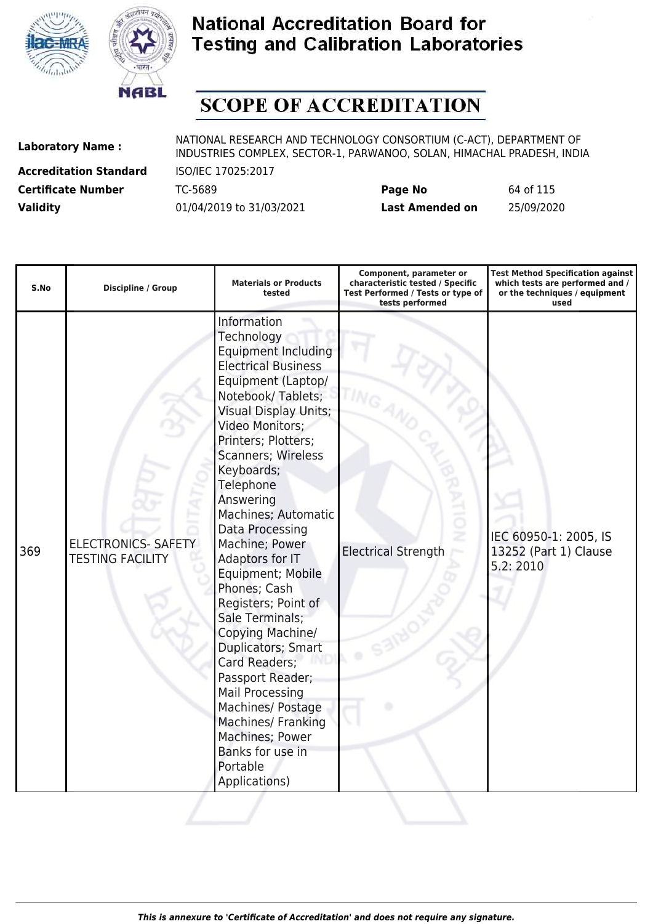



# **SCOPE OF ACCREDITATION**

**Accreditation Standard** ISO/IEC 17025:2017

| <b>Certificate Number</b> | TC-5689                  | Page No         | 64 of 115  |
|---------------------------|--------------------------|-----------------|------------|
| <b>Validity</b>           | 01/04/2019 to 31/03/2021 | Last Amended on | 25/09/2020 |

| S.No | <b>Discipline / Group</b>                             | <b>Materials or Products</b><br>tested                                                                                                                                                                                                                                                                                                                                                                                                                                                                                                                                                                                                                         | Component, parameter or<br>characteristic tested / Specific<br>Test Performed / Tests or type of<br>tests performed | <b>Test Method Specification against</b><br>which tests are performed and /<br>or the techniques / equipment<br>used |
|------|-------------------------------------------------------|----------------------------------------------------------------------------------------------------------------------------------------------------------------------------------------------------------------------------------------------------------------------------------------------------------------------------------------------------------------------------------------------------------------------------------------------------------------------------------------------------------------------------------------------------------------------------------------------------------------------------------------------------------------|---------------------------------------------------------------------------------------------------------------------|----------------------------------------------------------------------------------------------------------------------|
| 369  | <b>ELECTRONICS- SAFETY</b><br><b>TESTING FACILITY</b> | Information<br>Technology<br><b>Equipment Including</b><br><b>Electrical Business</b><br>Equipment (Laptop/<br>Notebook/Tablets;<br><b>Visual Display Units;</b><br>Video Monitors;<br>Printers; Plotters;<br>Scanners; Wireless<br>Keyboards;<br>Telephone<br>Answering<br>Machines; Automatic<br>Data Processing<br>Machine; Power<br>Adaptors for IT<br>Equipment; Mobile<br>Phones; Cash<br>Registers; Point of<br>Sale Terminals;<br>Copying Machine/<br>Duplicators; Smart<br>Card Readers;<br>Passport Reader;<br><b>Mail Processing</b><br>Machines/ Postage<br>Machines/ Franking<br>Machines; Power<br>Banks for use in<br>Portable<br>Applications) | <b>Electrical Strength</b>                                                                                          | IEC 60950-1: 2005, IS<br>13252 (Part 1) Clause<br>5.2:2010                                                           |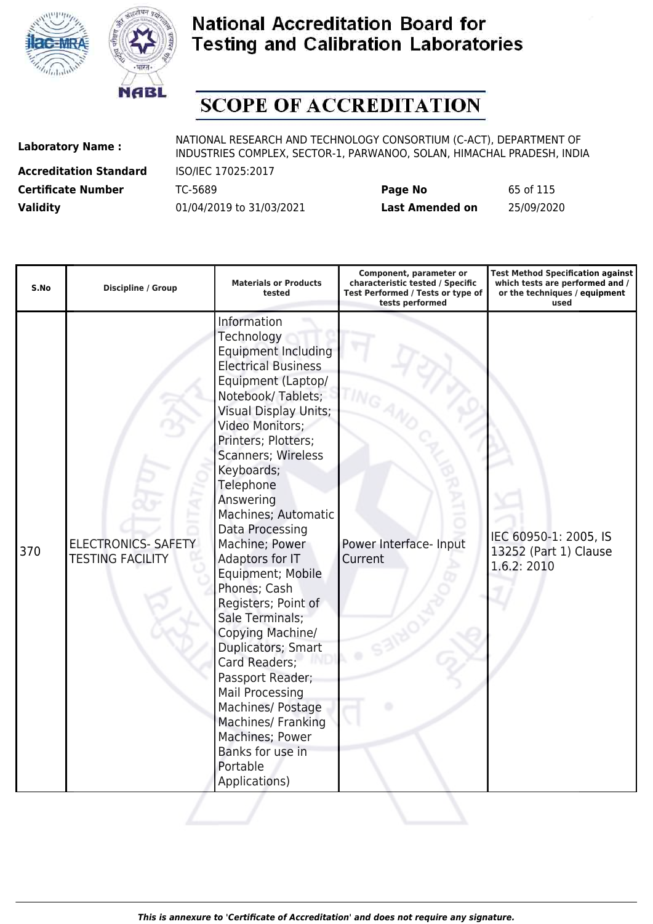



# **SCOPE OF ACCREDITATION**

**Accreditation Standard** ISO/IEC 17025:2017

| <b>Certificate Number</b> | TC-5689                  | Page No         | 65 of 115  |
|---------------------------|--------------------------|-----------------|------------|
| <b>Validity</b>           | 01/04/2019 to 31/03/2021 | Last Amended on | 25/09/2020 |

| S.No | <b>Discipline / Group</b>                             | <b>Materials or Products</b><br>tested                                                                                                                                                                                                                                                                                                                                                                                                                                                                                                                                                                                                                  | Component, parameter or<br>characteristic tested / Specific<br>Test Performed / Tests or type of<br>tests performed | <b>Test Method Specification against</b><br>which tests are performed and /<br>or the techniques / equipment<br>used |
|------|-------------------------------------------------------|---------------------------------------------------------------------------------------------------------------------------------------------------------------------------------------------------------------------------------------------------------------------------------------------------------------------------------------------------------------------------------------------------------------------------------------------------------------------------------------------------------------------------------------------------------------------------------------------------------------------------------------------------------|---------------------------------------------------------------------------------------------------------------------|----------------------------------------------------------------------------------------------------------------------|
| 370  | <b>ELECTRONICS- SAFETY</b><br><b>TESTING FACILITY</b> | Information<br>Technology<br><b>Equipment Including</b><br><b>Electrical Business</b><br>Equipment (Laptop/<br>Notebook/Tablets;<br><b>Visual Display Units;</b><br>Video Monitors;<br>Printers; Plotters;<br>Scanners; Wireless<br>Keyboards;<br>Telephone<br>Answering<br>Machines; Automatic<br>Data Processing<br>Machine; Power<br>Adaptors for IT<br>Equipment; Mobile<br>Phones; Cash<br>Registers; Point of<br>Sale Terminals;<br>Copying Machine/<br>Duplicators; Smart<br>Card Readers;<br>Passport Reader;<br>Mail Processing<br>Machines/ Postage<br>Machines/ Franking<br>Machines; Power<br>Banks for use in<br>Portable<br>Applications) | Power Interface- Input<br>Current                                                                                   | IEC 60950-1: 2005, IS<br>13252 (Part 1) Clause<br>1.6.2: 2010                                                        |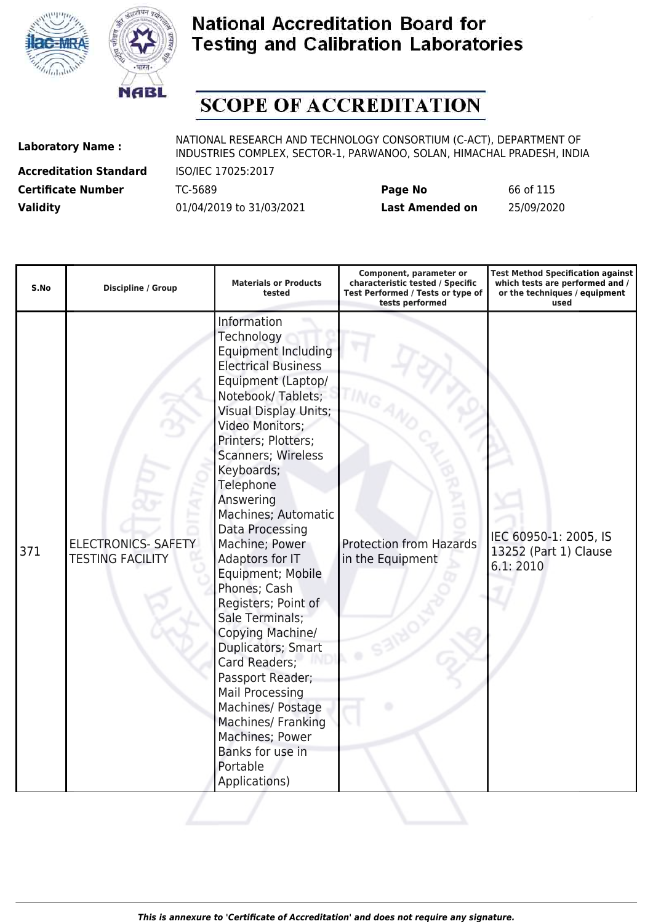



# **SCOPE OF ACCREDITATION**

**Accreditation Standard** ISO/IEC 17025:2017

| <b>Certificate Number</b> | TC-5689                  | Page No         | 66 of 115  |
|---------------------------|--------------------------|-----------------|------------|
| <b>Validity</b>           | 01/04/2019 to 31/03/2021 | Last Amended on | 25/09/2020 |

| S.No | <b>Discipline / Group</b>                             | <b>Materials or Products</b><br>tested                                                                                                                                                                                                                                                                                                                                                                                                                                                                                                                                                                                                                                | Component, parameter or<br>characteristic tested / Specific<br>Test Performed / Tests or type of<br>tests performed | <b>Test Method Specification against</b><br>which tests are performed and /<br>or the techniques / equipment<br>used |
|------|-------------------------------------------------------|-----------------------------------------------------------------------------------------------------------------------------------------------------------------------------------------------------------------------------------------------------------------------------------------------------------------------------------------------------------------------------------------------------------------------------------------------------------------------------------------------------------------------------------------------------------------------------------------------------------------------------------------------------------------------|---------------------------------------------------------------------------------------------------------------------|----------------------------------------------------------------------------------------------------------------------|
| 371  | <b>ELECTRONICS- SAFETY</b><br><b>TESTING FACILITY</b> | Information<br>Technology<br><b>Equipment Including</b><br><b>Electrical Business</b><br>Equipment (Laptop/<br>Notebook/Tablets;<br><b>Visual Display Units;</b><br>Video Monitors;<br>Printers; Plotters;<br><b>Scanners; Wireless</b><br>Keyboards;<br>Telephone<br>Answering<br>Machines; Automatic<br>Data Processing<br>Machine; Power<br>Adaptors for IT<br>Equipment; Mobile<br>Phones; Cash<br>Registers; Point of<br>Sale Terminals;<br>Copying Machine/<br>Duplicators; Smart<br>Card Readers;<br>Passport Reader;<br><b>Mail Processing</b><br>Machines/ Postage<br>Machines/ Franking<br>Machines; Power<br>Banks for use in<br>Portable<br>Applications) | <b>Protection from Hazards</b><br>in the Equipment                                                                  | IEC 60950-1: 2005, IS<br>13252 (Part 1) Clause<br>6.1:2010                                                           |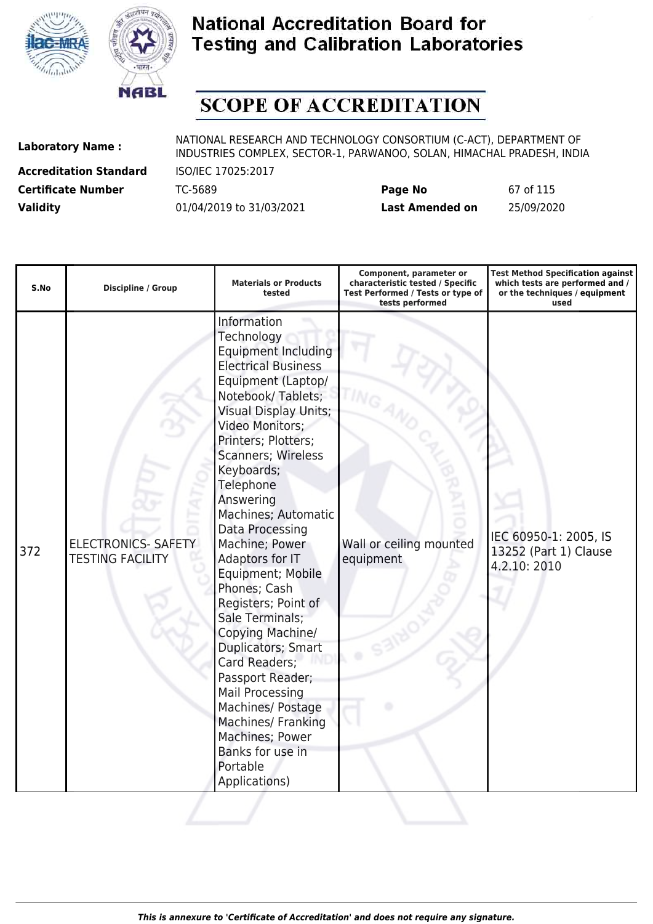



# **SCOPE OF ACCREDITATION**

**Accreditation Standard** ISO/IEC 17025:2017

| <b>Certificate Number</b> | TC-5689                  | Page No         | 67 of 115  |
|---------------------------|--------------------------|-----------------|------------|
| <b>Validity</b>           | 01/04/2019 to 31/03/2021 | Last Amended on | 25/09/2020 |

| S.No | <b>Discipline / Group</b>                             | <b>Materials or Products</b><br>tested                                                                                                                                                                                                                                                                                                                                                                                                                                                                                                                                                                                                                                | Component, parameter or<br>characteristic tested / Specific<br>Test Performed / Tests or type of<br>tests performed | <b>Test Method Specification against</b><br>which tests are performed and /<br>or the techniques / equipment<br>used |
|------|-------------------------------------------------------|-----------------------------------------------------------------------------------------------------------------------------------------------------------------------------------------------------------------------------------------------------------------------------------------------------------------------------------------------------------------------------------------------------------------------------------------------------------------------------------------------------------------------------------------------------------------------------------------------------------------------------------------------------------------------|---------------------------------------------------------------------------------------------------------------------|----------------------------------------------------------------------------------------------------------------------|
| 372  | <b>ELECTRONICS- SAFETY</b><br><b>TESTING FACILITY</b> | Information<br>Technology<br><b>Equipment Including</b><br><b>Electrical Business</b><br>Equipment (Laptop/<br>Notebook/Tablets;<br><b>Visual Display Units;</b><br>Video Monitors;<br>Printers; Plotters;<br><b>Scanners; Wireless</b><br>Keyboards;<br>Telephone<br>Answering<br>Machines; Automatic<br>Data Processing<br>Machine; Power<br>Adaptors for IT<br>Equipment; Mobile<br>Phones; Cash<br>Registers; Point of<br>Sale Terminals;<br>Copying Machine/<br>Duplicators; Smart<br>Card Readers;<br>Passport Reader;<br><b>Mail Processing</b><br>Machines/ Postage<br>Machines/ Franking<br>Machines; Power<br>Banks for use in<br>Portable<br>Applications) | Wall or ceiling mounted<br>equipment                                                                                | IEC 60950-1: 2005, IS<br>13252 (Part 1) Clause<br>4.2.10: 2010                                                       |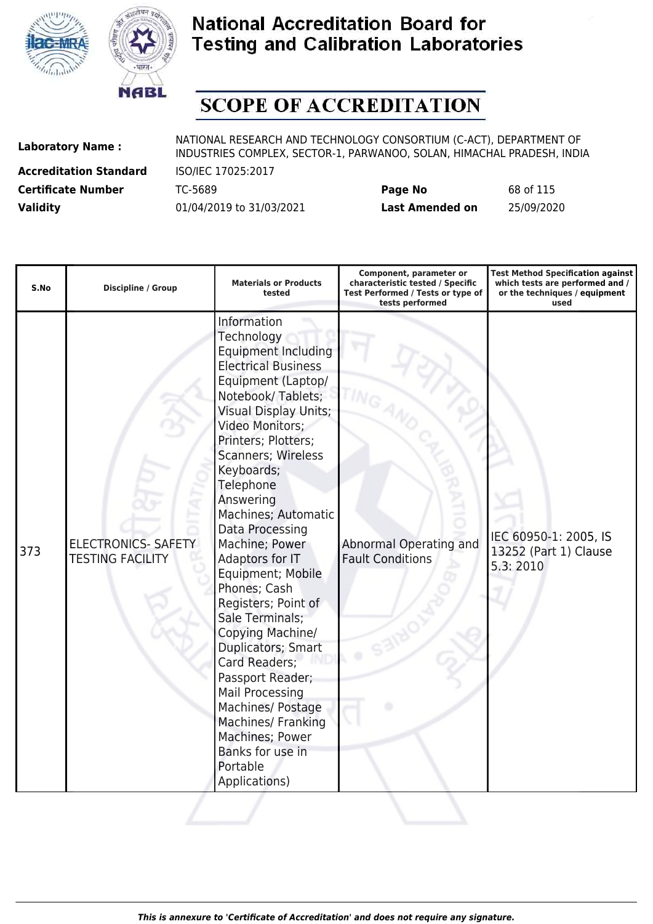



# **SCOPE OF ACCREDITATION**

**Accreditation Standard** ISO/IEC 17025:2017

| <b>Certificate Number</b> | TC-5689                  | Page No         | 68 of 115  |
|---------------------------|--------------------------|-----------------|------------|
| <b>Validity</b>           | 01/04/2019 to 31/03/2021 | Last Amended on | 25/09/2020 |

| S.No | <b>Discipline / Group</b>                             | <b>Materials or Products</b><br>tested                                                                                                                                                                                                                                                                                                                                                                                                                                                                                                                                                                                                                                | Component, parameter or<br>characteristic tested / Specific<br>Test Performed / Tests or type of<br>tests performed | <b>Test Method Specification against</b><br>which tests are performed and /<br>or the techniques / equipment<br>used |
|------|-------------------------------------------------------|-----------------------------------------------------------------------------------------------------------------------------------------------------------------------------------------------------------------------------------------------------------------------------------------------------------------------------------------------------------------------------------------------------------------------------------------------------------------------------------------------------------------------------------------------------------------------------------------------------------------------------------------------------------------------|---------------------------------------------------------------------------------------------------------------------|----------------------------------------------------------------------------------------------------------------------|
| 373  | <b>ELECTRONICS- SAFETY</b><br><b>TESTING FACILITY</b> | Information<br>Technology<br><b>Equipment Including</b><br><b>Electrical Business</b><br>Equipment (Laptop/<br>Notebook/Tablets;<br><b>Visual Display Units;</b><br>Video Monitors;<br>Printers; Plotters;<br><b>Scanners; Wireless</b><br>Keyboards;<br>Telephone<br>Answering<br>Machines; Automatic<br>Data Processing<br>Machine; Power<br>Adaptors for IT<br>Equipment; Mobile<br>Phones; Cash<br>Registers; Point of<br>Sale Terminals;<br>Copying Machine/<br>Duplicators; Smart<br>Card Readers;<br>Passport Reader;<br><b>Mail Processing</b><br>Machines/ Postage<br>Machines/ Franking<br>Machines; Power<br>Banks for use in<br>Portable<br>Applications) | Abnormal Operating and<br><b>Fault Conditions</b>                                                                   | IEC 60950-1: 2005, IS<br>13252 (Part 1) Clause<br>5.3:2010                                                           |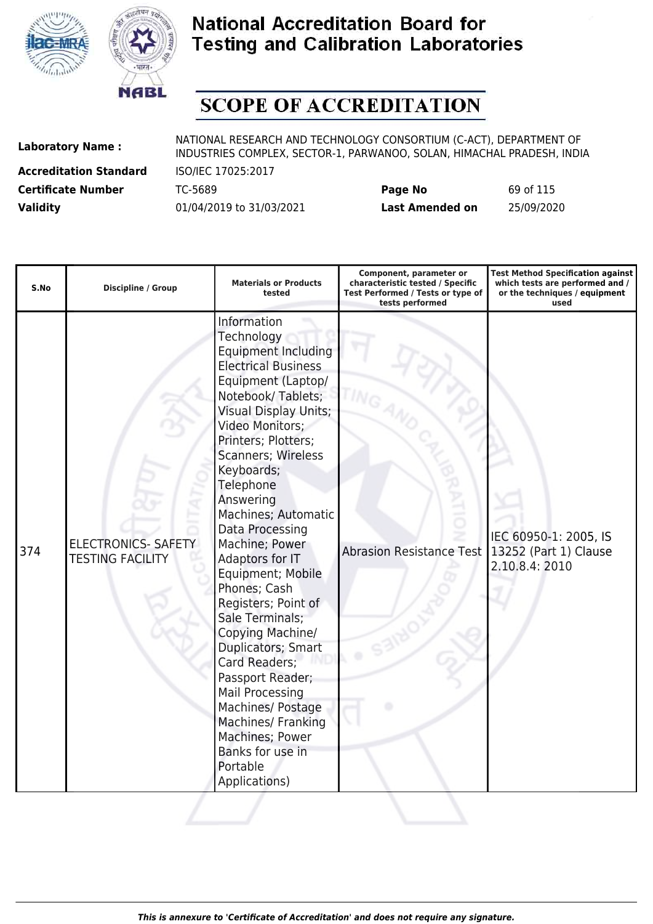



# **SCOPE OF ACCREDITATION**

**Accreditation Standard** ISO/IEC 17025:2017

| <b>Certificate Number</b> | TC-5689                  | Page No         | 69 of 115  |
|---------------------------|--------------------------|-----------------|------------|
| <b>Validity</b>           | 01/04/2019 to 31/03/2021 | Last Amended on | 25/09/2020 |

| S.No | <b>Discipline / Group</b>                             | <b>Materials or Products</b><br>tested                                                                                                                                                                                                                                                                                                                                                                                                                                                                                                                                                                                                                                | Component, parameter or<br>characteristic tested / Specific<br>Test Performed / Tests or type of<br>tests performed | <b>Test Method Specification against</b><br>which tests are performed and /<br>or the techniques / equipment<br>used |
|------|-------------------------------------------------------|-----------------------------------------------------------------------------------------------------------------------------------------------------------------------------------------------------------------------------------------------------------------------------------------------------------------------------------------------------------------------------------------------------------------------------------------------------------------------------------------------------------------------------------------------------------------------------------------------------------------------------------------------------------------------|---------------------------------------------------------------------------------------------------------------------|----------------------------------------------------------------------------------------------------------------------|
| 374  | <b>ELECTRONICS- SAFETY</b><br><b>TESTING FACILITY</b> | Information<br>Technology<br><b>Equipment Including</b><br><b>Electrical Business</b><br>Equipment (Laptop/<br>Notebook/Tablets;<br><b>Visual Display Units;</b><br>Video Monitors;<br>Printers; Plotters;<br><b>Scanners; Wireless</b><br>Keyboards;<br>Telephone<br>Answering<br>Machines; Automatic<br>Data Processing<br>Machine; Power<br>Adaptors for IT<br>Equipment; Mobile<br>Phones; Cash<br>Registers; Point of<br>Sale Terminals;<br>Copying Machine/<br>Duplicators; Smart<br>Card Readers;<br>Passport Reader;<br><b>Mail Processing</b><br>Machines/ Postage<br>Machines/ Franking<br>Machines; Power<br>Banks for use in<br>Portable<br>Applications) | <b>Abrasion Resistance Test</b>                                                                                     | IEC 60950-1: 2005, IS<br>13252 (Part 1) Clause<br>2.10.8.4: 2010                                                     |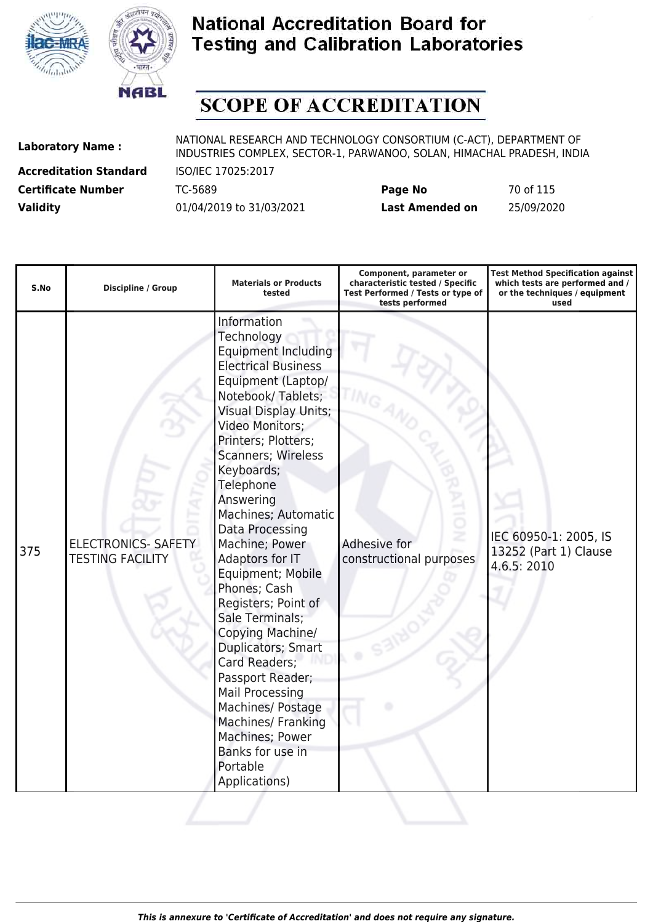



# **SCOPE OF ACCREDITATION**

**Accreditation Standard** ISO/IEC 17025:2017

| <b>Certificate Number</b> | TC-5689                  | Page No         | 70 of 115  |
|---------------------------|--------------------------|-----------------|------------|
| <b>Validity</b>           | 01/04/2019 to 31/03/2021 | Last Amended on | 25/09/2020 |

| S.No | <b>Discipline / Group</b>                             | <b>Materials or Products</b><br>tested                                                                                                                                                                                                                                                                                                                                                                                                                                                                                                                                                                                                                                | Component, parameter or<br>characteristic tested / Specific<br>Test Performed / Tests or type of<br>tests performed | <b>Test Method Specification against</b><br>which tests are performed and /<br>or the techniques / equipment<br>used |
|------|-------------------------------------------------------|-----------------------------------------------------------------------------------------------------------------------------------------------------------------------------------------------------------------------------------------------------------------------------------------------------------------------------------------------------------------------------------------------------------------------------------------------------------------------------------------------------------------------------------------------------------------------------------------------------------------------------------------------------------------------|---------------------------------------------------------------------------------------------------------------------|----------------------------------------------------------------------------------------------------------------------|
| 375  | <b>ELECTRONICS- SAFETY</b><br><b>TESTING FACILITY</b> | Information<br>Technology<br><b>Equipment Including</b><br><b>Electrical Business</b><br>Equipment (Laptop/<br>Notebook/Tablets;<br><b>Visual Display Units;</b><br>Video Monitors;<br>Printers; Plotters;<br><b>Scanners; Wireless</b><br>Keyboards;<br>Telephone<br>Answering<br>Machines; Automatic<br>Data Processing<br>Machine; Power<br>Adaptors for IT<br>Equipment; Mobile<br>Phones; Cash<br>Registers; Point of<br>Sale Terminals;<br>Copying Machine/<br>Duplicators; Smart<br>Card Readers;<br>Passport Reader;<br><b>Mail Processing</b><br>Machines/ Postage<br>Machines/ Franking<br>Machines; Power<br>Banks for use in<br>Portable<br>Applications) | Adhesive for<br>constructional purposes                                                                             | IEC 60950-1: 2005, IS<br>13252 (Part 1) Clause<br>4.6.5: 2010                                                        |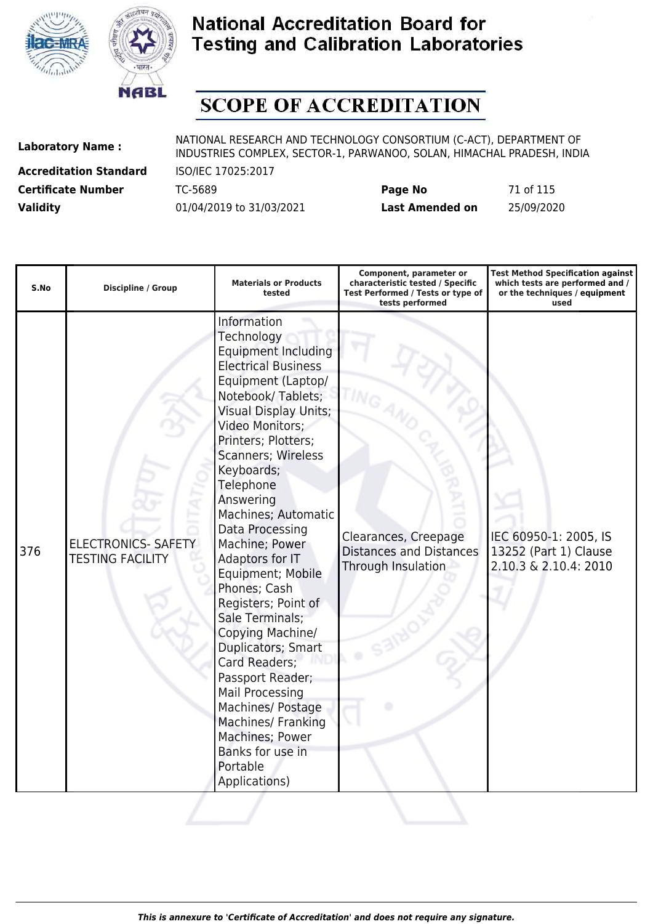



# **SCOPE OF ACCREDITATION**

**Accreditation Standard** ISO/IEC 17025:2017

| <b>Certificate Number</b> | TC-5689                  | Page No         | 71 of 115  |
|---------------------------|--------------------------|-----------------|------------|
| <b>Validity</b>           | 01/04/2019 to 31/03/2021 | Last Amended on | 25/09/2020 |

| S.No | Discipline / Group                                    | <b>Materials or Products</b><br>tested                                                                                                                                                                                                                                                                                                                                                                                                                                                                                                                                                                                                                  | Component, parameter or<br>characteristic tested / Specific<br>Test Performed / Tests or type of<br>tests performed | <b>Test Method Specification against</b><br>which tests are performed and /<br>or the techniques / equipment<br>used |
|------|-------------------------------------------------------|---------------------------------------------------------------------------------------------------------------------------------------------------------------------------------------------------------------------------------------------------------------------------------------------------------------------------------------------------------------------------------------------------------------------------------------------------------------------------------------------------------------------------------------------------------------------------------------------------------------------------------------------------------|---------------------------------------------------------------------------------------------------------------------|----------------------------------------------------------------------------------------------------------------------|
| 376  | <b>ELECTRONICS- SAFETY</b><br><b>TESTING FACILITY</b> | Information<br>Technology<br><b>Equipment Including</b><br><b>Electrical Business</b><br>Equipment (Laptop/<br>Notebook/Tablets;<br><b>Visual Display Units;</b><br>Video Monitors;<br>Printers; Plotters;<br>Scanners; Wireless<br>Keyboards;<br>Telephone<br>Answering<br>Machines; Automatic<br>Data Processing<br>Machine; Power<br>Adaptors for IT<br>Equipment; Mobile<br>Phones; Cash<br>Registers; Point of<br>Sale Terminals;<br>Copying Machine/<br>Duplicators; Smart<br>Card Readers;<br>Passport Reader;<br>Mail Processing<br>Machines/ Postage<br>Machines/ Franking<br>Machines; Power<br>Banks for use in<br>Portable<br>Applications) | Clearances, Creepage<br><b>Distances and Distances</b><br>Through Insulation                                        | IEC 60950-1: 2005, IS<br>13252 (Part 1) Clause<br>2.10.3 & 2.10.4: 2010                                              |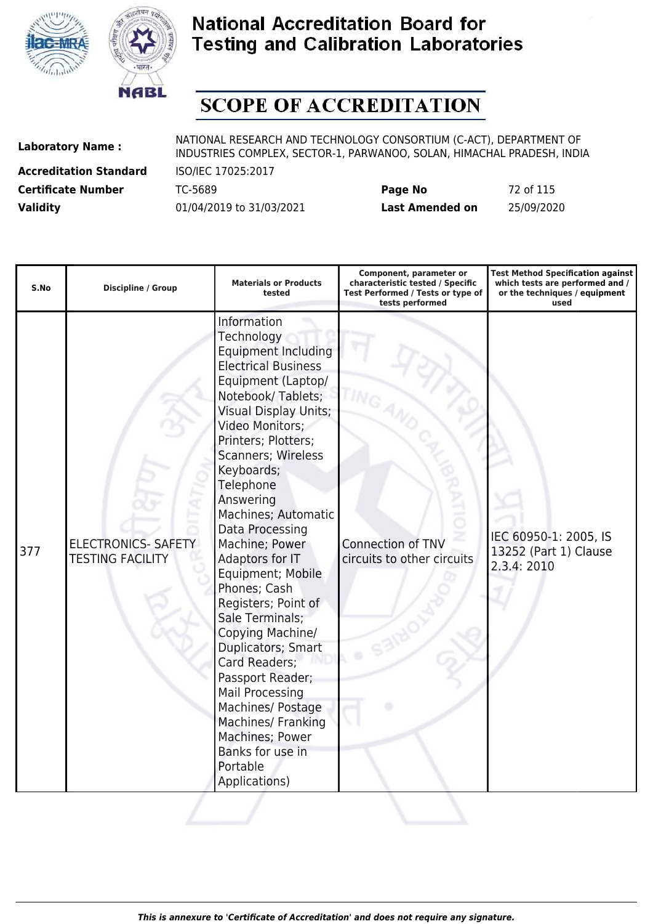



# **SCOPE OF ACCREDITATION**

**Accreditation Standard** ISO/IEC 17025:2017

| <b>Certificate Number</b> | TC-5689                  | Page No         | 72 of 115  |
|---------------------------|--------------------------|-----------------|------------|
| <b>Validity</b>           | 01/04/2019 to 31/03/2021 | Last Amended on | 25/09/2020 |

| S.No | Discipline / Group                                    | <b>Materials or Products</b><br>tested                                                                                                                                                                                                                                                                                                                                                                                                                                                                                                                                                                                                                         | Component, parameter or<br>characteristic tested / Specific<br>Test Performed / Tests or type of<br>tests performed | <b>Test Method Specification against</b><br>which tests are performed and /<br>or the techniques / equipment<br>used |
|------|-------------------------------------------------------|----------------------------------------------------------------------------------------------------------------------------------------------------------------------------------------------------------------------------------------------------------------------------------------------------------------------------------------------------------------------------------------------------------------------------------------------------------------------------------------------------------------------------------------------------------------------------------------------------------------------------------------------------------------|---------------------------------------------------------------------------------------------------------------------|----------------------------------------------------------------------------------------------------------------------|
| 377  | <b>ELECTRONICS- SAFETY</b><br><b>TESTING FACILITY</b> | Information<br>Technology<br><b>Equipment Including</b><br><b>Electrical Business</b><br>Equipment (Laptop/<br>Notebook/Tablets;<br><b>Visual Display Units;</b><br>Video Monitors;<br>Printers; Plotters;<br><b>Scanners; Wireless</b><br>Keyboards;<br>Telephone<br>Answering<br>Machines; Automatic<br>Data Processing<br>Machine; Power<br>Adaptors for IT<br>Equipment; Mobile<br>Phones; Cash<br>Registers; Point of<br>Sale Terminals;<br>Copying Machine/<br>Duplicators; Smart<br>Card Readers;<br>Passport Reader;<br>Mail Processing<br>Machines/ Postage<br>Machines/ Franking<br>Machines; Power<br>Banks for use in<br>Portable<br>Applications) | Connection of TNV<br>circuits to other circuits                                                                     | IEC 60950-1: 2005, IS<br>13252 (Part 1) Clause<br>2.3.4: 2010                                                        |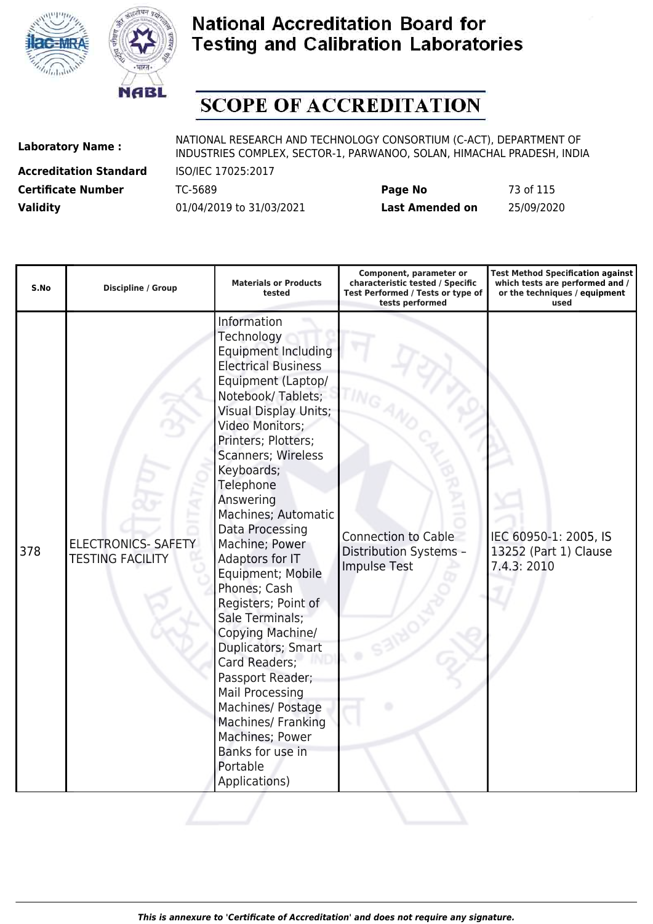



# **SCOPE OF ACCREDITATION**

**Accreditation Standard** ISO/IEC 17025:2017

| <b>Certificate Number</b> | TC-5689                  | Page No         | 73 of 115  |
|---------------------------|--------------------------|-----------------|------------|
| <b>Validity</b>           | 01/04/2019 to 31/03/2021 | Last Amended on | 25/09/2020 |

| S.No | <b>Discipline / Group</b>                             | <b>Materials or Products</b><br>tested                                                                                                                                                                                                                                                                                                                                                                                                                                                                                                                                                                                                                         | Component, parameter or<br>characteristic tested / Specific<br>Test Performed / Tests or type of<br>tests performed | <b>Test Method Specification against</b><br>which tests are performed and /<br>or the techniques / equipment<br>used |
|------|-------------------------------------------------------|----------------------------------------------------------------------------------------------------------------------------------------------------------------------------------------------------------------------------------------------------------------------------------------------------------------------------------------------------------------------------------------------------------------------------------------------------------------------------------------------------------------------------------------------------------------------------------------------------------------------------------------------------------------|---------------------------------------------------------------------------------------------------------------------|----------------------------------------------------------------------------------------------------------------------|
| 378  | <b>ELECTRONICS- SAFETY</b><br><b>TESTING FACILITY</b> | Information<br>Technology<br><b>Equipment Including</b><br><b>Electrical Business</b><br>Equipment (Laptop/<br>Notebook/Tablets;<br><b>Visual Display Units;</b><br>Video Monitors;<br>Printers; Plotters;<br>Scanners; Wireless<br>Keyboards;<br>Telephone<br>Answering<br>Machines; Automatic<br>Data Processing<br>Machine; Power<br>Adaptors for IT<br>Equipment; Mobile<br>Phones; Cash<br>Registers; Point of<br>Sale Terminals;<br>Copying Machine/<br>Duplicators; Smart<br>Card Readers;<br>Passport Reader;<br>Mail Processing<br>Machines/ Postage<br><b>Machines/ Franking</b><br>Machines; Power<br>Banks for use in<br>Portable<br>Applications) | <b>Connection to Cable</b><br>Distribution Systems -<br><b>Impulse Test</b>                                         | IEC 60950-1: 2005, IS<br>13252 (Part 1) Clause<br>7.4.3: 2010                                                        |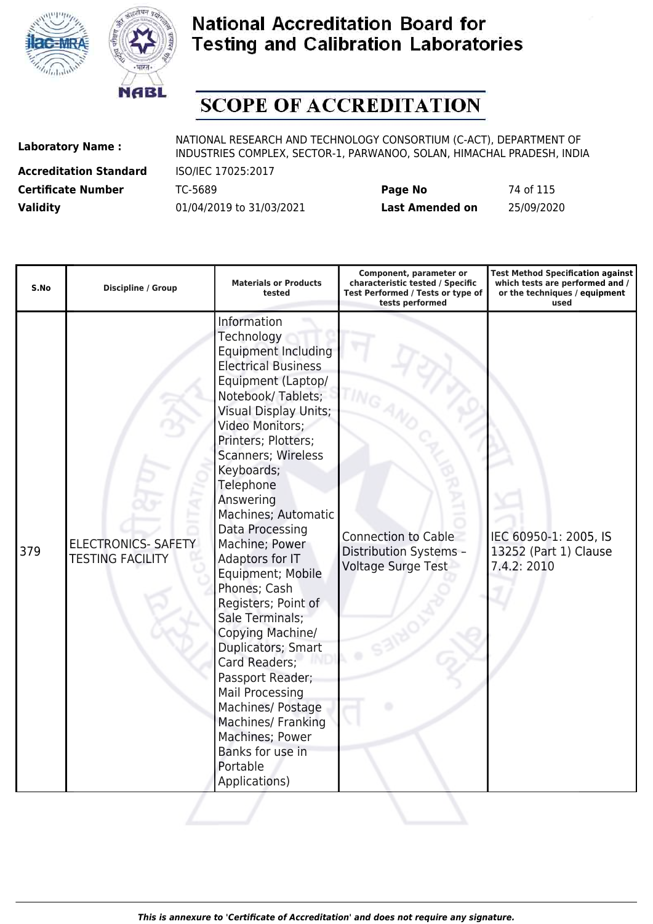



# **SCOPE OF ACCREDITATION**

**Accreditation Standard** ISO/IEC 17025:2017

| <b>Certificate Number</b> | TC-5689                  | Page No         | 74 of 115  |
|---------------------------|--------------------------|-----------------|------------|
| <b>Validity</b>           | 01/04/2019 to 31/03/2021 | Last Amended on | 25/09/2020 |

| S.No | <b>Discipline / Group</b>                             | <b>Materials or Products</b><br>tested                                                                                                                                                                                                                                                                                                                                                                                                                                                                                                                                                                                                                         | Component, parameter or<br>characteristic tested / Specific<br>Test Performed / Tests or type of<br>tests performed | <b>Test Method Specification against</b><br>which tests are performed and /<br>or the techniques / equipment<br>used |
|------|-------------------------------------------------------|----------------------------------------------------------------------------------------------------------------------------------------------------------------------------------------------------------------------------------------------------------------------------------------------------------------------------------------------------------------------------------------------------------------------------------------------------------------------------------------------------------------------------------------------------------------------------------------------------------------------------------------------------------------|---------------------------------------------------------------------------------------------------------------------|----------------------------------------------------------------------------------------------------------------------|
| 379  | <b>ELECTRONICS- SAFETY</b><br><b>TESTING FACILITY</b> | Information<br>Technology<br><b>Equipment Including</b><br><b>Electrical Business</b><br>Equipment (Laptop/<br>Notebook/Tablets;<br><b>Visual Display Units;</b><br>Video Monitors;<br>Printers; Plotters;<br>Scanners; Wireless<br>Keyboards;<br>Telephone<br>Answering<br>Machines; Automatic<br>Data Processing<br>Machine; Power<br>Adaptors for IT<br>Equipment; Mobile<br>Phones; Cash<br>Registers; Point of<br>Sale Terminals;<br>Copying Machine/<br>Duplicators; Smart<br>Card Readers;<br>Passport Reader;<br><b>Mail Processing</b><br>Machines/ Postage<br>Machines/ Franking<br>Machines; Power<br>Banks for use in<br>Portable<br>Applications) | <b>Connection to Cable</b><br>Distribution Systems -<br><b>Voltage Surge Test</b>                                   | IEC 60950-1: 2005, IS<br>13252 (Part 1) Clause<br>7.4.2: 2010                                                        |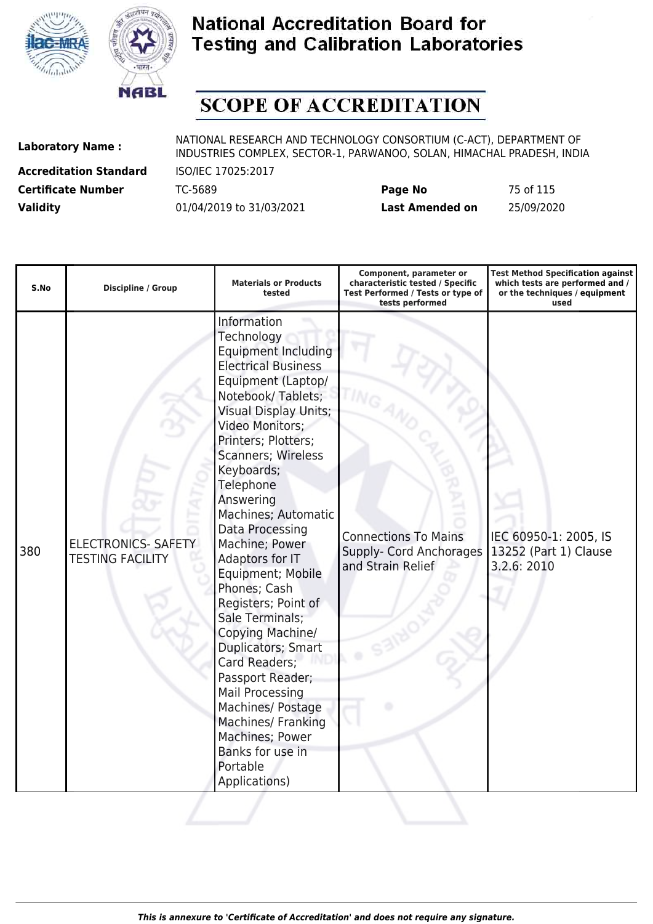



# **SCOPE OF ACCREDITATION**

**Accreditation Standard** ISO/IEC 17025:2017

| <b>Certificate Number</b> | TC-5689                  | Page No         | 75 of 115  |
|---------------------------|--------------------------|-----------------|------------|
| <b>Validity</b>           | 01/04/2019 to 31/03/2021 | Last Amended on | 25/09/2020 |

| S.No | Discipline / Group                                    | <b>Materials or Products</b><br>tested                                                                                                                                                                                                                                                                                                                                                                                                                                                                                                                                                                                                                                | Component, parameter or<br>characteristic tested / Specific<br>Test Performed / Tests or type of<br>tests performed | <b>Test Method Specification against</b><br>which tests are performed and /<br>or the techniques / equipment<br>used |
|------|-------------------------------------------------------|-----------------------------------------------------------------------------------------------------------------------------------------------------------------------------------------------------------------------------------------------------------------------------------------------------------------------------------------------------------------------------------------------------------------------------------------------------------------------------------------------------------------------------------------------------------------------------------------------------------------------------------------------------------------------|---------------------------------------------------------------------------------------------------------------------|----------------------------------------------------------------------------------------------------------------------|
| 380  | <b>ELECTRONICS- SAFETY</b><br><b>TESTING FACILITY</b> | Information<br>Technology<br><b>Equipment Including</b><br><b>Electrical Business</b><br>Equipment (Laptop/<br>Notebook/Tablets;<br><b>Visual Display Units;</b><br>Video Monitors;<br>Printers; Plotters;<br><b>Scanners; Wireless</b><br>Keyboards;<br>Telephone<br>Answering<br>Machines; Automatic<br>Data Processing<br>Machine; Power<br>Adaptors for IT<br>Equipment; Mobile<br>Phones; Cash<br>Registers; Point of<br>Sale Terminals;<br>Copying Machine/<br>Duplicators; Smart<br>Card Readers;<br>Passport Reader;<br><b>Mail Processing</b><br>Machines/ Postage<br>Machines/ Franking<br>Machines; Power<br>Banks for use in<br>Portable<br>Applications) | <b>Connections To Mains</b><br>Supply- Cord Anchorages<br>and Strain Relief                                         | IEC 60950-1: 2005, IS<br>13252 (Part 1) Clause<br>3.2.6: 2010                                                        |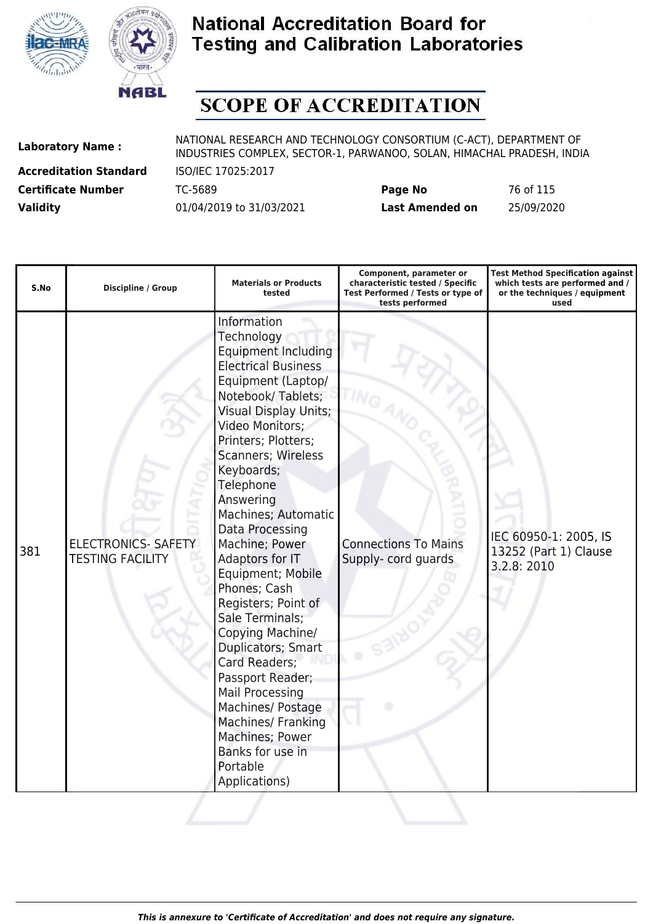



# **SCOPE OF ACCREDITATION**

**Accreditation Standard** ISO/IEC 17025:2017

| <b>Certificate Number</b> | TC-5689                  | Page No         | 76 of 115  |
|---------------------------|--------------------------|-----------------|------------|
| <b>Validity</b>           | 01/04/2019 to 31/03/2021 | Last Amended on | 25/09/2020 |

| S.No | <b>Discipline / Group</b>                             | <b>Materials or Products</b><br>tested                                                                                                                                                                                                                                                                                                                                                                                                                                                                                                                                                                                                                  | Component, parameter or<br>characteristic tested / Specific<br>Test Performed / Tests or type of<br>tests performed | <b>Test Method Specification against</b><br>which tests are performed and /<br>or the techniques / equipment<br>used |
|------|-------------------------------------------------------|---------------------------------------------------------------------------------------------------------------------------------------------------------------------------------------------------------------------------------------------------------------------------------------------------------------------------------------------------------------------------------------------------------------------------------------------------------------------------------------------------------------------------------------------------------------------------------------------------------------------------------------------------------|---------------------------------------------------------------------------------------------------------------------|----------------------------------------------------------------------------------------------------------------------|
| 381  | <b>ELECTRONICS- SAFETY</b><br><b>TESTING FACILITY</b> | Information<br>Technology<br><b>Equipment Including</b><br><b>Electrical Business</b><br>Equipment (Laptop/<br>Notebook/Tablets;<br><b>Visual Display Units;</b><br>Video Monitors;<br>Printers; Plotters;<br>Scanners; Wireless<br>Keyboards;<br>Telephone<br>Answering<br>Machines; Automatic<br>Data Processing<br>Machine; Power<br>Adaptors for IT<br>Equipment; Mobile<br>Phones; Cash<br>Registers; Point of<br>Sale Terminals;<br>Copying Machine/<br>Duplicators; Smart<br>Card Readers;<br>Passport Reader;<br>Mail Processing<br>Machines/ Postage<br>Machines/ Franking<br>Machines; Power<br>Banks for use in<br>Portable<br>Applications) | <b>Connections To Mains</b><br>Supply- cord guards                                                                  | IEC 60950-1: 2005, IS<br>13252 (Part 1) Clause<br>3.2.8: 2010                                                        |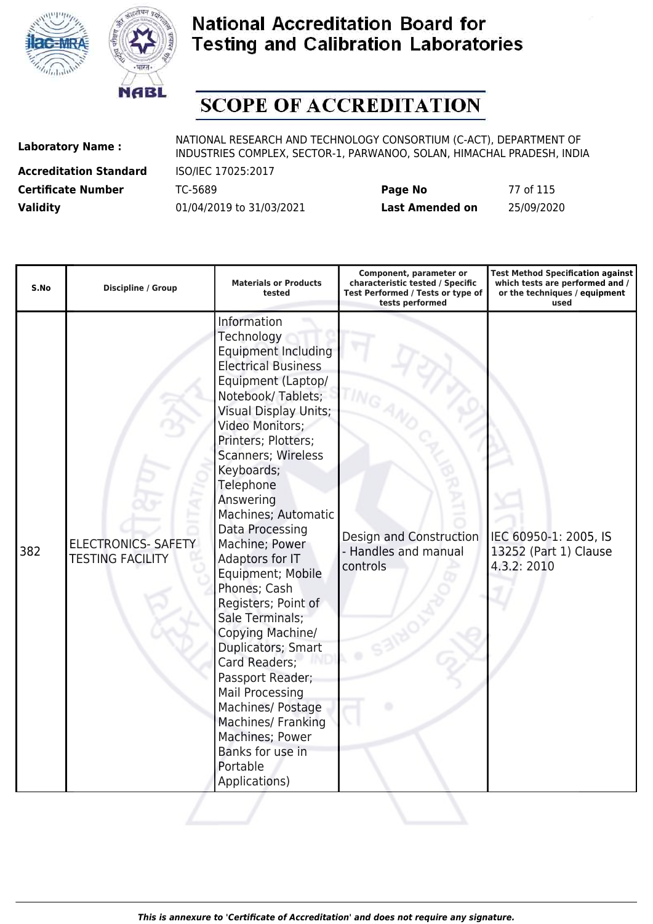



# **SCOPE OF ACCREDITATION**

**Accreditation Standard** ISO/IEC 17025:2017

| <b>Certificate Number</b> | TC-5689                  | Page No                | 77 of 115  |
|---------------------------|--------------------------|------------------------|------------|
| <b>Validity</b>           | 01/04/2019 to 31/03/2021 | <b>Last Amended on</b> | 25/09/2020 |

| S.No | Discipline / Group                                    | <b>Materials or Products</b><br>tested                                                                                                                                                                                                                                                                                                                                                                                                                                                                                                                                                                                                                         | Component, parameter or<br>characteristic tested / Specific<br>Test Performed / Tests or type of<br>tests performed | <b>Test Method Specification against</b><br>which tests are performed and /<br>or the techniques / equipment<br>used |
|------|-------------------------------------------------------|----------------------------------------------------------------------------------------------------------------------------------------------------------------------------------------------------------------------------------------------------------------------------------------------------------------------------------------------------------------------------------------------------------------------------------------------------------------------------------------------------------------------------------------------------------------------------------------------------------------------------------------------------------------|---------------------------------------------------------------------------------------------------------------------|----------------------------------------------------------------------------------------------------------------------|
| 382  | <b>ELECTRONICS- SAFETY</b><br><b>TESTING FACILITY</b> | Information<br>Technology<br><b>Equipment Including</b><br><b>Electrical Business</b><br>Equipment (Laptop/<br>Notebook/Tablets;<br><b>Visual Display Units;</b><br>Video Monitors;<br>Printers; Plotters;<br><b>Scanners; Wireless</b><br>Keyboards;<br>Telephone<br>Answering<br>Machines; Automatic<br>Data Processing<br>Machine; Power<br>Adaptors for IT<br>Equipment; Mobile<br>Phones; Cash<br>Registers; Point of<br>Sale Terminals;<br>Copying Machine/<br>Duplicators; Smart<br>Card Readers;<br>Passport Reader;<br>Mail Processing<br>Machines/ Postage<br>Machines/ Franking<br>Machines; Power<br>Banks for use in<br>Portable<br>Applications) | Design and Construction<br>- Handles and manual<br>controls                                                         | IEC 60950-1: 2005, IS<br>13252 (Part 1) Clause<br>4.3.2: 2010                                                        |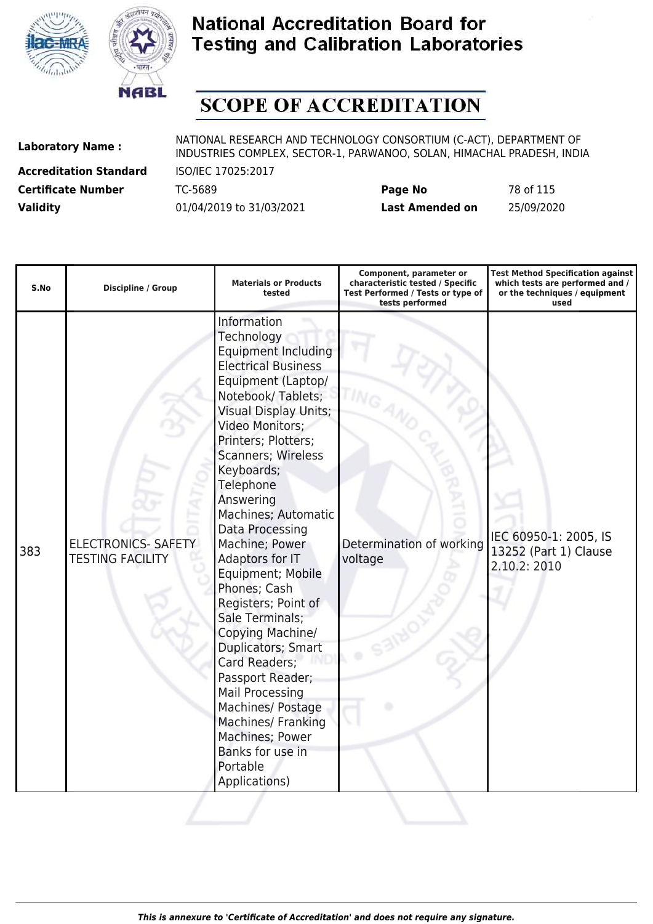



# **SCOPE OF ACCREDITATION**

**Accreditation Standard** ISO/IEC 17025:2017

| <b>Certificate Number</b> | TC-5689                  | Page No         | 78 of 115  |
|---------------------------|--------------------------|-----------------|------------|
| <b>Validity</b>           | 01/04/2019 to 31/03/2021 | Last Amended on | 25/09/2020 |

| S.No | <b>Discipline / Group</b>                             | <b>Materials or Products</b><br>tested                                                                                                                                                                                                                                                                                                                                                                                                                                                                                                                                                                                                                  | Component, parameter or<br>characteristic tested / Specific<br>Test Performed / Tests or type of<br>tests performed | <b>Test Method Specification against</b><br>which tests are performed and /<br>or the techniques / equipment<br>used |
|------|-------------------------------------------------------|---------------------------------------------------------------------------------------------------------------------------------------------------------------------------------------------------------------------------------------------------------------------------------------------------------------------------------------------------------------------------------------------------------------------------------------------------------------------------------------------------------------------------------------------------------------------------------------------------------------------------------------------------------|---------------------------------------------------------------------------------------------------------------------|----------------------------------------------------------------------------------------------------------------------|
| 383  | <b>ELECTRONICS- SAFETY</b><br><b>TESTING FACILITY</b> | Information<br>Technology<br><b>Equipment Including</b><br><b>Electrical Business</b><br>Equipment (Laptop/<br>Notebook/Tablets;<br><b>Visual Display Units;</b><br>Video Monitors;<br>Printers; Plotters;<br>Scanners; Wireless<br>Keyboards;<br>Telephone<br>Answering<br>Machines; Automatic<br>Data Processing<br>Machine; Power<br>Adaptors for IT<br>Equipment; Mobile<br>Phones; Cash<br>Registers; Point of<br>Sale Terminals;<br>Copying Machine/<br>Duplicators; Smart<br>Card Readers;<br>Passport Reader;<br>Mail Processing<br>Machines/ Postage<br>Machines/ Franking<br>Machines; Power<br>Banks for use in<br>Portable<br>Applications) | Determination of working<br>voltage                                                                                 | IEC 60950-1: 2005, IS<br>13252 (Part 1) Clause<br>2.10.2: 2010                                                       |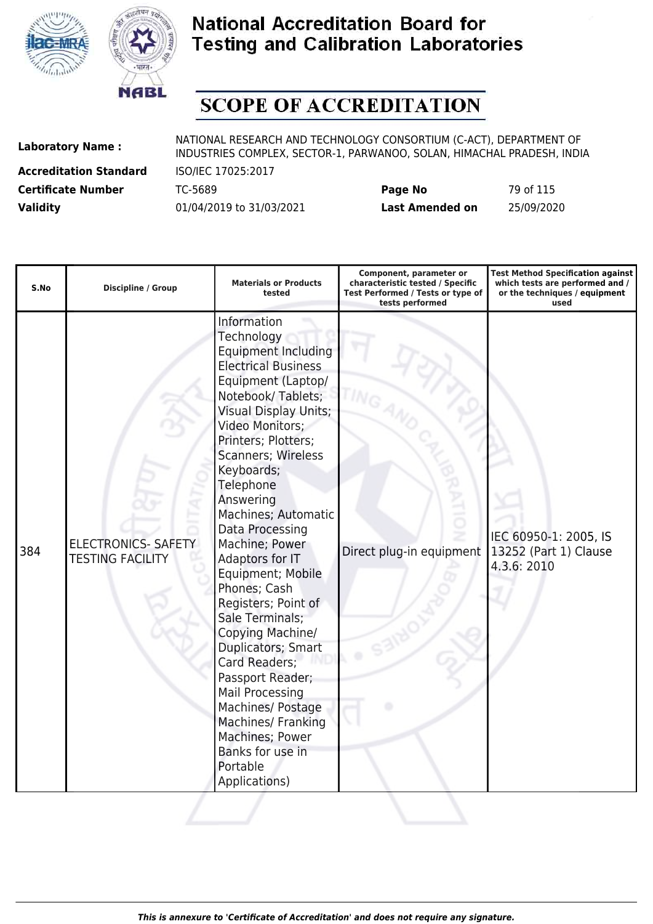



# **SCOPE OF ACCREDITATION**

**Accreditation Standard** ISO/IEC 17025:2017

| <b>Certificate Number</b> | TC-5689                  | Page No         | 79 of 115  |
|---------------------------|--------------------------|-----------------|------------|
| <b>Validity</b>           | 01/04/2019 to 31/03/2021 | Last Amended on | 25/09/2020 |

| S.No | <b>Discipline / Group</b>                             | <b>Materials or Products</b><br>tested                                                                                                                                                                                                                                                                                                                                                                                                                                                                                                                                                                                                                         | Component, parameter or<br>characteristic tested / Specific<br>Test Performed / Tests or type of<br>tests performed | <b>Test Method Specification against</b><br>which tests are performed and /<br>or the techniques / equipment<br>used |
|------|-------------------------------------------------------|----------------------------------------------------------------------------------------------------------------------------------------------------------------------------------------------------------------------------------------------------------------------------------------------------------------------------------------------------------------------------------------------------------------------------------------------------------------------------------------------------------------------------------------------------------------------------------------------------------------------------------------------------------------|---------------------------------------------------------------------------------------------------------------------|----------------------------------------------------------------------------------------------------------------------|
| 384  | <b>ELECTRONICS- SAFETY</b><br><b>TESTING FACILITY</b> | Information<br>Technology<br><b>Equipment Including</b><br><b>Electrical Business</b><br>Equipment (Laptop/<br>Notebook/Tablets;<br><b>Visual Display Units;</b><br>Video Monitors;<br>Printers; Plotters;<br><b>Scanners; Wireless</b><br>Keyboards;<br>Telephone<br>Answering<br>Machines; Automatic<br>Data Processing<br>Machine; Power<br>Adaptors for IT<br>Equipment; Mobile<br>Phones; Cash<br>Registers; Point of<br>Sale Terminals;<br>Copying Machine/<br>Duplicators; Smart<br>Card Readers;<br>Passport Reader;<br>Mail Processing<br>Machines/ Postage<br>Machines/ Franking<br>Machines; Power<br>Banks for use in<br>Portable<br>Applications) | Direct plug-in equipment                                                                                            | IEC 60950-1: 2005, IS<br>13252 (Part 1) Clause<br>4.3.6: 2010                                                        |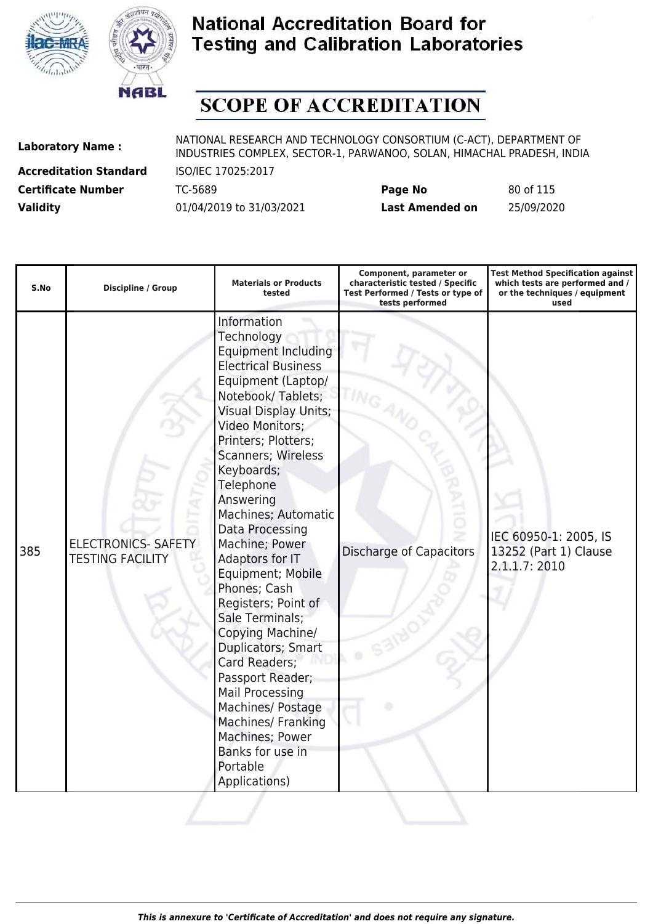



# **SCOPE OF ACCREDITATION**

**Accreditation Standard** ISO/IEC 17025:2017

| <b>Certificate Number</b> | TC-5689                  | Page No         | 80 of 115  |
|---------------------------|--------------------------|-----------------|------------|
| <b>Validity</b>           | 01/04/2019 to 31/03/2021 | Last Amended on | 25/09/2020 |

| S.No | Discipline / Group                                    | <b>Materials or Products</b><br>tested                                                                                                                                                                                                                                                                                                                                                                                                                                                                                                                                                                                                                  | Component, parameter or<br>characteristic tested / Specific<br>Test Performed / Tests or type of<br>tests performed | <b>Test Method Specification against</b><br>which tests are performed and /<br>or the techniques / equipment<br>used |
|------|-------------------------------------------------------|---------------------------------------------------------------------------------------------------------------------------------------------------------------------------------------------------------------------------------------------------------------------------------------------------------------------------------------------------------------------------------------------------------------------------------------------------------------------------------------------------------------------------------------------------------------------------------------------------------------------------------------------------------|---------------------------------------------------------------------------------------------------------------------|----------------------------------------------------------------------------------------------------------------------|
| 385  | <b>ELECTRONICS- SAFETY</b><br><b>TESTING FACILITY</b> | Information<br>Technology<br><b>Equipment Including</b><br><b>Electrical Business</b><br>Equipment (Laptop/<br>Notebook/Tablets;<br><b>Visual Display Units;</b><br>Video Monitors;<br>Printers; Plotters;<br>Scanners; Wireless<br>Keyboards;<br>Telephone<br>Answering<br>Machines; Automatic<br>Data Processing<br>Machine; Power<br>Adaptors for IT<br>Equipment; Mobile<br>Phones; Cash<br>Registers; Point of<br>Sale Terminals;<br>Copying Machine/<br>Duplicators; Smart<br>Card Readers;<br>Passport Reader;<br>Mail Processing<br>Machines/ Postage<br>Machines/ Franking<br>Machines; Power<br>Banks for use in<br>Portable<br>Applications) | <b>Discharge of Capacitors</b>                                                                                      | IEC 60950-1: 2005, IS<br>13252 (Part 1) Clause<br>2.1.1.7: 2010                                                      |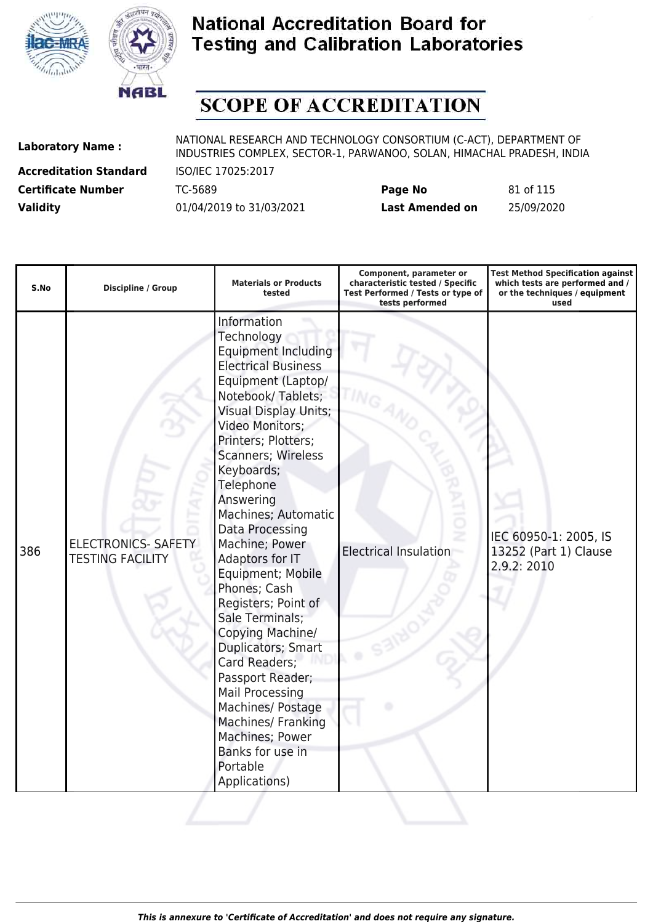



# **SCOPE OF ACCREDITATION**

**Accreditation Standard** ISO/IEC 17025:2017

| <b>Certificate Number</b> | TC-5689                  | Page No         | 81 of 115  |
|---------------------------|--------------------------|-----------------|------------|
| <b>Validity</b>           | 01/04/2019 to 31/03/2021 | Last Amended on | 25/09/2020 |

| S.No | <b>Discipline / Group</b>                             | <b>Materials or Products</b><br>tested                                                                                                                                                                                                                                                                                                                                                                                                                                                                                                                                                                                                                  | Component, parameter or<br>characteristic tested / Specific<br>Test Performed / Tests or type of<br>tests performed | <b>Test Method Specification against</b><br>which tests are performed and /<br>or the techniques / equipment<br>used |
|------|-------------------------------------------------------|---------------------------------------------------------------------------------------------------------------------------------------------------------------------------------------------------------------------------------------------------------------------------------------------------------------------------------------------------------------------------------------------------------------------------------------------------------------------------------------------------------------------------------------------------------------------------------------------------------------------------------------------------------|---------------------------------------------------------------------------------------------------------------------|----------------------------------------------------------------------------------------------------------------------|
| 386  | <b>ELECTRONICS- SAFETY</b><br><b>TESTING FACILITY</b> | Information<br>Technology<br><b>Equipment Including</b><br><b>Electrical Business</b><br>Equipment (Laptop/<br>Notebook/Tablets;<br><b>Visual Display Units;</b><br>Video Monitors;<br>Printers; Plotters;<br>Scanners; Wireless<br>Keyboards;<br>Telephone<br>Answering<br>Machines; Automatic<br>Data Processing<br>Machine; Power<br>Adaptors for IT<br>Equipment; Mobile<br>Phones; Cash<br>Registers; Point of<br>Sale Terminals;<br>Copying Machine/<br>Duplicators; Smart<br>Card Readers;<br>Passport Reader;<br>Mail Processing<br>Machines/ Postage<br>Machines/ Franking<br>Machines; Power<br>Banks for use in<br>Portable<br>Applications) | <b>Electrical Insulation</b>                                                                                        | IEC 60950-1: 2005, IS<br>13252 (Part 1) Clause<br>2.9.2: 2010                                                        |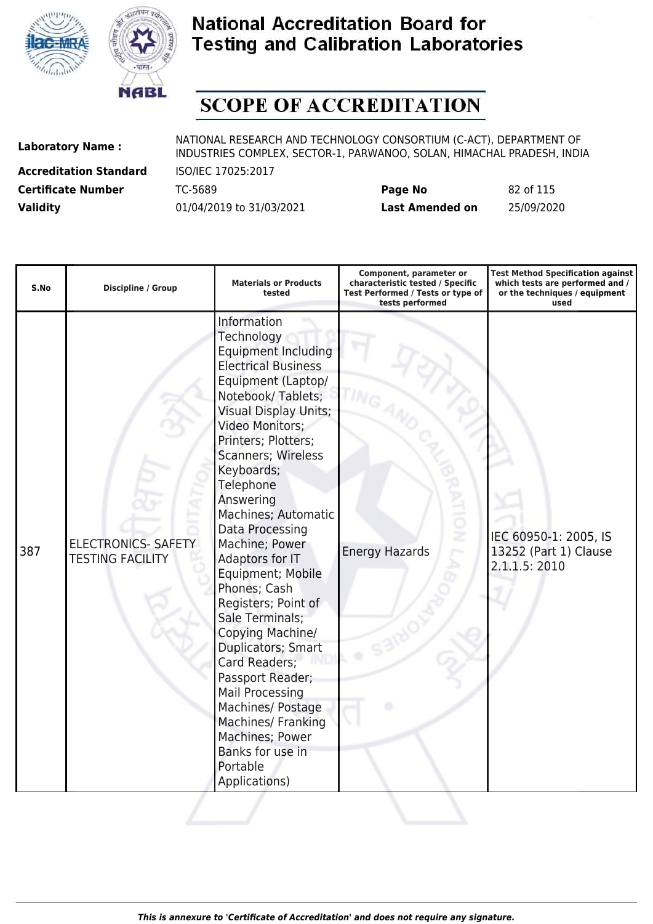



# **SCOPE OF ACCREDITATION**

**Accreditation Standard** ISO/IEC 17025:2017

| <b>Certificate Number</b> | TC-5689                  | Page No         | 82 of 115  |
|---------------------------|--------------------------|-----------------|------------|
| <b>Validity</b>           | 01/04/2019 to 31/03/2021 | Last Amended on | 25/09/2020 |

| S.No | <b>Discipline / Group</b>                             | <b>Materials or Products</b><br>tested                                                                                                                                                                                                                                                                                                                                                                                                                                                                                                                                                                                                                         | Component, parameter or<br>characteristic tested / Specific<br>Test Performed / Tests or type of<br>tests performed | <b>Test Method Specification against</b><br>which tests are performed and /<br>or the techniques / equipment<br>used |
|------|-------------------------------------------------------|----------------------------------------------------------------------------------------------------------------------------------------------------------------------------------------------------------------------------------------------------------------------------------------------------------------------------------------------------------------------------------------------------------------------------------------------------------------------------------------------------------------------------------------------------------------------------------------------------------------------------------------------------------------|---------------------------------------------------------------------------------------------------------------------|----------------------------------------------------------------------------------------------------------------------|
| 387  | <b>ELECTRONICS- SAFETY</b><br><b>TESTING FACILITY</b> | Information<br>Technology<br><b>Equipment Including</b><br><b>Electrical Business</b><br>Equipment (Laptop/<br>Notebook/Tablets;<br><b>Visual Display Units;</b><br>Video Monitors;<br>Printers; Plotters;<br>Scanners; Wireless<br>Keyboards;<br>Telephone<br>Answering<br>Machines; Automatic<br>Data Processing<br>Machine; Power<br>Adaptors for IT<br>Equipment; Mobile<br>Phones; Cash<br>Registers; Point of<br>Sale Terminals;<br>Copying Machine/<br>Duplicators; Smart<br>Card Readers;<br>Passport Reader;<br><b>Mail Processing</b><br>Machines/ Postage<br>Machines/ Franking<br>Machines; Power<br>Banks for use in<br>Portable<br>Applications) | ż<br><b>Energy Hazards</b>                                                                                          | IEC 60950-1: 2005, IS<br>13252 (Part 1) Clause<br>2.1.1.5: 2010                                                      |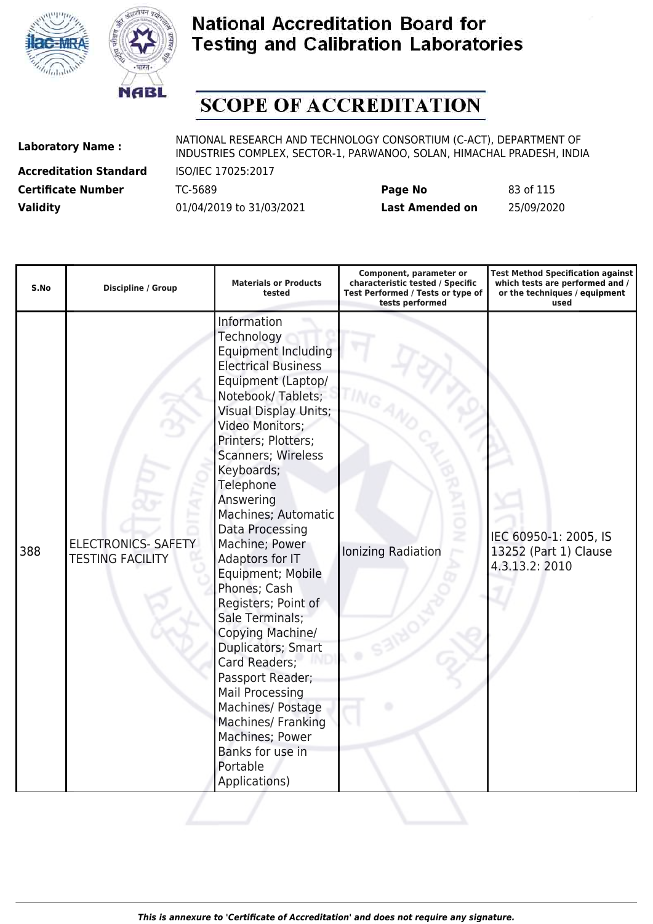



# **SCOPE OF ACCREDITATION**

**Accreditation Standard** ISO/IEC 17025:2017

| <b>Certificate Number</b> | TC-5689                  | Page No         | 83 of 115  |
|---------------------------|--------------------------|-----------------|------------|
| <b>Validity</b>           | 01/04/2019 to 31/03/2021 | Last Amended on | 25/09/2020 |

| S.No | <b>Discipline / Group</b>                             | <b>Materials or Products</b><br>tested                                                                                                                                                                                                                                                                                                                                                                                                                                                                                                                                                                                                                  | Component, parameter or<br>characteristic tested / Specific<br>Test Performed / Tests or type of<br>tests performed | <b>Test Method Specification against</b><br>which tests are performed and /<br>or the techniques / equipment<br>used |
|------|-------------------------------------------------------|---------------------------------------------------------------------------------------------------------------------------------------------------------------------------------------------------------------------------------------------------------------------------------------------------------------------------------------------------------------------------------------------------------------------------------------------------------------------------------------------------------------------------------------------------------------------------------------------------------------------------------------------------------|---------------------------------------------------------------------------------------------------------------------|----------------------------------------------------------------------------------------------------------------------|
| 388  | <b>ELECTRONICS- SAFETY</b><br><b>TESTING FACILITY</b> | Information<br>Technology<br><b>Equipment Including</b><br><b>Electrical Business</b><br>Equipment (Laptop/<br>Notebook/Tablets;<br><b>Visual Display Units;</b><br>Video Monitors;<br>Printers; Plotters;<br>Scanners; Wireless<br>Keyboards;<br>Telephone<br>Answering<br>Machines; Automatic<br>Data Processing<br>Machine; Power<br>Adaptors for IT<br>Equipment; Mobile<br>Phones; Cash<br>Registers; Point of<br>Sale Terminals;<br>Copying Machine/<br>Duplicators; Smart<br>Card Readers;<br>Passport Reader;<br>Mail Processing<br>Machines/ Postage<br>Machines/ Franking<br>Machines; Power<br>Banks for use in<br>Portable<br>Applications) | ż<br>Ionizing Radiation                                                                                             | IEC 60950-1: 2005, IS<br>13252 (Part 1) Clause<br>4.3.13.2: 2010                                                     |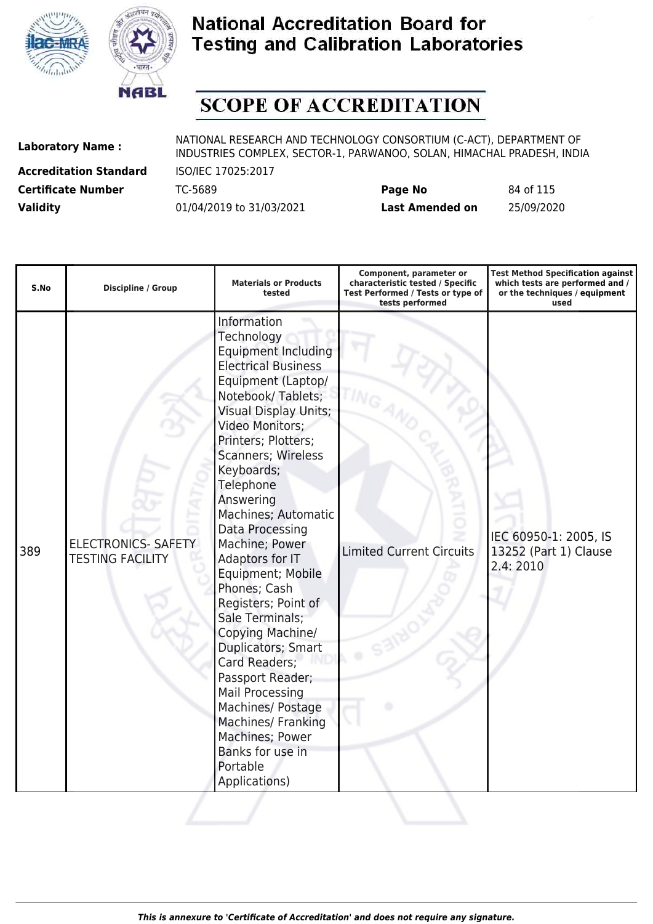



# **SCOPE OF ACCREDITATION**

**Accreditation Standard** ISO/IEC 17025:2017

| <b>Certificate Number</b> | TC-5689                  | Page No         | 84 of 115  |
|---------------------------|--------------------------|-----------------|------------|
| <b>Validity</b>           | 01/04/2019 to 31/03/2021 | Last Amended on | 25/09/2020 |

| S.No | Discipline / Group                                    | <b>Materials or Products</b><br>tested                                                                                                                                                                                                                                                                                                                                                                                                                                                                                                                                                                                                                                | Component, parameter or<br>characteristic tested / Specific<br>Test Performed / Tests or type of<br>tests performed | <b>Test Method Specification against</b><br>which tests are performed and /<br>or the techniques / equipment<br>used |
|------|-------------------------------------------------------|-----------------------------------------------------------------------------------------------------------------------------------------------------------------------------------------------------------------------------------------------------------------------------------------------------------------------------------------------------------------------------------------------------------------------------------------------------------------------------------------------------------------------------------------------------------------------------------------------------------------------------------------------------------------------|---------------------------------------------------------------------------------------------------------------------|----------------------------------------------------------------------------------------------------------------------|
| 389  | <b>ELECTRONICS- SAFETY</b><br><b>TESTING FACILITY</b> | Information<br>Technology<br><b>Equipment Including</b><br><b>Electrical Business</b><br>Equipment (Laptop/<br>Notebook/Tablets;<br><b>Visual Display Units;</b><br>Video Monitors;<br>Printers; Plotters;<br>Scanners; Wireless<br>Keyboards;<br>Telephone<br>Answering<br>Machines; Automatic<br>Data Processing<br>Machine; Power<br>Adaptors for IT<br>Equipment; Mobile<br>Phones; Cash<br>Registers; Point of<br>Sale Terminals;<br>Copying Machine/<br>Duplicators; Smart<br>Card Readers;<br>Passport Reader;<br><b>Mail Processing</b><br>Machines/ Postage<br><b>Machines/ Franking</b><br>Machines; Power<br>Banks for use in<br>Portable<br>Applications) | <b>Limited Current Circuits</b>                                                                                     | IEC 60950-1: 2005, IS<br>13252 (Part 1) Clause<br>2.4:2010                                                           |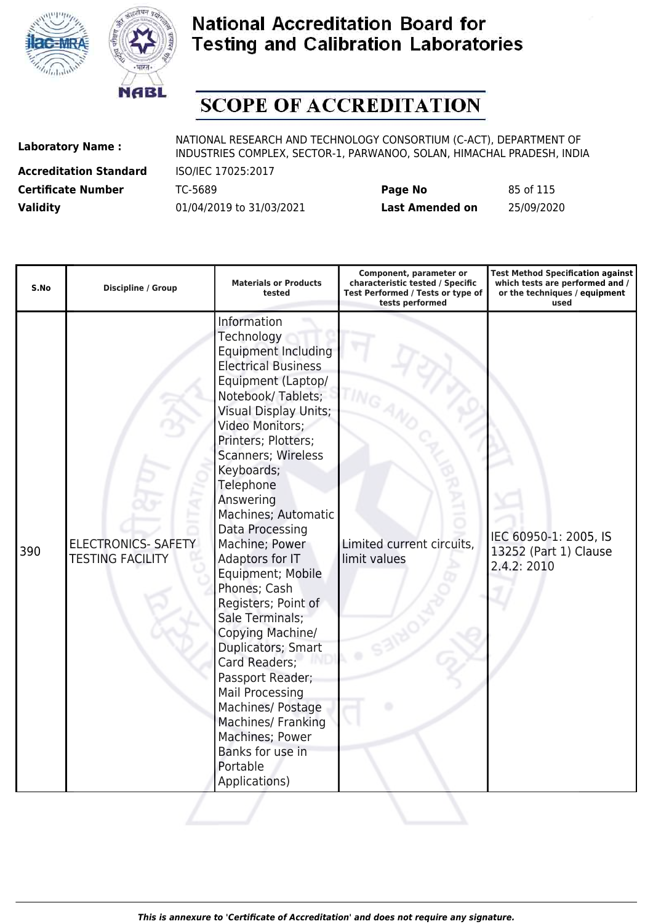



# **SCOPE OF ACCREDITATION**

**Accreditation Standard** ISO/IEC 17025:2017

| <b>Certificate Number</b> | TC-5689                  | Page No         | 85 of 115  |
|---------------------------|--------------------------|-----------------|------------|
| <b>Validity</b>           | 01/04/2019 to 31/03/2021 | Last Amended on | 25/09/2020 |

| S.No | <b>Discipline / Group</b>                             | <b>Materials or Products</b><br>tested                                                                                                                                                                                                                                                                                                                                                                                                                                                                                                                                                                                                                         | Component, parameter or<br>characteristic tested / Specific<br>Test Performed / Tests or type of<br>tests performed | <b>Test Method Specification against</b><br>which tests are performed and /<br>or the techniques / equipment<br>used |
|------|-------------------------------------------------------|----------------------------------------------------------------------------------------------------------------------------------------------------------------------------------------------------------------------------------------------------------------------------------------------------------------------------------------------------------------------------------------------------------------------------------------------------------------------------------------------------------------------------------------------------------------------------------------------------------------------------------------------------------------|---------------------------------------------------------------------------------------------------------------------|----------------------------------------------------------------------------------------------------------------------|
| 390  | <b>ELECTRONICS- SAFETY</b><br><b>TESTING FACILITY</b> | Information<br>Technology<br><b>Equipment Including</b><br><b>Electrical Business</b><br>Equipment (Laptop/<br>Notebook/Tablets;<br><b>Visual Display Units;</b><br>Video Monitors;<br>Printers; Plotters;<br><b>Scanners; Wireless</b><br>Keyboards;<br>Telephone<br>Answering<br>Machines; Automatic<br>Data Processing<br>Machine; Power<br>Adaptors for IT<br>Equipment; Mobile<br>Phones; Cash<br>Registers; Point of<br>Sale Terminals;<br>Copying Machine/<br>Duplicators; Smart<br>Card Readers;<br>Passport Reader;<br>Mail Processing<br>Machines/ Postage<br>Machines/ Franking<br>Machines; Power<br>Banks for use in<br>Portable<br>Applications) | Limited current circuits,<br>limit values                                                                           | IEC 60950-1: 2005, IS<br>13252 (Part 1) Clause<br>2.4.2: 2010                                                        |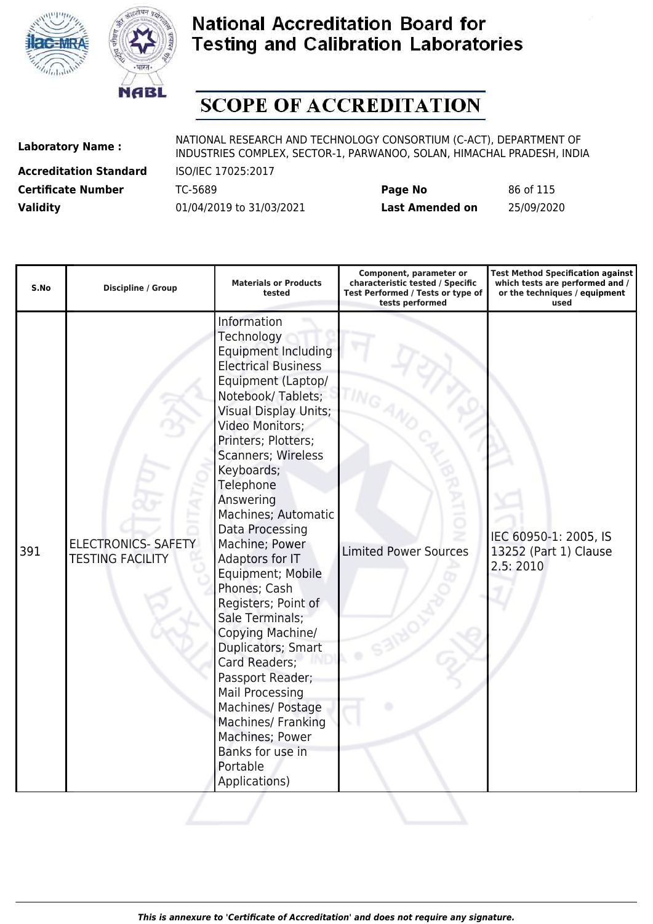



# **SCOPE OF ACCREDITATION**

**Accreditation Standard** ISO/IEC 17025:2017

| <b>Certificate Number</b> | TC-5689                  | Page No         | 86 of 115  |
|---------------------------|--------------------------|-----------------|------------|
| <b>Validity</b>           | 01/04/2019 to 31/03/2021 | Last Amended on | 25/09/2020 |

| S.No | Discipline / Group                                    | <b>Materials or Products</b><br>tested                                                                                                                                                                                                                                                                                                                                                                                                                                                                                                                                                                                                                                | Component, parameter or<br>characteristic tested / Specific<br>Test Performed / Tests or type of<br>tests performed | <b>Test Method Specification against</b><br>which tests are performed and /<br>or the techniques / equipment<br>used |
|------|-------------------------------------------------------|-----------------------------------------------------------------------------------------------------------------------------------------------------------------------------------------------------------------------------------------------------------------------------------------------------------------------------------------------------------------------------------------------------------------------------------------------------------------------------------------------------------------------------------------------------------------------------------------------------------------------------------------------------------------------|---------------------------------------------------------------------------------------------------------------------|----------------------------------------------------------------------------------------------------------------------|
| 391  | <b>ELECTRONICS- SAFETY</b><br><b>TESTING FACILITY</b> | Information<br>Technology<br><b>Equipment Including</b><br><b>Electrical Business</b><br>Equipment (Laptop/<br>Notebook/Tablets;<br><b>Visual Display Units;</b><br>Video Monitors;<br>Printers; Plotters;<br>Scanners; Wireless<br>Keyboards;<br>Telephone<br>Answering<br>Machines; Automatic<br>Data Processing<br>Machine; Power<br>Adaptors for IT<br>Equipment; Mobile<br>Phones; Cash<br>Registers; Point of<br>Sale Terminals;<br>Copying Machine/<br>Duplicators; Smart<br>Card Readers;<br>Passport Reader;<br><b>Mail Processing</b><br>Machines/ Postage<br><b>Machines/ Franking</b><br>Machines; Power<br>Banks for use in<br>Portable<br>Applications) | <b>Limited Power Sources</b>                                                                                        | IEC 60950-1: 2005, IS<br>13252 (Part 1) Clause<br>2.5:2010                                                           |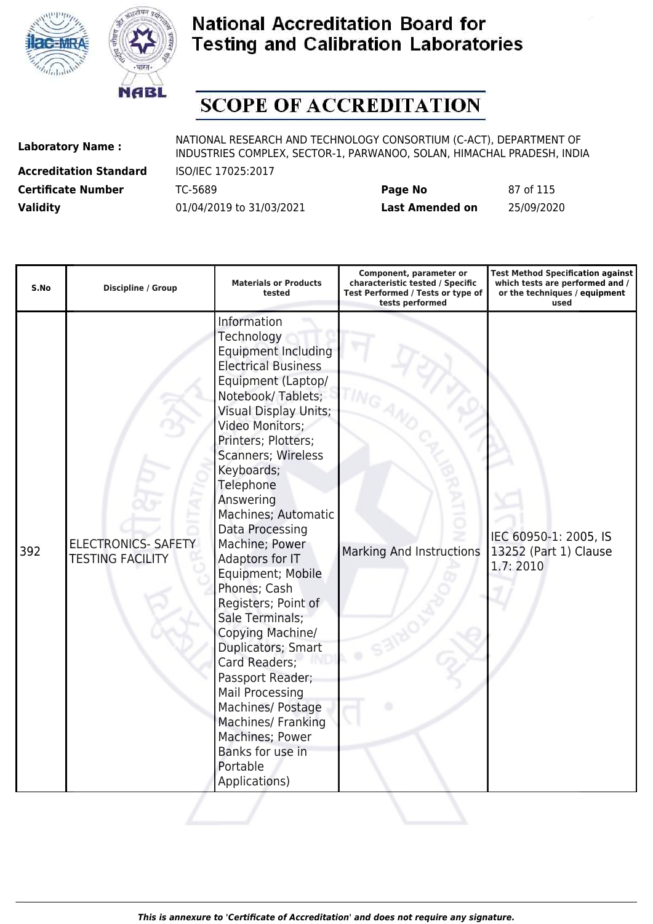



# **SCOPE OF ACCREDITATION**

**Accreditation Standard** ISO/IEC 17025:2017

| <b>Certificate Number</b> | TC-5689                  | Page No         | 87 of 115  |
|---------------------------|--------------------------|-----------------|------------|
| <b>Validity</b>           | 01/04/2019 to 31/03/2021 | Last Amended on | 25/09/2020 |

| S.No | Discipline / Group                                    | <b>Materials or Products</b><br>tested                                                                                                                                                                                                                                                                                                                                                                                                                                                                                                                                                                                                                  | Component, parameter or<br>characteristic tested / Specific<br>Test Performed / Tests or type of<br>tests performed | <b>Test Method Specification against</b><br>which tests are performed and /<br>or the techniques / equipment<br>used |
|------|-------------------------------------------------------|---------------------------------------------------------------------------------------------------------------------------------------------------------------------------------------------------------------------------------------------------------------------------------------------------------------------------------------------------------------------------------------------------------------------------------------------------------------------------------------------------------------------------------------------------------------------------------------------------------------------------------------------------------|---------------------------------------------------------------------------------------------------------------------|----------------------------------------------------------------------------------------------------------------------|
| 392  | <b>ELECTRONICS- SAFETY</b><br><b>TESTING FACILITY</b> | Information<br>Technology<br><b>Equipment Including</b><br><b>Electrical Business</b><br>Equipment (Laptop/<br>Notebook/Tablets;<br><b>Visual Display Units;</b><br>Video Monitors;<br>Printers; Plotters;<br>Scanners; Wireless<br>Keyboards;<br>Telephone<br>Answering<br>Machines; Automatic<br>Data Processing<br>Machine; Power<br>Adaptors for IT<br>Equipment; Mobile<br>Phones; Cash<br>Registers; Point of<br>Sale Terminals;<br>Copying Machine/<br>Duplicators; Smart<br>Card Readers;<br>Passport Reader;<br>Mail Processing<br>Machines/ Postage<br>Machines/ Franking<br>Machines; Power<br>Banks for use in<br>Portable<br>Applications) | Marking And Instructions                                                                                            | IEC 60950-1: 2005, IS<br>13252 (Part 1) Clause<br>1.7:2010                                                           |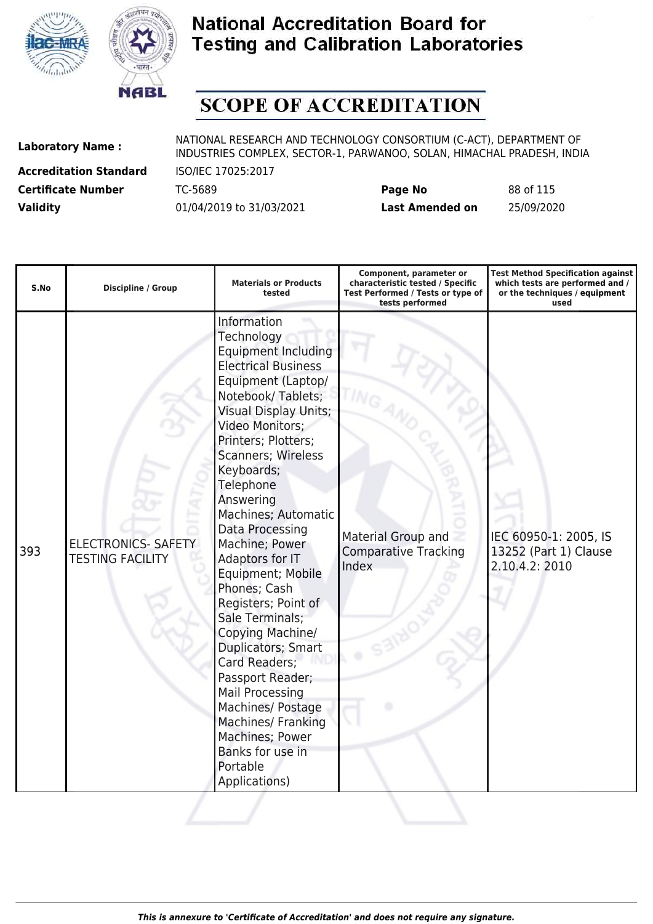



# **SCOPE OF ACCREDITATION**

**Accreditation Standard** ISO/IEC 17025:2017

| <b>Certificate Number</b> | TC-5689                  | Page No         | 88 of 115  |
|---------------------------|--------------------------|-----------------|------------|
| <b>Validity</b>           | 01/04/2019 to 31/03/2021 | Last Amended on | 25/09/2020 |

| S.No | <b>Discipline / Group</b>                             | <b>Materials or Products</b><br>tested                                                                                                                                                                                                                                                                                                                                                                                                                                                                                                                                                                                                                  | Component, parameter or<br>characteristic tested / Specific<br>Test Performed / Tests or type of<br>tests performed | <b>Test Method Specification against</b><br>which tests are performed and /<br>or the techniques / equipment<br>used |
|------|-------------------------------------------------------|---------------------------------------------------------------------------------------------------------------------------------------------------------------------------------------------------------------------------------------------------------------------------------------------------------------------------------------------------------------------------------------------------------------------------------------------------------------------------------------------------------------------------------------------------------------------------------------------------------------------------------------------------------|---------------------------------------------------------------------------------------------------------------------|----------------------------------------------------------------------------------------------------------------------|
| 393  | <b>ELECTRONICS- SAFETY</b><br><b>TESTING FACILITY</b> | Information<br>Technology<br><b>Equipment Including</b><br><b>Electrical Business</b><br>Equipment (Laptop/<br>Notebook/Tablets;<br><b>Visual Display Units;</b><br>Video Monitors;<br>Printers; Plotters;<br>Scanners; Wireless<br>Keyboards;<br>Telephone<br>Answering<br>Machines; Automatic<br>Data Processing<br>Machine; Power<br>Adaptors for IT<br>Equipment; Mobile<br>Phones; Cash<br>Registers; Point of<br>Sale Terminals;<br>Copying Machine/<br>Duplicators; Smart<br>Card Readers;<br>Passport Reader;<br>Mail Processing<br>Machines/ Postage<br>Machines/ Franking<br>Machines; Power<br>Banks for use in<br>Portable<br>Applications) | Material Group and<br><b>Comparative Tracking</b><br>Index                                                          | IEC 60950-1: 2005, IS<br>13252 (Part 1) Clause<br>2.10.4.2: 2010                                                     |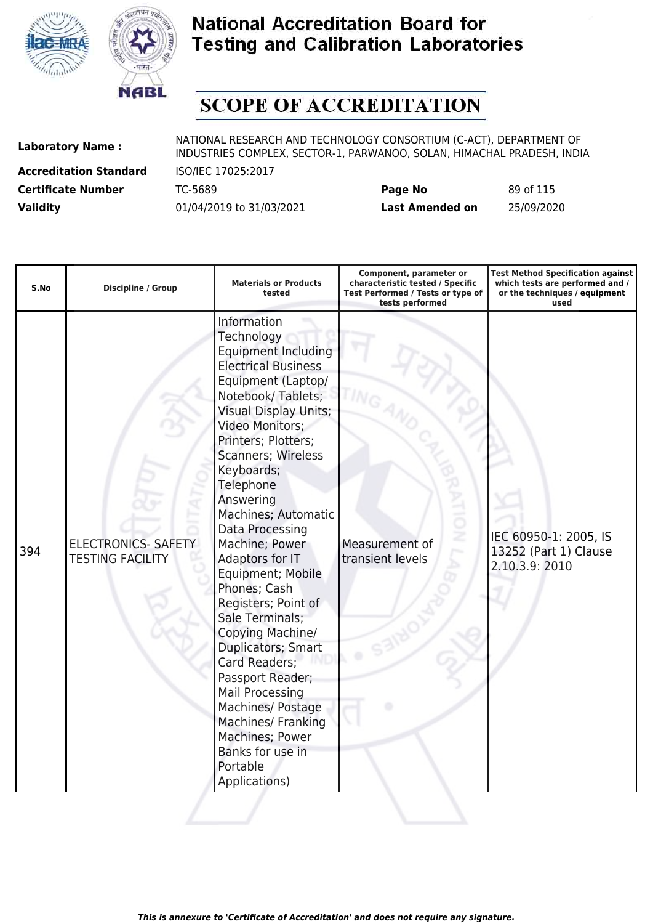



# **SCOPE OF ACCREDITATION**

**Accreditation Standard** ISO/IEC 17025:2017

| <b>Certificate Number</b> | TC-5689                  | Page No         | 89 of 115  |
|---------------------------|--------------------------|-----------------|------------|
| <b>Validity</b>           | 01/04/2019 to 31/03/2021 | Last Amended on | 25/09/2020 |

| S.No | Discipline / Group                                    | <b>Materials or Products</b><br>tested                                                                                                                                                                                                                                                                                                                                                                                                                                                                                                                                                                                                                  | Component, parameter or<br>characteristic tested / Specific<br>Test Performed / Tests or type of<br>tests performed | <b>Test Method Specification against</b><br>which tests are performed and /<br>or the techniques / equipment<br>used |
|------|-------------------------------------------------------|---------------------------------------------------------------------------------------------------------------------------------------------------------------------------------------------------------------------------------------------------------------------------------------------------------------------------------------------------------------------------------------------------------------------------------------------------------------------------------------------------------------------------------------------------------------------------------------------------------------------------------------------------------|---------------------------------------------------------------------------------------------------------------------|----------------------------------------------------------------------------------------------------------------------|
| 394  | <b>ELECTRONICS- SAFETY</b><br><b>TESTING FACILITY</b> | Information<br>Technology<br><b>Equipment Including</b><br><b>Electrical Business</b><br>Equipment (Laptop/<br>Notebook/Tablets;<br><b>Visual Display Units;</b><br>Video Monitors;<br>Printers; Plotters;<br>Scanners; Wireless<br>Keyboards;<br>Telephone<br>Answering<br>Machines; Automatic<br>Data Processing<br>Machine; Power<br>Adaptors for IT<br>Equipment; Mobile<br>Phones; Cash<br>Registers; Point of<br>Sale Terminals;<br>Copying Machine/<br>Duplicators; Smart<br>Card Readers;<br>Passport Reader;<br>Mail Processing<br>Machines/ Postage<br>Machines/ Franking<br>Machines; Power<br>Banks for use in<br>Portable<br>Applications) | Measurement of<br>transient levels                                                                                  | IEC 60950-1: 2005, IS<br>13252 (Part 1) Clause<br>2.10.3.9: 2010                                                     |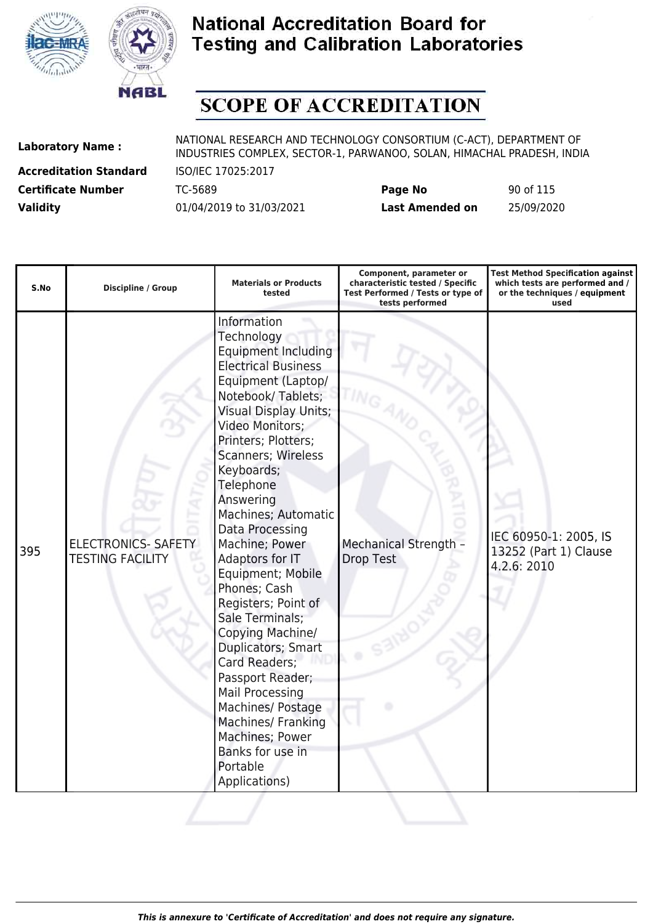



# **SCOPE OF ACCREDITATION**

**Accreditation Standard** ISO/IEC 17025:2017

| <b>Certificate Number</b> | TC-5689                  | Page No         | 90 of 115  |
|---------------------------|--------------------------|-----------------|------------|
| <b>Validity</b>           | 01/04/2019 to 31/03/2021 | Last Amended on | 25/09/2020 |

| S.No | <b>Discipline / Group</b>                             | <b>Materials or Products</b><br>tested                                                                                                                                                                                                                                                                                                                                                                                                                                                                                                                                                                                                                  | Component, parameter or<br>characteristic tested / Specific<br>Test Performed / Tests or type of<br>tests performed | <b>Test Method Specification against</b><br>which tests are performed and /<br>or the techniques / equipment<br>used |
|------|-------------------------------------------------------|---------------------------------------------------------------------------------------------------------------------------------------------------------------------------------------------------------------------------------------------------------------------------------------------------------------------------------------------------------------------------------------------------------------------------------------------------------------------------------------------------------------------------------------------------------------------------------------------------------------------------------------------------------|---------------------------------------------------------------------------------------------------------------------|----------------------------------------------------------------------------------------------------------------------|
| 395  | <b>ELECTRONICS- SAFETY</b><br><b>TESTING FACILITY</b> | Information<br>Technology<br><b>Equipment Including</b><br><b>Electrical Business</b><br>Equipment (Laptop/<br>Notebook/Tablets;<br><b>Visual Display Units;</b><br>Video Monitors;<br>Printers; Plotters;<br>Scanners; Wireless<br>Keyboards;<br>Telephone<br>Answering<br>Machines; Automatic<br>Data Processing<br>Machine; Power<br>Adaptors for IT<br>Equipment; Mobile<br>Phones; Cash<br>Registers; Point of<br>Sale Terminals;<br>Copying Machine/<br>Duplicators; Smart<br>Card Readers;<br>Passport Reader;<br>Mail Processing<br>Machines/ Postage<br>Machines/ Franking<br>Machines; Power<br>Banks for use in<br>Portable<br>Applications) | <b>Mechanical Strength -</b><br>Drop Test                                                                           | IEC 60950-1: 2005, IS<br>13252 (Part 1) Clause<br>4.2.6: 2010                                                        |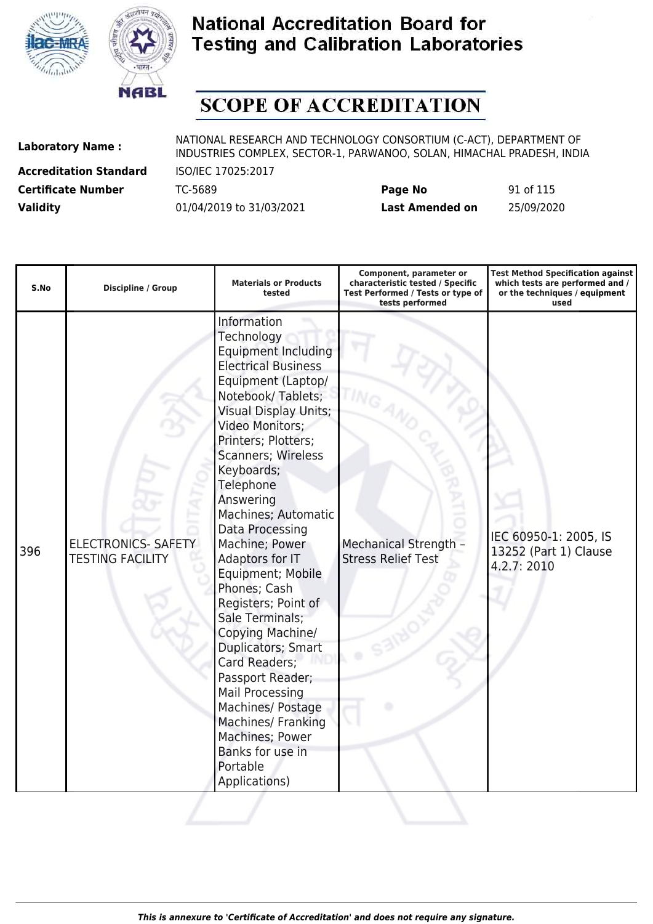



# **SCOPE OF ACCREDITATION**

**Accreditation Standard** ISO/IEC 17025:2017

| <b>Certificate Number</b> | TC-5689                  | Page No                | 91 of 115  |
|---------------------------|--------------------------|------------------------|------------|
| <b>Validity</b>           | 01/04/2019 to 31/03/2021 | <b>Last Amended on</b> | 25/09/2020 |

| S.No | <b>Discipline / Group</b>                             | <b>Materials or Products</b><br>tested                                                                                                                                                                                                                                                                                                                                                                                                                                                                                                                                                                                                                         | Component, parameter or<br>characteristic tested / Specific<br>Test Performed / Tests or type of<br>tests performed | <b>Test Method Specification against</b><br>which tests are performed and /<br>or the techniques / equipment<br>used |
|------|-------------------------------------------------------|----------------------------------------------------------------------------------------------------------------------------------------------------------------------------------------------------------------------------------------------------------------------------------------------------------------------------------------------------------------------------------------------------------------------------------------------------------------------------------------------------------------------------------------------------------------------------------------------------------------------------------------------------------------|---------------------------------------------------------------------------------------------------------------------|----------------------------------------------------------------------------------------------------------------------|
| 396  | <b>ELECTRONICS- SAFETY</b><br><b>TESTING FACILITY</b> | Information<br>Technology<br><b>Equipment Including</b><br><b>Electrical Business</b><br>Equipment (Laptop/<br>Notebook/Tablets;<br><b>Visual Display Units;</b><br>Video Monitors;<br>Printers; Plotters;<br>Scanners; Wireless<br>Keyboards;<br>Telephone<br>Answering<br>Machines; Automatic<br>Data Processing<br>Machine; Power<br>Adaptors for IT<br>Equipment; Mobile<br>Phones; Cash<br>Registers; Point of<br>Sale Terminals;<br>Copying Machine/<br>Duplicators; Smart<br>Card Readers;<br>Passport Reader;<br><b>Mail Processing</b><br>Machines/ Postage<br>Machines/ Franking<br>Machines; Power<br>Banks for use in<br>Portable<br>Applications) | <b>Mechanical Strength -</b><br><b>Stress Relief Test</b>                                                           | IEC 60950-1: 2005, IS<br>13252 (Part 1) Clause<br>4.2.7: 2010                                                        |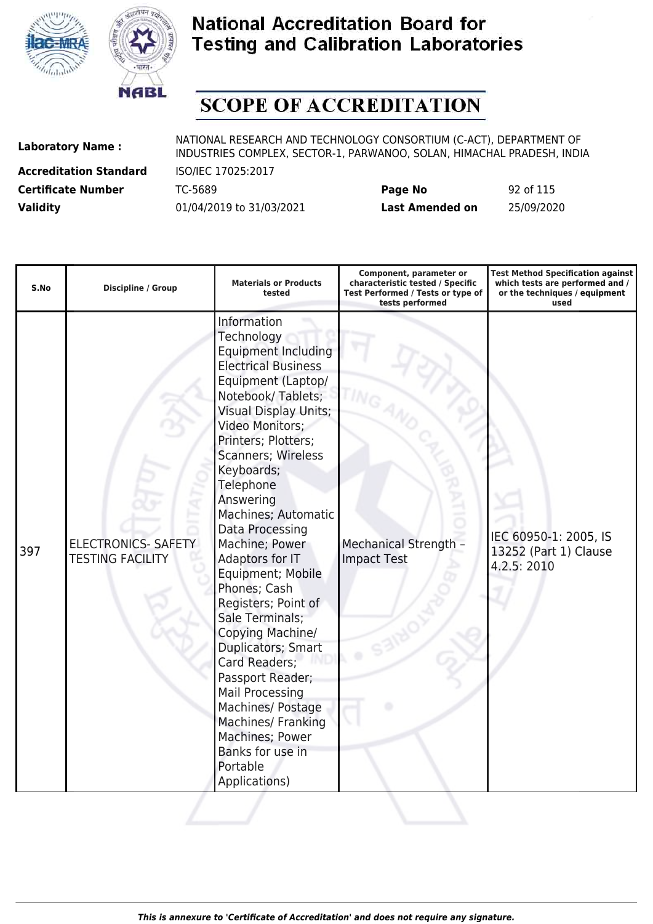



# **SCOPE OF ACCREDITATION**

**Accreditation Standard** ISO/IEC 17025:2017

| <b>Certificate Number</b> | TC-5689                  | Page No         | 92 of 115  |
|---------------------------|--------------------------|-----------------|------------|
| <b>Validity</b>           | 01/04/2019 to 31/03/2021 | Last Amended on | 25/09/2020 |

| S.No | <b>Discipline / Group</b>                             | <b>Materials or Products</b><br>tested                                                                                                                                                                                                                                                                                                                                                                                                                                                                                                                                                                                                                  | Component, parameter or<br>characteristic tested / Specific<br>Test Performed / Tests or type of<br>tests performed | <b>Test Method Specification against</b><br>which tests are performed and /<br>or the techniques / equipment<br>used |
|------|-------------------------------------------------------|---------------------------------------------------------------------------------------------------------------------------------------------------------------------------------------------------------------------------------------------------------------------------------------------------------------------------------------------------------------------------------------------------------------------------------------------------------------------------------------------------------------------------------------------------------------------------------------------------------------------------------------------------------|---------------------------------------------------------------------------------------------------------------------|----------------------------------------------------------------------------------------------------------------------|
| 397  | <b>ELECTRONICS- SAFETY</b><br><b>TESTING FACILITY</b> | Information<br>Technology<br><b>Equipment Including</b><br><b>Electrical Business</b><br>Equipment (Laptop/<br>Notebook/Tablets;<br><b>Visual Display Units;</b><br>Video Monitors;<br>Printers; Plotters;<br>Scanners; Wireless<br>Keyboards;<br>Telephone<br>Answering<br>Machines; Automatic<br>Data Processing<br>Machine; Power<br>Adaptors for IT<br>Equipment; Mobile<br>Phones; Cash<br>Registers; Point of<br>Sale Terminals;<br>Copying Machine/<br>Duplicators; Smart<br>Card Readers;<br>Passport Reader;<br>Mail Processing<br>Machines/ Postage<br>Machines/ Franking<br>Machines; Power<br>Banks for use in<br>Portable<br>Applications) | <b>Mechanical Strength -</b><br><b>Impact Test</b>                                                                  | IEC 60950-1: 2005, IS<br>13252 (Part 1) Clause<br>4.2.5: 2010                                                        |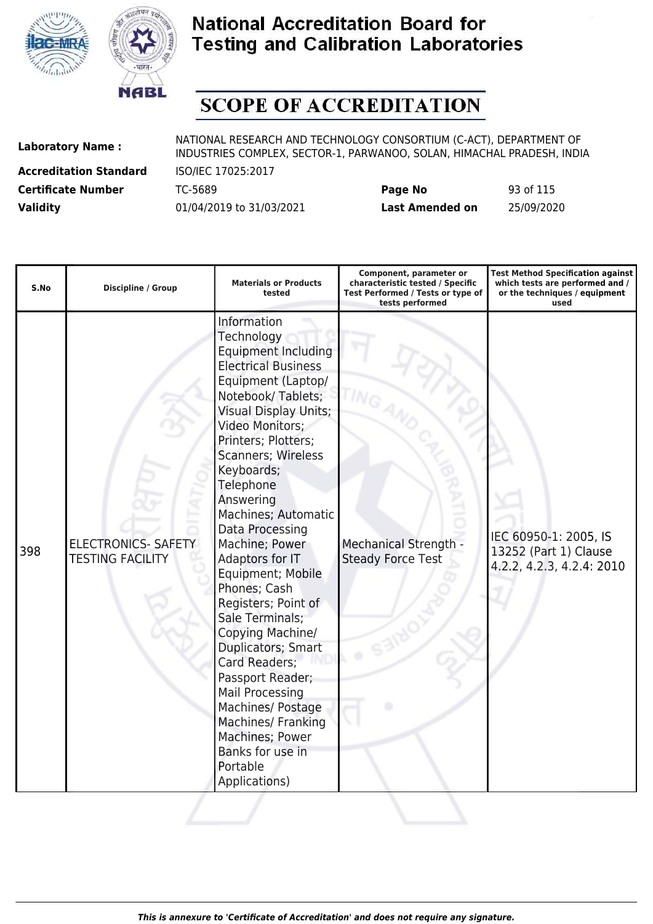



# **SCOPE OF ACCREDITATION**

**Accreditation Standard** ISO/IEC 17025:2017

| <b>Certificate Number</b> | TC-5689                  | Page No         | 93 of 115  |
|---------------------------|--------------------------|-----------------|------------|
| <b>Validity</b>           | 01/04/2019 to 31/03/2021 | Last Amended on | 25/09/2020 |

| S.No | Discipline / Group                                    | <b>Materials or Products</b><br>tested                                                                                                                                                                                                                                                                                                                                                                                                                                                                                                                                                                                                                  | Component, parameter or<br>characteristic tested / Specific<br>Test Performed / Tests or type of<br>tests performed | <b>Test Method Specification against</b><br>which tests are performed and /<br>or the techniques / equipment<br>used |
|------|-------------------------------------------------------|---------------------------------------------------------------------------------------------------------------------------------------------------------------------------------------------------------------------------------------------------------------------------------------------------------------------------------------------------------------------------------------------------------------------------------------------------------------------------------------------------------------------------------------------------------------------------------------------------------------------------------------------------------|---------------------------------------------------------------------------------------------------------------------|----------------------------------------------------------------------------------------------------------------------|
| 398  | <b>ELECTRONICS- SAFETY</b><br><b>TESTING FACILITY</b> | Information<br>Technology<br><b>Equipment Including</b><br><b>Electrical Business</b><br>Equipment (Laptop/<br>Notebook/Tablets;<br><b>Visual Display Units;</b><br>Video Monitors;<br>Printers; Plotters;<br>Scanners; Wireless<br>Keyboards;<br>Telephone<br>Answering<br>Machines; Automatic<br>Data Processing<br>Machine; Power<br>Adaptors for IT<br>Equipment; Mobile<br>Phones; Cash<br>Registers; Point of<br>Sale Terminals;<br>Copying Machine/<br>Duplicators; Smart<br>Card Readers;<br>Passport Reader;<br>Mail Processing<br>Machines/ Postage<br>Machines/ Franking<br>Machines; Power<br>Banks for use in<br>Portable<br>Applications) | <b>Mechanical Strength -</b><br><b>Steady Force Test</b>                                                            | IEC 60950-1: 2005, IS<br>13252 (Part 1) Clause<br>4.2.2, 4.2.3, 4.2.4: 2010                                          |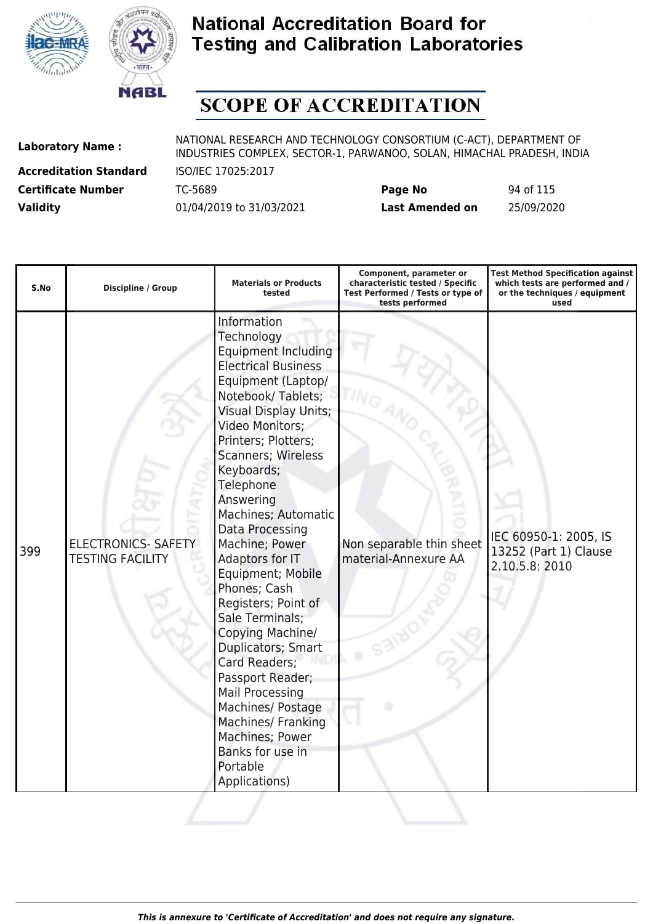



# **SCOPE OF ACCREDITATION**

**Accreditation Standard** ISO/IEC 17025:2017

| <b>Certificate Number</b> | TC-5689                  | Page No         | 94 of 115  |
|---------------------------|--------------------------|-----------------|------------|
| <b>Validity</b>           | 01/04/2019 to 31/03/2021 | Last Amended on | 25/09/2020 |

| S.No | Discipline / Group                                    | <b>Materials or Products</b><br>tested                                                                                                                                                                                                                                                                                                                                                                                                                                                                                                                                                                                                                  | Component, parameter or<br>characteristic tested / Specific<br>Test Performed / Tests or type of<br>tests performed | <b>Test Method Specification against</b><br>which tests are performed and /<br>or the techniques / equipment<br>used |
|------|-------------------------------------------------------|---------------------------------------------------------------------------------------------------------------------------------------------------------------------------------------------------------------------------------------------------------------------------------------------------------------------------------------------------------------------------------------------------------------------------------------------------------------------------------------------------------------------------------------------------------------------------------------------------------------------------------------------------------|---------------------------------------------------------------------------------------------------------------------|----------------------------------------------------------------------------------------------------------------------|
| 399  | <b>ELECTRONICS- SAFETY</b><br><b>TESTING FACILITY</b> | Information<br>Technology<br><b>Equipment Including</b><br><b>Electrical Business</b><br>Equipment (Laptop/<br>Notebook/Tablets;<br><b>Visual Display Units;</b><br>Video Monitors;<br>Printers; Plotters;<br>Scanners; Wireless<br>Keyboards;<br>Telephone<br>Answering<br>Machines; Automatic<br>Data Processing<br>Machine; Power<br>Adaptors for IT<br>Equipment; Mobile<br>Phones; Cash<br>Registers; Point of<br>Sale Terminals;<br>Copying Machine/<br>Duplicators; Smart<br>Card Readers;<br>Passport Reader;<br>Mail Processing<br>Machines/ Postage<br>Machines/ Franking<br>Machines; Power<br>Banks for use in<br>Portable<br>Applications) | Non separable thin sheet<br>material-Annexure AA                                                                    | IEC 60950-1: 2005, IS<br>13252 (Part 1) Clause<br>2.10.5.8: 2010                                                     |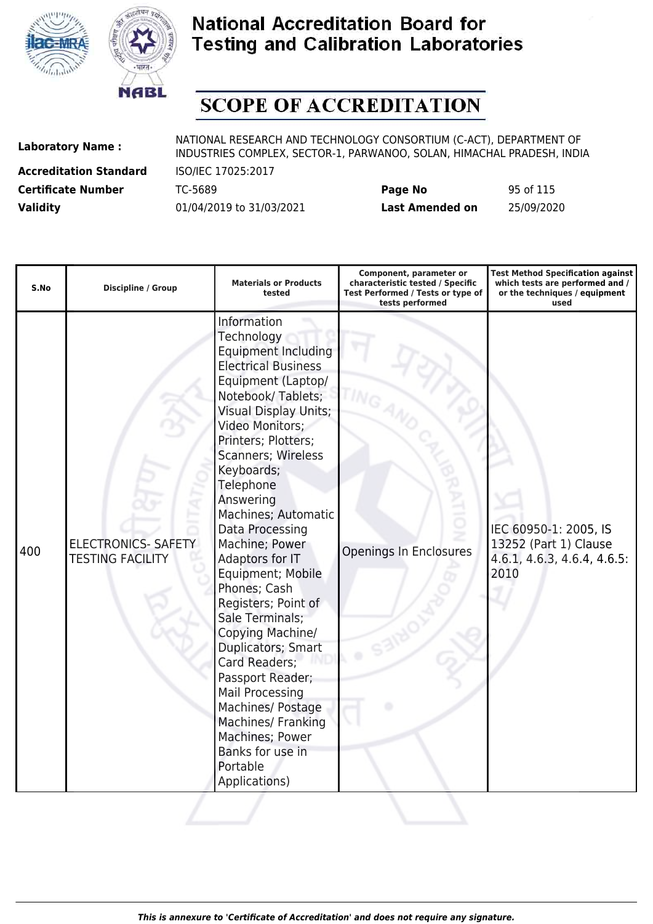



# **SCOPE OF ACCREDITATION**

**Accreditation Standard** ISO/IEC 17025:2017

| <b>Certificate Number</b> | TC-5689                  | Page No         | 95 of 115  |
|---------------------------|--------------------------|-----------------|------------|
| <b>Validity</b>           | 01/04/2019 to 31/03/2021 | Last Amended on | 25/09/2020 |

| S.No | <b>Discipline / Group</b>                             | <b>Materials or Products</b><br>tested                                                                                                                                                                                                                                                                                                                                                                                                                                                                                                                                                                                                                         | Component, parameter or<br>characteristic tested / Specific<br>Test Performed / Tests or type of<br>tests performed | <b>Test Method Specification against</b><br>which tests are performed and /<br>or the techniques / equipment<br>used |
|------|-------------------------------------------------------|----------------------------------------------------------------------------------------------------------------------------------------------------------------------------------------------------------------------------------------------------------------------------------------------------------------------------------------------------------------------------------------------------------------------------------------------------------------------------------------------------------------------------------------------------------------------------------------------------------------------------------------------------------------|---------------------------------------------------------------------------------------------------------------------|----------------------------------------------------------------------------------------------------------------------|
| 400  | <b>ELECTRONICS- SAFETY</b><br><b>TESTING FACILITY</b> | Information<br>Technology<br><b>Equipment Including</b><br><b>Electrical Business</b><br>Equipment (Laptop/<br>Notebook/Tablets;<br><b>Visual Display Units;</b><br>Video Monitors;<br>Printers; Plotters;<br><b>Scanners; Wireless</b><br>Keyboards;<br>Telephone<br>Answering<br>Machines; Automatic<br>Data Processing<br>Machine; Power<br>Adaptors for IT<br>Equipment; Mobile<br>Phones; Cash<br>Registers; Point of<br>Sale Terminals;<br>Copying Machine/<br>Duplicators; Smart<br>Card Readers;<br>Passport Reader;<br>Mail Processing<br>Machines/ Postage<br>Machines/ Franking<br>Machines; Power<br>Banks for use in<br>Portable<br>Applications) | Openings In Enclosures                                                                                              | IEC 60950-1: 2005, IS<br>13252 (Part 1) Clause<br>$4.6.1, 4.6.3, 4.6.4, 4.6.5$ :<br>2010                             |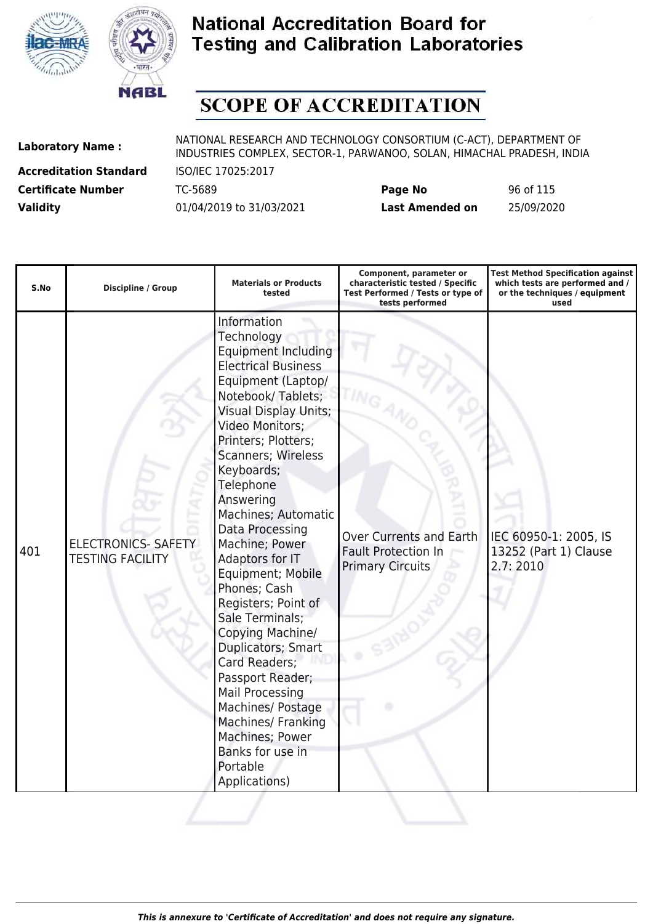



# **SCOPE OF ACCREDITATION**

**Accreditation Standard** ISO/IEC 17025:2017

| <b>Certificate Number</b> | TC-5689                  | Page No         | 96 of 115  |
|---------------------------|--------------------------|-----------------|------------|
| <b>Validity</b>           | 01/04/2019 to 31/03/2021 | Last Amended on | 25/09/2020 |

| S.No | <b>Discipline / Group</b>                             | <b>Materials or Products</b><br>tested                                                                                                                                                                                                                                                                                                                                                                                                                                                                                                                                                                                                                                | Component, parameter or<br>characteristic tested / Specific<br>Test Performed / Tests or type of<br>tests performed | <b>Test Method Specification against</b><br>which tests are performed and /<br>or the techniques / equipment<br>used |
|------|-------------------------------------------------------|-----------------------------------------------------------------------------------------------------------------------------------------------------------------------------------------------------------------------------------------------------------------------------------------------------------------------------------------------------------------------------------------------------------------------------------------------------------------------------------------------------------------------------------------------------------------------------------------------------------------------------------------------------------------------|---------------------------------------------------------------------------------------------------------------------|----------------------------------------------------------------------------------------------------------------------|
| 401  | <b>ELECTRONICS- SAFETY</b><br><b>TESTING FACILITY</b> | Information<br>Technology<br><b>Equipment Including</b><br><b>Electrical Business</b><br>Equipment (Laptop/<br>Notebook/Tablets;<br><b>Visual Display Units;</b><br>Video Monitors;<br>Printers; Plotters;<br><b>Scanners; Wireless</b><br>Keyboards;<br>Telephone<br>Answering<br>Machines; Automatic<br>Data Processing<br>Machine; Power<br>Adaptors for IT<br>Equipment; Mobile<br>Phones; Cash<br>Registers; Point of<br>Sale Terminals;<br>Copying Machine/<br>Duplicators; Smart<br>Card Readers;<br>Passport Reader;<br>Mail Processing<br>Machines/ Postage<br><b>Machines/ Franking</b><br>Machines; Power<br>Banks for use in<br>Portable<br>Applications) | <b>Over Currents and Earth</b><br><b>Fault Protection In</b><br><b>Primary Circuits</b>                             | IEC 60950-1: 2005, IS<br>13252 (Part 1) Clause<br>2.7:2010                                                           |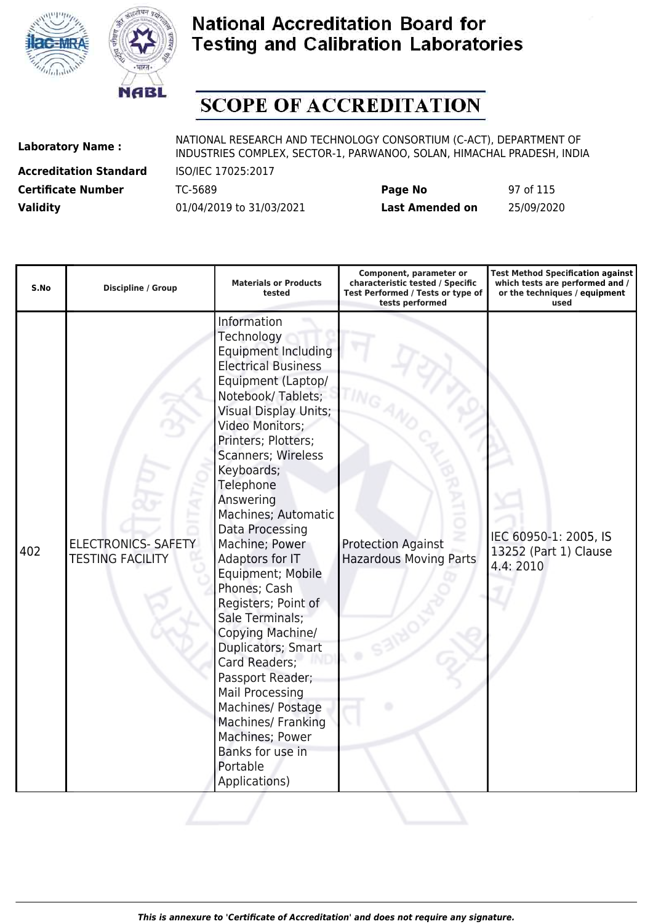



# **SCOPE OF ACCREDITATION**

**Accreditation Standard** ISO/IEC 17025:2017

| <b>Certificate Number</b> | TC-5689                  | Page No         | 97 of 115  |
|---------------------------|--------------------------|-----------------|------------|
| <b>Validity</b>           | 01/04/2019 to 31/03/2021 | Last Amended on | 25/09/2020 |

| S.No | <b>Discipline / Group</b>                             | <b>Materials or Products</b><br>tested                                                                                                                                                                                                                                                                                                                                                                                                                                                                                                                                                                                                                  | Component, parameter or<br>characteristic tested / Specific<br>Test Performed / Tests or type of<br>tests performed | <b>Test Method Specification against</b><br>which tests are performed and /<br>or the techniques / equipment<br>used |
|------|-------------------------------------------------------|---------------------------------------------------------------------------------------------------------------------------------------------------------------------------------------------------------------------------------------------------------------------------------------------------------------------------------------------------------------------------------------------------------------------------------------------------------------------------------------------------------------------------------------------------------------------------------------------------------------------------------------------------------|---------------------------------------------------------------------------------------------------------------------|----------------------------------------------------------------------------------------------------------------------|
| 402  | <b>ELECTRONICS- SAFETY</b><br><b>TESTING FACILITY</b> | Information<br>Technology<br><b>Equipment Including</b><br><b>Electrical Business</b><br>Equipment (Laptop/<br>Notebook/Tablets;<br><b>Visual Display Units;</b><br>Video Monitors;<br>Printers; Plotters;<br>Scanners; Wireless<br>Keyboards;<br>Telephone<br>Answering<br>Machines; Automatic<br>Data Processing<br>Machine; Power<br>Adaptors for IT<br>Equipment; Mobile<br>Phones; Cash<br>Registers; Point of<br>Sale Terminals;<br>Copying Machine/<br>Duplicators; Smart<br>Card Readers;<br>Passport Reader;<br>Mail Processing<br>Machines/ Postage<br>Machines/ Franking<br>Machines; Power<br>Banks for use in<br>Portable<br>Applications) | <b>Protection Against</b><br><b>Hazardous Moving Parts</b>                                                          | IEC 60950-1: 2005, IS<br>13252 (Part 1) Clause<br>4.4:2010                                                           |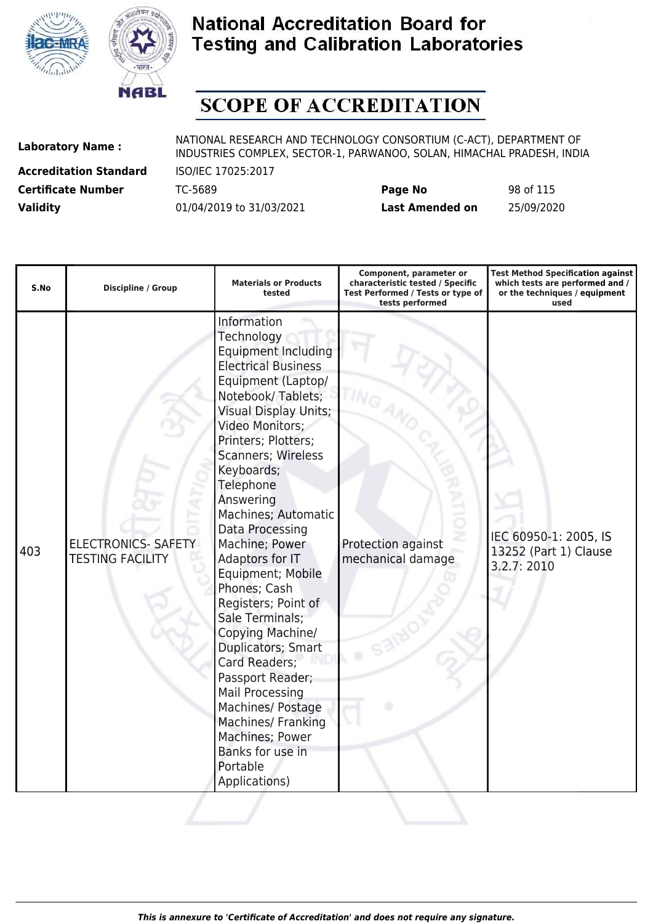



# **SCOPE OF ACCREDITATION**

**Accreditation Standard** ISO/IEC 17025:2017

| <b>Certificate Number</b> | TC-5689                  | Page No         | 98 of 115  |
|---------------------------|--------------------------|-----------------|------------|
| <b>Validity</b>           | 01/04/2019 to 31/03/2021 | Last Amended on | 25/09/2020 |

| S.No | <b>Discipline / Group</b>                             | <b>Materials or Products</b><br>tested                                                                                                                                                                                                                                                                                                                                                                                                                                                                                                                                                                                                                  | Component, parameter or<br>characteristic tested / Specific<br>Test Performed / Tests or type of<br>tests performed | <b>Test Method Specification against</b><br>which tests are performed and /<br>or the techniques / equipment<br>used |
|------|-------------------------------------------------------|---------------------------------------------------------------------------------------------------------------------------------------------------------------------------------------------------------------------------------------------------------------------------------------------------------------------------------------------------------------------------------------------------------------------------------------------------------------------------------------------------------------------------------------------------------------------------------------------------------------------------------------------------------|---------------------------------------------------------------------------------------------------------------------|----------------------------------------------------------------------------------------------------------------------|
| 403  | <b>ELECTRONICS- SAFETY</b><br><b>TESTING FACILITY</b> | Information<br>Technology<br><b>Equipment Including</b><br><b>Electrical Business</b><br>Equipment (Laptop/<br>Notebook/Tablets;<br><b>Visual Display Units;</b><br>Video Monitors;<br>Printers; Plotters;<br>Scanners; Wireless<br>Keyboards;<br>Telephone<br>Answering<br>Machines; Automatic<br>Data Processing<br>Machine; Power<br>Adaptors for IT<br>Equipment; Mobile<br>Phones; Cash<br>Registers; Point of<br>Sale Terminals;<br>Copying Machine/<br>Duplicators; Smart<br>Card Readers;<br>Passport Reader;<br>Mail Processing<br>Machines/ Postage<br>Machines/ Franking<br>Machines; Power<br>Banks for use in<br>Portable<br>Applications) | Protection against<br>mechanical damage                                                                             | IEC 60950-1: 2005, IS<br>13252 (Part 1) Clause<br>3.2.7: 2010                                                        |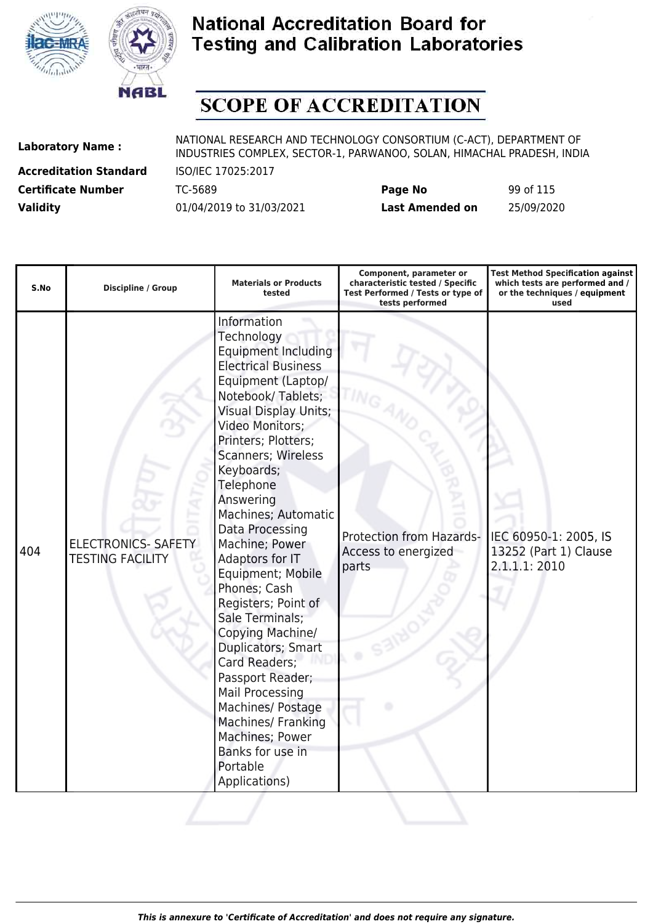



# **SCOPE OF ACCREDITATION**

**Accreditation Standard** ISO/IEC 17025:2017

| <b>Certificate Number</b> | TC-5689                  | Page No         | 99 of 115  |
|---------------------------|--------------------------|-----------------|------------|
| <b>Validity</b>           | 01/04/2019 to 31/03/2021 | Last Amended on | 25/09/2020 |

| S.No | <b>Discipline / Group</b>                             | <b>Materials or Products</b><br>tested                                                                                                                                                                                                                                                                                                                                                                                                                                                                                                                                                                                                                  | Component, parameter or<br>characteristic tested / Specific<br>Test Performed / Tests or type of<br>tests performed | <b>Test Method Specification against</b><br>which tests are performed and /<br>or the techniques / equipment<br>used |
|------|-------------------------------------------------------|---------------------------------------------------------------------------------------------------------------------------------------------------------------------------------------------------------------------------------------------------------------------------------------------------------------------------------------------------------------------------------------------------------------------------------------------------------------------------------------------------------------------------------------------------------------------------------------------------------------------------------------------------------|---------------------------------------------------------------------------------------------------------------------|----------------------------------------------------------------------------------------------------------------------|
| 404  | <b>ELECTRONICS- SAFETY</b><br><b>TESTING FACILITY</b> | Information<br>Technology<br><b>Equipment Including</b><br><b>Electrical Business</b><br>Equipment (Laptop/<br>Notebook/Tablets;<br><b>Visual Display Units;</b><br>Video Monitors;<br>Printers; Plotters;<br>Scanners; Wireless<br>Keyboards;<br>Telephone<br>Answering<br>Machines; Automatic<br>Data Processing<br>Machine; Power<br>Adaptors for IT<br>Equipment; Mobile<br>Phones; Cash<br>Registers; Point of<br>Sale Terminals;<br>Copying Machine/<br>Duplicators; Smart<br>Card Readers;<br>Passport Reader;<br>Mail Processing<br>Machines/ Postage<br>Machines/ Franking<br>Machines; Power<br>Banks for use in<br>Portable<br>Applications) | Protection from Hazards-<br>Access to energized<br>parts                                                            | IEC 60950-1: 2005, IS<br>13252 (Part 1) Clause<br>2.1.1.1: 2010                                                      |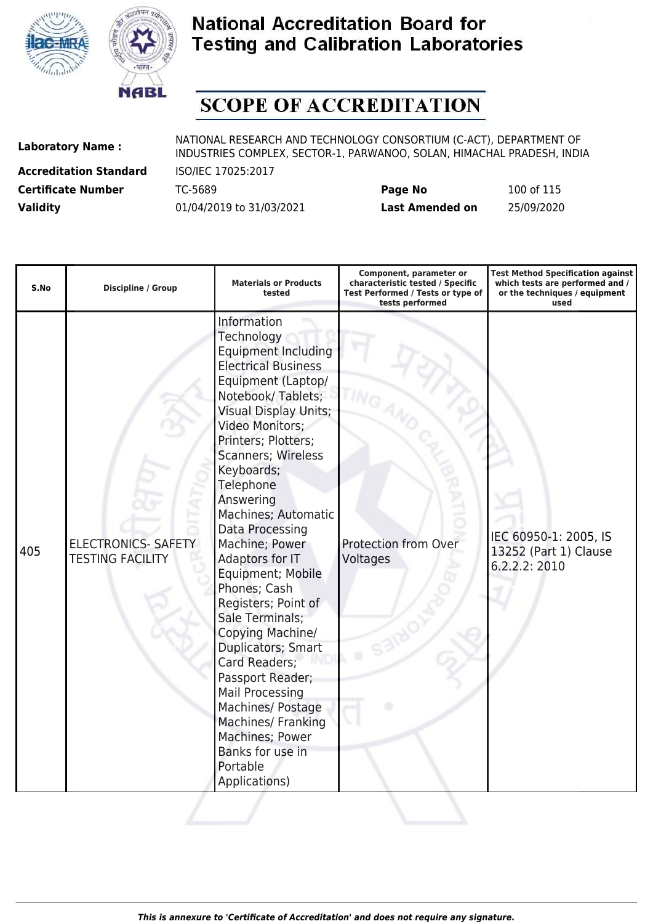



# **SCOPE OF ACCREDITATION**

**Accreditation Standard** ISO/IEC 17025:2017

| <b>Certificate Number</b> | TC-5689                  | Page No         | 100 of 115 |
|---------------------------|--------------------------|-----------------|------------|
| <b>Validity</b>           | 01/04/2019 to 31/03/2021 | Last Amended on | 25/09/2020 |

| S.No | <b>Discipline / Group</b>                             | <b>Materials or Products</b><br>tested                                                                                                                                                                                                                                                                                                                                                                                                                                                                                                                                                                                                                         | Component, parameter or<br>characteristic tested / Specific<br>Test Performed / Tests or type of<br>tests performed | <b>Test Method Specification against</b><br>which tests are performed and /<br>or the techniques / equipment<br>used |
|------|-------------------------------------------------------|----------------------------------------------------------------------------------------------------------------------------------------------------------------------------------------------------------------------------------------------------------------------------------------------------------------------------------------------------------------------------------------------------------------------------------------------------------------------------------------------------------------------------------------------------------------------------------------------------------------------------------------------------------------|---------------------------------------------------------------------------------------------------------------------|----------------------------------------------------------------------------------------------------------------------|
| 405  | <b>ELECTRONICS- SAFETY</b><br><b>TESTING FACILITY</b> | Information<br>Technology<br><b>Equipment Including</b><br><b>Electrical Business</b><br>Equipment (Laptop/<br>Notebook/Tablets;<br><b>Visual Display Units;</b><br>Video Monitors;<br>Printers; Plotters;<br>Scanners; Wireless<br>Keyboards;<br>Telephone<br>Answering<br>Machines; Automatic<br>Data Processing<br>Machine; Power<br>Adaptors for IT<br>Equipment; Mobile<br>Phones; Cash<br>Registers; Point of<br>Sale Terminals;<br>Copying Machine/<br>Duplicators; Smart<br>Card Readers;<br>Passport Reader;<br><b>Mail Processing</b><br>Machines/ Postage<br>Machines/ Franking<br>Machines; Power<br>Banks for use in<br>Portable<br>Applications) | Protection from Over<br>Voltages                                                                                    | IEC 60950-1: 2005, IS<br>13252 (Part 1) Clause<br>6.2.2.2: 2010                                                      |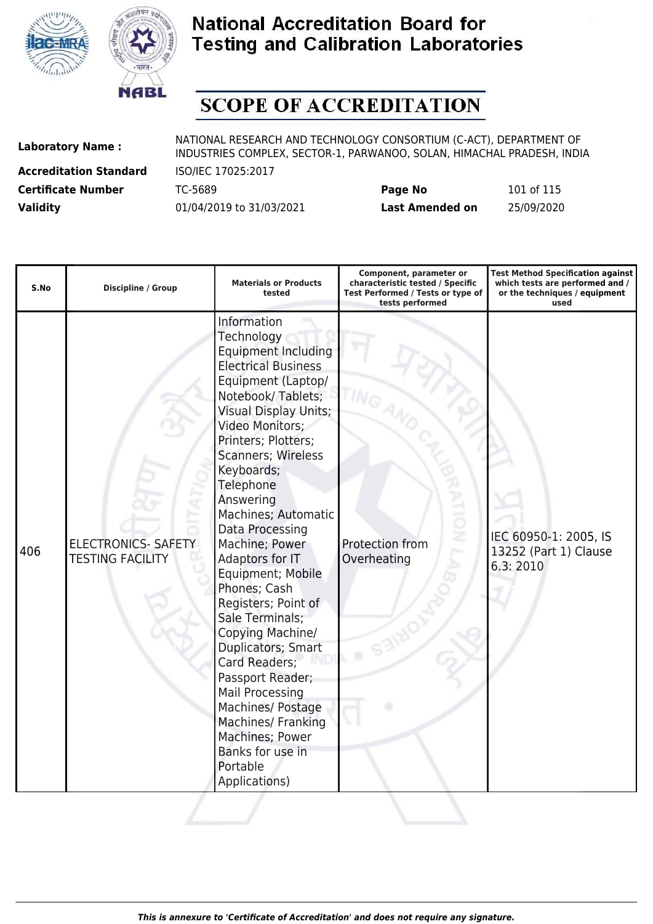



# **SCOPE OF ACCREDITATION**

**Accreditation Standard** ISO/IEC 17025:2017

| <b>Certificate Number</b> | TC-5689                  | Page No         | 101 of 115 |
|---------------------------|--------------------------|-----------------|------------|
| <b>Validity</b>           | 01/04/2019 to 31/03/2021 | Last Amended on | 25/09/2020 |

| S.No | <b>Discipline / Group</b>                             | <b>Materials or Products</b><br>tested                                                                                                                                                                                                                                                                                                                                                                                                                                                                                                                                                                                                           | Component, parameter or<br>characteristic tested / Specific<br>Test Performed / Tests or type of<br>tests performed | <b>Test Method Specification against</b><br>which tests are performed and /<br>or the techniques / equipment<br>used |
|------|-------------------------------------------------------|--------------------------------------------------------------------------------------------------------------------------------------------------------------------------------------------------------------------------------------------------------------------------------------------------------------------------------------------------------------------------------------------------------------------------------------------------------------------------------------------------------------------------------------------------------------------------------------------------------------------------------------------------|---------------------------------------------------------------------------------------------------------------------|----------------------------------------------------------------------------------------------------------------------|
| 406  | <b>ELECTRONICS- SAFETY</b><br><b>TESTING FACILITY</b> | Information<br>Technology<br>Equipment Including<br><b>Electrical Business</b><br>Equipment (Laptop/<br>Notebook/Tablets;<br><b>Visual Display Units;</b><br>Video Monitors;<br>Printers; Plotters;<br>Scanners; Wireless<br>Keyboards;<br>Telephone<br>Answering<br>Machines; Automatic<br>Data Processing<br>Machine; Power<br>Adaptors for IT<br>Equipment; Mobile<br>Phones; Cash<br>Registers; Point of<br>Sale Terminals;<br>Copying Machine/<br>Duplicators; Smart<br>Card Readers;<br>Passport Reader;<br>Mail Processing<br>Machines/ Postage<br>Machines/ Franking<br>Machines; Power<br>Banks for use in<br>Portable<br>Applications) | Protection from<br>Overheating                                                                                      | IEC 60950-1: 2005, IS<br>13252 (Part 1) Clause<br>6.3:2010                                                           |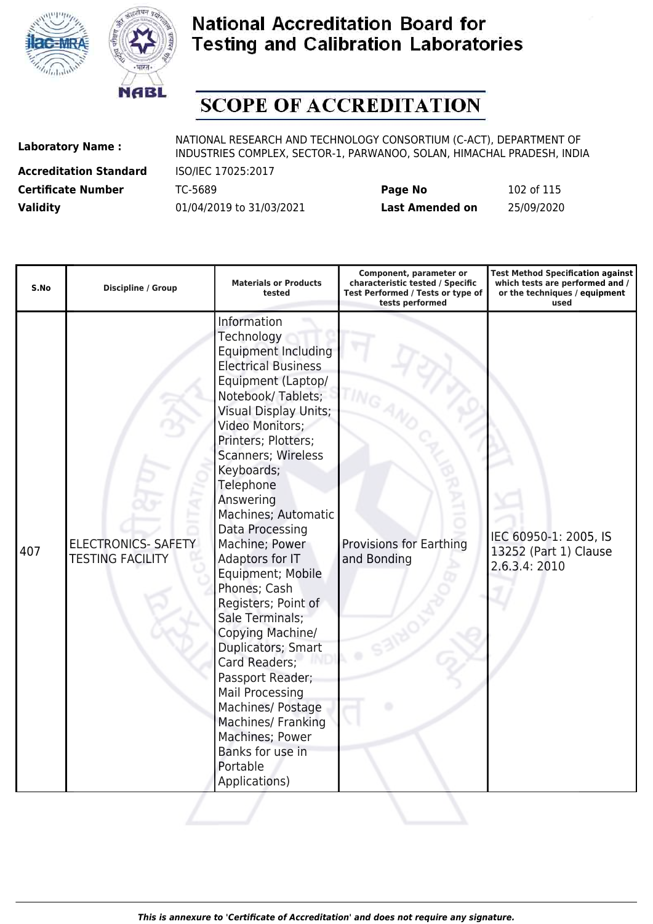



# **SCOPE OF ACCREDITATION**

**Accreditation Standard** ISO/IEC 17025:2017

| <b>Certificate Number</b> | TC-5689                  | Page No         | 102 of 115 |
|---------------------------|--------------------------|-----------------|------------|
| <b>Validity</b>           | 01/04/2019 to 31/03/2021 | Last Amended on | 25/09/2020 |

| S.No | <b>Discipline / Group</b>                             | <b>Materials or Products</b><br>tested                                                                                                                                                                                                                                                                                                                                                                                                                                                                                                                                                                                                                                       | Component, parameter or<br>characteristic tested / Specific<br>Test Performed / Tests or type of<br>tests performed | <b>Test Method Specification against</b><br>which tests are performed and /<br>or the techniques / equipment<br>used |
|------|-------------------------------------------------------|------------------------------------------------------------------------------------------------------------------------------------------------------------------------------------------------------------------------------------------------------------------------------------------------------------------------------------------------------------------------------------------------------------------------------------------------------------------------------------------------------------------------------------------------------------------------------------------------------------------------------------------------------------------------------|---------------------------------------------------------------------------------------------------------------------|----------------------------------------------------------------------------------------------------------------------|
| 407  | <b>ELECTRONICS- SAFETY</b><br><b>TESTING FACILITY</b> | Information<br>Technology<br><b>Equipment Including</b><br><b>Electrical Business</b><br>Equipment (Laptop/<br>Notebook/Tablets;<br><b>Visual Display Units;</b><br>Video Monitors;<br>Printers; Plotters;<br><b>Scanners; Wireless</b><br>Keyboards;<br>Telephone<br>Answering<br>Machines; Automatic<br>Data Processing<br>Machine; Power<br>Adaptors for IT<br>Equipment; Mobile<br>Phones; Cash<br>Registers; Point of<br>Sale Terminals;<br>Copying Machine/<br>Duplicators; Smart<br>Card Readers;<br>Passport Reader;<br><b>Mail Processing</b><br>Machines/ Postage<br><b>Machines/ Franking</b><br>Machines; Power<br>Banks for use in<br>Portable<br>Applications) | <b>Provisions for Earthing</b><br>and Bonding                                                                       | IEC 60950-1: 2005, IS<br>13252 (Part 1) Clause<br>2.6.3.4: 2010                                                      |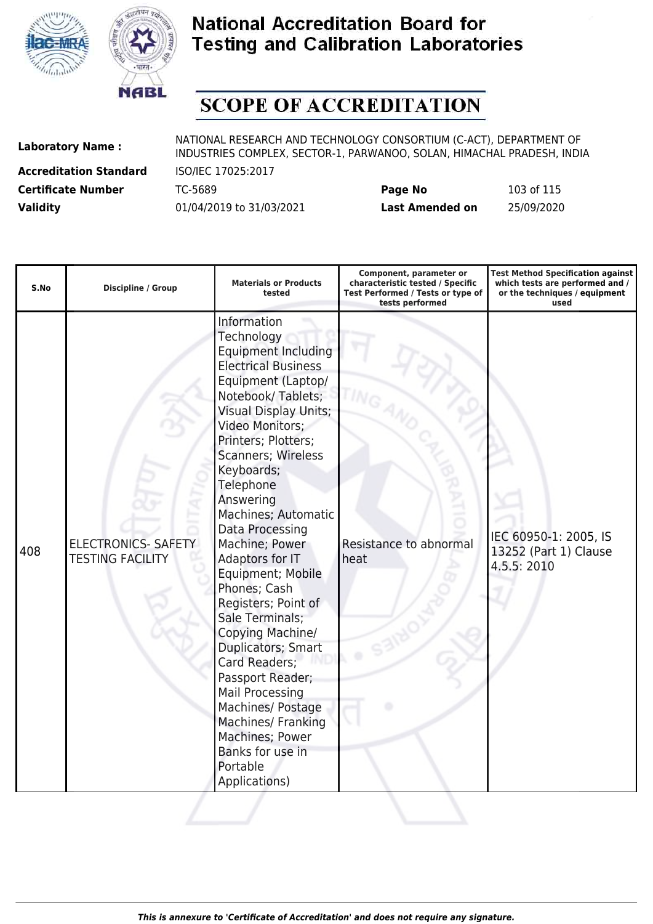



# **SCOPE OF ACCREDITATION**

**Accreditation Standard** ISO/IEC 17025:2017

| <b>Certificate Number</b> | TC-5689                  | Page No         | 103 of 115 |
|---------------------------|--------------------------|-----------------|------------|
| <b>Validity</b>           | 01/04/2019 to 31/03/2021 | Last Amended on | 25/09/2020 |

| S.No | <b>Discipline / Group</b>                             | <b>Materials or Products</b><br>tested                                                                                                                                                                                                                                                                                                                                                                                                                                                                                                                                                                                                                  | Component, parameter or<br>characteristic tested / Specific<br>Test Performed / Tests or type of<br>tests performed | <b>Test Method Specification against</b><br>which tests are performed and /<br>or the techniques / equipment<br>used |
|------|-------------------------------------------------------|---------------------------------------------------------------------------------------------------------------------------------------------------------------------------------------------------------------------------------------------------------------------------------------------------------------------------------------------------------------------------------------------------------------------------------------------------------------------------------------------------------------------------------------------------------------------------------------------------------------------------------------------------------|---------------------------------------------------------------------------------------------------------------------|----------------------------------------------------------------------------------------------------------------------|
| 408  | <b>ELECTRONICS- SAFETY</b><br><b>TESTING FACILITY</b> | Information<br>Technology<br><b>Equipment Including</b><br><b>Electrical Business</b><br>Equipment (Laptop/<br>Notebook/Tablets;<br><b>Visual Display Units;</b><br>Video Monitors;<br>Printers; Plotters;<br>Scanners; Wireless<br>Keyboards;<br>Telephone<br>Answering<br>Machines; Automatic<br>Data Processing<br>Machine; Power<br>Adaptors for IT<br>Equipment; Mobile<br>Phones; Cash<br>Registers; Point of<br>Sale Terminals;<br>Copying Machine/<br>Duplicators; Smart<br>Card Readers;<br>Passport Reader;<br>Mail Processing<br>Machines/ Postage<br>Machines/ Franking<br>Machines; Power<br>Banks for use in<br>Portable<br>Applications) | Resistance to abnormal<br>heat                                                                                      | IEC 60950-1: 2005, IS<br>13252 (Part 1) Clause<br>4.5.5: 2010                                                        |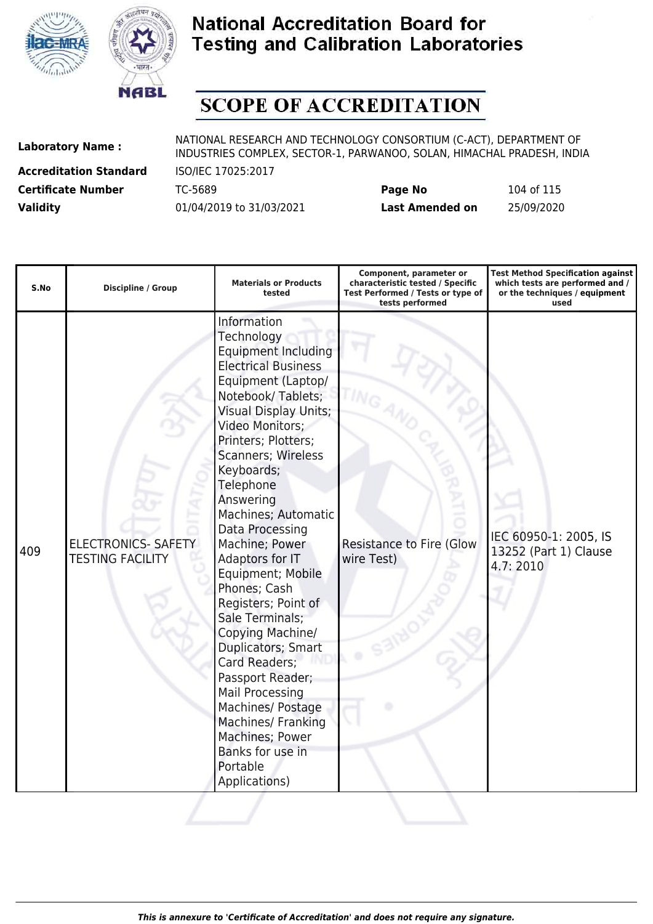



## **SCOPE OF ACCREDITATION**

**Accreditation Standard** ISO/IEC 17025:2017

| <b>Certificate Number</b> | TC-5689                  | Page No         | 104 of 115 |
|---------------------------|--------------------------|-----------------|------------|
| <b>Validity</b>           | 01/04/2019 to 31/03/2021 | Last Amended on | 25/09/2020 |

| S.No | <b>Discipline / Group</b>                             | <b>Materials or Products</b><br>tested                                                                                                                                                                                                                                                                                                                                                                                                                                                                                                                                                                                                                         | Component, parameter or<br>characteristic tested / Specific<br>Test Performed / Tests or type of<br>tests performed | <b>Test Method Specification against</b><br>which tests are performed and /<br>or the techniques / equipment<br>used |
|------|-------------------------------------------------------|----------------------------------------------------------------------------------------------------------------------------------------------------------------------------------------------------------------------------------------------------------------------------------------------------------------------------------------------------------------------------------------------------------------------------------------------------------------------------------------------------------------------------------------------------------------------------------------------------------------------------------------------------------------|---------------------------------------------------------------------------------------------------------------------|----------------------------------------------------------------------------------------------------------------------|
| 409  | <b>ELECTRONICS- SAFETY</b><br><b>TESTING FACILITY</b> | Information<br>Technology<br><b>Equipment Including</b><br><b>Electrical Business</b><br>Equipment (Laptop/<br>Notebook/Tablets;<br><b>Visual Display Units;</b><br>Video Monitors;<br>Printers; Plotters;<br>Scanners; Wireless<br>Keyboards;<br>Telephone<br>Answering<br>Machines; Automatic<br>Data Processing<br>Machine; Power<br>Adaptors for IT<br>Equipment; Mobile<br>Phones; Cash<br>Registers; Point of<br>Sale Terminals;<br>Copying Machine/<br>Duplicators; Smart<br>Card Readers;<br>Passport Reader;<br><b>Mail Processing</b><br>Machines/ Postage<br>Machines/ Franking<br>Machines; Power<br>Banks for use in<br>Portable<br>Applications) | <b>Resistance to Fire (Glow</b><br>wire Test)                                                                       | IEC 60950-1: 2005, IS<br>13252 (Part 1) Clause<br>4.7:2010                                                           |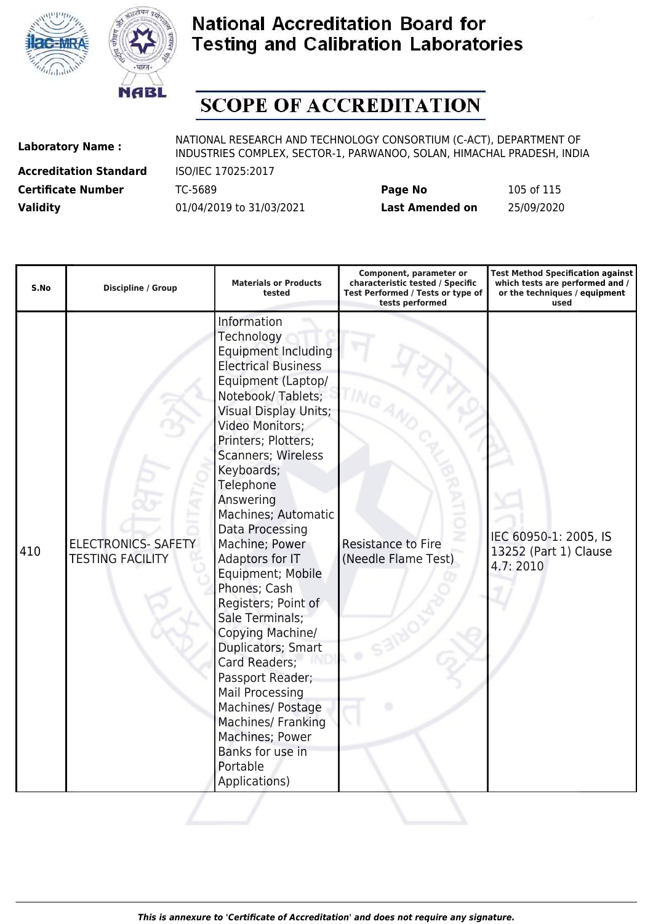



# **SCOPE OF ACCREDITATION**

**Accreditation Standard** ISO/IEC 17025:2017

| <b>Certificate Number</b> | TC-5689                  | Page No         | 105 of 115 |
|---------------------------|--------------------------|-----------------|------------|
| <b>Validity</b>           | 01/04/2019 to 31/03/2021 | Last Amended on | 25/09/2020 |

| S.No | <b>Discipline / Group</b>                             | <b>Materials or Products</b><br>tested                                                                                                                                                                                                                                                                                                                                                                                                                                                                                                                                                                                                                         | Component, parameter or<br>characteristic tested / Specific<br>Test Performed / Tests or type of<br>tests performed | <b>Test Method Specification against</b><br>which tests are performed and /<br>or the techniques / equipment<br>used |
|------|-------------------------------------------------------|----------------------------------------------------------------------------------------------------------------------------------------------------------------------------------------------------------------------------------------------------------------------------------------------------------------------------------------------------------------------------------------------------------------------------------------------------------------------------------------------------------------------------------------------------------------------------------------------------------------------------------------------------------------|---------------------------------------------------------------------------------------------------------------------|----------------------------------------------------------------------------------------------------------------------|
| 410  | <b>ELECTRONICS- SAFETY</b><br><b>TESTING FACILITY</b> | Information<br>Technology<br><b>Equipment Including</b><br><b>Electrical Business</b><br>Equipment (Laptop/<br>Notebook/Tablets;<br><b>Visual Display Units;</b><br>Video Monitors;<br>Printers; Plotters;<br><b>Scanners; Wireless</b><br>Keyboards;<br>Telephone<br>Answering<br>Machines; Automatic<br>Data Processing<br>Machine; Power<br>Adaptors for IT<br>Equipment; Mobile<br>Phones; Cash<br>Registers; Point of<br>Sale Terminals;<br>Copying Machine/<br>Duplicators; Smart<br>Card Readers;<br>Passport Reader;<br>Mail Processing<br>Machines/ Postage<br>Machines/ Franking<br>Machines; Power<br>Banks for use in<br>Portable<br>Applications) | Resistance to Fire<br>(Needle Flame Test)                                                                           | IEC 60950-1: 2005, IS<br>13252 (Part 1) Clause<br>4.7:2010                                                           |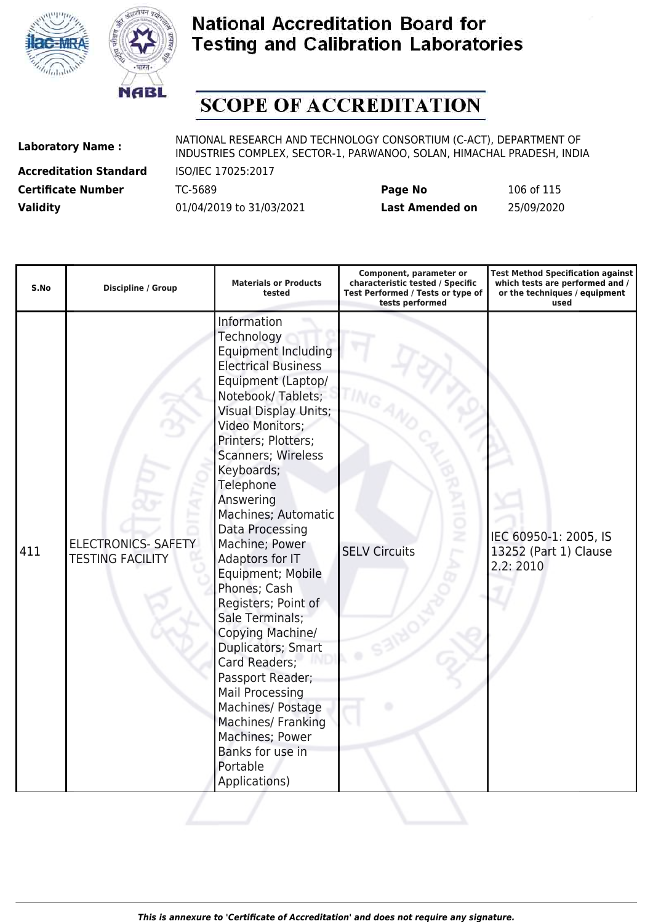



# **SCOPE OF ACCREDITATION**

**Accreditation Standard** ISO/IEC 17025:2017

| <b>Certificate Number</b> | TC-5689                  | Page No         | 106 of 115 |
|---------------------------|--------------------------|-----------------|------------|
| <b>Validity</b>           | 01/04/2019 to 31/03/2021 | Last Amended on | 25/09/2020 |

| S.No | <b>Discipline / Group</b>                             | <b>Materials or Products</b><br>tested                                                                                                                                                                                                                                                                                                                                                                                                                                                                                                                                                                                                                  | Component, parameter or<br>characteristic tested / Specific<br>Test Performed / Tests or type of<br>tests performed | <b>Test Method Specification against</b><br>which tests are performed and /<br>or the techniques / equipment<br>used |
|------|-------------------------------------------------------|---------------------------------------------------------------------------------------------------------------------------------------------------------------------------------------------------------------------------------------------------------------------------------------------------------------------------------------------------------------------------------------------------------------------------------------------------------------------------------------------------------------------------------------------------------------------------------------------------------------------------------------------------------|---------------------------------------------------------------------------------------------------------------------|----------------------------------------------------------------------------------------------------------------------|
| 411  | <b>ELECTRONICS- SAFETY</b><br><b>TESTING FACILITY</b> | Information<br>Technology<br><b>Equipment Including</b><br><b>Electrical Business</b><br>Equipment (Laptop/<br>Notebook/Tablets;<br><b>Visual Display Units;</b><br>Video Monitors;<br>Printers; Plotters;<br>Scanners; Wireless<br>Keyboards;<br>Telephone<br>Answering<br>Machines; Automatic<br>Data Processing<br>Machine; Power<br>Adaptors for IT<br>Equipment; Mobile<br>Phones; Cash<br>Registers; Point of<br>Sale Terminals;<br>Copying Machine/<br>Duplicators; Smart<br>Card Readers;<br>Passport Reader;<br>Mail Processing<br>Machines/ Postage<br>Machines/ Franking<br>Machines; Power<br>Banks for use in<br>Portable<br>Applications) | š<br><b>SELV Circuits</b>                                                                                           | IEC 60950-1: 2005, IS<br>13252 (Part 1) Clause<br>2.2:2010                                                           |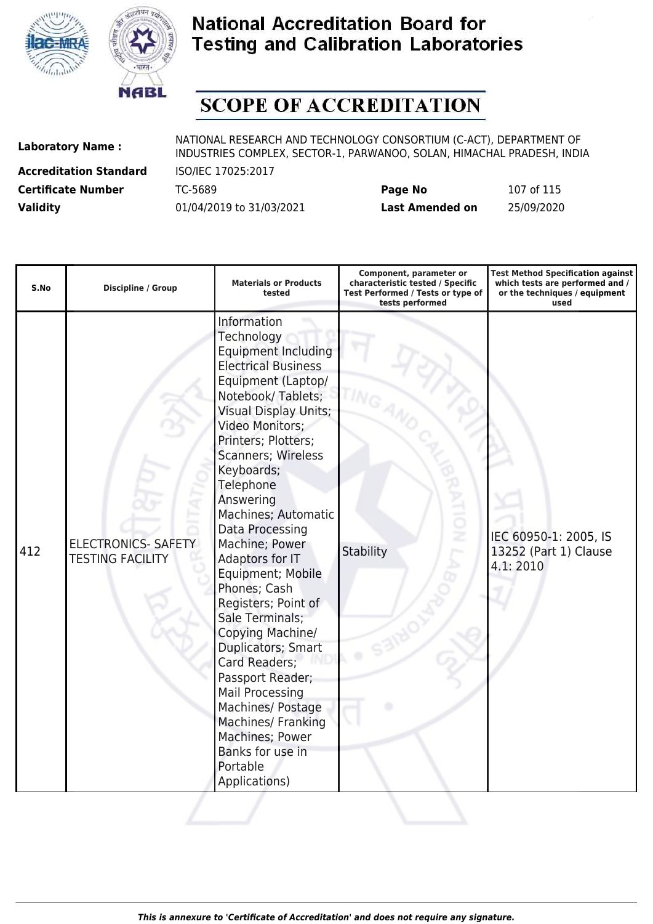



# **SCOPE OF ACCREDITATION**

**Accreditation Standard** ISO/IEC 17025:2017

| <b>Certificate Number</b> | TC-5689                  | Page No         | 107 of 115 |
|---------------------------|--------------------------|-----------------|------------|
| <b>Validity</b>           | 01/04/2019 to 31/03/2021 | Last Amended on | 25/09/2020 |

| S.No | <b>Discipline / Group</b>                             | <b>Materials or Products</b><br>tested                                                                                                                                                                                                                                                                                                                                                                                                                                                                                                                                                                                                                  | Component, parameter or<br>characteristic tested / Specific<br>Test Performed / Tests or type of<br>tests performed | <b>Test Method Specification against</b><br>which tests are performed and /<br>or the techniques / equipment<br>used |
|------|-------------------------------------------------------|---------------------------------------------------------------------------------------------------------------------------------------------------------------------------------------------------------------------------------------------------------------------------------------------------------------------------------------------------------------------------------------------------------------------------------------------------------------------------------------------------------------------------------------------------------------------------------------------------------------------------------------------------------|---------------------------------------------------------------------------------------------------------------------|----------------------------------------------------------------------------------------------------------------------|
| 412  | <b>ELECTRONICS- SAFETY</b><br><b>TESTING FACILITY</b> | Information<br>Technology<br><b>Equipment Including</b><br><b>Electrical Business</b><br>Equipment (Laptop/<br>Notebook/Tablets;<br><b>Visual Display Units;</b><br>Video Monitors;<br>Printers; Plotters;<br>Scanners; Wireless<br>Keyboards;<br>Telephone<br>Answering<br>Machines; Automatic<br>Data Processing<br>Machine; Power<br>Adaptors for IT<br>Equipment; Mobile<br>Phones; Cash<br>Registers; Point of<br>Sale Terminals;<br>Copying Machine/<br>Duplicators; Smart<br>Card Readers;<br>Passport Reader;<br>Mail Processing<br>Machines/ Postage<br>Machines/ Franking<br>Machines; Power<br>Banks for use in<br>Portable<br>Applications) | ż<br>Stability                                                                                                      | IEC 60950-1: 2005, IS<br>13252 (Part 1) Clause<br>4.1:2010                                                           |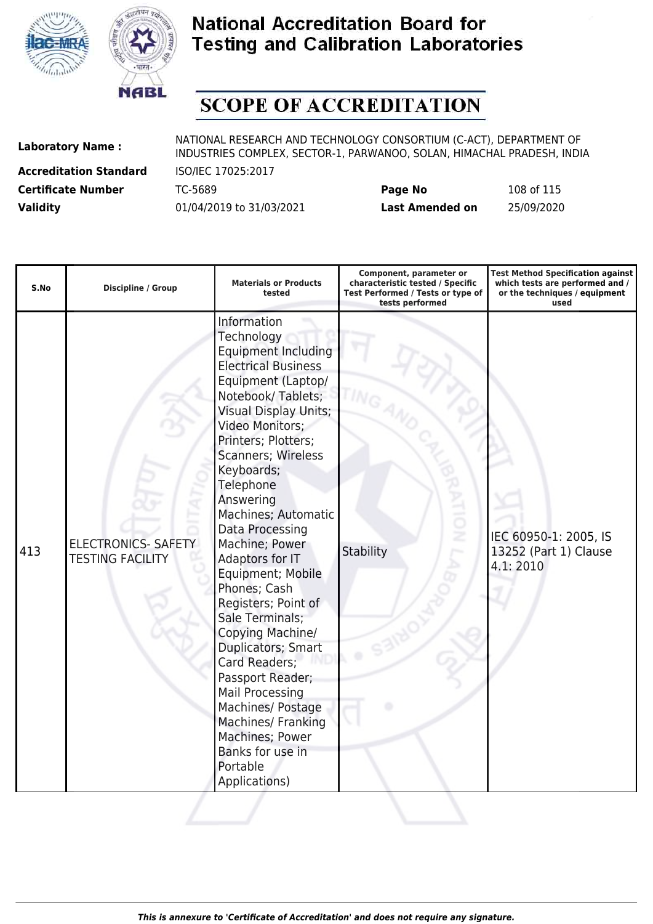



# **SCOPE OF ACCREDITATION**

**Accreditation Standard** ISO/IEC 17025:2017

| <b>Certificate Number</b> | TC-5689                  | Page No         | 108 of 115 |
|---------------------------|--------------------------|-----------------|------------|
| <b>Validity</b>           | 01/04/2019 to 31/03/2021 | Last Amended on | 25/09/2020 |

| S.No | <b>Discipline / Group</b>                             | <b>Materials or Products</b><br>tested                                                                                                                                                                                                                                                                                                                                                                                                                                                                                                                                                                                                                  | Component, parameter or<br>characteristic tested / Specific<br>Test Performed / Tests or type of<br>tests performed | <b>Test Method Specification against</b><br>which tests are performed and /<br>or the techniques / equipment<br>used |
|------|-------------------------------------------------------|---------------------------------------------------------------------------------------------------------------------------------------------------------------------------------------------------------------------------------------------------------------------------------------------------------------------------------------------------------------------------------------------------------------------------------------------------------------------------------------------------------------------------------------------------------------------------------------------------------------------------------------------------------|---------------------------------------------------------------------------------------------------------------------|----------------------------------------------------------------------------------------------------------------------|
| 413  | <b>ELECTRONICS- SAFETY</b><br><b>TESTING FACILITY</b> | Information<br>Technology<br><b>Equipment Including</b><br><b>Electrical Business</b><br>Equipment (Laptop/<br>Notebook/Tablets;<br><b>Visual Display Units;</b><br>Video Monitors;<br>Printers; Plotters;<br>Scanners; Wireless<br>Keyboards;<br>Telephone<br>Answering<br>Machines; Automatic<br>Data Processing<br>Machine; Power<br>Adaptors for IT<br>Equipment; Mobile<br>Phones; Cash<br>Registers; Point of<br>Sale Terminals;<br>Copying Machine/<br>Duplicators; Smart<br>Card Readers;<br>Passport Reader;<br>Mail Processing<br>Machines/ Postage<br>Machines/ Franking<br>Machines; Power<br>Banks for use in<br>Portable<br>Applications) | ž<br>Stability                                                                                                      | IEC 60950-1: 2005, IS<br>13252 (Part 1) Clause<br>4.1:2010                                                           |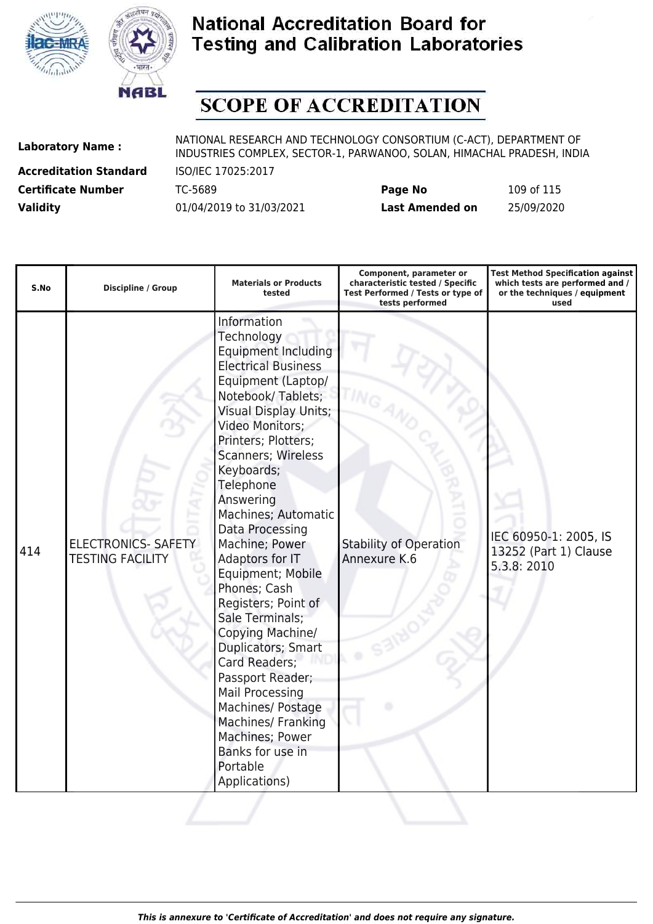



# **SCOPE OF ACCREDITATION**

**Accreditation Standard** ISO/IEC 17025:2017

| <b>Certificate Number</b> | TC-5689                  | Page No         | 109 of 115 |
|---------------------------|--------------------------|-----------------|------------|
| <b>Validity</b>           | 01/04/2019 to 31/03/2021 | Last Amended on | 25/09/2020 |

| S.No | <b>Discipline / Group</b>                             | <b>Materials or Products</b><br>tested                                                                                                                                                                                                                                                                                                                                                                                                                                                                                                                                                                                                                  | Component, parameter or<br>characteristic tested / Specific<br>Test Performed / Tests or type of<br>tests performed | <b>Test Method Specification against</b><br>which tests are performed and /<br>or the techniques / equipment<br>used |
|------|-------------------------------------------------------|---------------------------------------------------------------------------------------------------------------------------------------------------------------------------------------------------------------------------------------------------------------------------------------------------------------------------------------------------------------------------------------------------------------------------------------------------------------------------------------------------------------------------------------------------------------------------------------------------------------------------------------------------------|---------------------------------------------------------------------------------------------------------------------|----------------------------------------------------------------------------------------------------------------------|
| 414  | <b>ELECTRONICS- SAFETY</b><br><b>TESTING FACILITY</b> | Information<br>Technology<br><b>Equipment Including</b><br><b>Electrical Business</b><br>Equipment (Laptop/<br>Notebook/Tablets;<br><b>Visual Display Units;</b><br>Video Monitors;<br>Printers; Plotters;<br>Scanners; Wireless<br>Keyboards;<br>Telephone<br>Answering<br>Machines; Automatic<br>Data Processing<br>Machine; Power<br>Adaptors for IT<br>Equipment; Mobile<br>Phones; Cash<br>Registers; Point of<br>Sale Terminals;<br>Copying Machine/<br>Duplicators; Smart<br>Card Readers;<br>Passport Reader;<br>Mail Processing<br>Machines/ Postage<br>Machines/ Franking<br>Machines; Power<br>Banks for use in<br>Portable<br>Applications) | <b>Stability of Operation</b><br>Annexure K.6                                                                       | IEC 60950-1: 2005, IS<br>13252 (Part 1) Clause<br>5.3.8: 2010                                                        |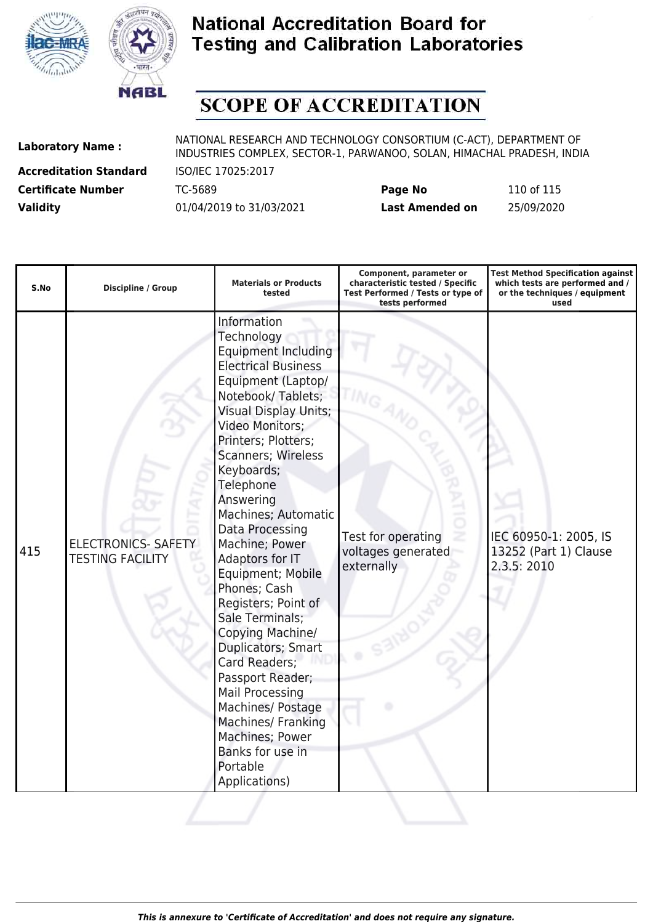



# **SCOPE OF ACCREDITATION**

**Accreditation Standard** ISO/IEC 17025:2017

| <b>Certificate Number</b> | TC-5689                  | Page No         | 110 of 115 |
|---------------------------|--------------------------|-----------------|------------|
| <b>Validity</b>           | 01/04/2019 to 31/03/2021 | Last Amended on | 25/09/2020 |

| S.No | <b>Discipline / Group</b>                             | <b>Materials or Products</b><br>tested                                                                                                                                                                                                                                                                                                                                                                                                                                                                                                                                                                                                                         | Component, parameter or<br>characteristic tested / Specific<br>Test Performed / Tests or type of<br>tests performed | <b>Test Method Specification against</b><br>which tests are performed and /<br>or the techniques / equipment<br>used |
|------|-------------------------------------------------------|----------------------------------------------------------------------------------------------------------------------------------------------------------------------------------------------------------------------------------------------------------------------------------------------------------------------------------------------------------------------------------------------------------------------------------------------------------------------------------------------------------------------------------------------------------------------------------------------------------------------------------------------------------------|---------------------------------------------------------------------------------------------------------------------|----------------------------------------------------------------------------------------------------------------------|
| 415  | <b>ELECTRONICS- SAFETY</b><br><b>TESTING FACILITY</b> | Information<br>Technology<br><b>Equipment Including</b><br><b>Electrical Business</b><br>Equipment (Laptop/<br>Notebook/Tablets;<br><b>Visual Display Units;</b><br>Video Monitors;<br>Printers; Plotters;<br>Scanners; Wireless<br>Keyboards;<br>Telephone<br>Answering<br>Machines; Automatic<br>Data Processing<br>Machine; Power<br>Adaptors for IT<br>Equipment; Mobile<br>Phones; Cash<br>Registers; Point of<br>Sale Terminals;<br>Copying Machine/<br>Duplicators; Smart<br>Card Readers;<br>Passport Reader;<br><b>Mail Processing</b><br>Machines/ Postage<br>Machines/ Franking<br>Machines; Power<br>Banks for use in<br>Portable<br>Applications) | Test for operating<br>voltages generated<br>externally                                                              | IEC 60950-1: 2005, IS<br>13252 (Part 1) Clause<br>2.3.5: 2010                                                        |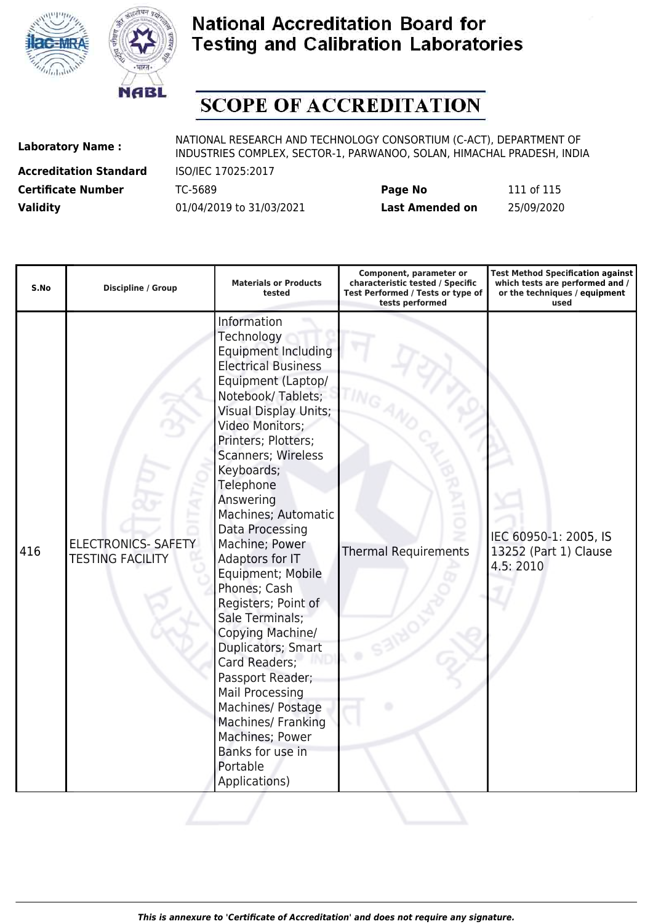



### **SCOPE OF ACCREDITATION**

**Accreditation Standard** ISO/IEC 17025:2017

| <b>Certificate Number</b> | TC-5689                  | Page No                | 111 of 115 |
|---------------------------|--------------------------|------------------------|------------|
| <b>Validity</b>           | 01/04/2019 to 31/03/2021 | <b>Last Amended on</b> | 25/09/2020 |

| S.No | <b>Discipline / Group</b>                             | <b>Materials or Products</b><br>tested                                                                                                                                                                                                                                                                                                                                                                                                                                                                                                                                                                                                                  | Component, parameter or<br>characteristic tested / Specific<br>Test Performed / Tests or type of<br>tests performed | <b>Test Method Specification against</b><br>which tests are performed and /<br>or the techniques / equipment<br>used |
|------|-------------------------------------------------------|---------------------------------------------------------------------------------------------------------------------------------------------------------------------------------------------------------------------------------------------------------------------------------------------------------------------------------------------------------------------------------------------------------------------------------------------------------------------------------------------------------------------------------------------------------------------------------------------------------------------------------------------------------|---------------------------------------------------------------------------------------------------------------------|----------------------------------------------------------------------------------------------------------------------|
| 416  | <b>ELECTRONICS- SAFETY</b><br><b>TESTING FACILITY</b> | Information<br>Technology<br><b>Equipment Including</b><br><b>Electrical Business</b><br>Equipment (Laptop/<br>Notebook/Tablets;<br><b>Visual Display Units;</b><br>Video Monitors;<br>Printers; Plotters;<br>Scanners; Wireless<br>Keyboards;<br>Telephone<br>Answering<br>Machines; Automatic<br>Data Processing<br>Machine; Power<br>Adaptors for IT<br>Equipment; Mobile<br>Phones; Cash<br>Registers; Point of<br>Sale Terminals;<br>Copying Machine/<br>Duplicators; Smart<br>Card Readers;<br>Passport Reader;<br>Mail Processing<br>Machines/ Postage<br>Machines/ Franking<br>Machines; Power<br>Banks for use in<br>Portable<br>Applications) | <b>Thermal Requirements</b>                                                                                         | IEC 60950-1: 2005, IS<br>13252 (Part 1) Clause<br>4.5:2010                                                           |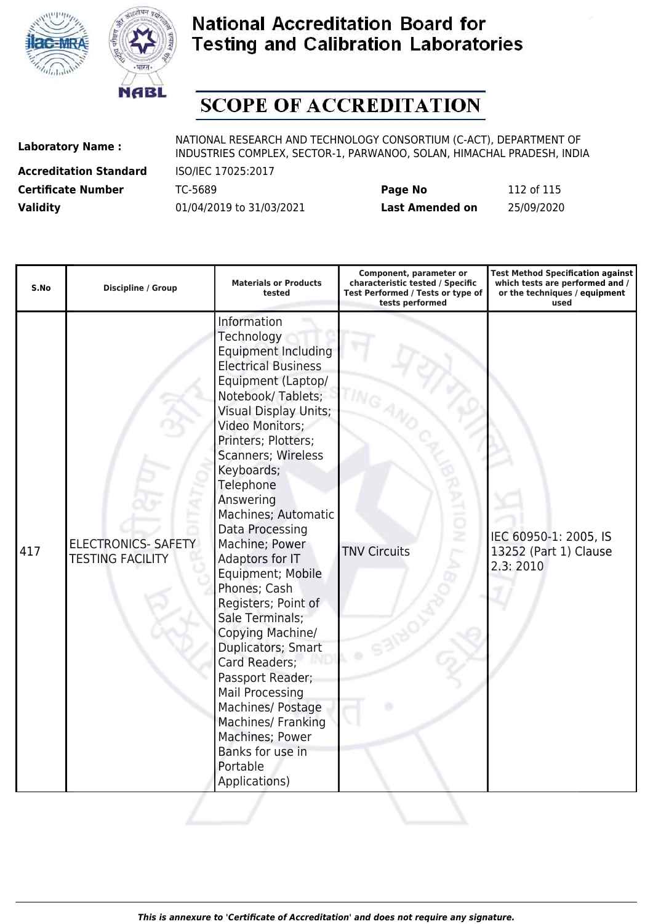



# **SCOPE OF ACCREDITATION**

**Accreditation Standard** ISO/IEC 17025:2017

| <b>Certificate Number</b> | TC-5689                  | Page No                | 112 of 115 |
|---------------------------|--------------------------|------------------------|------------|
| <b>Validity</b>           | 01/04/2019 to 31/03/2021 | <b>Last Amended on</b> | 25/09/2020 |

| S.No | <b>Discipline / Group</b>                             | <b>Materials or Products</b><br>tested                                                                                                                                                                                                                                                                                                                                                                                                                                                                                                                                                                                                           | Component, parameter or<br>characteristic tested / Specific<br>Test Performed / Tests or type of<br>tests performed | <b>Test Method Specification against</b><br>which tests are performed and /<br>or the techniques / equipment<br>used |
|------|-------------------------------------------------------|--------------------------------------------------------------------------------------------------------------------------------------------------------------------------------------------------------------------------------------------------------------------------------------------------------------------------------------------------------------------------------------------------------------------------------------------------------------------------------------------------------------------------------------------------------------------------------------------------------------------------------------------------|---------------------------------------------------------------------------------------------------------------------|----------------------------------------------------------------------------------------------------------------------|
| 417  | <b>ELECTRONICS- SAFETY</b><br><b>TESTING FACILITY</b> | Information<br>Technology<br>Equipment Including<br><b>Electrical Business</b><br>Equipment (Laptop/<br>Notebook/Tablets;<br>Visual Display Units;<br>Video Monitors;<br>Printers; Plotters;<br>Scanners; Wireless<br>Keyboards;<br>Telephone<br>Answering<br>Machines; Automatic<br>Data Processing<br>Machine; Power<br>Adaptors for IT<br>Equipment; Mobile<br>Phones; Cash<br>Registers; Point of<br>Sale Terminals;<br>Copying Machine/<br>Duplicators; Smart<br>Card Readers;<br>Passport Reader;<br><b>Mail Processing</b><br>Machines/ Postage<br>Machines/ Franking<br>Machines; Power<br>Banks for use in<br>Portable<br>Applications) | ĝ<br><b>TNV Circuits</b>                                                                                            | IEC 60950-1: 2005, IS<br>13252 (Part 1) Clause<br>2.3:2010                                                           |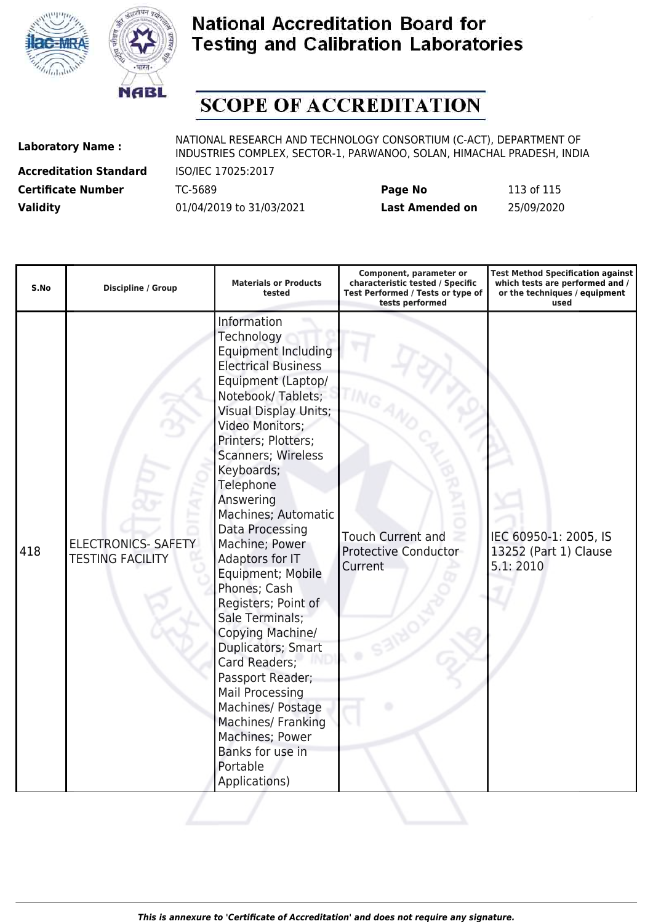



# **SCOPE OF ACCREDITATION**

**Accreditation Standard** ISO/IEC 17025:2017

| <b>Certificate Number</b> | TC-5689                  | Page No         | 113 of 115 |
|---------------------------|--------------------------|-----------------|------------|
| <b>Validity</b>           | 01/04/2019 to 31/03/2021 | Last Amended on | 25/09/2020 |

| S.No | <b>Discipline / Group</b>                             | <b>Materials or Products</b><br>tested                                                                                                                                                                                                                                                                                                                                                                                                                                                                                                                                                                                                                                | Component, parameter or<br>characteristic tested / Specific<br>Test Performed / Tests or type of<br>tests performed | <b>Test Method Specification against</b><br>which tests are performed and /<br>or the techniques / equipment<br>used |
|------|-------------------------------------------------------|-----------------------------------------------------------------------------------------------------------------------------------------------------------------------------------------------------------------------------------------------------------------------------------------------------------------------------------------------------------------------------------------------------------------------------------------------------------------------------------------------------------------------------------------------------------------------------------------------------------------------------------------------------------------------|---------------------------------------------------------------------------------------------------------------------|----------------------------------------------------------------------------------------------------------------------|
| 418  | <b>ELECTRONICS- SAFETY</b><br><b>TESTING FACILITY</b> | Information<br>Technology<br><b>Equipment Including</b><br><b>Electrical Business</b><br>Equipment (Laptop/<br>Notebook/Tablets;<br><b>Visual Display Units;</b><br>Video Monitors;<br>Printers; Plotters;<br><b>Scanners; Wireless</b><br>Keyboards;<br>Telephone<br>Answering<br>Machines; Automatic<br>Data Processing<br>Machine; Power<br>Adaptors for IT<br>Equipment; Mobile<br>Phones; Cash<br>Registers; Point of<br>Sale Terminals;<br>Copying Machine/<br>Duplicators; Smart<br>Card Readers;<br>Passport Reader;<br><b>Mail Processing</b><br>Machines/ Postage<br>Machines/ Franking<br>Machines; Power<br>Banks for use in<br>Portable<br>Applications) | <b>Touch Current and</b><br><b>Protective Conductor</b><br>Current                                                  | IEC 60950-1: 2005, IS<br>13252 (Part 1) Clause<br>5.1:2010                                                           |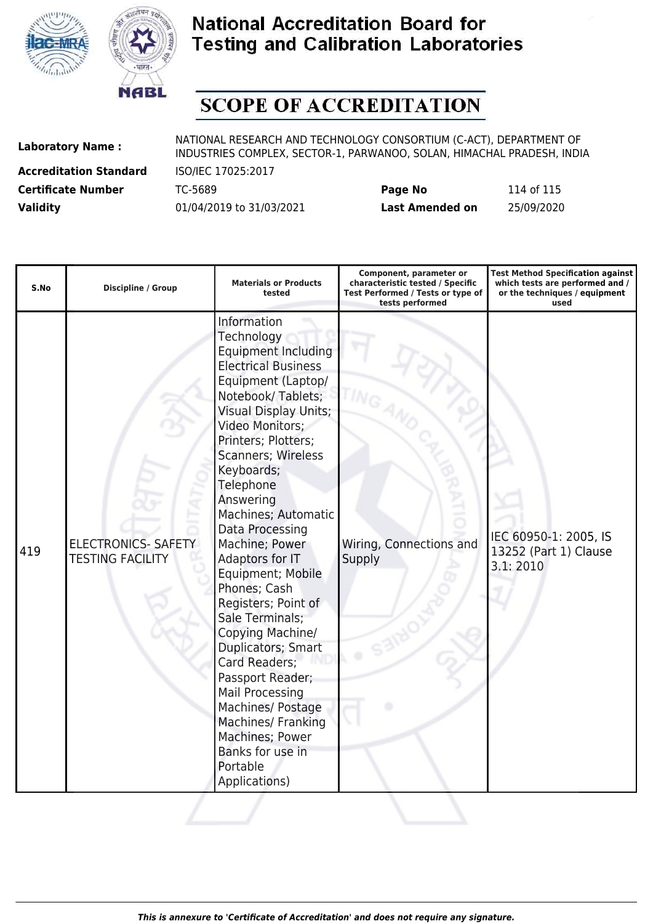



# **SCOPE OF ACCREDITATION**

**Accreditation Standard** ISO/IEC 17025:2017

| <b>Certificate Number</b> | TC-5689                  | Page No                | 114 of 115 |
|---------------------------|--------------------------|------------------------|------------|
| <b>Validity</b>           | 01/04/2019 to 31/03/2021 | <b>Last Amended on</b> | 25/09/2020 |

| S.No | <b>Discipline / Group</b>                             | <b>Materials or Products</b><br>tested                                                                                                                                                                                                                                                                                                                                                                                                                                                                                                                                                                                                                                | Component, parameter or<br>characteristic tested / Specific<br>Test Performed / Tests or type of<br>tests performed | <b>Test Method Specification against</b><br>which tests are performed and /<br>or the techniques / equipment<br>used |
|------|-------------------------------------------------------|-----------------------------------------------------------------------------------------------------------------------------------------------------------------------------------------------------------------------------------------------------------------------------------------------------------------------------------------------------------------------------------------------------------------------------------------------------------------------------------------------------------------------------------------------------------------------------------------------------------------------------------------------------------------------|---------------------------------------------------------------------------------------------------------------------|----------------------------------------------------------------------------------------------------------------------|
| 419  | <b>ELECTRONICS- SAFETY</b><br><b>TESTING FACILITY</b> | Information<br>Technology<br><b>Equipment Including</b><br><b>Electrical Business</b><br>Equipment (Laptop/<br>Notebook/Tablets;<br><b>Visual Display Units;</b><br>Video Monitors;<br>Printers; Plotters;<br><b>Scanners; Wireless</b><br>Keyboards;<br>Telephone<br>Answering<br>Machines; Automatic<br>Data Processing<br>Machine; Power<br>Adaptors for IT<br>Equipment; Mobile<br>Phones; Cash<br>Registers; Point of<br>Sale Terminals;<br>Copying Machine/<br>Duplicators; Smart<br>Card Readers;<br>Passport Reader;<br><b>Mail Processing</b><br>Machines/ Postage<br>Machines/ Franking<br>Machines; Power<br>Banks for use in<br>Portable<br>Applications) | Wiring, Connections and<br>Supply                                                                                   | IEC 60950-1: 2005, IS<br>13252 (Part 1) Clause<br>3.1:2010                                                           |